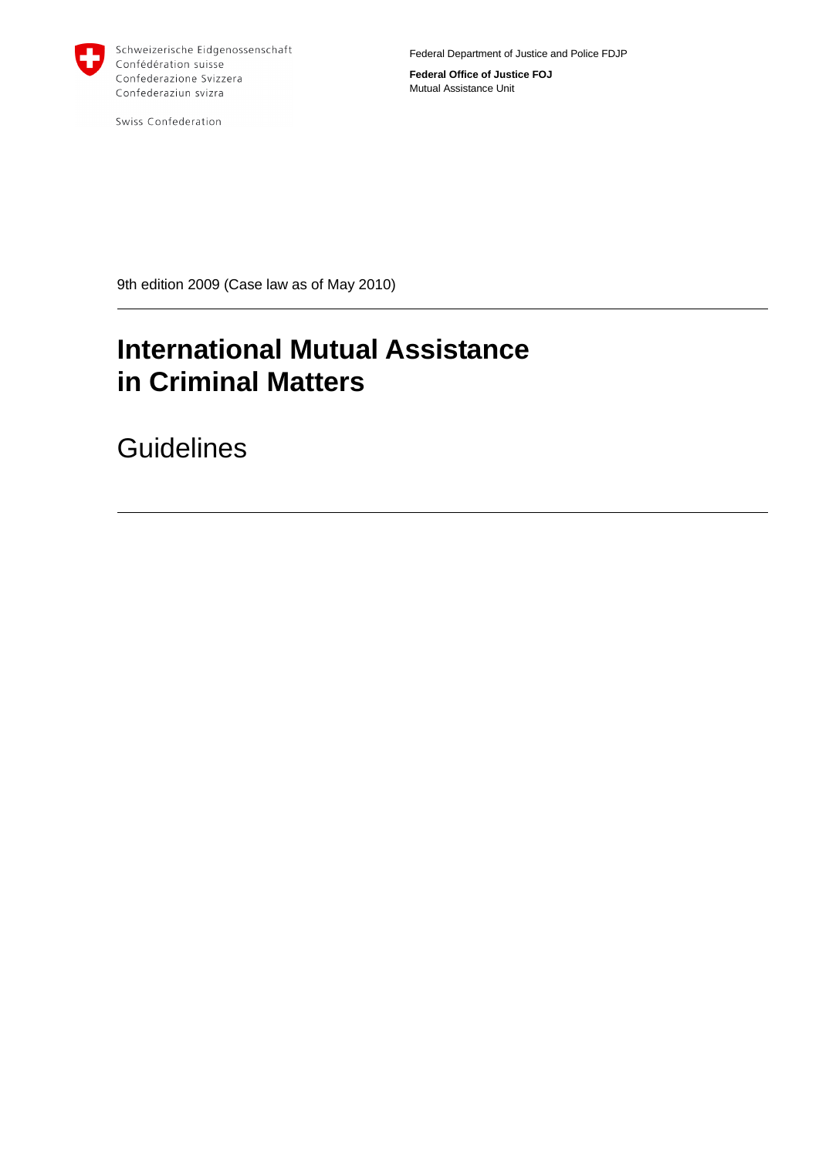

Swiss Confederation

Federal Department of Justice and Police FDJP

**Federal Office of Justice FOJ** Mutual Assistance Unit

9th edition 2009 (Case law as of May 2010)

# **International Mutual Assistance in Criminal Matters**

**Guidelines**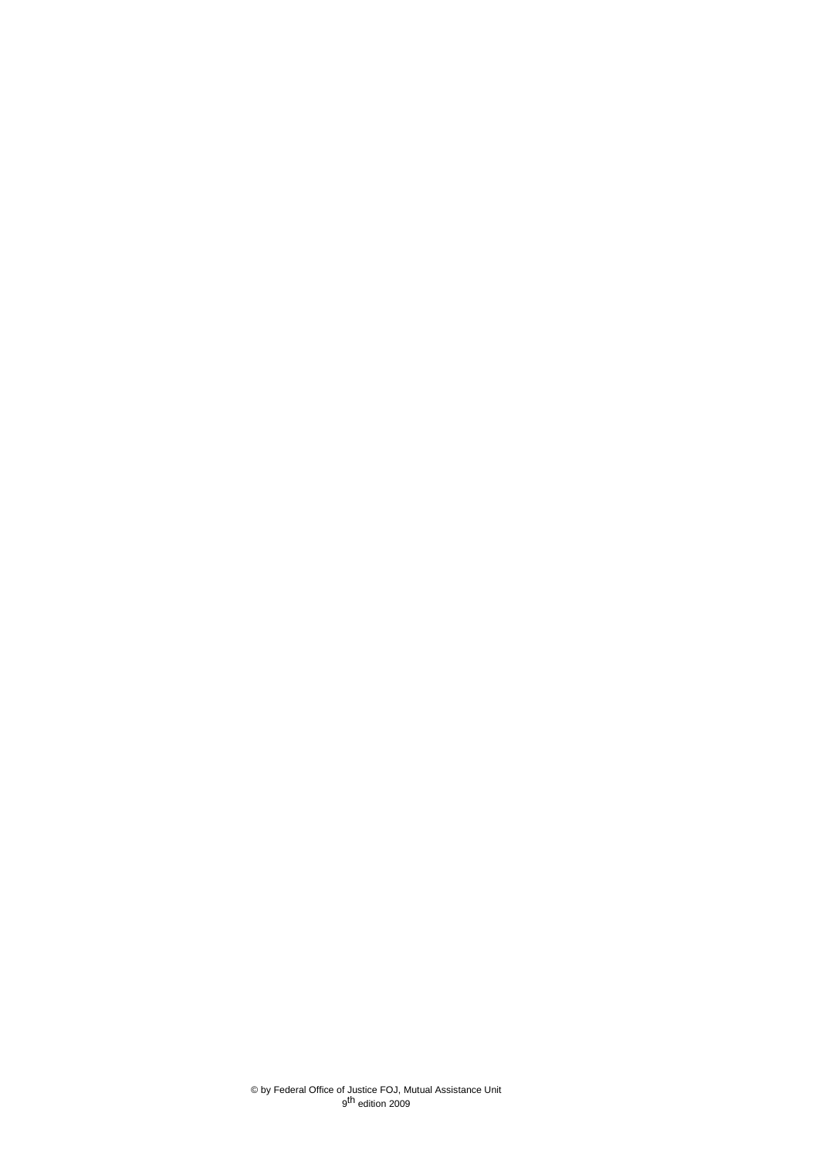© by Federal Office of Justice FOJ, Mutual Assistance Unit 9<sup>th</sup> edition 2009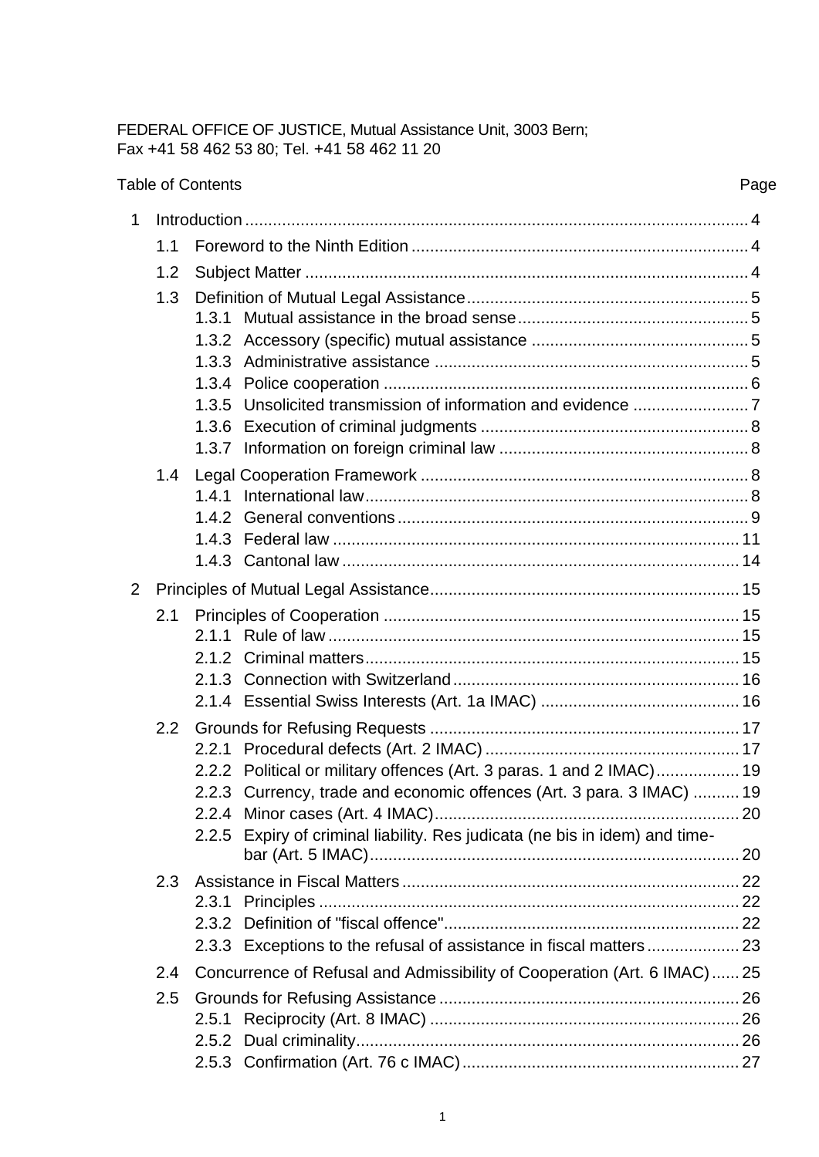### FEDERAL OFFICE OF JUSTICE, Mutual Assistance Unit, 3003 Bern; Fax +41 58 462 53 80; Tel. +41 58 462 11 20

|             |               | <b>Table of Contents</b>                                                |                                                                                                                                                                                                                              |  |  |
|-------------|---------------|-------------------------------------------------------------------------|------------------------------------------------------------------------------------------------------------------------------------------------------------------------------------------------------------------------------|--|--|
| $\mathbf 1$ |               |                                                                         |                                                                                                                                                                                                                              |  |  |
|             | 1.1           |                                                                         |                                                                                                                                                                                                                              |  |  |
|             | 1.2           |                                                                         |                                                                                                                                                                                                                              |  |  |
|             | 1.3           |                                                                         |                                                                                                                                                                                                                              |  |  |
|             |               |                                                                         |                                                                                                                                                                                                                              |  |  |
| 2           |               |                                                                         |                                                                                                                                                                                                                              |  |  |
|             | 2.1           |                                                                         |                                                                                                                                                                                                                              |  |  |
|             | $2.2^{\circ}$ |                                                                         | 2.2.2 Political or military offences (Art. 3 paras. 1 and 2 IMAC) 19<br>2.2.3 Currency, trade and economic offences (Art. 3 para. 3 IMAC)  19<br>2.2.5 Expiry of criminal liability. Res judicata (ne bis in idem) and time- |  |  |
|             | 2.3           |                                                                         | 2.3.3 Exceptions to the refusal of assistance in fiscal matters  23                                                                                                                                                          |  |  |
|             | 2.4           | Concurrence of Refusal and Admissibility of Cooperation (Art. 6 IMAC)25 |                                                                                                                                                                                                                              |  |  |
|             | 2.5           |                                                                         |                                                                                                                                                                                                                              |  |  |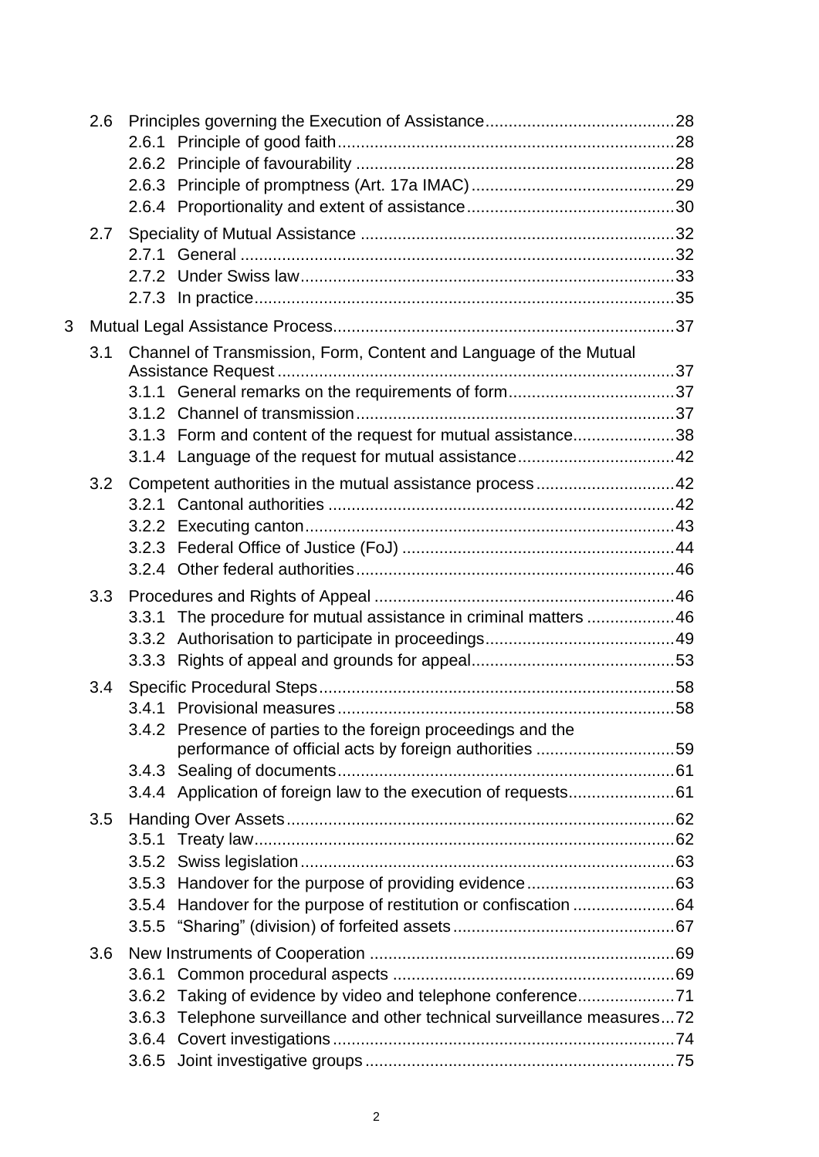|   | 2.6 |       |                                                                                                                                    |  |
|---|-----|-------|------------------------------------------------------------------------------------------------------------------------------------|--|
|   |     |       |                                                                                                                                    |  |
| 3 |     |       |                                                                                                                                    |  |
|   | 3.1 |       | Channel of Transmission, Form, Content and Language of the Mutual<br>3.1.3 Form and content of the request for mutual assistance38 |  |
|   | 3.2 |       | Competent authorities in the mutual assistance process42                                                                           |  |
|   | 3.3 |       | 3.3.1 The procedure for mutual assistance in criminal matters  46                                                                  |  |
|   |     |       | 3.4.2 Presence of parties to the foreign proceedings and the<br>performance of official acts by foreign authorities 59             |  |
|   | 3.5 | 3.5.2 | 3.5.4 Handover for the purpose of restitution or confiscation 64                                                                   |  |
|   | 3.6 | 3.6.2 | Taking of evidence by video and telephone conference71<br>3.6.3 Telephone surveillance and other technical surveillance measures72 |  |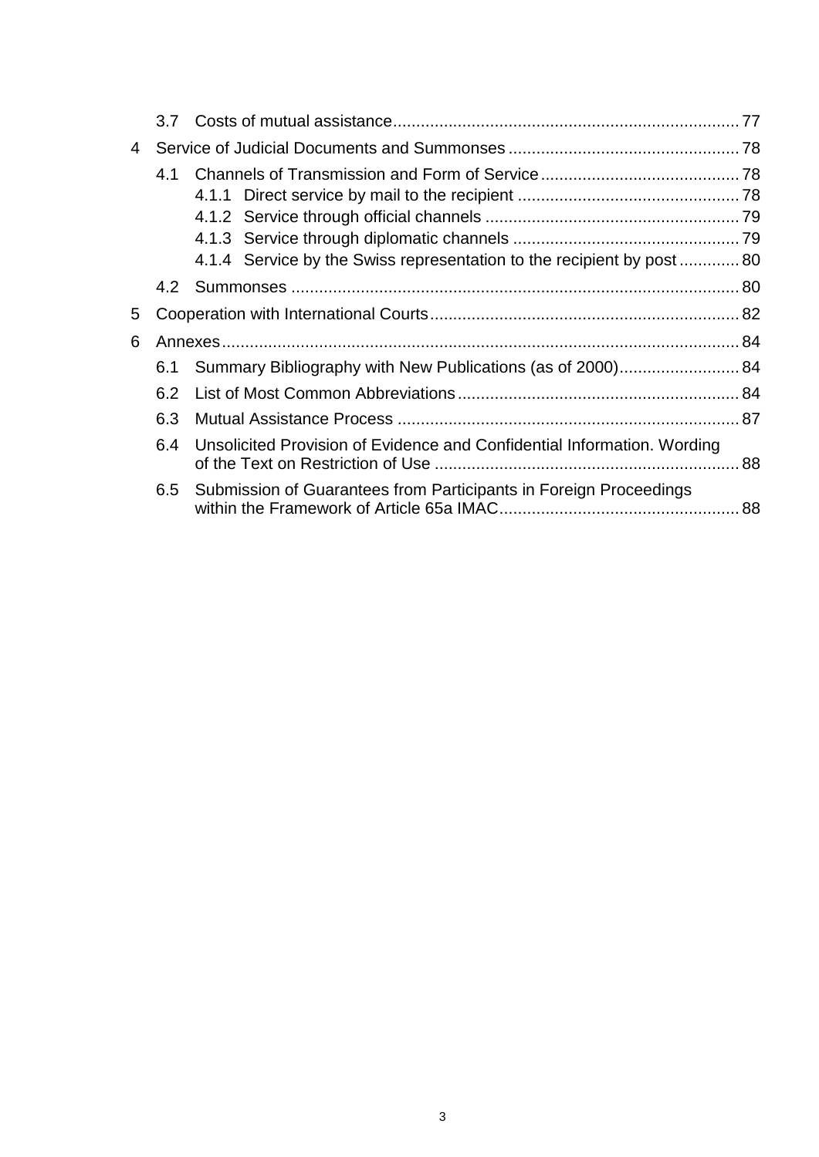| 4 |     |                                                                         |  |  |
|---|-----|-------------------------------------------------------------------------|--|--|
|   | 4.1 | 4.1.4 Service by the Swiss representation to the recipient by post  80  |  |  |
|   | 4.2 |                                                                         |  |  |
| 5 |     |                                                                         |  |  |
| 6 |     |                                                                         |  |  |
|   | 6.1 | Summary Bibliography with New Publications (as of 2000) 84              |  |  |
|   | 6.2 |                                                                         |  |  |
|   | 6.3 |                                                                         |  |  |
|   | 6.4 | Unsolicited Provision of Evidence and Confidential Information. Wording |  |  |
|   | 6.5 | Submission of Guarantees from Participants in Foreign Proceedings       |  |  |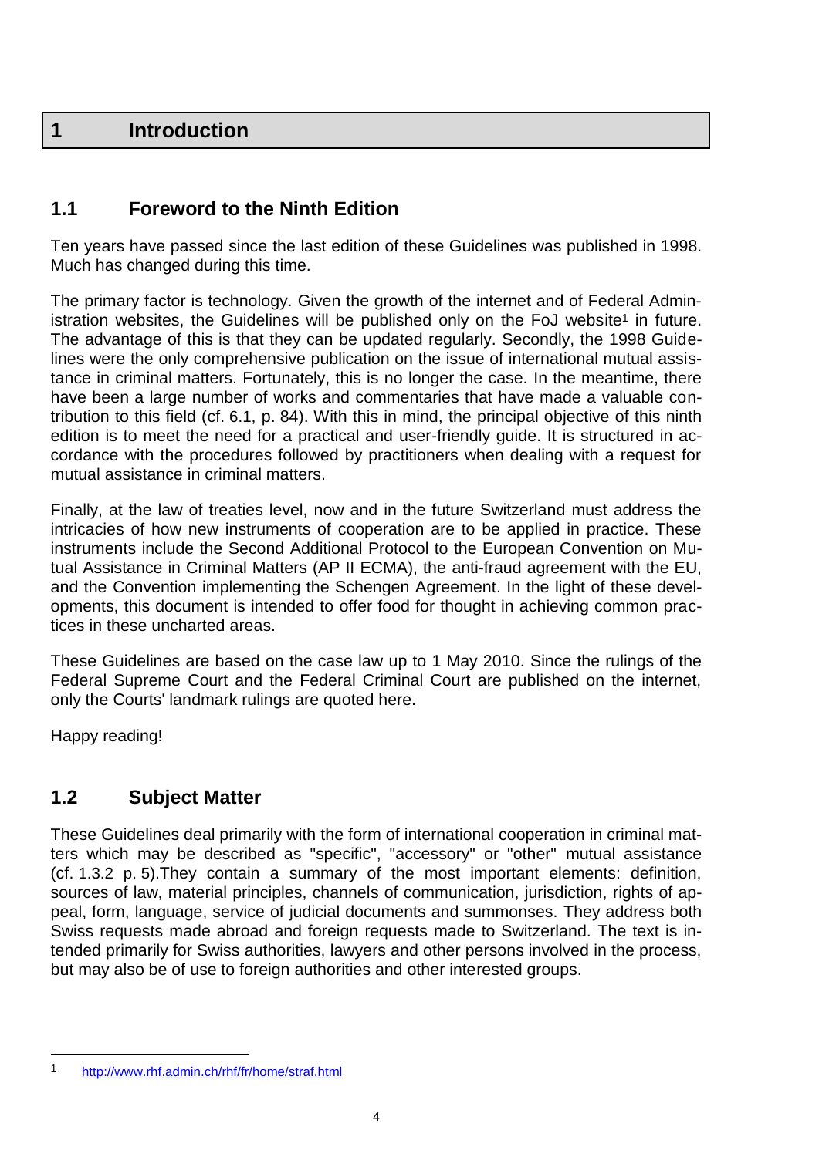# <span id="page-5-0"></span>**1 Introduction**

# <span id="page-5-1"></span>**1.1 Foreword to the Ninth Edition**

Ten years have passed since the last edition of these Guidelines was published in 1998. Much has changed during this time.

The primary factor is technology. Given the growth of the internet and of Federal Administration websites, the Guidelines will be published only on the FoJ website<sup>1</sup> in future. The advantage of this is that they can be updated regularly. Secondly, the 1998 Guidelines were the only comprehensive publication on the issue of international mutual assistance in criminal matters. Fortunately, this is no longer the case. In the meantime, there have been a large number of works and commentaries that have made a valuable contribution to this field (cf. 6.1, p. 84). With this in mind, the principal objective of this ninth edition is to meet the need for a practical and user-friendly guide. It is structured in accordance with the procedures followed by practitioners when dealing with a request for mutual assistance in criminal matters.

Finally, at the law of treaties level, now and in the future Switzerland must address the intricacies of how new instruments of cooperation are to be applied in practice. These instruments include the Second Additional Protocol to the European Convention on Mutual Assistance in Criminal Matters (AP II ECMA), the anti-fraud agreement with the EU, and the Convention implementing the Schengen Agreement. In the light of these developments, this document is intended to offer food for thought in achieving common practices in these uncharted areas.

These Guidelines are based on the case law up to 1 May 2010. Since the rulings of the Federal Supreme Court and the Federal Criminal Court are published on the internet, only the Courts' landmark rulings are quoted here.

Happy reading!

### <span id="page-5-2"></span>**1.2 Subject Matter**

These Guidelines deal primarily with the form of international cooperation in criminal matters which may be described as "specific", "accessory" or "other" mutual assistance (cf. 1.3.2 p. 5).They contain a summary of the most important elements: definition, sources of law, material principles, channels of communication, jurisdiction, rights of appeal, form, language, service of judicial documents and summonses. They address both Swiss requests made abroad and foreign requests made to Switzerland. The text is intended primarily for Swiss authorities, lawyers and other persons involved in the process, but may also be of use to foreign authorities and other interested groups.

<sup>1</sup> <http://www.rhf.admin.ch/rhf/fr/home/straf.html>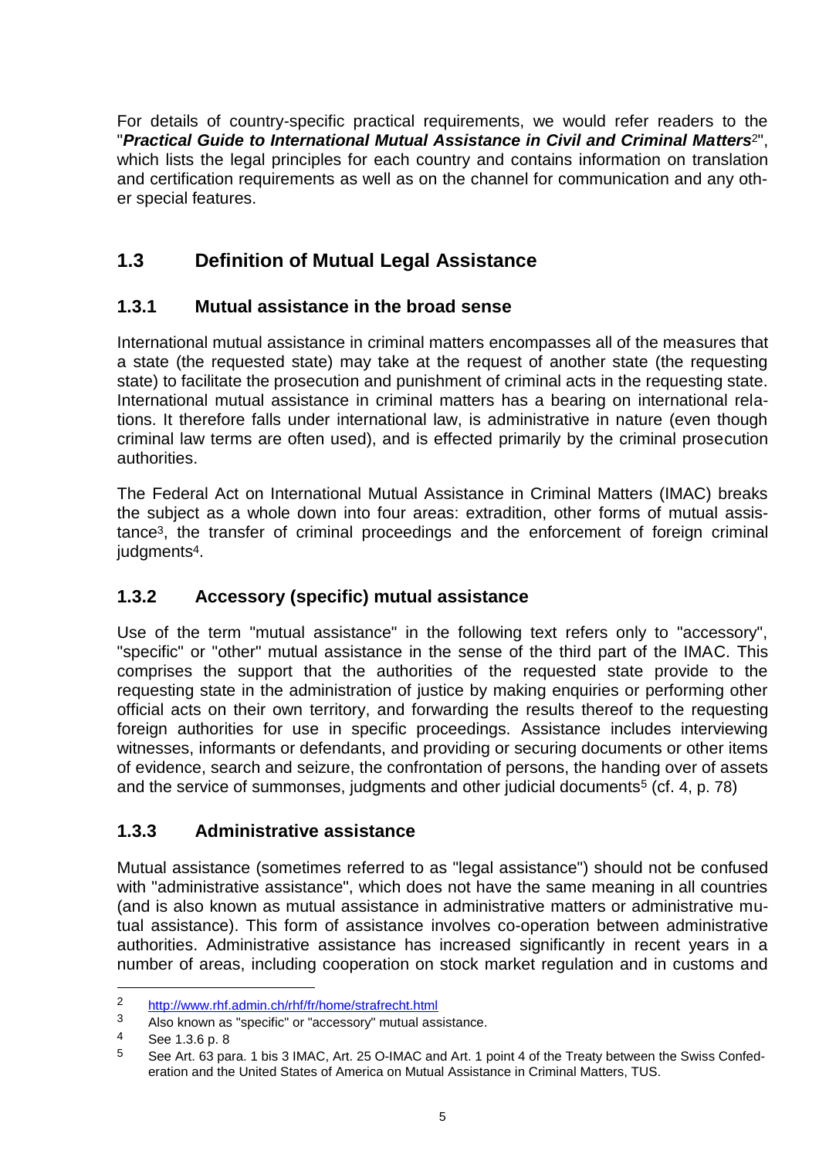For details of country-specific practical requirements, we would refer readers to the "*Practical Guide to International Mutual Assistance in Civil and Criminal Matters*2", which lists the legal principles for each country and contains information on translation and certification requirements as well as on the channel for communication and any other special features.

# <span id="page-6-0"></span>**1.3 Definition of Mutual Legal Assistance**

# <span id="page-6-1"></span>**1.3.1 Mutual assistance in the broad sense**

International mutual assistance in criminal matters encompasses all of the measures that a state (the requested state) may take at the request of another state (the requesting state) to facilitate the prosecution and punishment of criminal acts in the requesting state. International mutual assistance in criminal matters has a bearing on international relations. It therefore falls under international law, is administrative in nature (even though criminal law terms are often used), and is effected primarily by the criminal prosecution authorities.

The Federal Act on International Mutual Assistance in Criminal Matters (IMAC) breaks the subject as a whole down into four areas: extradition, other forms of mutual assistance3, the transfer of criminal proceedings and the enforcement of foreign criminal judgments<sup>4</sup>.

# <span id="page-6-2"></span>**1.3.2 Accessory (specific) mutual assistance**

Use of the term "mutual assistance" in the following text refers only to "accessory", "specific" or "other" mutual assistance in the sense of the third part of the IMAC. This comprises the support that the authorities of the requested state provide to the requesting state in the administration of justice by making enquiries or performing other official acts on their own territory, and forwarding the results thereof to the requesting foreign authorities for use in specific proceedings. Assistance includes interviewing witnesses, informants or defendants, and providing or securing documents or other items of evidence, search and seizure, the confrontation of persons, the handing over of assets and the service of summonses, judgments and other judicial documents<sup>5</sup> (cf. 4, p. 78)

### <span id="page-6-3"></span>**1.3.3 Administrative assistance**

Mutual assistance (sometimes referred to as "legal assistance") should not be confused with "administrative assistance", which does not have the same meaning in all countries (and is also known as mutual assistance in administrative matters or administrative mutual assistance). This form of assistance involves co-operation between administrative authorities. Administrative assistance has increased significantly in recent years in a number of areas, including cooperation on stock market regulation and in customs and

<sup>2</sup> <http://www.rhf.admin.ch/rhf/fr/home/strafrecht.html><br>3 Also known as "specific" or "accessory" mutual ass

Also known as "specific" or "accessory" mutual assistance.

<sup>4</sup> See 1.3.6 p. 8

<sup>5</sup> See Art. 63 para. 1 bis 3 IMAC, Art. 25 O-IMAC and Art. 1 point 4 of the Treaty between the Swiss Confederation and the United States of America on Mutual Assistance in Criminal Matters, TUS.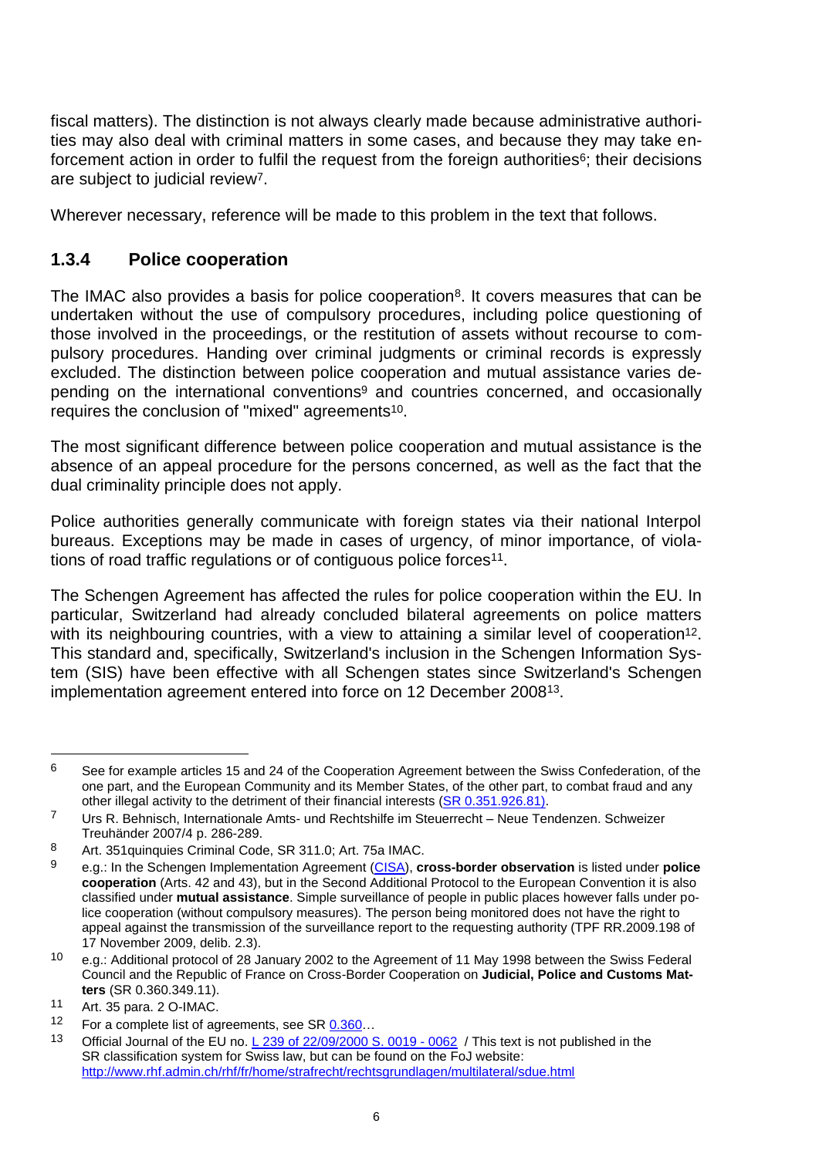fiscal matters). The distinction is not always clearly made because administrative authorities may also deal with criminal matters in some cases, and because they may take enforcement action in order to fulfil the request from the foreign authorities<sup> $6$ </sup>; their decisions are subject to judicial review7.

Wherever necessary, reference will be made to this problem in the text that follows.

### <span id="page-7-0"></span>**1.3.4 Police cooperation**

The IMAC also provides a basis for police cooperation<sup>8</sup>. It covers measures that can be undertaken without the use of compulsory procedures, including police questioning of those involved in the proceedings, or the restitution of assets without recourse to compulsory procedures. Handing over criminal judgments or criminal records is expressly excluded. The distinction between police cooperation and mutual assistance varies depending on the international conventions<sup>9</sup> and countries concerned, and occasionally requires the conclusion of "mixed" agreements10.

The most significant difference between police cooperation and mutual assistance is the absence of an appeal procedure for the persons concerned, as well as the fact that the dual criminality principle does not apply.

Police authorities generally communicate with foreign states via their national Interpol bureaus. Exceptions may be made in cases of urgency, of minor importance, of violations of road traffic regulations or of contiguous police forces<sup>11</sup>.

The Schengen Agreement has affected the rules for police cooperation within the EU. In particular, Switzerland had already concluded bilateral agreements on police matters with its neighbouring countries, with a view to attaining a similar level of cooperation<sup>12</sup>. This standard and, specifically, Switzerland's inclusion in the Schengen Information System (SIS) have been effective with all Schengen states since Switzerland's Schengen implementation agreement entered into force on 12 December 200813.

 $6$  See for example articles 15 and 24 of the Cooperation Agreement between the Swiss Confederation, of the one part, and the European Community and its Member States, of the other part, to combat fraud and any other illegal activity to the detriment of their financial interests (SR [0.351.926.81\).](http://www.rhf.admin.ch/rhf/fr/home/strafrecht/rechtsgrundlagen/multilateral/sr-0-351-926-81.html)

<sup>7</sup> Urs R. Behnisch, Internationale Amts- und Rechtshilfe im Steuerrecht – Neue Tendenzen. Schweizer Treuhänder 2007/4 p. 286-289.

<sup>8</sup> Art. 351 quinquies Criminal Code, SR 311.0; Art. 75a IMAC.

<sup>9</sup> e.g.: In the Schengen Implementation Agreement [\(CISA\)](http://www.rhf.admin.ch/rhf/fr/home/strafrecht/rechtsgrundlagen/multilateral/sdue.html), **cross-border observation** is listed under **police cooperation** (Arts. 42 and 43), but in the Second Additional Protocol to the European Convention it is also classified under **mutual assistance**. Simple surveillance of people in public places however falls under police cooperation (without compulsory measures). The person being monitored does not have the right to appeal against the transmission of the surveillance report to the requesting authority (TPF RR.2009.198 of 17 November 2009, delib. 2.3).

<sup>10</sup> e.g.: Additional protocol of 28 January 2002 to the Agreement of 11 May 1998 between the Swiss Federal Council and the Republic of France on Cross-Border Cooperation on **Judicial, Police and Customs Matters** (SR 0.360.349.11).

<sup>11</sup> Art. 35 para. 2 O-IMAC.

<sup>12</sup> For a complete list of agreements, see SR 0.360...

<sup>13</sup> Official Journal of the EU no. [L 239 of 22/09/2000 S. 0019 -](http://eur-lex.europa.eu/JOHtml.do?year=2000&serie=L&textfield2=239&Submit=Suche&_submit=Suche&ihmlang=en) 0062 / This text is not published in the SR classification system for Swiss law, but can be found on the FoJ website: <http://www.rhf.admin.ch/rhf/fr/home/strafrecht/rechtsgrundlagen/multilateral/sdue.html>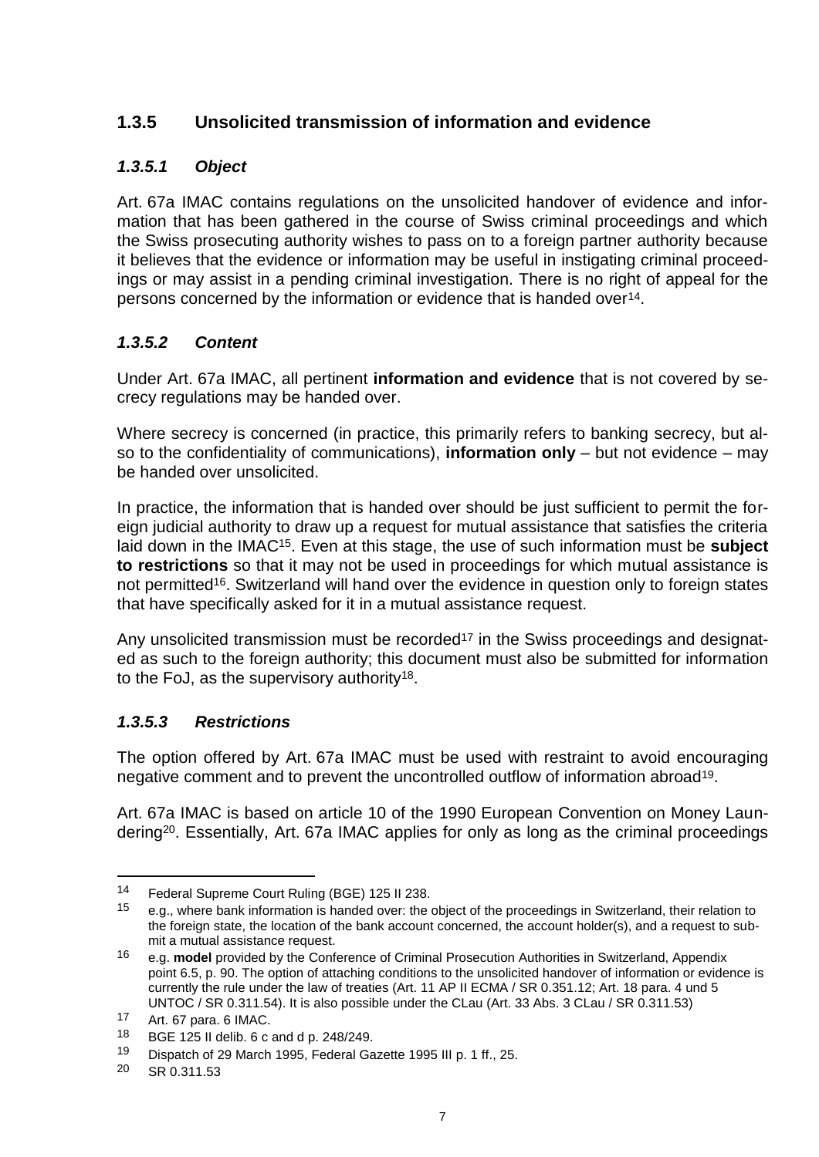# <span id="page-8-0"></span>**1.3.5 Unsolicited transmission of information and evidence**

### *1.3.5.1 Object*

Art. 67a IMAC contains regulations on the unsolicited handover of evidence and information that has been gathered in the course of Swiss criminal proceedings and which the Swiss prosecuting authority wishes to pass on to a foreign partner authority because it believes that the evidence or information may be useful in instigating criminal proceedings or may assist in a pending criminal investigation. There is no right of appeal for the persons concerned by the information or evidence that is handed over14.

### *1.3.5.2 Content*

Under Art. 67a IMAC, all pertinent **information and evidence** that is not covered by secrecy regulations may be handed over.

Where secrecy is concerned (in practice, this primarily refers to banking secrecy, but also to the confidentiality of communications), **information only** – but not evidence – may be handed over unsolicited.

In practice, the information that is handed over should be just sufficient to permit the foreign judicial authority to draw up a request for mutual assistance that satisfies the criteria laid down in the IMAC15. Even at this stage, the use of such information must be **subject to restrictions** so that it may not be used in proceedings for which mutual assistance is not permitted<sup>16</sup>. Switzerland will hand over the evidence in question only to foreign states that have specifically asked for it in a mutual assistance request.

Any unsolicited transmission must be recorded<sup>17</sup> in the Swiss proceedings and designated as such to the foreign authority; this document must also be submitted for information to the FoJ, as the supervisory authority18.

### *1.3.5.3 Restrictions*

The option offered by Art. 67a IMAC must be used with restraint to avoid encouraging negative comment and to prevent the uncontrolled outflow of information abroad19.

Art. 67a IMAC is based on article 10 of the 1990 European Convention on Money Laundering20. Essentially, Art. 67a IMAC applies for only as long as the criminal proceedings

<sup>14</sup> Federal Supreme Court Ruling (BGE) 125 II 238.<br>15 contractor hank information is banded even the

<sup>15</sup> e.g., where bank information is handed over: the object of the proceedings in Switzerland, their relation to the foreign state, the location of the bank account concerned, the account holder(s), and a request to submit a mutual assistance request.

<sup>16</sup> e.g. **model** provided by the Conference of Criminal Prosecution Authorities in Switzerland, Appendix point 6.5, p. 90. The option of attaching conditions to the unsolicited handover of information or evidence is currently the rule under the law of treaties (Art. 11 AP II ECMA / SR 0.351.12; Art. 18 para. 4 und 5 UNTOC / SR 0.311.54). It is also possible under the CLau (Art. 33 Abs. 3 CLau / SR 0.311.53)

<sup>17</sup> Art. 67 para. 6 IMAC.<br>18 PCE 195 ll delib 6 c.

<sup>18</sup> BGE 125 II delib. 6 c and d p. 248/249.

<sup>19</sup> Dispatch of 29 March 1995, Federal Gazette 1995 III p. 1 ff., 25.

<sup>20</sup> SR 0.311.53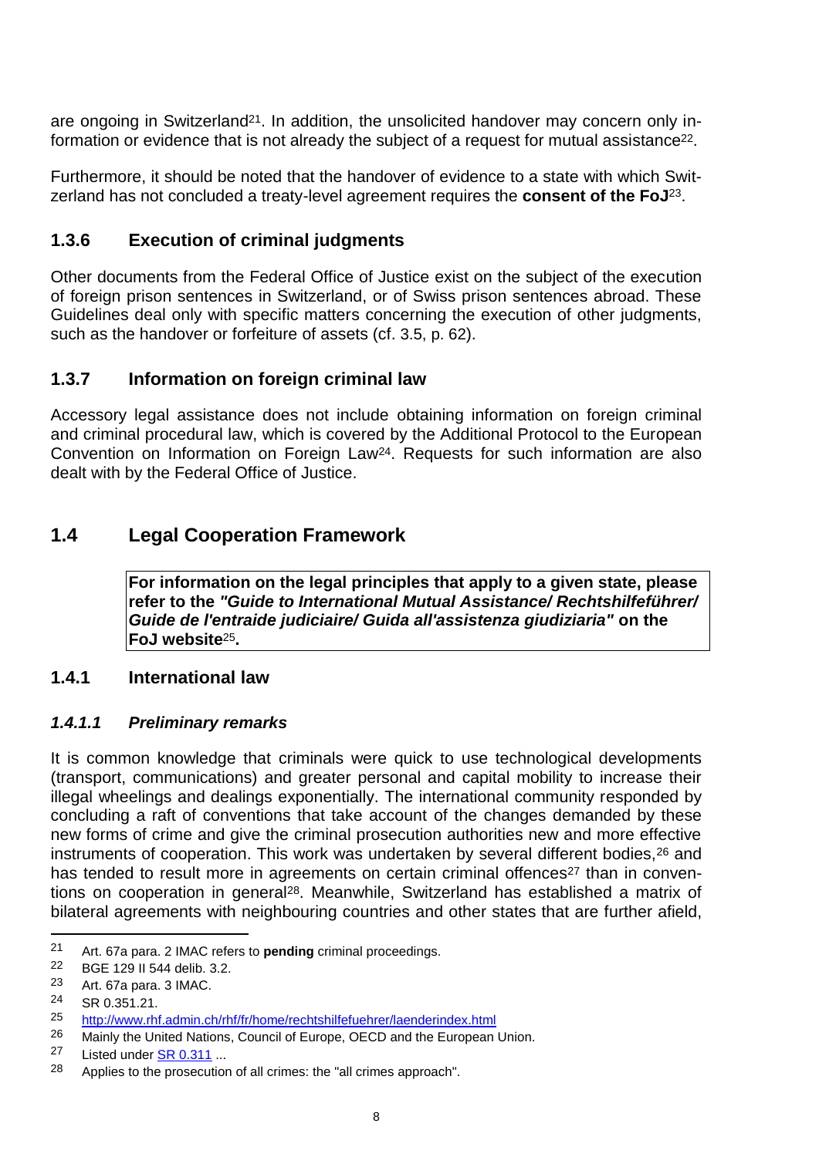are ongoing in Switzerland<sup>21</sup>. In addition, the unsolicited handover may concern only information or evidence that is not already the subject of a request for mutual assistance<sup>22</sup>.

Furthermore, it should be noted that the handover of evidence to a state with which Switzerland has not concluded a treaty-level agreement requires the **consent of the FoJ**23.

### <span id="page-9-0"></span>**1.3.6 Execution of criminal judgments**

Other documents from the Federal Office of Justice exist on the subject of the execution of foreign prison sentences in Switzerland, or of Swiss prison sentences abroad. These Guidelines deal only with specific matters concerning the execution of other judgments, such as the handover or forfeiture of assets (cf. 3.5, p. 62).

# <span id="page-9-1"></span>**1.3.7 Information on foreign criminal law**

Accessory legal assistance does not include obtaining information on foreign criminal and criminal procedural law, which is covered by the Additional Protocol to the European Convention on Information on Foreign Law24. Requests for such information are also dealt with by the Federal Office of Justice.

# <span id="page-9-2"></span>**1.4 Legal Cooperation Framework**

**For information on the legal principles that apply to a given state, please refer to the** *"Guide to International Mutual Assistance/ Rechtshilfeführer/ Guide de l'entraide judiciaire/ Guida all'assistenza giudiziaria"* **on the FoJ website**25**.**

### <span id="page-9-3"></span>**1.4.1 International law**

### *1.4.1.1 Preliminary remarks*

It is common knowledge that criminals were quick to use technological developments (transport, communications) and greater personal and capital mobility to increase their illegal wheelings and dealings exponentially. The international community responded by concluding a raft of conventions that take account of the changes demanded by these new forms of crime and give the criminal prosecution authorities new and more effective instruments of cooperation. This work was undertaken by several different bodies, 26 and has tended to result more in agreements on certain criminal offences<sup>27</sup> than in conventions on cooperation in general28. Meanwhile, Switzerland has established a matrix of bilateral agreements with neighbouring countries and other states that are further afield,

<sup>21</sup> Art. 67a para. 2 IMAC refers to **pending** criminal proceedings.<br>22 BCE 129 IL544 dolib 3.2

<sup>22</sup> BGE 129 II 544 delib. 3.2.

<sup>23</sup> Art. 67a para. 3 IMAC.

<sup>24</sup> SR 0.351.21.

<sup>25</sup> <http://www.rhf.admin.ch/rhf/fr/home/rechtshilfefuehrer/laenderindex.html><br>26 Maight the United National Council of Europe OECD and the European

Mainly the United Nations, Council of Europe, OECD and the European Union.

<sup>27</sup> Listed under SR [0.311](https://www.admin.ch/opc/fr/classified-compilation/0.31.html#0.311) ...

<sup>28</sup> Applies to the prosecution of all crimes: the "all crimes approach".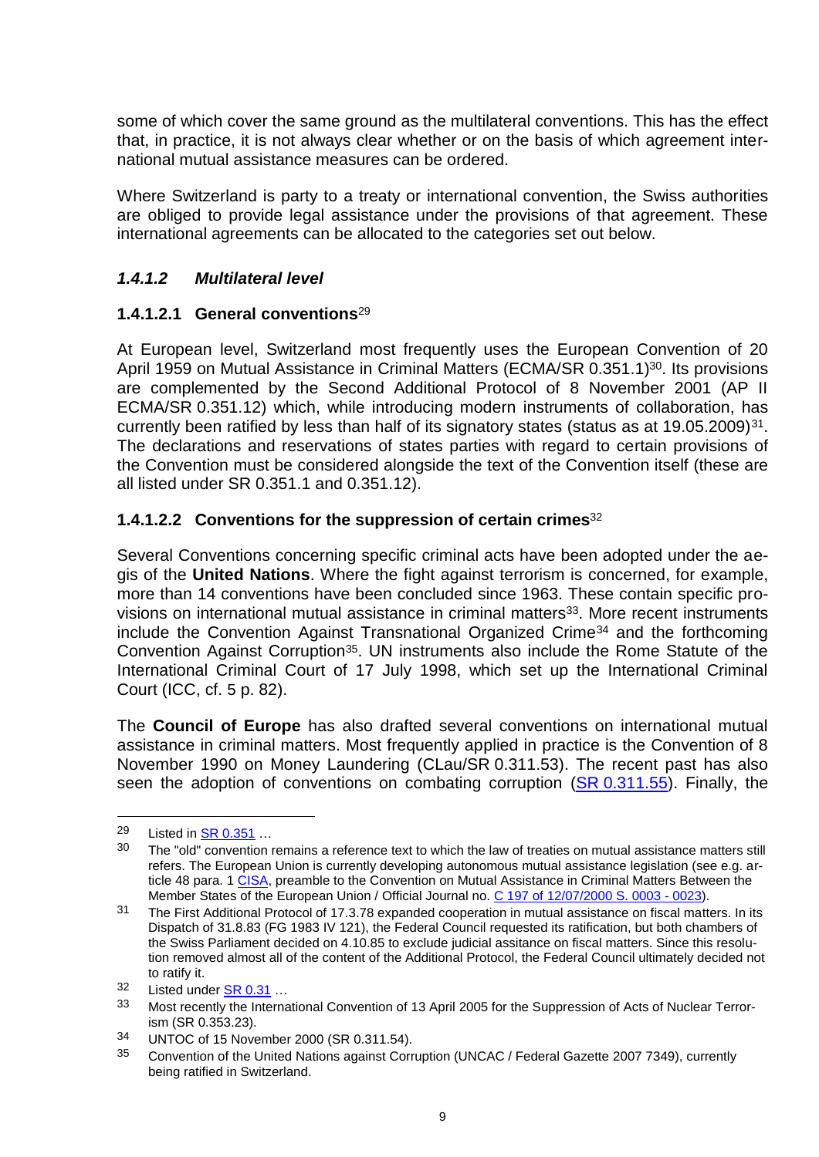some of which cover the same ground as the multilateral conventions. This has the effect that, in practice, it is not always clear whether or on the basis of which agreement international mutual assistance measures can be ordered.

Where Switzerland is party to a treaty or international convention, the Swiss authorities are obliged to provide legal assistance under the provisions of that agreement. These international agreements can be allocated to the categories set out below.

### *1.4.1.2 Multilateral level*

### <span id="page-10-0"></span>**1.4.1.2.1 General conventions**<sup>29</sup>

At European level, Switzerland most frequently uses the European Convention of 20 April 1959 on Mutual Assistance in Criminal Matters (ECMA/SR 0.351.1)<sup>30</sup>. Its provisions are complemented by the Second Additional Protocol of 8 November 2001 (AP II ECMA/SR 0.351.12) which, while introducing modern instruments of collaboration, has currently been ratified by less than half of its signatory states (status as at 19.05.2009)<sup>31</sup>. The declarations and reservations of states parties with regard to certain provisions of the Convention must be considered alongside the text of the Convention itself (these are all listed under SR 0.351.1 and 0.351.12).

### **1.4.1.2.2 Conventions for the suppression of certain crimes**<sup>32</sup>

Several Conventions concerning specific criminal acts have been adopted under the aegis of the **United Nations**. Where the fight against terrorism is concerned, for example, more than 14 conventions have been concluded since 1963. These contain specific provisions on international mutual assistance in criminal matters<sup>33</sup>. More recent instruments include the Convention Against Transnational Organized Crime<sup>34</sup> and the forthcoming Convention Against Corruption<sup>35</sup>. UN instruments also include the Rome Statute of the International Criminal Court of 17 July 1998, which set up the International Criminal Court (ICC, cf. 5 p. 82).

The **Council of Europe** has also drafted several conventions on international mutual assistance in criminal matters. Most frequently applied in practice is the Convention of 8 November 1990 on Money Laundering (CLau/SR 0.311.53). The recent past has also seen the adoption of conventions on combating corruption (SR [0.311.55\)](https://www.admin.ch/opc/fr/classified-compilation/20041260/index.html). Finally, the

<sup>29</sup> Listed in  $\frac{\text{SR } 0.351}{\text{S}}$  $\frac{\text{SR } 0.351}{\text{S}}$  $\frac{\text{SR } 0.351}{\text{S}}$  ...

The "old" convention remains a reference text to which the law of treaties on mutual assistance matters still refers. The European Union is currently developing autonomous mutual assistance legislation (see e.g. article 48 para. [1 CISA,](http://www.rhf.admin.ch/rhf/fr/home/strafrecht/rechtsgrundlagen/multilateral/sdue.html) preamble to the Convention on Mutual Assistance in Criminal Matters Between the Member States of the European Union / Official Journal no. C [197 of 12/07/2000 S. 0003 -](http://eur-lex.europa.eu/JOHtml.do?year=2000&serie=C&textfield2=197&Submit=Suche&_submit=Suche&ihmlang=en) 0023).

<sup>&</sup>lt;sup>31</sup> The First Additional Protocol of 17.3.78 expanded cooperation in mutual assistance on fiscal matters. In its Dispatch of 31.8.83 (FG 1983 IV 121), the Federal Council requested its ratification, but both chambers of the Swiss Parliament decided on 4.10.85 to exclude judicial assitance on fiscal matters. Since this resolution removed almost all of the content of the Additional Protocol, the Federal Council ultimately decided not to ratify it.

<sup>32</sup> Listed under SR [0.31](https://www.admin.ch/opc/fr/classified-compilation/0.31.html#0.31) …

<sup>33</sup> Most recently the International Convention of 13 April 2005 for the Suppression of Acts of Nuclear Terrorism (SR 0.353.23).

<sup>34</sup> UNTOC of 15 November 2000 (SR 0.311.54).

<sup>&</sup>lt;sup>35</sup> Convention of the United Nations against Corruption (UNCAC / Federal Gazette 2007 7349), currently being ratified in Switzerland.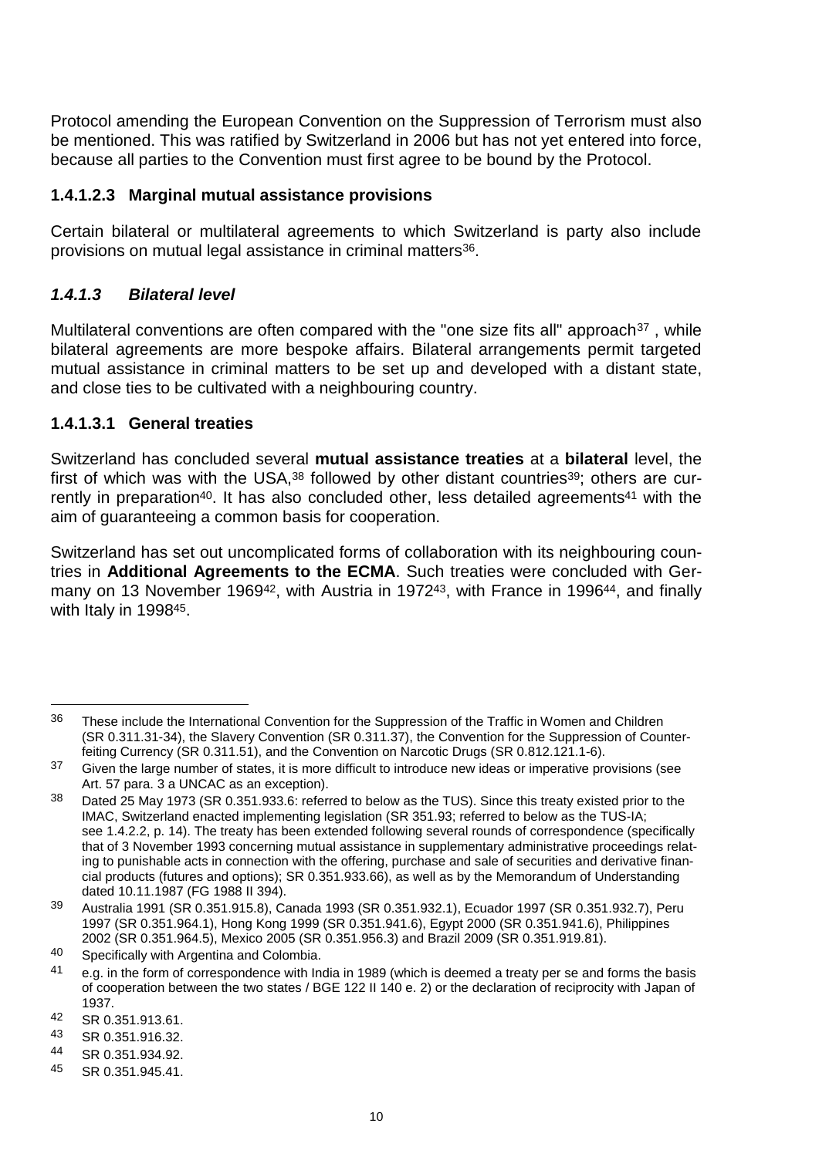Protocol amending the European Convention on the Suppression of Terrorism must also be mentioned. This was ratified by Switzerland in 2006 but has not yet entered into force, because all parties to the Convention must first agree to be bound by the Protocol.

#### **1.4.1.2.3 Marginal mutual assistance provisions**

Certain bilateral or multilateral agreements to which Switzerland is party also include provisions on mutual legal assistance in criminal matters36.

### *1.4.1.3 Bilateral level*

Multilateral conventions are often compared with the "one size fits all" approach<sup>37</sup>, while bilateral agreements are more bespoke affairs. Bilateral arrangements permit targeted mutual assistance in criminal matters to be set up and developed with a distant state, and close ties to be cultivated with a neighbouring country.

#### **1.4.1.3.1 General treaties**

Switzerland has concluded several **mutual assistance treaties** at a **bilateral** level, the first of which was with the USA,<sup>38</sup> followed by other distant countries<sup>39</sup>; others are currently in preparation<sup>40</sup>. It has also concluded other, less detailed agreements<sup>41</sup> with the aim of guaranteeing a common basis for cooperation.

Switzerland has set out uncomplicated forms of collaboration with its neighbouring countries in **Additional Agreements to the ECMA**. Such treaties were concluded with Germany on 13 November 1969<sup>42</sup>, with Austria in 1972<sup>43</sup>, with France in 1996<sup>44</sup>, and finally with Italy in 199845.

 $\overline{a}$ 

<sup>&</sup>lt;sup>36</sup> These include the International Convention for the Suppression of the Traffic in Women and Children (SR 0.311.31-34), the Slavery Convention (SR 0.311.37), the Convention for the Suppression of Counterfeiting Currency (SR 0.311.51), and the Convention on Narcotic Drugs (SR 0.812.121.1-6).

<sup>&</sup>lt;sup>37</sup> Given the large number of states, it is more difficult to introduce new ideas or imperative provisions (see Art. 57 para. 3 a UNCAC as an exception).

<sup>38</sup> Dated 25 May 1973 (SR 0.351.933.6: referred to below as the TUS). Since this treaty existed prior to the IMAC, Switzerland enacted implementing legislation (SR 351.93; referred to below as the TUS-IA; see 1.4.2.2, p. 14). The treaty has been extended following several rounds of correspondence (specifically that of 3 November 1993 concerning mutual assistance in supplementary administrative proceedings relating to punishable acts in connection with the offering, purchase and sale of securities and derivative financial products (futures and options); SR 0.351.933.66), as well as by the Memorandum of Understanding dated 10.11.1987 (FG 1988 II 394).

<sup>39</sup> Australia 1991 (SR 0.351.915.8), Canada 1993 (SR 0.351.932.1), Ecuador 1997 (SR 0.351.932.7), Peru 1997 (SR 0.351.964.1), Hong Kong 1999 (SR 0.351.941.6), Egypt 2000 (SR 0.351.941.6), Philippines 2002 (SR 0.351.964.5), Mexico 2005 (SR 0.351.956.3) and Brazil 2009 (SR 0.351.919.81).

<sup>40</sup> Specifically with Argentina and Colombia.

e.g. in the form of correspondence with India in 1989 (which is deemed a treaty per se and forms the basis of cooperation between the two states / BGE 122 II 140 e. 2) or the declaration of reciprocity with Japan of 1937.

<sup>42</sup> SR 0.351.913.61.

SR 0.351.916.32.

<sup>44</sup> SR 0.351.934.92.

<sup>45</sup> SR 0.351.945.41.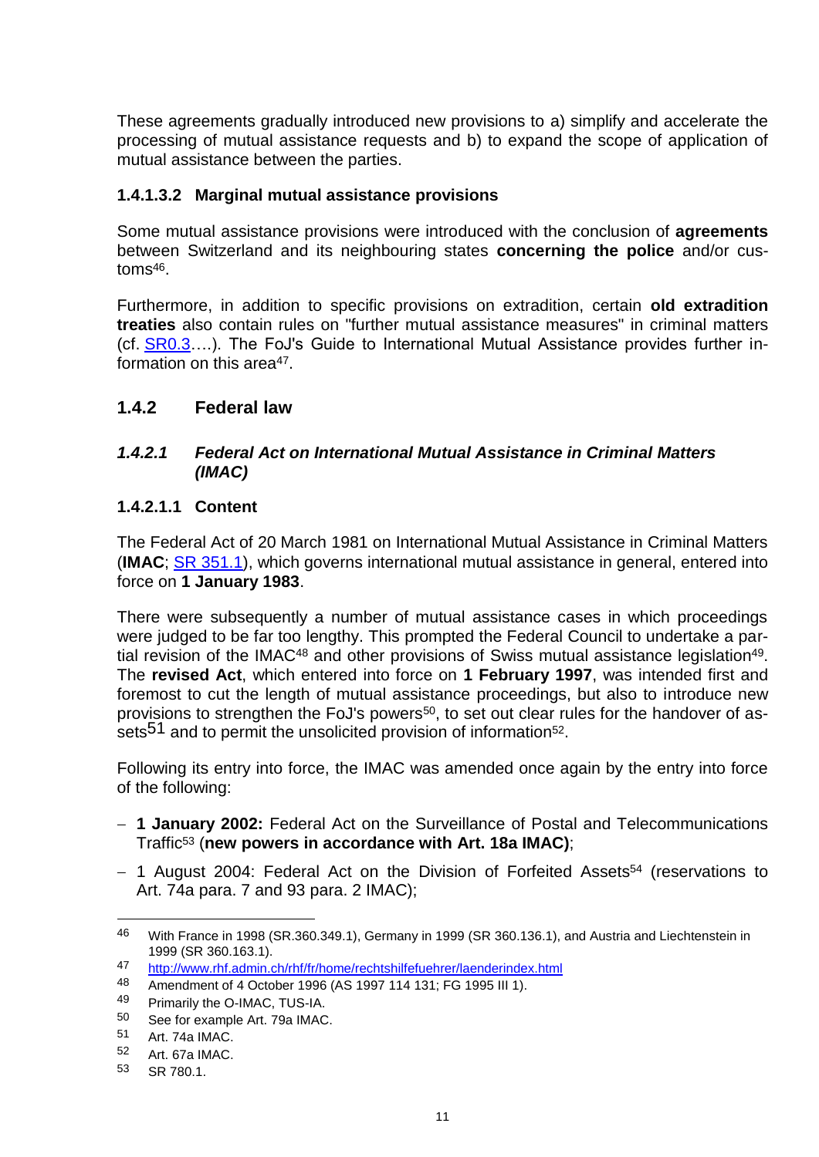These agreements gradually introduced new provisions to a) simplify and accelerate the processing of mutual assistance requests and b) to expand the scope of application of mutual assistance between the parties.

#### **1.4.1.3.2 Marginal mutual assistance provisions**

Some mutual assistance provisions were introduced with the conclusion of **agreements**  between Switzerland and its neighbouring states **concerning the police** and/or customs46.

Furthermore, in addition to specific provisions on extradition, certain **old extradition treaties** also contain rules on "further mutual assistance measures" in criminal matters (cf. [SR0.3…](https://www.admin.ch/opc/fr/classified-compilation/0.3.html).). The FoJ's Guide to International Mutual Assistance provides further information on this area<sup>47</sup>.

### <span id="page-12-0"></span>**1.4.2 Federal law**

#### *1.4.2.1 Federal Act on International Mutual Assistance in Criminal Matters (IMAC)*

#### **1.4.2.1.1 Content**

The Federal Act of 20 March 1981 on International Mutual Assistance in Criminal Matters (**IMAC**; SR [351.1\)](https://www.admin.ch/opc/fr/classified-compilation/19810037/index.html), which governs international mutual assistance in general, entered into force on **1 January 1983**.

There were subsequently a number of mutual assistance cases in which proceedings were judged to be far too lengthy. This prompted the Federal Council to undertake a partial revision of the IMAC<sup>48</sup> and other provisions of Swiss mutual assistance legislation<sup>49</sup>. The **revised Act**, which entered into force on **1 February 1997**, was intended first and foremost to cut the length of mutual assistance proceedings, but also to introduce new provisions to strengthen the FoJ's powers<sup>50</sup>, to set out clear rules for the handover of assets<sup>51</sup> and to permit the unsolicited provision of information<sup>52</sup>.

Following its entry into force, the IMAC was amended once again by the entry into force of the following:

- **1 January 2002:** Federal Act on the Surveillance of Postal and Telecommunications Traffic<sup>53</sup> (**new powers in accordance with Art. 18a IMAC)**;
- 1 August 2004: Federal Act on the Division of Forfeited Assets<sup>54</sup> (reservations to Art. 74a para. 7 and 93 para. 2 IMAC);

<sup>46</sup> With France in 1998 (SR.360.349.1), Germany in 1999 (SR 360.136.1), and Austria and Liechtenstein in 1999 (SR 360.163.1).

<sup>47</sup> <http://www.rhf.admin.ch/rhf/fr/home/rechtshilfefuehrer/laenderindex.html>

<sup>48</sup> Amendment of 4 October 1996 (AS 1997 114 131; FG 1995 III 1).<br>49 Primarily the O-IMAC TUS-JA

Primarily the O-IMAC, TUS-IA.

 $50$  See for example Art. 79a IMAC.

Art. 74a IMAC.

<sup>52</sup> Art. 67a IMAC.

<sup>53</sup> SR 780.1.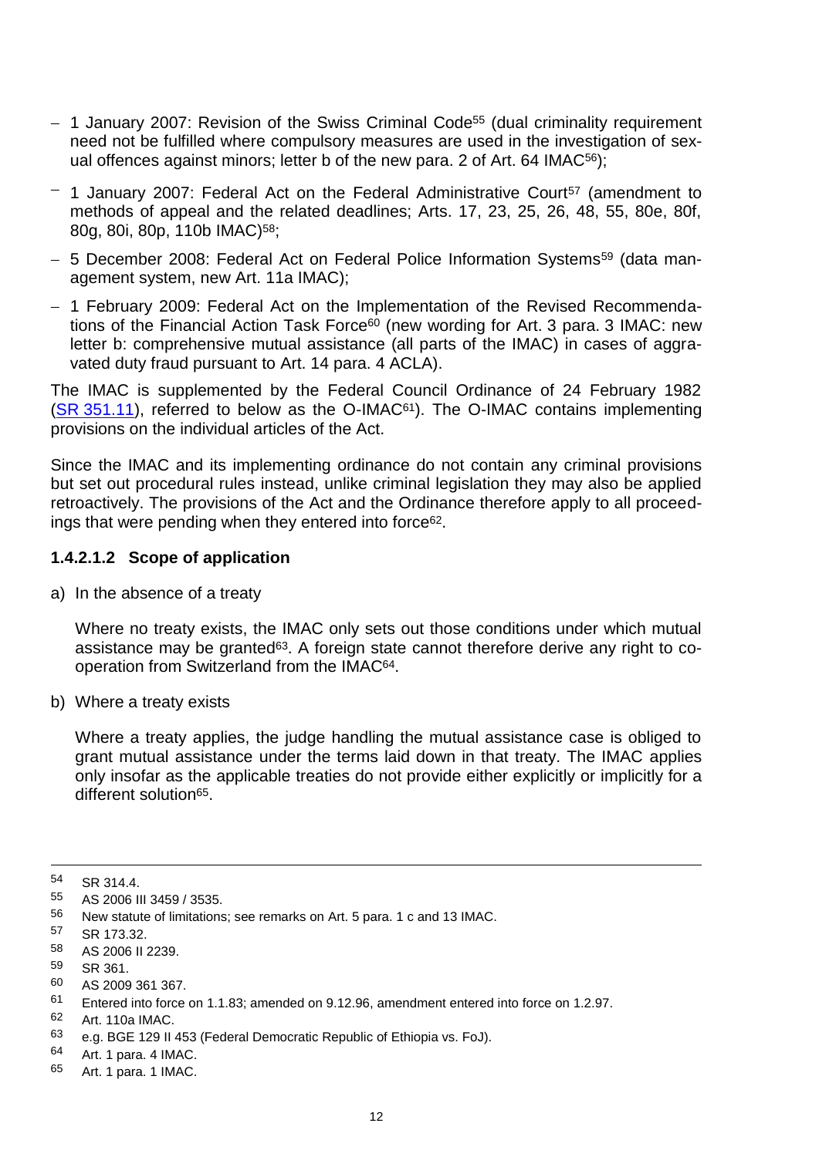- 1 January 2007: Revision of the Swiss Criminal Code<sup>55</sup> (dual criminality requirement need not be fulfilled where compulsory measures are used in the investigation of sexual offences against minors; letter b of the new para. 2 of Art. 64 IMAC<sup>56</sup>);
- $-$  1 January 2007: Federal Act on the Federal Administrative Court<sup>57</sup> (amendment to methods of appeal and the related deadlines; Arts. 17, 23, 25, 26, 48, 55, 80e, 80f, 80g, 80i, 80p, 110b IMAC)58;
- 5 December 2008: Federal Act on Federal Police Information Systems<sup>59</sup> (data management system, new Art. 11a IMAC);
- 1 February 2009: Federal Act on the Implementation of the Revised Recommendations of the Financial Action Task Force<sup>60</sup> (new wording for Art. 3 para, 3 IMAC: new letter b: comprehensive mutual assistance (all parts of the IMAC) in cases of aggravated duty fraud pursuant to Art. 14 para. 4 ACLA).

The IMAC is supplemented by the Federal Council Ordinance of 24 February 1982  $(SR 351.11)$  $(SR 351.11)$ , referred to below as the O-IMAC<sup>61</sup>). The O-IMAC contains implementing provisions on the individual articles of the Act.

Since the IMAC and its implementing ordinance do not contain any criminal provisions but set out procedural rules instead, unlike criminal legislation they may also be applied retroactively. The provisions of the Act and the Ordinance therefore apply to all proceedings that were pending when they entered into force62.

#### **1.4.2.1.2 Scope of application**

a) In the absence of a treaty

Where no treaty exists, the IMAC only sets out those conditions under which mutual assistance may be granted<sup>63</sup>. A foreign state cannot therefore derive any right to cooperation from Switzerland from the IMAC64.

b) Where a treaty exists

Where a treaty applies, the judge handling the mutual assistance case is obliged to grant mutual assistance under the terms laid down in that treaty. The IMAC applies only insofar as the applicable treaties do not provide either explicitly or implicitly for a different solution65.

 $\overline{a}$ 

<sup>54</sup> SR 314.4.

<sup>55</sup> AS 2006 III 3459 / 3535.<br>56 Now statute of limitations

New statute of limitations; see remarks on Art. 5 para. 1 c and 13 IMAC.

<sup>57</sup> SR 173.32.

<sup>58</sup> AS 2006 II 2239.

<sup>59</sup> SR 361.

<sup>60</sup> AS 2009 361 367.

<sup>61</sup> Entered into force on 1.1.83; amended on 9.12.96, amendment entered into force on 1.2.97.

<sup>62</sup> Art. 110a IMAC.

<sup>63</sup> e.g. BGE 129 II 453 (Federal Democratic Republic of Ethiopia vs. FoJ).

<sup>64</sup> Art. 1 para. 4 IMAC.

<sup>65</sup> Art. 1 para. 1 IMAC.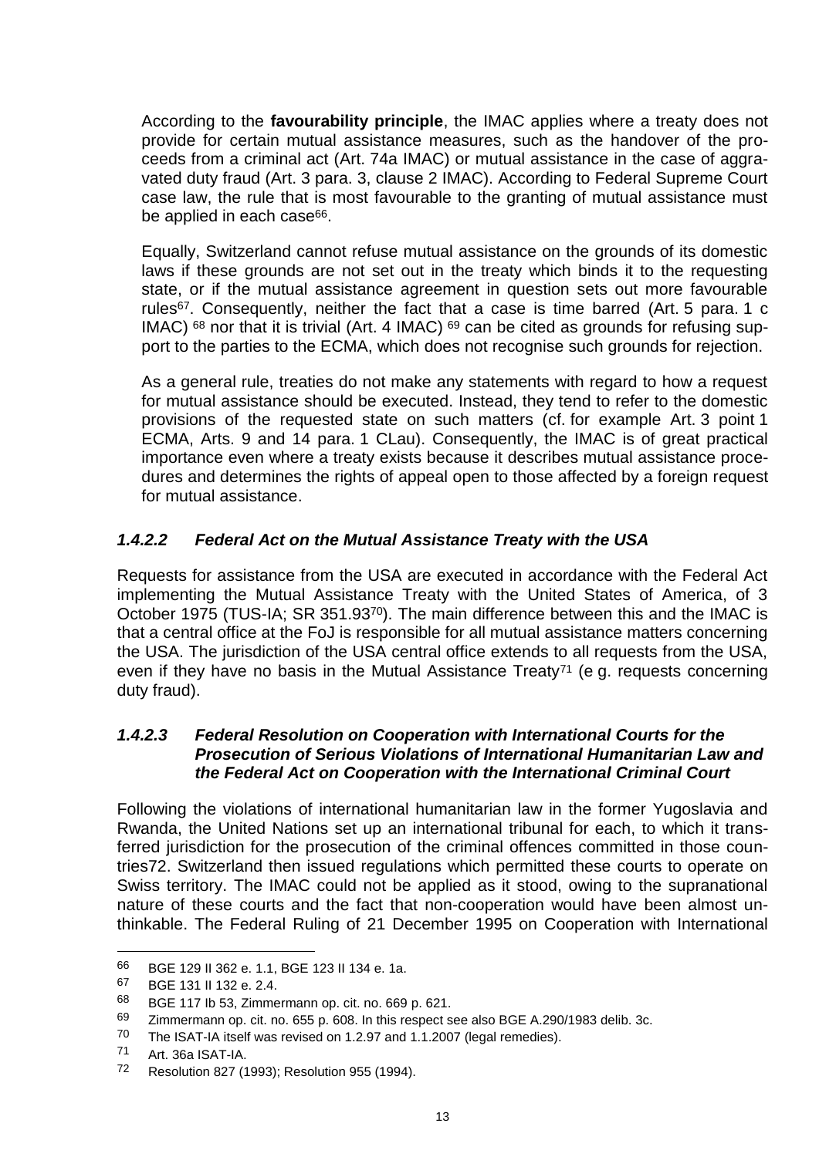According to the **favourability principle**, the IMAC applies where a treaty does not provide for certain mutual assistance measures, such as the handover of the proceeds from a criminal act (Art. 74a IMAC) or mutual assistance in the case of aggravated duty fraud (Art. 3 para. 3, clause 2 IMAC). According to Federal Supreme Court case law, the rule that is most favourable to the granting of mutual assistance must be applied in each case<sup>66</sup>.

Equally, Switzerland cannot refuse mutual assistance on the grounds of its domestic laws if these grounds are not set out in the treaty which binds it to the requesting state, or if the mutual assistance agreement in question sets out more favourable rules<sup>67</sup>. Consequently, neither the fact that a case is time barred (Art. 5 para. 1 c IMAC)  $68$  nor that it is trivial (Art. 4 IMAC)  $69$  can be cited as grounds for refusing support to the parties to the ECMA, which does not recognise such grounds for rejection.

As a general rule, treaties do not make any statements with regard to how a request for mutual assistance should be executed. Instead, they tend to refer to the domestic provisions of the requested state on such matters (cf. for example Art. 3 point 1 ECMA, Arts. 9 and 14 para. 1 CLau). Consequently, the IMAC is of great practical importance even where a treaty exists because it describes mutual assistance procedures and determines the rights of appeal open to those affected by a foreign request for mutual assistance.

### *1.4.2.2 Federal Act on the Mutual Assistance Treaty with the USA*

Requests for assistance from the USA are executed in accordance with the Federal Act implementing the Mutual Assistance Treaty with the United States of America, of 3 October 1975 (TUS-IA; SR 351.9370). The main difference between this and the IMAC is that a central office at the FoJ is responsible for all mutual assistance matters concerning the USA. The jurisdiction of the USA central office extends to all requests from the USA, even if they have no basis in the Mutual Assistance Treaty<sup>71</sup> (e g. requests concerning duty fraud).

#### *1.4.2.3 Federal Resolution on Cooperation with International Courts for the Prosecution of Serious Violations of International Humanitarian Law and the Federal Act on Cooperation with the International Criminal Court*

Following the violations of international humanitarian law in the former Yugoslavia and Rwanda, the United Nations set up an international tribunal for each, to which it transferred jurisdiction for the prosecution of the criminal offences committed in those countries72. Switzerland then issued regulations which permitted these courts to operate on Swiss territory. The IMAC could not be applied as it stood, owing to the supranational nature of these courts and the fact that non-cooperation would have been almost unthinkable. The Federal Ruling of 21 December 1995 on Cooperation with International

<sup>66</sup> BGE 129 II 362 e. 1.1, BGE 123 II 134 e. 1a.

<sup>67</sup> BGE 131 II 132 e. 2.4.

<sup>68</sup> BGE 117 Ib 53, Zimmermann op. cit. no. 669 p. 621.

<sup>69</sup> Zimmermann op. cit. no. 655 p. 608. In this respect see also BGE A.290/1983 delib. 3c.

The ISAT-IA itself was revised on 1.2.97 and 1.1.2007 (legal remedies).

<sup>71</sup> Art. 36a ISAT-IA.

<sup>72</sup> Resolution 827 (1993); Resolution 955 (1994).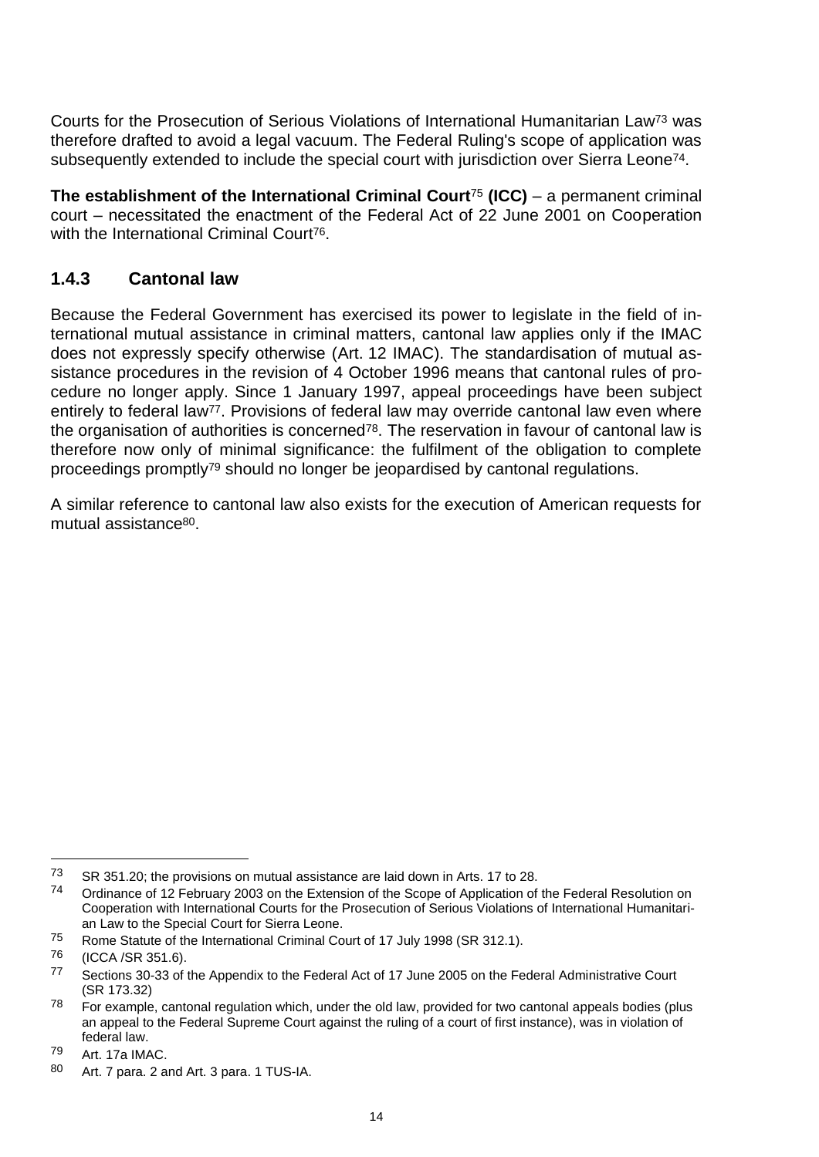Courts for the Prosecution of Serious Violations of International Humanitarian Law<sup>73</sup> was therefore drafted to avoid a legal vacuum. The Federal Ruling's scope of application was subsequently extended to include the special court with jurisdiction over Sierra Leone74.

**The establishment of the International Criminal Court**<sup>75</sup> **(ICC)** – a permanent criminal court – necessitated the enactment of the Federal Act of 22 June 2001 on Cooperation with the International Criminal Court<sup>76</sup>.

### <span id="page-15-0"></span>**1.4.3 Cantonal law**

Because the Federal Government has exercised its power to legislate in the field of international mutual assistance in criminal matters, cantonal law applies only if the IMAC does not expressly specify otherwise (Art. 12 IMAC). The standardisation of mutual assistance procedures in the revision of 4 October 1996 means that cantonal rules of procedure no longer apply. Since 1 January 1997, appeal proceedings have been subject entirely to federal law<sup>77</sup>. Provisions of federal law may override cantonal law even where the organisation of authorities is concerned<sup>78</sup>. The reservation in favour of cantonal law is therefore now only of minimal significance: the fulfilment of the obligation to complete proceedings promptly<sup>79</sup> should no longer be jeopardised by cantonal regulations.

A similar reference to cantonal law also exists for the execution of American requests for mutual assistance80.

<sup>73</sup> SR 351.20; the provisions on mutual assistance are laid down in Arts. 17 to 28.

<sup>74</sup> Ordinance of 12 February 2003 on the Extension of the Scope of Application of the Federal Resolution on Cooperation with International Courts for the Prosecution of Serious Violations of International Humanitarian Law to the Special Court for Sierra Leone.

<sup>75</sup> Rome Statute of the International Criminal Court of 17 July 1998 (SR 312.1).

<sup>76</sup> (ICCA /SR 351.6).

<sup>77</sup> Sections 30-33 of the Appendix to the Federal Act of 17 June 2005 on the Federal Administrative Court (SR 173.32)

 $78$  For example, cantonal regulation which, under the old law, provided for two cantonal appeals bodies (plus an appeal to the Federal Supreme Court against the ruling of a court of first instance), was in violation of federal law.

<sup>79</sup> Art. 17a IMAC.

<sup>80</sup> Art. 7 para. 2 and Art. 3 para. 1 TUS-IA.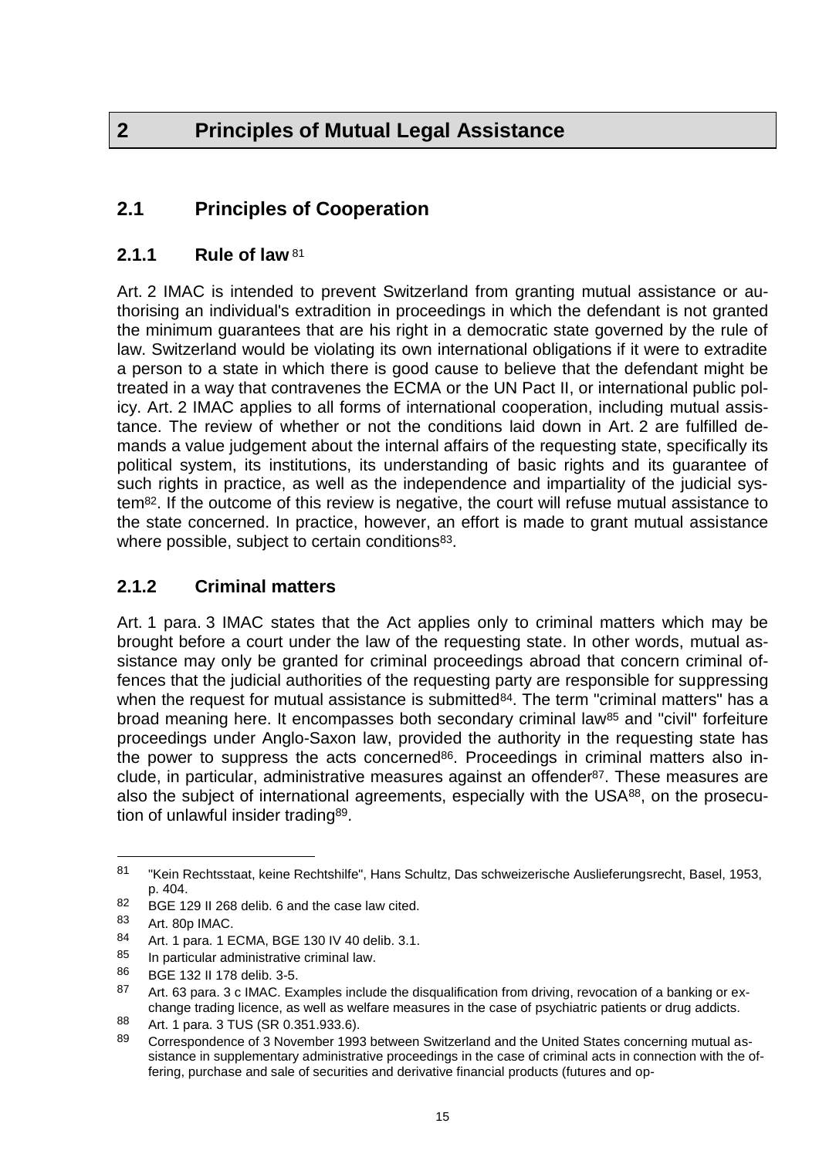# <span id="page-16-0"></span>**2 Principles of Mutual Legal Assistance**

# <span id="page-16-1"></span>**2.1 Principles of Cooperation**

### <span id="page-16-2"></span>**2.1.1 Rule of law** <sup>81</sup>

Art. 2 IMAC is intended to prevent Switzerland from granting mutual assistance or authorising an individual's extradition in proceedings in which the defendant is not granted the minimum guarantees that are his right in a democratic state governed by the rule of law. Switzerland would be violating its own international obligations if it were to extradite a person to a state in which there is good cause to believe that the defendant might be treated in a way that contravenes the ECMA or the UN Pact II, or international public policy. Art. 2 IMAC applies to all forms of international cooperation, including mutual assistance. The review of whether or not the conditions laid down in Art. 2 are fulfilled demands a value judgement about the internal affairs of the requesting state, specifically its political system, its institutions, its understanding of basic rights and its guarantee of such rights in practice, as well as the independence and impartiality of the judicial system82. If the outcome of this review is negative, the court will refuse mutual assistance to the state concerned. In practice, however, an effort is made to grant mutual assistance where possible, subject to certain conditions<sup>83</sup>.

### <span id="page-16-3"></span>**2.1.2 Criminal matters**

Art. 1 para. 3 IMAC states that the Act applies only to criminal matters which may be brought before a court under the law of the requesting state. In other words, mutual assistance may only be granted for criminal proceedings abroad that concern criminal offences that the judicial authorities of the requesting party are responsible for suppressing when the request for mutual assistance is submitted<sup>84</sup>. The term "criminal matters" has a broad meaning here. It encompasses both secondary criminal law<sup>85</sup> and "civil" forfeiture proceedings under Anglo-Saxon law, provided the authority in the requesting state has the power to suppress the acts concerned<sup>86</sup>. Proceedings in criminal matters also include, in particular, administrative measures against an offender87. These measures are also the subject of international agreements, especially with the USA<sup>88</sup>, on the prosecution of unlawful insider trading89.

<sup>81</sup> "Kein Rechtsstaat, keine Rechtshilfe", Hans Schultz, Das schweizerische Auslieferungsrecht, Basel, 1953, p. 404.

<sup>82</sup> BGE 129 II 268 delib. 6 and the case law cited.

<sup>83</sup> Art. 80p IMAC.<br>84 Art. 1 porc. 1 E

Art. 1 para. 1 ECMA, BGE 130 IV 40 delib. 3.1.

<sup>85</sup> In particular administrative criminal law.

<sup>86</sup> BGE 132 II 178 delib. 3-5.

<sup>87</sup> Art. 63 para. 3 c IMAC. Examples include the disqualification from driving, revocation of a banking or exchange trading licence, as well as welfare measures in the case of psychiatric patients or drug addicts.

<sup>88</sup> Art. 1 para. 3 TUS (SR 0.351.933.6).

<sup>89</sup> Correspondence of 3 November 1993 between Switzerland and the United States concerning mutual assistance in supplementary administrative proceedings in the case of criminal acts in connection with the offering, purchase and sale of securities and derivative financial products (futures and op-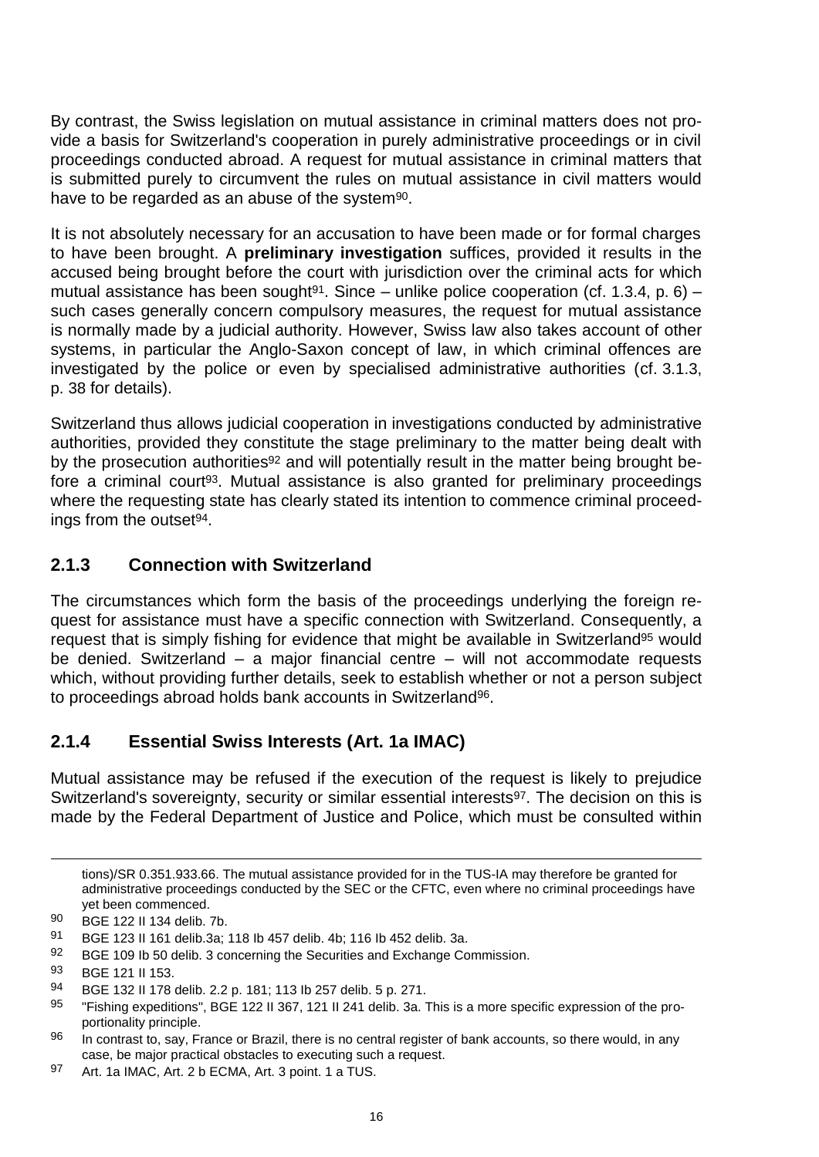By contrast, the Swiss legislation on mutual assistance in criminal matters does not provide a basis for Switzerland's cooperation in purely administrative proceedings or in civil proceedings conducted abroad. A request for mutual assistance in criminal matters that is submitted purely to circumvent the rules on mutual assistance in civil matters would have to be regarded as an abuse of the system<sup>90</sup>.

It is not absolutely necessary for an accusation to have been made or for formal charges to have been brought. A **preliminary investigation** suffices, provided it results in the accused being brought before the court with jurisdiction over the criminal acts for which mutual assistance has been sought<sup>91</sup>. Since – unlike police cooperation (cf. 1.3.4, p. 6) – such cases generally concern compulsory measures, the request for mutual assistance is normally made by a judicial authority. However, Swiss law also takes account of other systems, in particular the Anglo-Saxon concept of law, in which criminal offences are investigated by the police or even by specialised administrative authorities (cf. 3.1.3, p. 38 for details).

Switzerland thus allows judicial cooperation in investigations conducted by administrative authorities, provided they constitute the stage preliminary to the matter being dealt with by the prosecution authorities<sup>92</sup> and will potentially result in the matter being brought before a criminal court<sup>93</sup>. Mutual assistance is also granted for preliminary proceedings where the requesting state has clearly stated its intention to commence criminal proceedings from the outset<sup>94</sup>.

# <span id="page-17-0"></span>**2.1.3 Connection with Switzerland**

The circumstances which form the basis of the proceedings underlying the foreign request for assistance must have a specific connection with Switzerland. Consequently, a request that is simply fishing for evidence that might be available in Switzerland<sup>95</sup> would be denied. Switzerland – a major financial centre – will not accommodate requests which, without providing further details, seek to establish whether or not a person subject to proceedings abroad holds bank accounts in Switzerland96.

# <span id="page-17-1"></span>**2.1.4 Essential Swiss Interests (Art. 1a IMAC)**

Mutual assistance may be refused if the execution of the request is likely to prejudice Switzerland's sovereignty, security or similar essential interests<sup>97</sup>. The decision on this is made by the Federal Department of Justice and Police, which must be consulted within

92 BGE 109 lb 50 delib. 3 concerning the Securities and Exchange Commission.

tions)/SR 0.351.933.66. The mutual assistance provided for in the TUS-IA may therefore be granted for administrative proceedings conducted by the SEC or the CFTC, even where no criminal proceedings have yet been commenced.

<sup>90</sup> BGE 122 II 134 delib. 7b.

<sup>91</sup> BGE 123 II 161 delib.3a; 118 Ib 457 delib. 4b; 116 Ib 452 delib. 3a.

<sup>93</sup> BGE 121 II 153.

<sup>94</sup> BGE 132 II 178 delib. 2.2 p. 181; 113 Ib 257 delib. 5 p. 271.

<sup>95 &</sup>quot;Fishing expeditions", BGE 122 II 367, 121 II 241 delib. 3a. This is a more specific expression of the proportionality principle.

<sup>96</sup> In contrast to, say, France or Brazil, there is no central register of bank accounts, so there would, in any case, be major practical obstacles to executing such a request.

<sup>97</sup> Art. 1a IMAC, Art. 2 b ECMA, Art. 3 point. 1 a TUS.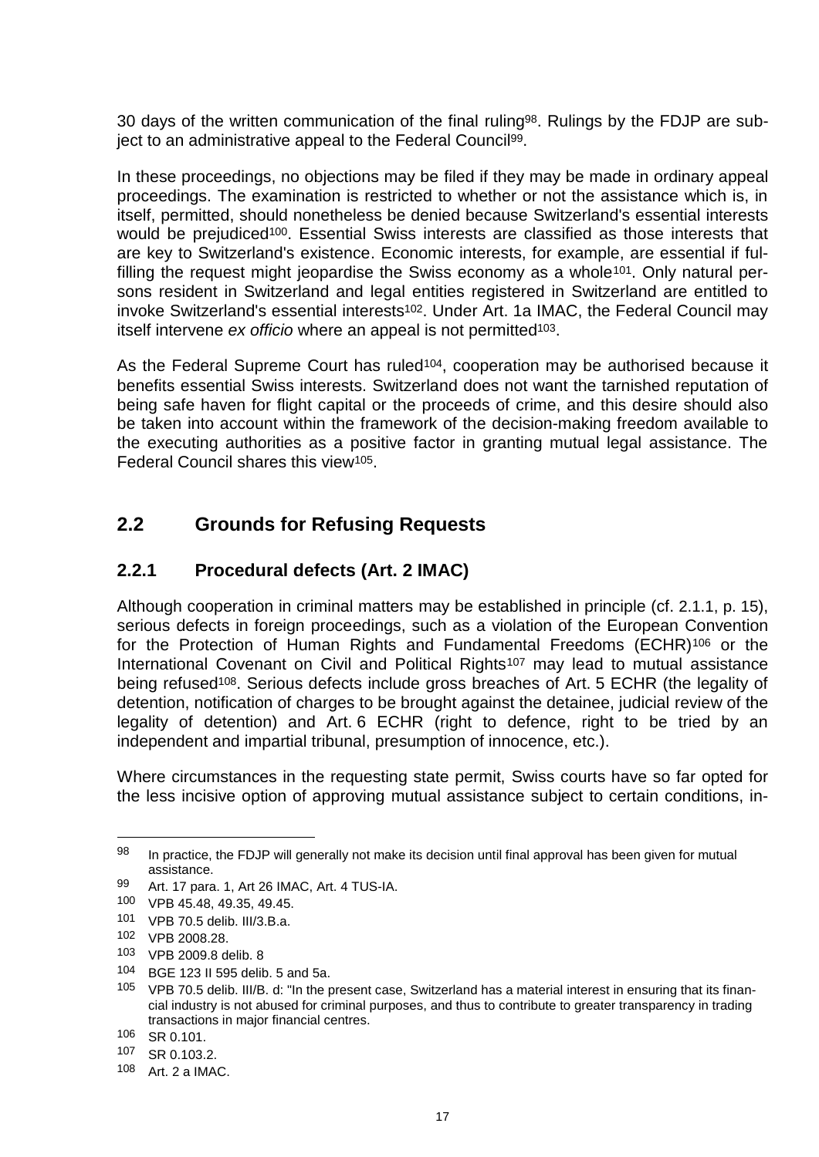30 days of the written communication of the final ruling<sup>98</sup>. Rulings by the FDJP are subject to an administrative appeal to the Federal Council99.

In these proceedings, no objections may be filed if they may be made in ordinary appeal proceedings. The examination is restricted to whether or not the assistance which is, in itself, permitted, should nonetheless be denied because Switzerland's essential interests would be prejudiced<sup>100</sup>. Essential Swiss interests are classified as those interests that are key to Switzerland's existence. Economic interests, for example, are essential if fulfilling the request might jeopardise the Swiss economy as a whole<sup>101</sup>. Only natural persons resident in Switzerland and legal entities registered in Switzerland are entitled to invoke Switzerland's essential interests<sup>102</sup>. Under Art. 1a IMAC, the Federal Council may itself intervene *ex officio* where an appeal is not permitted<sup>103</sup>.

As the Federal Supreme Court has ruled<sup>104</sup>, cooperation may be authorised because it benefits essential Swiss interests. Switzerland does not want the tarnished reputation of being safe haven for flight capital or the proceeds of crime, and this desire should also be taken into account within the framework of the decision-making freedom available to the executing authorities as a positive factor in granting mutual legal assistance. The Federal Council shares this view105.

# <span id="page-18-0"></span>**2.2 Grounds for Refusing Requests**

### <span id="page-18-1"></span>**2.2.1 Procedural defects (Art. 2 IMAC)**

Although cooperation in criminal matters may be established in principle (cf. 2.1.1, p. 15), serious defects in foreign proceedings, such as a violation of the European Convention for the Protection of Human Rights and Fundamental Freedoms (ECHR)<sup>106</sup> or the International Covenant on Civil and Political Rights<sup>107</sup> may lead to mutual assistance being refused<sup>108</sup>. Serious defects include gross breaches of Art. 5 ECHR (the legality of detention, notification of charges to be brought against the detainee, judicial review of the legality of detention) and Art. 6 ECHR (right to defence, right to be tried by an independent and impartial tribunal, presumption of innocence, etc.).

Where circumstances in the requesting state permit, Swiss courts have so far opted for the less incisive option of approving mutual assistance subject to certain conditions, in-

<sup>98</sup> In practice, the FDJP will generally not make its decision until final approval has been given for mutual assistance.

<sup>99</sup> Art. 17 para. 1, Art 26 IMAC, Art. 4 TUS-IA.

<sup>100</sup> VPB 45.48, 49.35, 49.45.

<sup>101</sup> VPB 70.5 delib. III/3.B.a.

<sup>102</sup> VPB 2008.28.

<sup>103</sup> VPB 2009.8 delib. 8

<sup>104</sup> BGE 123 II 595 delib. 5 and 5a.

<sup>105</sup> VPB 70.5 delib. III/B. d: "In the present case, Switzerland has a material interest in ensuring that its financial industry is not abused for criminal purposes, and thus to contribute to greater transparency in trading transactions in major financial centres.

<sup>106</sup> SR 0.101.

<sup>107</sup> SR 0.103.2.

<sup>108</sup> Art. 2 a IMAC.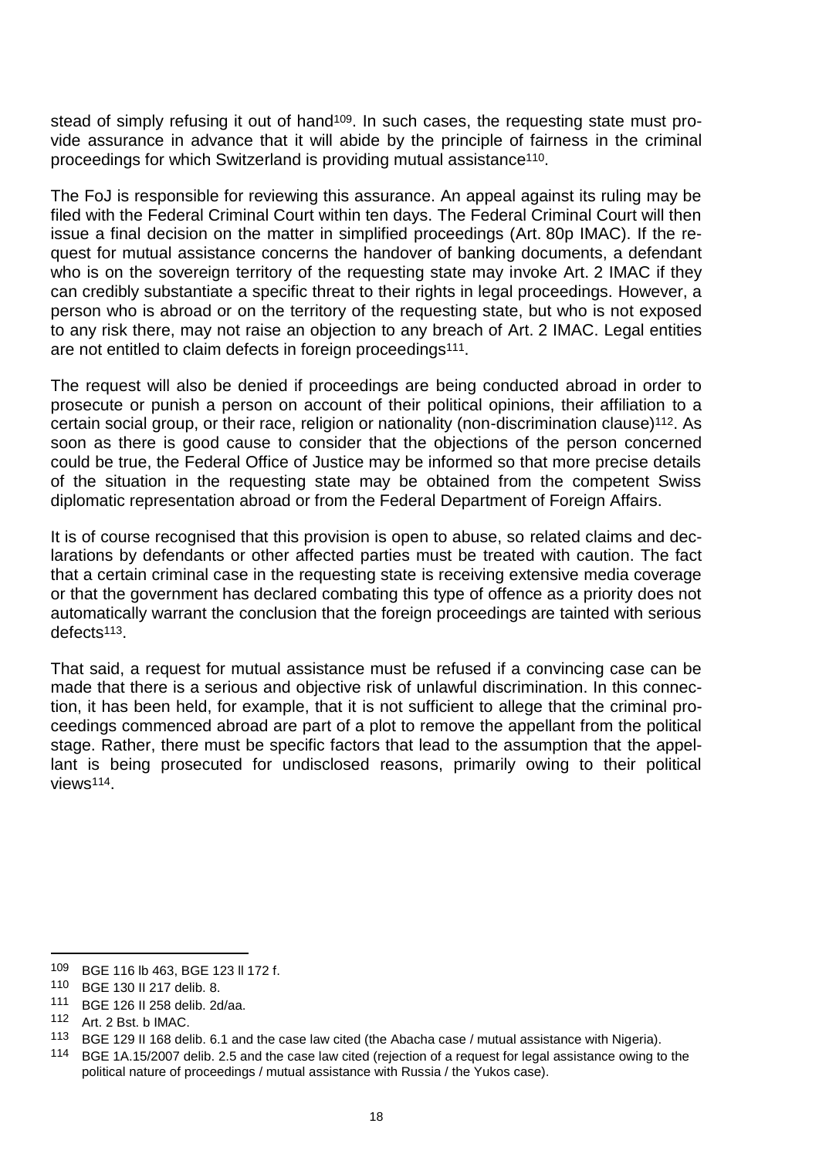stead of simply refusing it out of hand<sup>109</sup>. In such cases, the requesting state must provide assurance in advance that it will abide by the principle of fairness in the criminal proceedings for which Switzerland is providing mutual assistance110.

The FoJ is responsible for reviewing this assurance. An appeal against its ruling may be filed with the Federal Criminal Court within ten days. The Federal Criminal Court will then issue a final decision on the matter in simplified proceedings (Art. 80p IMAC). If the request for mutual assistance concerns the handover of banking documents, a defendant who is on the sovereign territory of the requesting state may invoke Art. 2 IMAC if they can credibly substantiate a specific threat to their rights in legal proceedings. However, a person who is abroad or on the territory of the requesting state, but who is not exposed to any risk there, may not raise an objection to any breach of Art. 2 IMAC. Legal entities are not entitled to claim defects in foreign proceedings<sup>111</sup>.

The request will also be denied if proceedings are being conducted abroad in order to prosecute or punish a person on account of their political opinions, their affiliation to a certain social group, or their race, religion or nationality (non-discrimination clause)112. As soon as there is good cause to consider that the objections of the person concerned could be true, the Federal Office of Justice may be informed so that more precise details of the situation in the requesting state may be obtained from the competent Swiss diplomatic representation abroad or from the Federal Department of Foreign Affairs.

It is of course recognised that this provision is open to abuse, so related claims and declarations by defendants or other affected parties must be treated with caution. The fact that a certain criminal case in the requesting state is receiving extensive media coverage or that the government has declared combating this type of offence as a priority does not automatically warrant the conclusion that the foreign proceedings are tainted with serious defects113.

That said, a request for mutual assistance must be refused if a convincing case can be made that there is a serious and objective risk of unlawful discrimination. In this connection, it has been held, for example, that it is not sufficient to allege that the criminal proceedings commenced abroad are part of a plot to remove the appellant from the political stage. Rather, there must be specific factors that lead to the assumption that the appellant is being prosecuted for undisclosed reasons, primarily owing to their political views114.

 $\overline{a}$ 

<sup>109</sup> BGE 116 lb 463, BGE 123 ll 172 f.

<sup>110</sup> BGE 130 II 217 delib. 8.

<sup>111</sup> BGE 126 II 258 delib. 2d/aa.

<sup>112</sup> Art. 2 Bst. b IMAC.

<sup>113</sup> BGE 129 II 168 delib. 6.1 and the case law cited (the Abacha case / mutual assistance with Nigeria).

<sup>114</sup> BGE 1A.15/2007 delib. 2.5 and the case law cited (rejection of a request for legal assistance owing to the political nature of proceedings / mutual assistance with Russia / the Yukos case).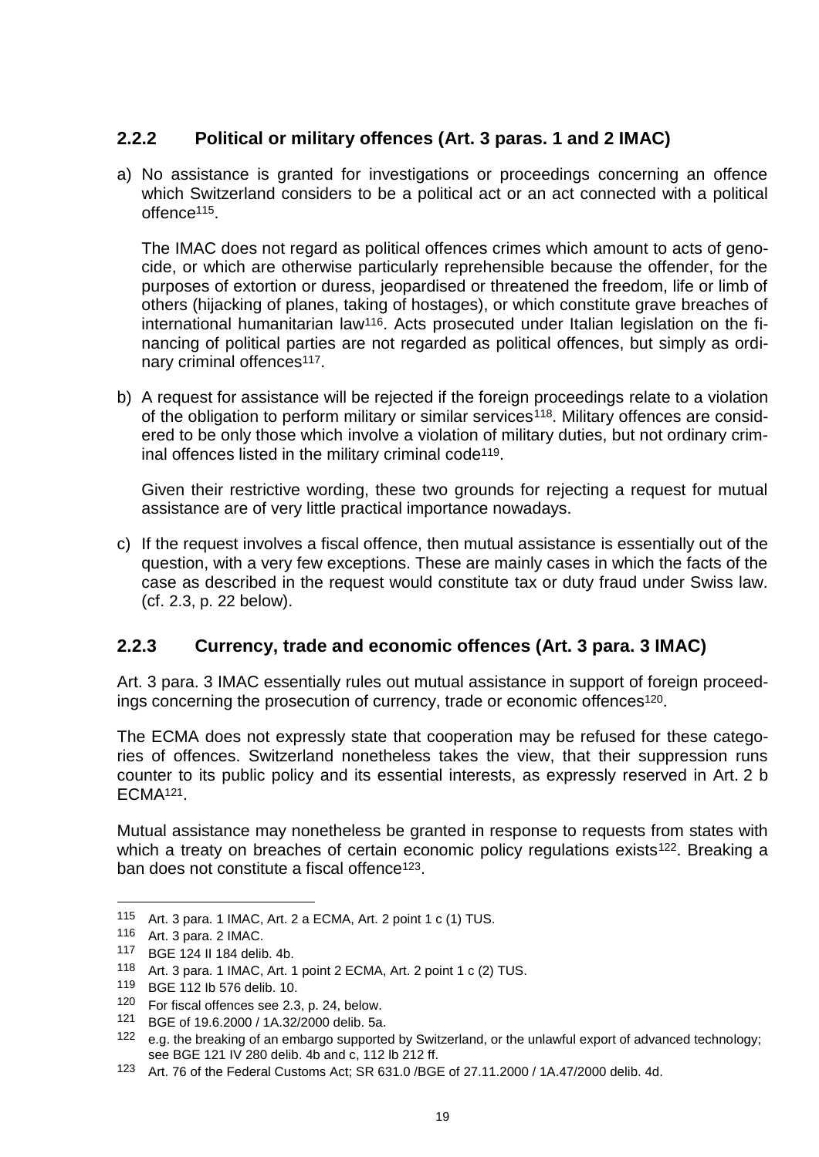# <span id="page-20-0"></span>**2.2.2 Political or military offences (Art. 3 paras. 1 and 2 IMAC)**

a) No assistance is granted for investigations or proceedings concerning an offence which Switzerland considers to be a political act or an act connected with a political offence115.

The IMAC does not regard as political offences crimes which amount to acts of genocide, or which are otherwise particularly reprehensible because the offender, for the purposes of extortion or duress, jeopardised or threatened the freedom, life or limb of others (hijacking of planes, taking of hostages), or which constitute grave breaches of international humanitarian law116. Acts prosecuted under Italian legislation on the financing of political parties are not regarded as political offences, but simply as ordinary criminal offences<sup>117</sup>.

b) A request for assistance will be rejected if the foreign proceedings relate to a violation of the obligation to perform military or similar services<sup>118</sup>. Military offences are considered to be only those which involve a violation of military duties, but not ordinary criminal offences listed in the military criminal code<sup>119</sup>.

Given their restrictive wording, these two grounds for rejecting a request for mutual assistance are of very little practical importance nowadays.

c) If the request involves a fiscal offence, then mutual assistance is essentially out of the question, with a very few exceptions. These are mainly cases in which the facts of the case as described in the request would constitute tax or duty fraud under Swiss law. (cf. 2.3, p. 22 below).

### <span id="page-20-1"></span>**2.2.3 Currency, trade and economic offences (Art. 3 para. 3 IMAC)**

Art. 3 para. 3 IMAC essentially rules out mutual assistance in support of foreign proceedings concerning the prosecution of currency, trade or economic offences<sup>120</sup>.

The ECMA does not expressly state that cooperation may be refused for these categories of offences. Switzerland nonetheless takes the view, that their suppression runs counter to its public policy and its essential interests, as expressly reserved in Art. 2 b ECMA121.

Mutual assistance may nonetheless be granted in response to requests from states with which a treaty on breaches of certain economic policy regulations exists<sup>122</sup>. Breaking a ban does not constitute a fiscal offence123.

<sup>115</sup> Art. 3 para. 1 IMAC, Art. 2 a ECMA, Art. 2 point 1 c (1) TUS.

<sup>116</sup> Art. 3 para. 2 IMAC.

<sup>117</sup> BGE 124 II 184 delib. 4b.

<sup>118</sup> Art. 3 para. 1 IMAC, Art. 1 point 2 ECMA, Art. 2 point 1 c (2) TUS.

<sup>119</sup> BGE 112 Ib 576 delib. 10.

<sup>120</sup> For fiscal offences see 2.3, p. 24, below.

<sup>121</sup> BGE of 19.6.2000 / 1A.32/2000 delib. 5a.

<sup>122</sup> e.g. the breaking of an embargo supported by Switzerland, or the unlawful export of advanced technology; see BGE 121 IV 280 delib. 4b and c, 112 lb 212 ff.

<sup>123</sup> Art. 76 of the Federal Customs Act; SR 631.0 /BGE of 27.11.2000 / 1A.47/2000 delib. 4d.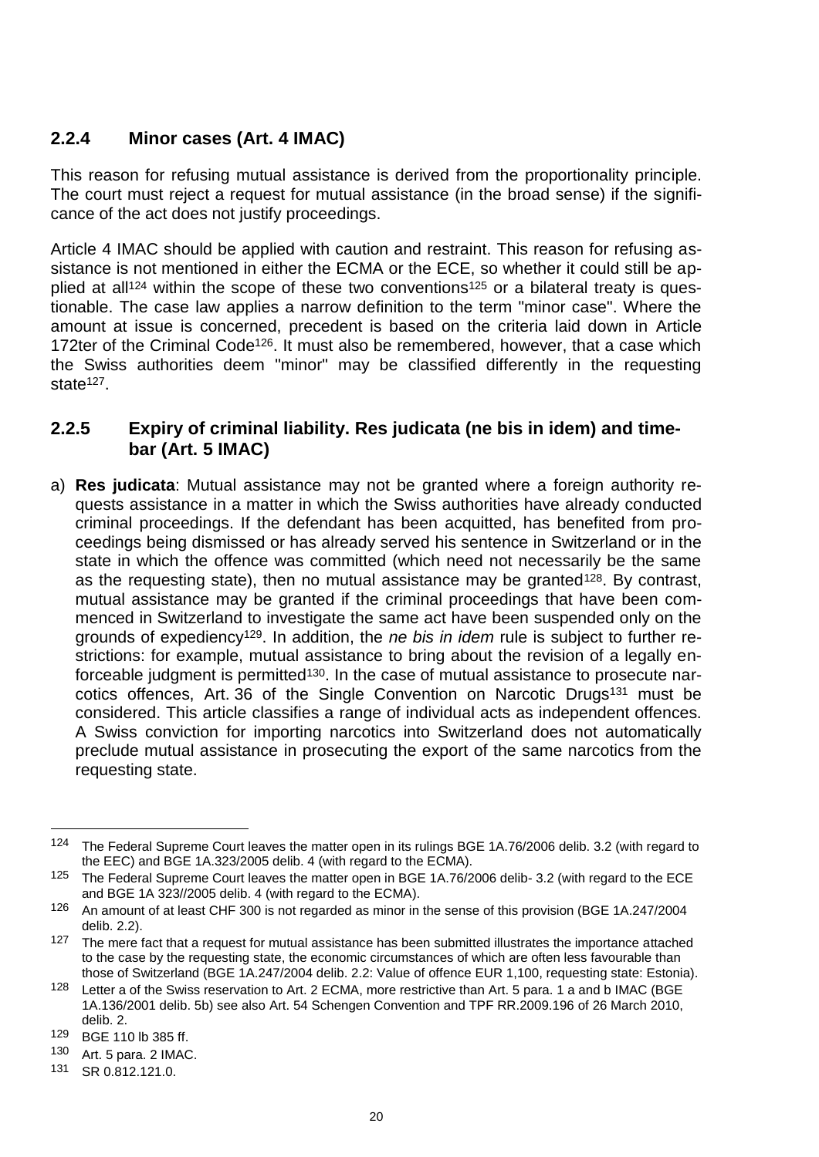### <span id="page-21-0"></span>**2.2.4 Minor cases (Art. 4 IMAC)**

This reason for refusing mutual assistance is derived from the proportionality principle. The court must reject a request for mutual assistance (in the broad sense) if the significance of the act does not justify proceedings.

Article 4 IMAC should be applied with caution and restraint. This reason for refusing assistance is not mentioned in either the ECMA or the ECE, so whether it could still be applied at all<sup>124</sup> within the scope of these two conventions<sup>125</sup> or a bilateral treaty is questionable. The case law applies a narrow definition to the term "minor case". Where the amount at issue is concerned, precedent is based on the criteria laid down in Article 172ter of the Criminal Code<sup>126</sup>. It must also be remembered, however, that a case which the Swiss authorities deem "minor" may be classified differently in the requesting state<sup>127</sup>.

### <span id="page-21-1"></span>**2.2.5 Expiry of criminal liability. Res judicata (ne bis in idem) and timebar (Art. 5 IMAC)**

a) **Res judicata**: Mutual assistance may not be granted where a foreign authority requests assistance in a matter in which the Swiss authorities have already conducted criminal proceedings. If the defendant has been acquitted, has benefited from proceedings being dismissed or has already served his sentence in Switzerland or in the state in which the offence was committed (which need not necessarily be the same as the requesting state), then no mutual assistance may be granted<sup>128</sup>. By contrast, mutual assistance may be granted if the criminal proceedings that have been commenced in Switzerland to investigate the same act have been suspended only on the grounds of expediency129. In addition, the *ne bis in idem* rule is subject to further restrictions: for example, mutual assistance to bring about the revision of a legally enforceable judgment is permitted<sup>130</sup>. In the case of mutual assistance to prosecute narcotics offences, Art. 36 of the Single Convention on Narcotic Drugs<sup>131</sup> must be considered. This article classifies a range of individual acts as independent offences. A Swiss conviction for importing narcotics into Switzerland does not automatically preclude mutual assistance in prosecuting the export of the same narcotics from the requesting state.

<sup>124</sup> The Federal Supreme Court leaves the matter open in its rulings BGE 1A.76/2006 delib. 3.2 (with regard to the EEC) and BGE 1A.323/2005 delib. 4 (with regard to the ECMA).

<sup>125</sup> The Federal Supreme Court leaves the matter open in BGE 1A.76/2006 delib- 3.2 (with regard to the ECE and BGE 1A 323//2005 delib. 4 (with regard to the ECMA).

<sup>&</sup>lt;sup>126</sup> An amount of at least CHF 300 is not regarded as minor in the sense of this provision (BGE 1A.247/2004 delib. 2.2).

<sup>&</sup>lt;sup>127</sup> The mere fact that a request for mutual assistance has been submitted illustrates the importance attached to the case by the requesting state, the economic circumstances of which are often less favourable than those of Switzerland (BGE 1A.247/2004 delib. 2.2: Value of offence EUR 1,100, requesting state: Estonia).

<sup>128</sup> Letter a of the Swiss reservation to Art. 2 ECMA, more restrictive than Art. 5 para. 1 a and b IMAC (BGE 1A.136/2001 delib. 5b) see also Art. 54 Schengen Convention and TPF RR.2009.196 of 26 March 2010, delib. 2.

<sup>129</sup> BGE 110 lb 385 ff.

<sup>130</sup> Art. 5 para. 2 IMAC.

<sup>131</sup> SR 0.812.121.0.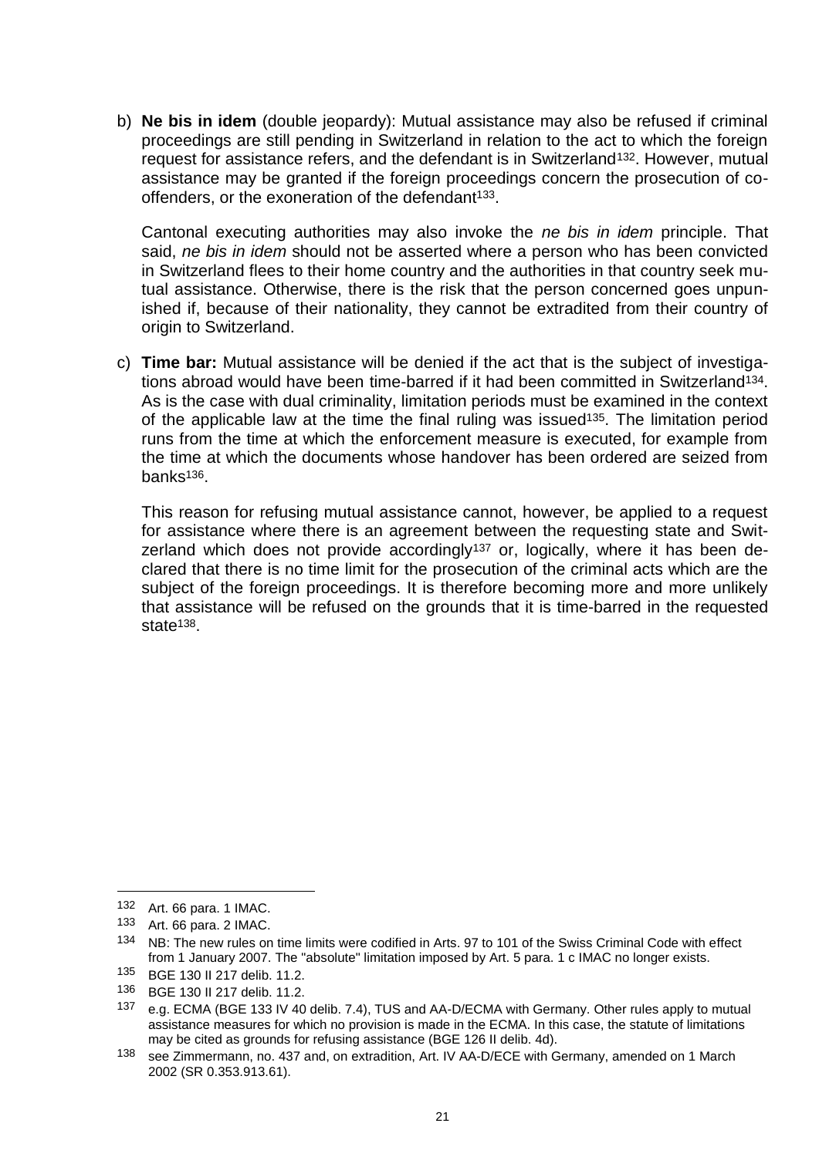b) **Ne bis in idem** (double jeopardy): Mutual assistance may also be refused if criminal proceedings are still pending in Switzerland in relation to the act to which the foreign request for assistance refers, and the defendant is in Switzerland<sup>132</sup>. However, mutual assistance may be granted if the foreign proceedings concern the prosecution of cooffenders, or the exoneration of the defendant<sup>133</sup>.

Cantonal executing authorities may also invoke the *ne bis in idem* principle. That said, *ne bis in idem* should not be asserted where a person who has been convicted in Switzerland flees to their home country and the authorities in that country seek mutual assistance. Otherwise, there is the risk that the person concerned goes unpunished if, because of their nationality, they cannot be extradited from their country of origin to Switzerland.

c) **Time bar:** Mutual assistance will be denied if the act that is the subject of investigations abroad would have been time-barred if it had been committed in Switzerland134. As is the case with dual criminality, limitation periods must be examined in the context of the applicable law at the time the final ruling was issued<sup>135</sup>. The limitation period runs from the time at which the enforcement measure is executed, for example from the time at which the documents whose handover has been ordered are seized from banks136.

This reason for refusing mutual assistance cannot, however, be applied to a request for assistance where there is an agreement between the requesting state and Switzerland which does not provide accordingly<sup>137</sup> or, logically, where it has been declared that there is no time limit for the prosecution of the criminal acts which are the subject of the foreign proceedings. It is therefore becoming more and more unlikely that assistance will be refused on the grounds that it is time-barred in the requested state<sup>138</sup>

<sup>132</sup> Art. 66 para. 1 IMAC.

<sup>133</sup> Art. 66 para. 2 IMAC.

<sup>134</sup> NB: The new rules on time limits were codified in Arts. 97 to 101 of the Swiss Criminal Code with effect from 1 January 2007. The "absolute" limitation imposed by Art. 5 para. 1 c IMAC no longer exists.

<sup>135</sup> BGE 130 II 217 delib. 11.2.

<sup>136</sup> BGE 130 II 217 delib. 11.2.

<sup>137</sup> e.g. ECMA (BGE 133 IV 40 delib. 7.4), TUS and AA-D/ECMA with Germany. Other rules apply to mutual assistance measures for which no provision is made in the ECMA. In this case, the statute of limitations may be cited as grounds for refusing assistance (BGE 126 II delib. 4d).

<sup>138</sup> see Zimmermann, no. 437 and, on extradition, Art. IV AA-D/ECE with Germany, amended on 1 March 2002 (SR 0.353.913.61).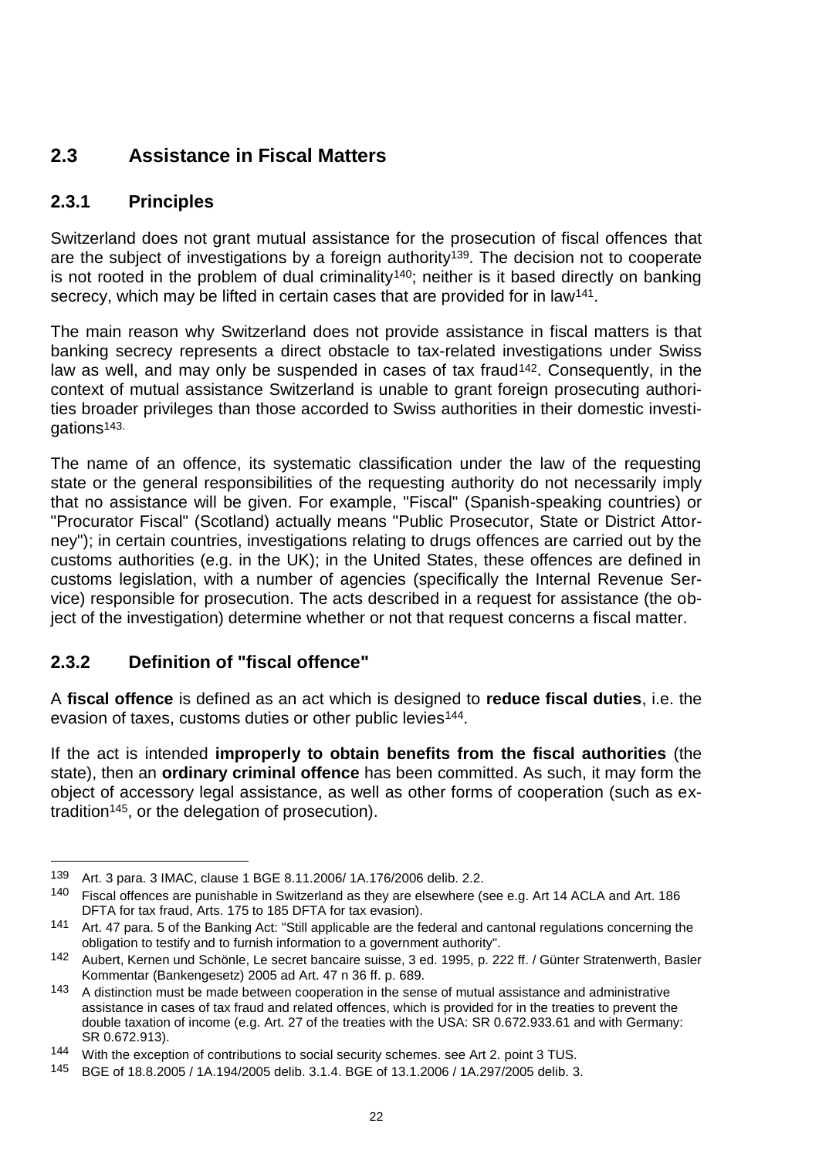# <span id="page-23-0"></span>**2.3 Assistance in Fiscal Matters**

### <span id="page-23-1"></span>**2.3.1 Principles**

Switzerland does not grant mutual assistance for the prosecution of fiscal offences that are the subject of investigations by a foreign authority<sup>139</sup>. The decision not to cooperate is not rooted in the problem of dual criminality140; neither is it based directly on banking secrecy, which may be lifted in certain cases that are provided for in law<sup>141</sup>.

The main reason why Switzerland does not provide assistance in fiscal matters is that banking secrecy represents a direct obstacle to tax-related investigations under Swiss law as well, and may only be suspended in cases of tax fraud<sup>142</sup>. Consequently, in the context of mutual assistance Switzerland is unable to grant foreign prosecuting authorities broader privileges than those accorded to Swiss authorities in their domestic investigations143.

The name of an offence, its systematic classification under the law of the requesting state or the general responsibilities of the requesting authority do not necessarily imply that no assistance will be given. For example, "Fiscal" (Spanish-speaking countries) or "Procurator Fiscal" (Scotland) actually means "Public Prosecutor, State or District Attorney"); in certain countries, investigations relating to drugs offences are carried out by the customs authorities (e.g. in the UK); in the United States, these offences are defined in customs legislation, with a number of agencies (specifically the Internal Revenue Service) responsible for prosecution. The acts described in a request for assistance (the object of the investigation) determine whether or not that request concerns a fiscal matter.

### <span id="page-23-2"></span>**2.3.2 Definition of "fiscal offence"**

A **fiscal offence** is defined as an act which is designed to **reduce fiscal duties**, i.e. the evasion of taxes, customs duties or other public levies<sup>144</sup>.

If the act is intended **improperly to obtain benefits from the fiscal authorities** (the state), then an **ordinary criminal offence** has been committed. As such, it may form the object of accessory legal assistance, as well as other forms of cooperation (such as extradition145, or the delegation of prosecution).

<sup>139</sup> Art. 3 para. 3 IMAC, clause 1 BGE 8.11.2006/ 1A.176/2006 delib. 2.2.

<sup>140</sup> Fiscal offences are punishable in Switzerland as they are elsewhere (see e.g. Art 14 ACLA and Art. 186 DFTA for tax fraud, Arts. 175 to 185 DFTA for tax evasion).

<sup>141</sup> Art. 47 para. 5 of the Banking Act: "Still applicable are the federal and cantonal regulations concerning the obligation to testify and to furnish information to a government authority".

<sup>142</sup> Aubert, Kernen und Schönle, Le secret bancaire suisse, 3 ed. 1995, p. 222 ff. / Günter Stratenwerth, Basler Kommentar (Bankengesetz) 2005 ad Art. 47 n 36 ff. p. 689.

<sup>143</sup> A distinction must be made between cooperation in the sense of mutual assistance and administrative assistance in cases of tax fraud and related offences, which is provided for in the treaties to prevent the double taxation of income (e.g. Art. 27 of the treaties with the USA: SR 0.672.933.61 and with Germany: SR 0.672.913).

<sup>144</sup> With the exception of contributions to social security schemes. see Art 2. point 3 TUS.

<sup>145</sup> BGE of 18.8.2005 / 1A.194/2005 delib. 3.1.4. BGE of 13.1.2006 / 1A.297/2005 delib. 3.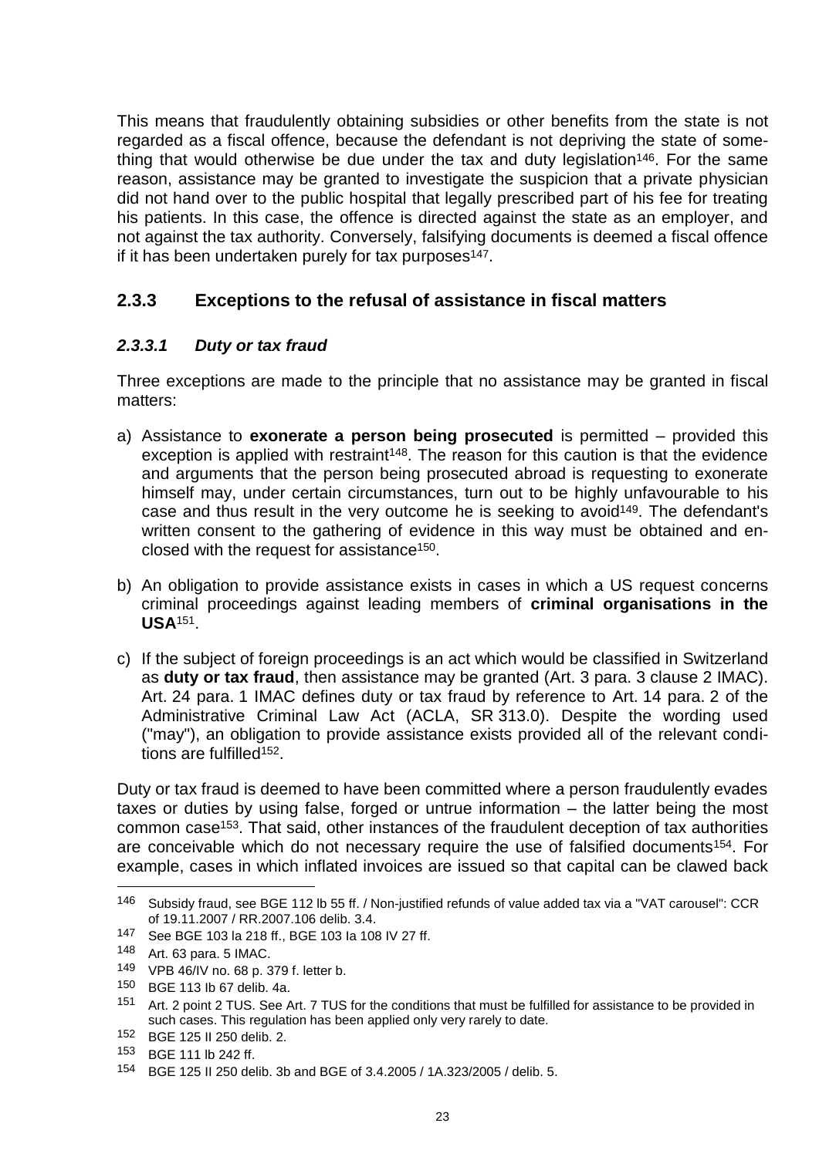This means that fraudulently obtaining subsidies or other benefits from the state is not regarded as a fiscal offence, because the defendant is not depriving the state of something that would otherwise be due under the tax and duty legislation<sup>146</sup>. For the same reason, assistance may be granted to investigate the suspicion that a private physician did not hand over to the public hospital that legally prescribed part of his fee for treating his patients. In this case, the offence is directed against the state as an employer, and not against the tax authority. Conversely, falsifying documents is deemed a fiscal offence if it has been undertaken purely for tax purposes<sup>147</sup>.

### <span id="page-24-0"></span>**2.3.3 Exceptions to the refusal of assistance in fiscal matters**

### *2.3.3.1 Duty or tax fraud*

Three exceptions are made to the principle that no assistance may be granted in fiscal matters:

- <span id="page-24-1"></span>a) Assistance to **exonerate a person being prosecuted** is permitted – provided this exception is applied with restraint<sup>148</sup>. The reason for this caution is that the evidence and arguments that the person being prosecuted abroad is requesting to exonerate himself may, under certain circumstances, turn out to be highly unfavourable to his case and thus result in the very outcome he is seeking to avoid149. The defendant's written consent to the gathering of evidence in this way must be obtained and enclosed with the request for assistance150.
- b) An obligation to provide assistance exists in cases in which a US request concerns criminal proceedings against leading members of **criminal organisations in the USA**151.
- c) If the subject of foreign proceedings is an act which would be classified in Switzerland as **duty or tax fraud**, then assistance may be granted (Art. 3 para. 3 clause 2 IMAC). Art. 24 para. 1 IMAC defines duty or tax fraud by reference to Art. 14 para. 2 of the Administrative Criminal Law Act (ACLA, SR 313.0). Despite the wording used ("may"), an obligation to provide assistance exists provided all of the relevant conditions are fulfilled<sup>152</sup>.

Duty or tax fraud is deemed to have been committed where a person fraudulently evades taxes or duties by using false, forged or untrue information – the latter being the most common case153. That said, other instances of the fraudulent deception of tax authorities are conceivable which do not necessary require the use of falsified documents154. For example, cases in which inflated invoices are issued so that capital can be clawed back

<sup>146</sup> Subsidy fraud, see BGE 112 lb 55 ff. / Non-justified refunds of value added tax via a "VAT carousel": CCR of 19.11.2007 / RR.2007.106 delib. 3.4.

<sup>147</sup> See BGE 103 la 218 ff., BGE 103 Ia 108 IV 27 ff.

<sup>148</sup> Art. 63 para. 5 IMAC.

<sup>149</sup> VPB 46/IV no. 68 p. 379 f. letter b.

<sup>150</sup> BGE 113 Ib 67 delib. 4a.

<sup>151</sup> Art. 2 point 2 TUS. See Art. 7 TUS for the conditions that must be fulfilled for assistance to be provided in such cases. This regulation has been applied only very rarely to date.

<sup>152</sup> BGE 125 II 250 delib. 2.

<sup>153</sup> BGE 111 lb 242 ff.

<sup>154</sup> BGE 125 II 250 delib. 3b and BGE of 3.4.2005 / 1A.323/2005 / delib. 5.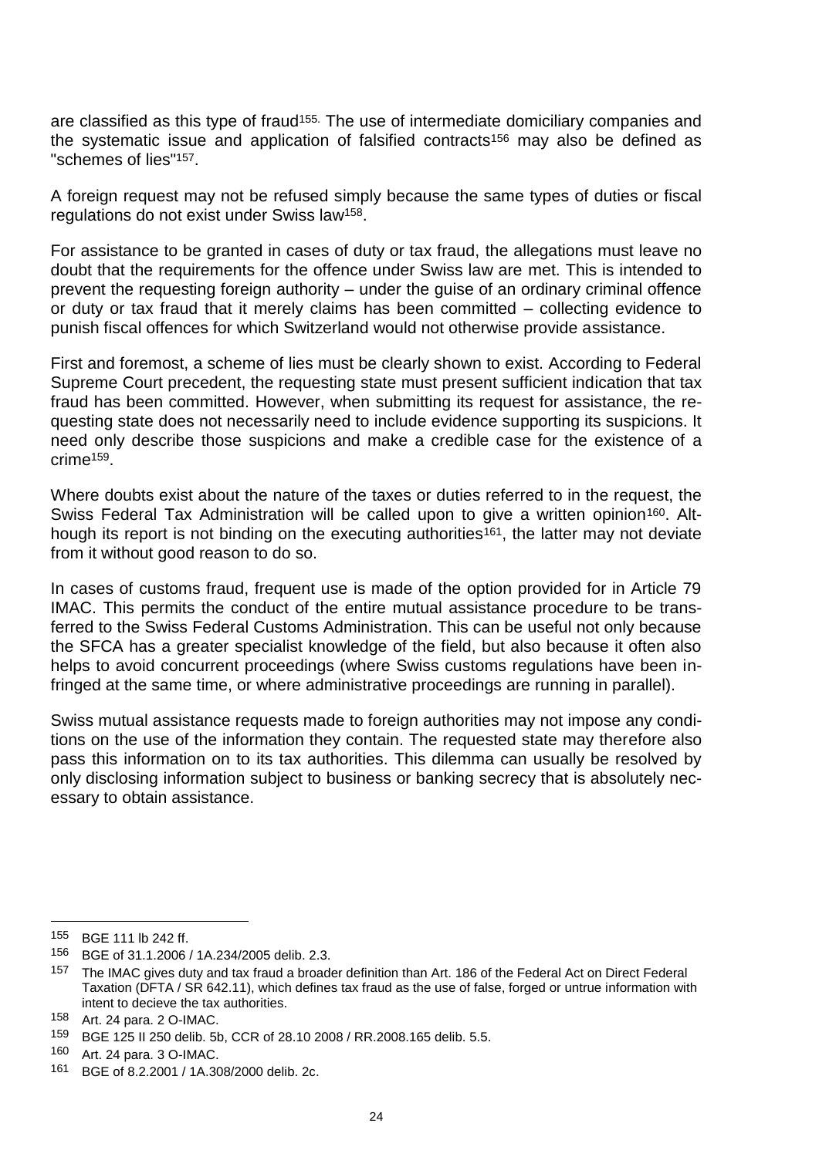are classified as this type of fraud<sup>155.</sup> The use of intermediate domiciliary companies and the systematic issue and application of falsified contracts<sup>156</sup> may also be defined as "schemes of lies"157.

A foreign request may not be refused simply because the same types of duties or fiscal regulations do not exist under Swiss law158.

For assistance to be granted in cases of duty or tax fraud, the allegations must leave no doubt that the requirements for the offence under Swiss law are met. This is intended to prevent the requesting foreign authority – under the guise of an ordinary criminal offence or duty or tax fraud that it merely claims has been committed – collecting evidence to punish fiscal offences for which Switzerland would not otherwise provide assistance.

First and foremost, a scheme of lies must be clearly shown to exist. According to Federal Supreme Court precedent, the requesting state must present sufficient indication that tax fraud has been committed. However, when submitting its request for assistance, the requesting state does not necessarily need to include evidence supporting its suspicions. It need only describe those suspicions and make a credible case for the existence of a crime159.

Where doubts exist about the nature of the taxes or duties referred to in the request, the Swiss Federal Tax Administration will be called upon to give a written opinion<sup>160</sup>. Although its report is not binding on the executing authorities<sup>161</sup>, the latter may not deviate from it without good reason to do so.

In cases of customs fraud, frequent use is made of the option provided for in Article 79 IMAC. This permits the conduct of the entire mutual assistance procedure to be transferred to the Swiss Federal Customs Administration. This can be useful not only because the SFCA has a greater specialist knowledge of the field, but also because it often also helps to avoid concurrent proceedings (where Swiss customs regulations have been infringed at the same time, or where administrative proceedings are running in parallel).

Swiss mutual assistance requests made to foreign authorities may not impose any conditions on the use of the information they contain. The requested state may therefore also pass this information on to its tax authorities. This dilemma can usually be resolved by only disclosing information subject to business or banking secrecy that is absolutely necessary to obtain assistance.

<sup>155</sup> BGE 111 lb 242 ff.

<sup>156</sup> BGE of 31.1.2006 / 1A.234/2005 delib. 2.3.

<sup>&</sup>lt;sup>157</sup> The IMAC gives duty and tax fraud a broader definition than Art. 186 of the Federal Act on Direct Federal Taxation (DFTA / SR 642.11), which defines tax fraud as the use of false, forged or untrue information with intent to decieve the tax authorities.

 $158$  Art. 24 para. 2 O-IMAC.<br> $159$  BCE 125 IL250 dolib 5k

<sup>159</sup> BGE 125 II 250 delib. 5b, CCR of 28.10 2008 / RR.2008.165 delib. 5.5.

<sup>160</sup> Art. 24 para. 3 O-IMAC.

<sup>161</sup> BGE of 8.2.2001 / 1A.308/2000 delib. 2c.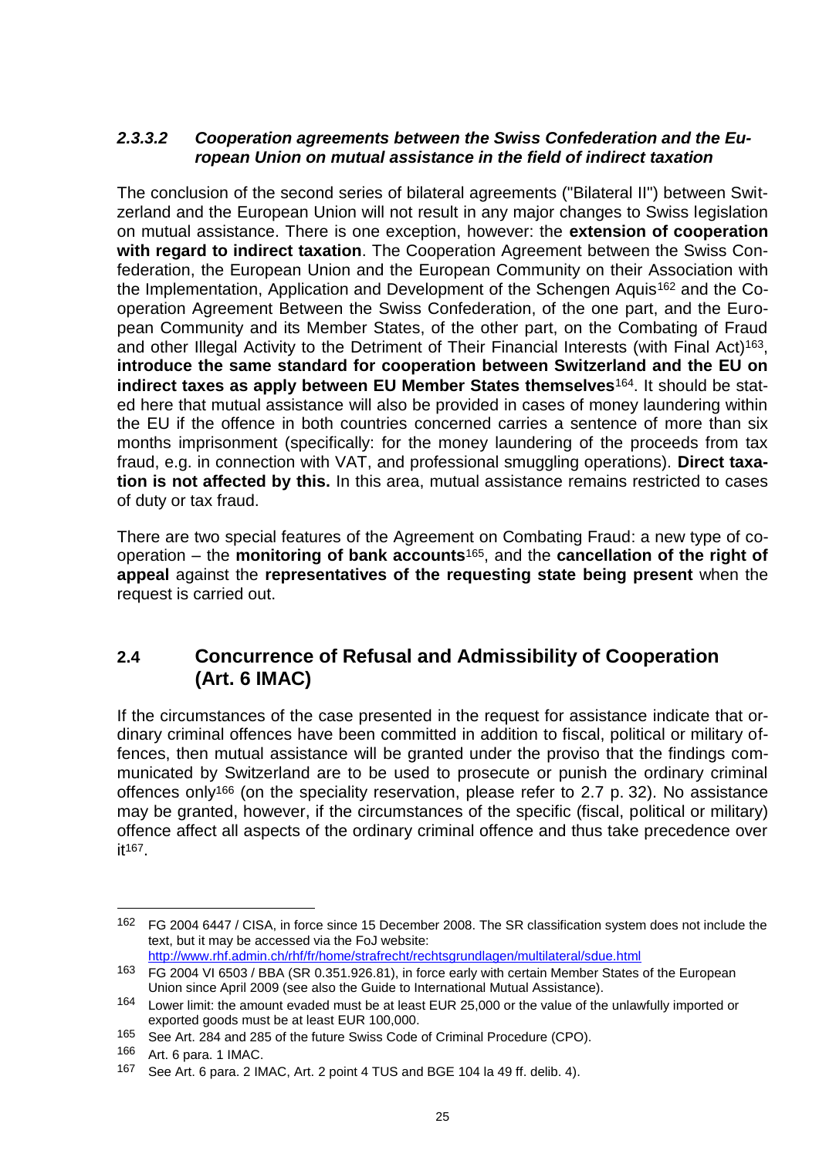#### *2.3.3.2 Cooperation agreements between the Swiss Confederation and the European Union on mutual assistance in the field of indirect taxation*

The conclusion of the second series of bilateral agreements ("Bilateral II") between Switzerland and the European Union will not result in any major changes to Swiss legislation on mutual assistance. There is one exception, however: the **extension of cooperation with regard to indirect taxation**. The Cooperation Agreement between the Swiss Confederation, the European Union and the European Community on their Association with the Implementation, Application and Development of the Schengen Aquis<sup>162</sup> and the Cooperation Agreement Between the Swiss Confederation, of the one part, and the European Community and its Member States, of the other part, on the Combating of Fraud and other Illegal Activity to the Detriment of Their Financial Interests (with Final Act)<sup>163</sup>. **introduce the same standard for cooperation between Switzerland and the EU on indirect taxes as apply between EU Member States themselves**164. It should be stated here that mutual assistance will also be provided in cases of money laundering within the EU if the offence in both countries concerned carries a sentence of more than six months imprisonment (specifically: for the money laundering of the proceeds from tax fraud, e.g. in connection with VAT, and professional smuggling operations). **Direct taxation is not affected by this.** In this area, mutual assistance remains restricted to cases of duty or tax fraud.

There are two special features of the Agreement on Combating Fraud: a new type of cooperation – the **monitoring of bank accounts**165, and the **cancellation of the right of appeal** against the **representatives of the requesting state being present** when the request is carried out.

# <span id="page-26-0"></span>**2.4 Concurrence of Refusal and Admissibility of Cooperation (Art. 6 IMAC)**

If the circumstances of the case presented in the request for assistance indicate that ordinary criminal offences have been committed in addition to fiscal, political or military offences, then mutual assistance will be granted under the proviso that the findings communicated by Switzerland are to be used to prosecute or punish the ordinary criminal offences only<sup>166</sup> (on the speciality reservation, please refer to 2.7 p. 32). No assistance may be granted, however, if the circumstances of the specific (fiscal, political or military) offence affect all aspects of the ordinary criminal offence and thus take precedence over it167.

<sup>162</sup> FG 2004 6447 / [CISA,](http://www.rhf.admin.ch/rhf/fr/home/straf/recht/multilateral/sdue.html) in force since 15 December 2008. The SR classification system does not include the text, but it may be accessed via the FoJ website: <http://www.rhf.admin.ch/rhf/fr/home/strafrecht/rechtsgrundlagen/multilateral/sdue.html>

<sup>163</sup> FG 2004 VI 6503 / BBA (SR 0.351.926.81), in force early with certain Member States of the European Union since April 2009 (see also the Guide to International Mutual Assistance).

<sup>164</sup> Lower limit: the amount evaded must be at least EUR 25,000 or the value of the unlawfully imported or exported goods must be at least EUR 100,000.

<sup>165</sup> See Art. 284 and 285 of the future Swiss Code of Criminal Procedure (CPO).

<sup>166</sup> Art. 6 para. 1 IMAC.

<sup>167</sup> See Art. 6 para. 2 IMAC, Art. 2 point 4 TUS and BGE 104 la 49 ff. delib. 4).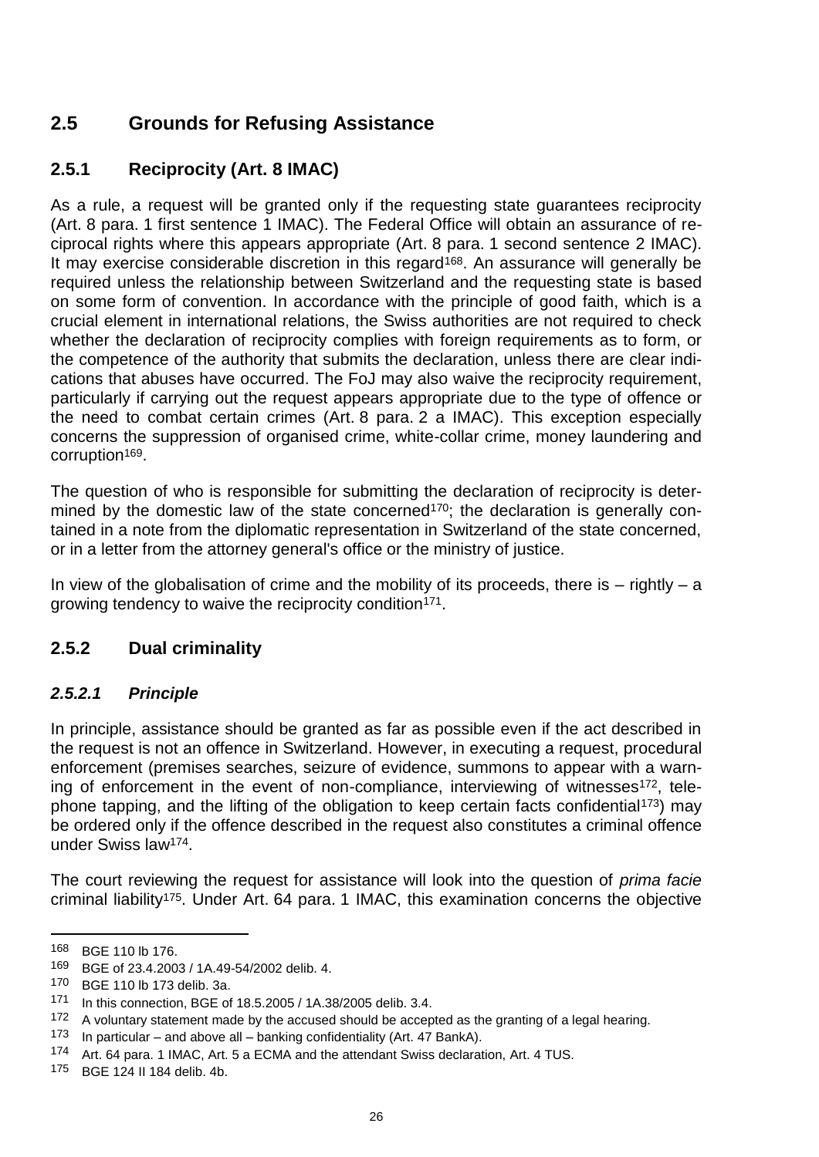# <span id="page-27-0"></span>**2.5 Grounds for Refusing Assistance**

# <span id="page-27-1"></span>**2.5.1 Reciprocity (Art. 8 IMAC)**

As a rule, a request will be granted only if the requesting state guarantees reciprocity (Art. 8 para. 1 first sentence 1 IMAC). The Federal Office will obtain an assurance of reciprocal rights where this appears appropriate (Art. 8 para. 1 second sentence 2 IMAC). It may exercise considerable discretion in this regard<sup>168</sup>. An assurance will generally be required unless the relationship between Switzerland and the requesting state is based on some form of convention. In accordance with the principle of good faith, which is a crucial element in international relations, the Swiss authorities are not required to check whether the declaration of reciprocity complies with foreign requirements as to form, or the competence of the authority that submits the declaration, unless there are clear indications that abuses have occurred. The FoJ may also waive the reciprocity requirement, particularly if carrying out the request appears appropriate due to the type of offence or the need to combat certain crimes (Art. 8 para. 2 a IMAC). This exception especially concerns the suppression of organised crime, white-collar crime, money laundering and corruption169.

The question of who is responsible for submitting the declaration of reciprocity is determined by the domestic law of the state concerned<sup>170</sup>; the declaration is generally contained in a note from the diplomatic representation in Switzerland of the state concerned, or in a letter from the attorney general's office or the ministry of justice.

In view of the globalisation of crime and the mobility of its proceeds, there is  $-$  rightly  $-$  a growing tendency to waive the reciprocity condition<sup>171</sup>.

# <span id="page-27-2"></span>**2.5.2 Dual criminality**

### *2.5.2.1 Principle*

In principle, assistance should be granted as far as possible even if the act described in the request is not an offence in Switzerland. However, in executing a request, procedural enforcement (premises searches, seizure of evidence, summons to appear with a warning of enforcement in the event of non-compliance, interviewing of witnesses<sup>172</sup>, telephone tapping, and the lifting of the obligation to keep certain facts confidential<sup>173</sup>) may be ordered only if the offence described in the request also constitutes a criminal offence under Swiss law174.

The court reviewing the request for assistance will look into the question of *prima facie*  criminal liability175. Under Art. 64 para. 1 IMAC, this examination concerns the objective

<sup>168</sup> BGE 110 lb 176.

<sup>169</sup> BGE of 23.4.2003 / 1A.49-54/2002 delib. 4.

<sup>170</sup> BGE 110 lb 173 delib. 3a.

<sup>171</sup> In this connection, BGE of 18.5.2005 / 1A.38/2005 delib. 3.4.

<sup>172</sup> A voluntary statement made by the accused should be accepted as the granting of a legal hearing.<br>173 In particular and above all banking confidentiality (Art 47 BankA)

In particular – and above all – banking confidentiality (Art. 47 BankA).

<sup>174</sup> Art. 64 para. 1 IMAC, Art. 5 a ECMA and the attendant Swiss declaration, Art. 4 TUS.

<sup>175</sup> BGE 124 II 184 delib. 4b.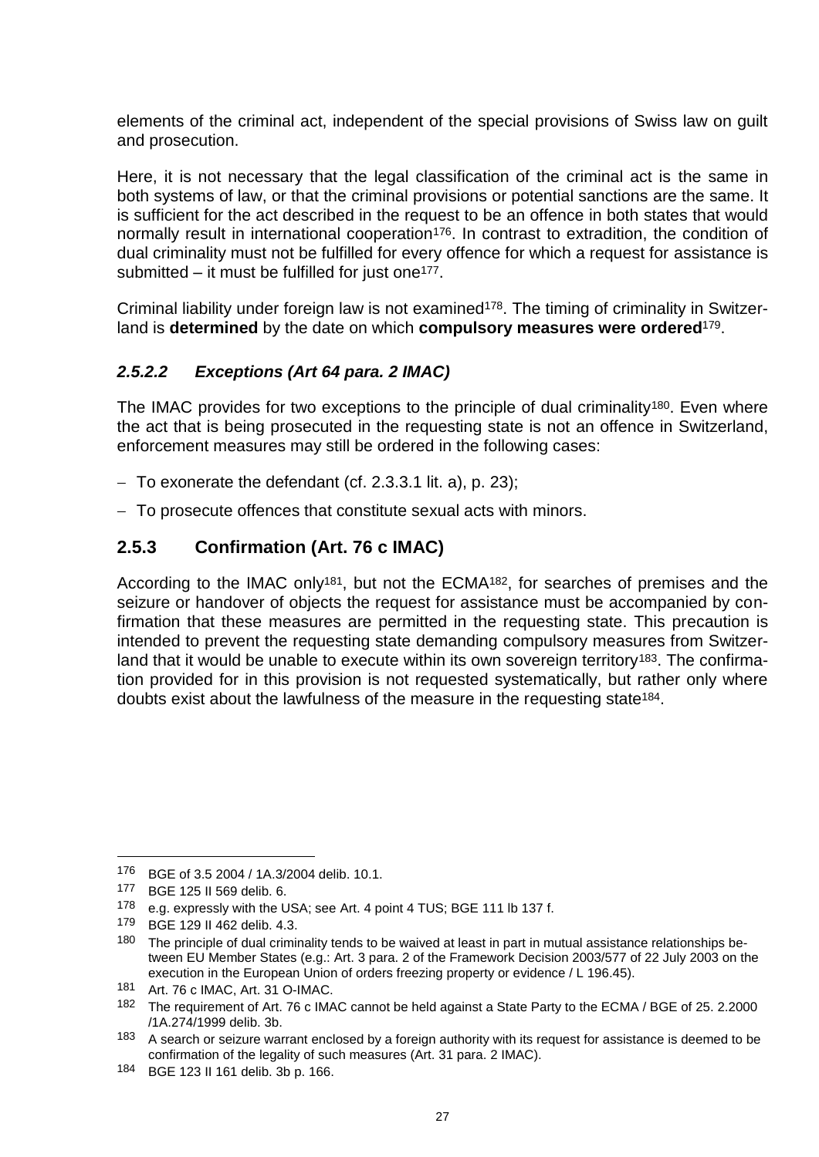elements of the criminal act, independent of the special provisions of Swiss law on guilt and prosecution.

Here, it is not necessary that the legal classification of the criminal act is the same in both systems of law, or that the criminal provisions or potential sanctions are the same. It is sufficient for the act described in the request to be an offence in both states that would normally result in international cooperation<sup>176</sup>. In contrast to extradition, the condition of dual criminality must not be fulfilled for every offence for which a request for assistance is submitted  $-$  it must be fulfilled for just one<sup>177</sup>.

Criminal liability under foreign law is not examined<sup>178</sup>. The timing of criminality in Switzerland is **determined** by the date on which **compulsory measures were ordered**179.

### *2.5.2.2 Exceptions (Art 64 para. 2 IMAC)*

The IMAC provides for two exceptions to the principle of dual criminality<sup>180</sup>. Even where the act that is being prosecuted in the requesting state is not an offence in Switzerland, enforcement measures may still be ordered in the following cases:

- $-$  To exonerate the defendant (cf. 2.3.3.1 lit. [a\),](#page-24-1) p. 23);
- To prosecute offences that constitute sexual acts with minors.

### <span id="page-28-0"></span>**2.5.3 Confirmation (Art. 76 c IMAC)**

According to the IMAC only<sup>181</sup>, but not the ECMA<sup>182</sup>, for searches of premises and the seizure or handover of objects the request for assistance must be accompanied by confirmation that these measures are permitted in the requesting state. This precaution is intended to prevent the requesting state demanding compulsory measures from Switzerland that it would be unable to execute within its own sovereign territory<sup>183</sup>. The confirmation provided for in this provision is not requested systematically, but rather only where doubts exist about the lawfulness of the measure in the requesting state184.

<sup>176</sup> BGE of 3.5 2004 / 1A.3/2004 delib. 10.1.

<sup>177</sup> BGE 125 II 569 delib. 6.

<sup>178</sup> e.g. expressly with the USA; see Art. 4 point 4 TUS; BGE 111 lb 137 f.

<sup>179</sup> BGE 129 II 462 delib. 4.3.

<sup>180</sup> The principle of dual criminality tends to be waived at least in part in mutual assistance relationships between EU Member States (e.g.: Art. 3 para. 2 of the Framework Decision 2003/577 of 22 July 2003 on the execution in the European Union of orders freezing property or evidence / L 196.45).

<sup>181</sup> Art. 76 c IMAC, Art. 31 O-IMAC.

<sup>182</sup> The requirement of Art. 76 c IMAC cannot be held against a State Party to the ECMA / BGE of 25. 2.2000 /1A.274/1999 delib. 3b.

<sup>183</sup> A search or seizure warrant enclosed by a foreign authority with its request for assistance is deemed to be confirmation of the legality of such measures (Art. 31 para. 2 IMAC).

<sup>184</sup> BGE 123 II 161 delib. 3b p. 166.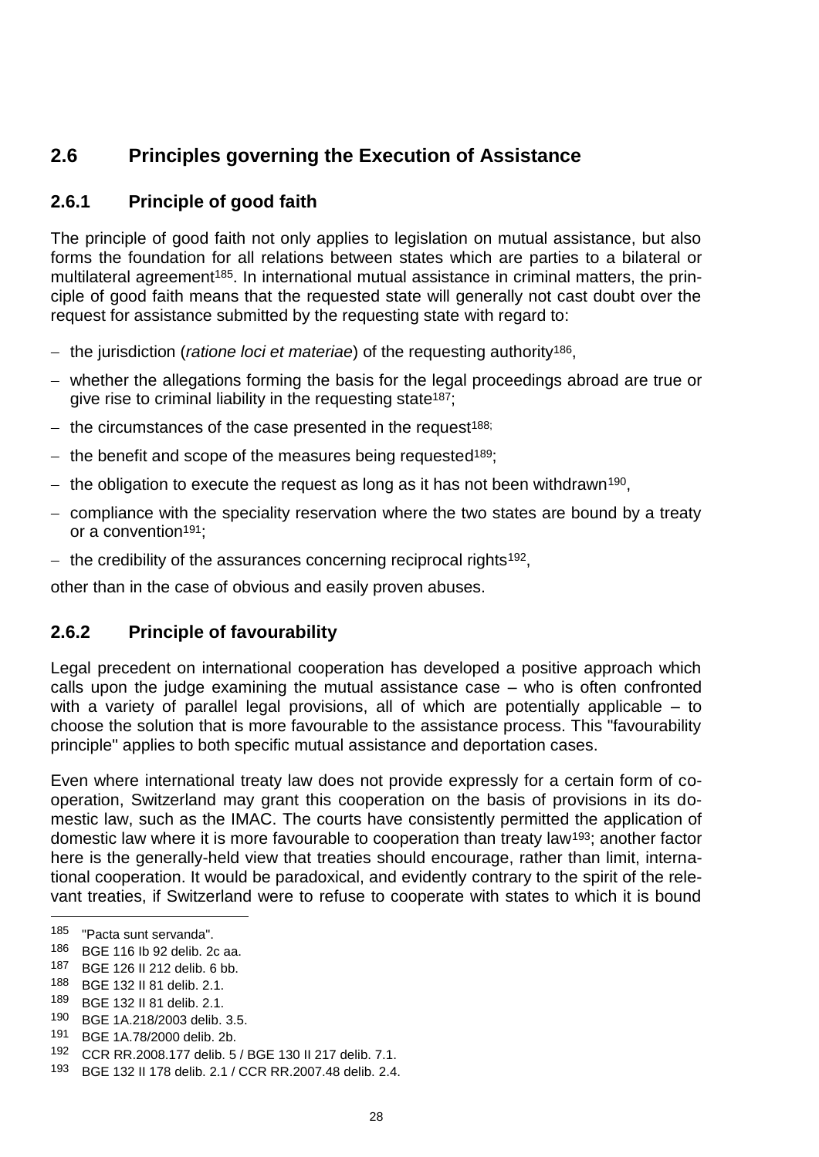# <span id="page-29-0"></span>**2.6 Principles governing the Execution of Assistance**

# <span id="page-29-1"></span>**2.6.1 Principle of good faith**

The principle of good faith not only applies to legislation on mutual assistance, but also forms the foundation for all relations between states which are parties to a bilateral or multilateral agreement<sup>185</sup>. In international mutual assistance in criminal matters, the principle of good faith means that the requested state will generally not cast doubt over the request for assistance submitted by the requesting state with regard to:

- the jurisdiction (*ratione loci et materiae*) of the requesting authority<sup>186</sup>,
- whether the allegations forming the basis for the legal proceedings abroad are true or give rise to criminal liability in the requesting state<sup>187</sup>;
- the circumstances of the case presented in the request<sup>188;</sup>
- the benefit and scope of the measures being requested<sup>189</sup>;
- the obligation to execute the request as long as it has not been withdrawn<sup>190</sup>,
- $-$  compliance with the speciality reservation where the two states are bound by a treaty or a convention<sup>191</sup>;
- the credibility of the assurances concerning reciprocal rights<sup>192</sup>,

other than in the case of obvious and easily proven abuses.

### <span id="page-29-2"></span>**2.6.2 Principle of favourability**

Legal precedent on international cooperation has developed a positive approach which calls upon the judge examining the mutual assistance case – who is often confronted with a variety of parallel legal provisions, all of which are potentially applicable – to choose the solution that is more favourable to the assistance process. This "favourability principle" applies to both specific mutual assistance and deportation cases.

Even where international treaty law does not provide expressly for a certain form of cooperation, Switzerland may grant this cooperation on the basis of provisions in its domestic law, such as the IMAC. The courts have consistently permitted the application of domestic law where it is more favourable to cooperation than treaty law193; another factor here is the generally-held view that treaties should encourage, rather than limit, international cooperation. It would be paradoxical, and evidently contrary to the spirit of the relevant treaties, if Switzerland were to refuse to cooperate with states to which it is bound

 $\overline{a}$ 

- 190 BGE 1A.218/2003 delib. 3.5.<br>191 BGE 1A 78/2000 dolib. 2b
- BGE 1A.78/2000 delib. 2b.

<sup>185</sup> "Pacta sunt servanda".

<sup>186</sup> BGE 116 Ib 92 delib. 2c aa.

<sup>187</sup> BGE 126 II 212 delib. 6 bb.

<sup>188</sup> BGE 132 II 81 delib. 2.1.

<sup>189</sup> BGE 132 II 81 delib. 2.1.

<sup>192</sup> CCR RR.2008.177 delib. 5 / BGE 130 II 217 delib. 7.1.

<sup>193</sup> BGE 132 II 178 delib. 2.1 / CCR RR.2007.48 delib. 2.4.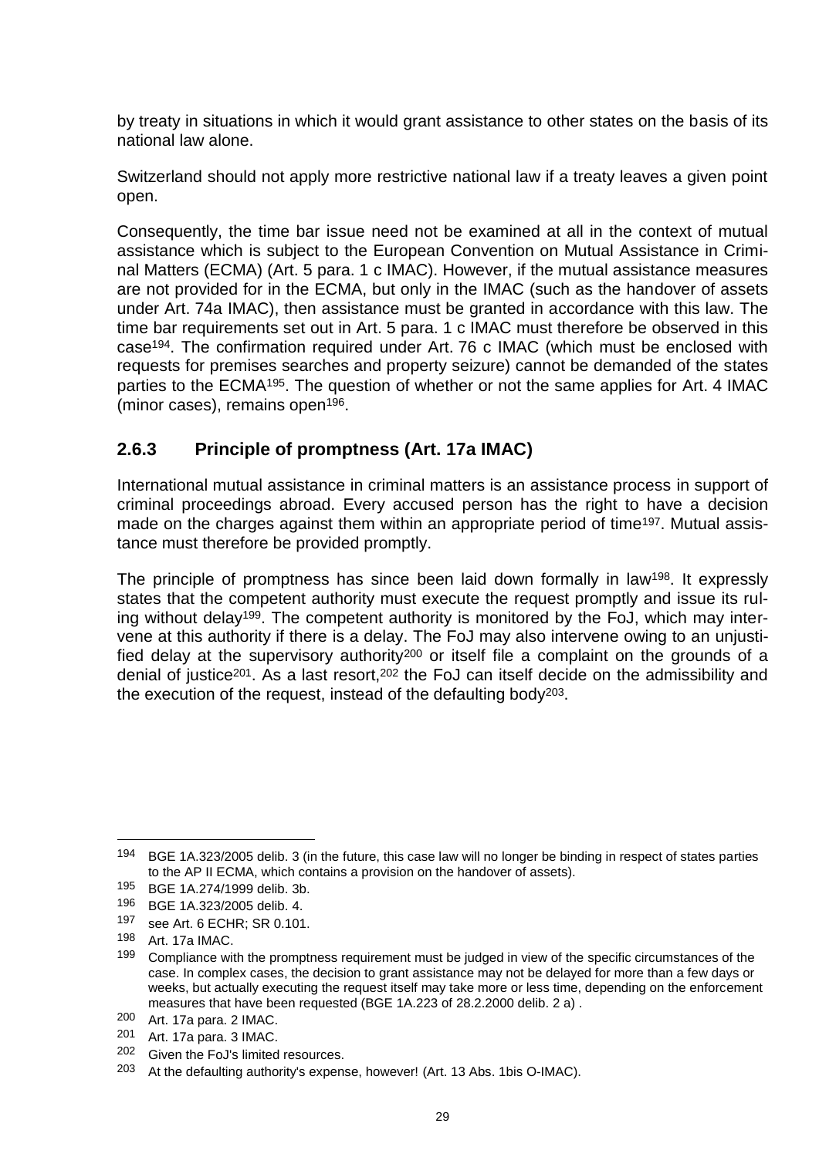by treaty in situations in which it would grant assistance to other states on the basis of its national law alone.

Switzerland should not apply more restrictive national law if a treaty leaves a given point open.

Consequently, the time bar issue need not be examined at all in the context of mutual assistance which is subject to the European Convention on Mutual Assistance in Criminal Matters (ECMA) (Art. 5 para. 1 c IMAC). However, if the mutual assistance measures are not provided for in the ECMA, but only in the IMAC (such as the handover of assets under Art. 74a IMAC), then assistance must be granted in accordance with this law. The time bar requirements set out in Art. 5 para. 1 c IMAC must therefore be observed in this case194. The confirmation required under Art. 76 c IMAC (which must be enclosed with requests for premises searches and property seizure) cannot be demanded of the states parties to the ECMA195. The question of whether or not the same applies for Art. 4 IMAC (minor cases), remains open196.

### <span id="page-30-0"></span>**2.6.3 Principle of promptness (Art. 17a IMAC)**

International mutual assistance in criminal matters is an assistance process in support of criminal proceedings abroad. Every accused person has the right to have a decision made on the charges against them within an appropriate period of time<sup>197</sup>. Mutual assistance must therefore be provided promptly.

The principle of promptness has since been laid down formally in law<sup>198</sup>. It expressly states that the competent authority must execute the request promptly and issue its ruling without delay199. The competent authority is monitored by the FoJ, which may intervene at this authority if there is a delay. The FoJ may also intervene owing to an unjustified delay at the supervisory authority<sup>200</sup> or itself file a complaint on the grounds of a denial of justice<sup>201</sup>. As a last resort,<sup>202</sup> the FoJ can itself decide on the admissibility and the execution of the request, instead of the defaulting body<sup>203</sup>.

<sup>194</sup> BGE 1A.323/2005 delib. 3 (in the future, this case law will no longer be binding in respect of states parties to the AP II ECMA, which contains a provision on the handover of assets).

<sup>195</sup> BGE 1A.274/1999 delib. 3b.

<sup>196</sup> BGE 1A.323/2005 delib. 4.

<sup>197</sup> see Art. 6 ECHR; SR 0.101.

<sup>198</sup> Art. 17a IMAC.

<sup>199</sup> Compliance with the promptness requirement must be judged in view of the specific circumstances of the case. In complex cases, the decision to grant assistance may not be delayed for more than a few days or weeks, but actually executing the request itself may take more or less time, depending on the enforcement measures that have been requested (BGE 1A.223 of 28.2.2000 delib. 2 a) .

<sup>200</sup> Art. 17a para. 2 IMAC.

<sup>201</sup> Art. 17a para. 3 IMAC.

<sup>202</sup> Given the FoJ's limited resources.

<sup>203</sup> At the defaulting authority's expense, however! (Art. 13 Abs. 1bis O-IMAC).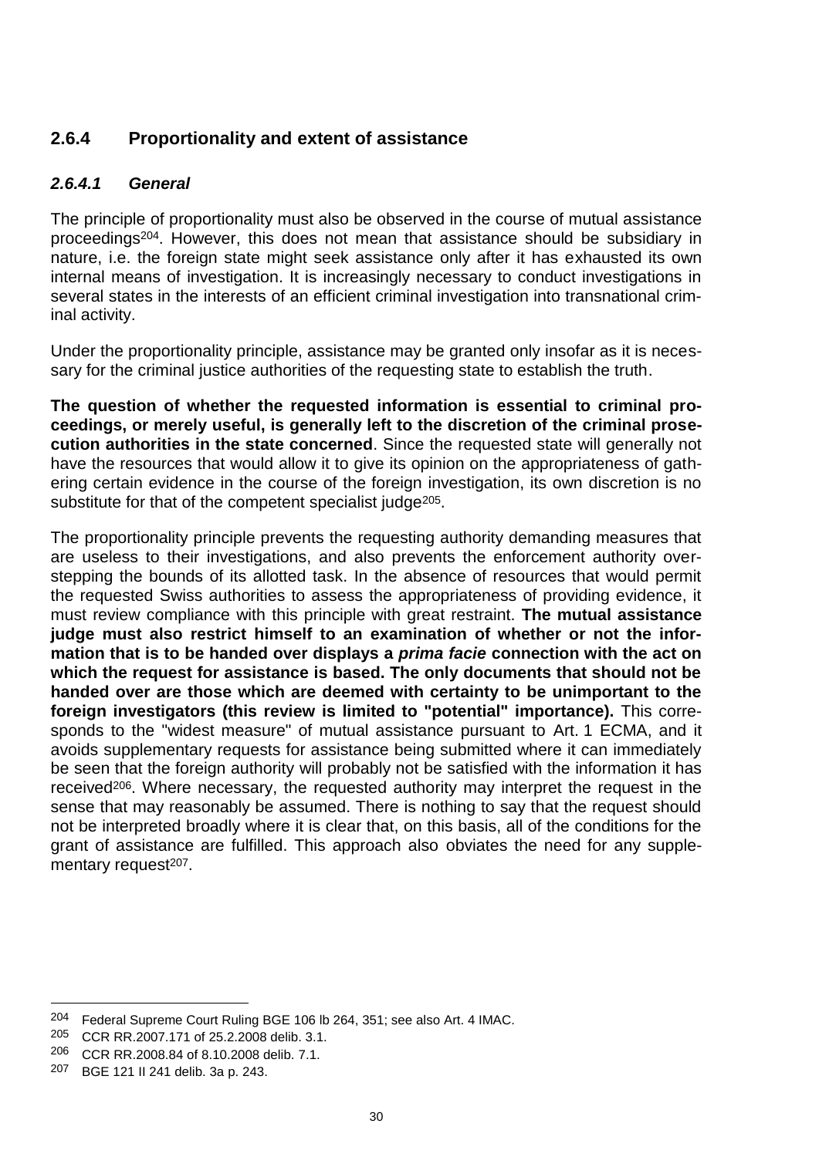# <span id="page-31-0"></span>**2.6.4 Proportionality and extent of assistance**

#### *2.6.4.1 General*

The principle of proportionality must also be observed in the course of mutual assistance proceedings204. However, this does not mean that assistance should be subsidiary in nature, i.e. the foreign state might seek assistance only after it has exhausted its own internal means of investigation. It is increasingly necessary to conduct investigations in several states in the interests of an efficient criminal investigation into transnational criminal activity.

Under the proportionality principle, assistance may be granted only insofar as it is necessary for the criminal justice authorities of the requesting state to establish the truth.

**The question of whether the requested information is essential to criminal proceedings, or merely useful, is generally left to the discretion of the criminal prosecution authorities in the state concerned**. Since the requested state will generally not have the resources that would allow it to give its opinion on the appropriateness of gathering certain evidence in the course of the foreign investigation, its own discretion is no substitute for that of the competent specialist judge<sup>205</sup>.

The proportionality principle prevents the requesting authority demanding measures that are useless to their investigations, and also prevents the enforcement authority overstepping the bounds of its allotted task. In the absence of resources that would permit the requested Swiss authorities to assess the appropriateness of providing evidence, it must review compliance with this principle with great restraint. **The mutual assistance judge must also restrict himself to an examination of whether or not the information that is to be handed over displays a** *prima facie* **connection with the act on which the request for assistance is based. The only documents that should not be handed over are those which are deemed with certainty to be unimportant to the foreign investigators (this review is limited to "potential" importance).** This corresponds to the "widest measure" of mutual assistance pursuant to Art. 1 ECMA, and it avoids supplementary requests for assistance being submitted where it can immediately be seen that the foreign authority will probably not be satisfied with the information it has received<sup>206</sup>. Where necessary, the requested authority may interpret the request in the sense that may reasonably be assumed. There is nothing to say that the request should not be interpreted broadly where it is clear that, on this basis, all of the conditions for the grant of assistance are fulfilled. This approach also obviates the need for any supplementary request<sup>207</sup>.

<sup>&</sup>lt;sup>204</sup> Federal Supreme Court Ruling BGE 106 lb 264, 351; see also Art. 4 IMAC.

<sup>205</sup> CCR RR.2007.171 of 25.2.2008 delib. 3.1.

<sup>206</sup> CCR RR.2008.84 of 8.10.2008 delib. 7.1.

<sup>207</sup> BGE 121 II 241 delib. 3a p. 243.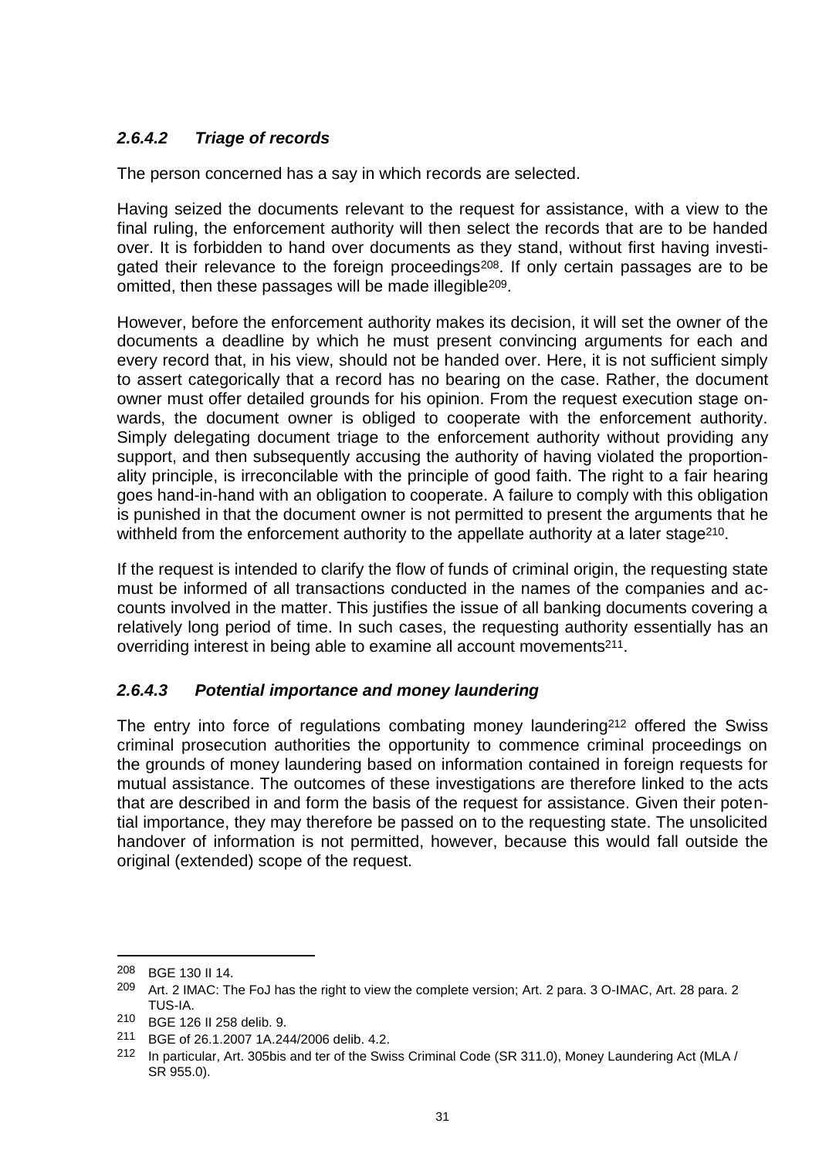# *2.6.4.2 Triage of records*

The person concerned has a say in which records are selected.

Having seized the documents relevant to the request for assistance, with a view to the final ruling, the enforcement authority will then select the records that are to be handed over. It is forbidden to hand over documents as they stand, without first having investigated their relevance to the foreign proceedings<sup>208</sup>. If only certain passages are to be omitted, then these passages will be made illegible<sup>209</sup>.

However, before the enforcement authority makes its decision, it will set the owner of the documents a deadline by which he must present convincing arguments for each and every record that, in his view, should not be handed over. Here, it is not sufficient simply to assert categorically that a record has no bearing on the case. Rather, the document owner must offer detailed grounds for his opinion. From the request execution stage onwards, the document owner is obliged to cooperate with the enforcement authority. Simply delegating document triage to the enforcement authority without providing any support, and then subsequently accusing the authority of having violated the proportionality principle, is irreconcilable with the principle of good faith. The right to a fair hearing goes hand-in-hand with an obligation to cooperate. A failure to comply with this obligation is punished in that the document owner is not permitted to present the arguments that he withheld from the enforcement authority to the appellate authority at a later stage<sup>210</sup>.

If the request is intended to clarify the flow of funds of criminal origin, the requesting state must be informed of all transactions conducted in the names of the companies and accounts involved in the matter. This justifies the issue of all banking documents covering a relatively long period of time. In such cases, the requesting authority essentially has an overriding interest in being able to examine all account movements<sup>211</sup>.

### *2.6.4.3 Potential importance and money laundering*

The entry into force of regulations combating money laundering<sup>212</sup> offered the Swiss criminal prosecution authorities the opportunity to commence criminal proceedings on the grounds of money laundering based on information contained in foreign requests for mutual assistance. The outcomes of these investigations are therefore linked to the acts that are described in and form the basis of the request for assistance. Given their potential importance, they may therefore be passed on to the requesting state. The unsolicited handover of information is not permitted, however, because this would fall outside the original (extended) scope of the request.

<sup>208</sup> BGE 130 II 14.

<sup>209</sup> Art. 2 IMAC: The FoJ has the right to view the complete version; Art. 2 para. 3 O-IMAC, Art. 28 para. 2 TUS-IA.

<sup>210</sup> BGE 126 II 258 delib. 9.

<sup>211</sup> BGE of 26.1.2007 1A.244/2006 delib. 4.2.

<sup>212</sup> In particular, Art. 305bis and ter of the Swiss Criminal Code (SR 311.0), Money Laundering Act (MLA / SR 955.0).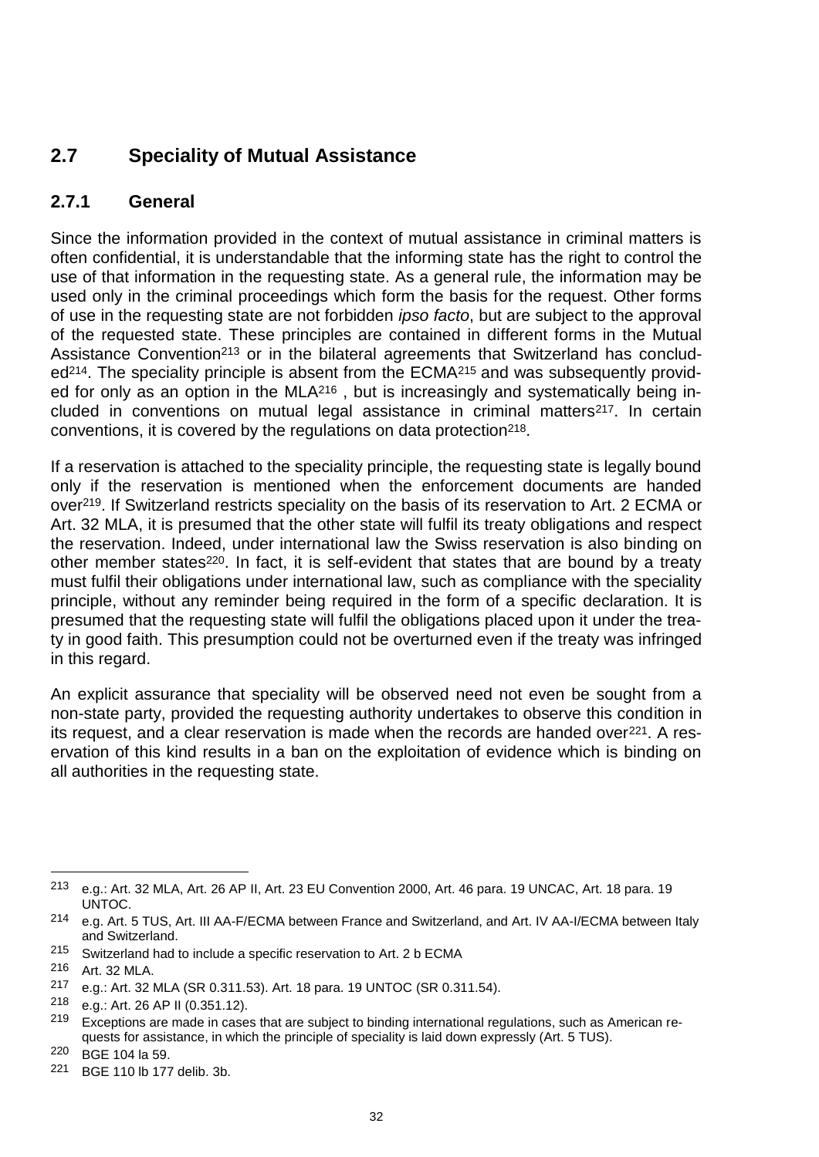# <span id="page-33-0"></span>**2.7 Speciality of Mutual Assistance**

### <span id="page-33-1"></span>**2.7.1 General**

Since the information provided in the context of mutual assistance in criminal matters is often confidential, it is understandable that the informing state has the right to control the use of that information in the requesting state. As a general rule, the information may be used only in the criminal proceedings which form the basis for the request. Other forms of use in the requesting state are not forbidden *ipso facto*, but are subject to the approval of the requested state. These principles are contained in different forms in the Mutual Assistance Convention<sup>213</sup> or in the bilateral agreements that Switzerland has concluded<sup>214</sup>. The speciality principle is absent from the ECMA<sup>215</sup> and was subsequently provided for only as an option in the MLA<sup>216</sup> , but is increasingly and systematically being included in conventions on mutual legal assistance in criminal matters<sup>217</sup>. In certain conventions, it is covered by the regulations on data protection<sup>218</sup>.

If a reservation is attached to the speciality principle, the requesting state is legally bound only if the reservation is mentioned when the enforcement documents are handed over219. If Switzerland restricts speciality on the basis of its reservation to Art. 2 ECMA or Art. 32 MLA, it is presumed that the other state will fulfil its treaty obligations and respect the reservation. Indeed, under international law the Swiss reservation is also binding on other member states<sup>220</sup>. In fact, it is self-evident that states that are bound by a treaty must fulfil their obligations under international law, such as compliance with the speciality principle, without any reminder being required in the form of a specific declaration. It is presumed that the requesting state will fulfil the obligations placed upon it under the treaty in good faith. This presumption could not be overturned even if the treaty was infringed in this regard.

An explicit assurance that speciality will be observed need not even be sought from a non-state party, provided the requesting authority undertakes to observe this condition in its request, and a clear reservation is made when the records are handed over<sup>221</sup>. A reservation of this kind results in a ban on the exploitation of evidence which is binding on all authorities in the requesting state.

<sup>213</sup> e.g.: Art. 32 MLA, Art. 26 AP II, Art. 23 EU Convention 2000, Art. 46 para. 19 UNCAC, Art. 18 para. 19 UNTOC.

<sup>214</sup> e.g. Art. 5 TUS, Art. III AA-F/ECMA between France and Switzerland, and Art. IV AA-I/ECMA between Italy and Switzerland.

<sup>215</sup> Switzerland had to include a specific reservation to Art. 2 b ECMA

<sup>216</sup> Art. 32 MLA.

<sup>217</sup> e.g.: Art. 32 MLA (SR 0.311.53). Art. 18 para. 19 UNTOC (SR 0.311.54).

<sup>218</sup> e.g.: Art. 26 AP II (0.351.12).

<sup>&</sup>lt;sup>219</sup> Exceptions are made in cases that are subject to binding international regulations, such as American requests for assistance, in which the principle of speciality is laid down expressly (Art. 5 TUS).

<sup>220</sup> BGE 104 la 59.

<sup>221</sup> BGE 110 lb 177 delib. 3b.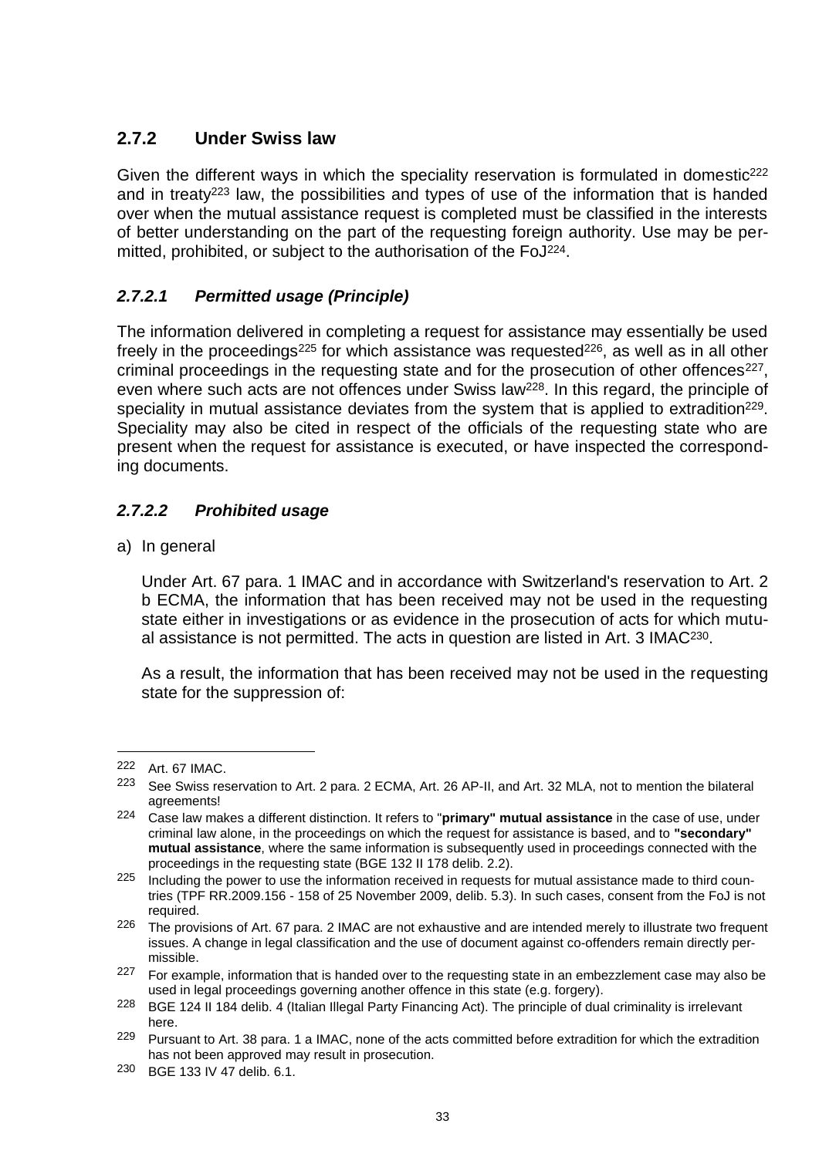# <span id="page-34-0"></span>**2.7.2 Under Swiss law**

Given the different ways in which the speciality reservation is formulated in domestic<sup>222</sup> and in treaty<sup>223</sup> law, the possibilities and types of use of the information that is handed over when the mutual assistance request is completed must be classified in the interests of better understanding on the part of the requesting foreign authority. Use may be permitted, prohibited, or subject to the authorisation of the FoJ224.

### *2.7.2.1 Permitted usage (Principle)*

The information delivered in completing a request for assistance may essentially be used freely in the proceedings<sup>225</sup> for which assistance was requested<sup>226</sup>, as well as in all other criminal proceedings in the requesting state and for the prosecution of other offences<sup>227</sup>. even where such acts are not offences under Swiss law<sup>228</sup>. In this regard, the principle of speciality in mutual assistance deviates from the system that is applied to extradition<sup>229</sup>. Speciality may also be cited in respect of the officials of the requesting state who are present when the request for assistance is executed, or have inspected the corresponding documents.

### *2.7.2.2 Prohibited usage*

a) In general

Under Art. 67 para. 1 IMAC and in accordance with Switzerland's reservation to Art. 2 b ECMA, the information that has been received may not be used in the requesting state either in investigations or as evidence in the prosecution of acts for which mutual assistance is not permitted. The acts in question are listed in Art. 3 IMAC230.

As a result, the information that has been received may not be used in the requesting state for the suppression of:

<sup>222</sup> Art. 67 IMAC.

<sup>223</sup> See Swiss reservation to Art. 2 para. 2 ECMA, Art. 26 AP-II, and Art. 32 MLA, not to mention the bilateral agreements!

<sup>224</sup> Case law makes a different distinction. It refers to "**primary" mutual assistance** in the case of use, under criminal law alone, in the proceedings on which the request for assistance is based, and to **"secondary" mutual assistance**, where the same information is subsequently used in proceedings connected with the proceedings in the requesting state (BGE 132 II 178 delib. 2.2).

 $225$  Including the power to use the information received in requests for mutual assistance made to third countries (TPF RR.2009.156 - 158 of 25 November 2009, delib. 5.3). In such cases, consent from the FoJ is not required.

<sup>&</sup>lt;sup>226</sup> The provisions of Art. 67 para. 2 IMAC are not exhaustive and are intended merely to illustrate two frequent issues. A change in legal classification and the use of document against co-offenders remain directly permissible.

 $227$  For example, information that is handed over to the requesting state in an embezzlement case may also be used in legal proceedings governing another offence in this state (e.g. forgery).

<sup>228</sup> BGE 124 II 184 delib. 4 (Italian Illegal Party Financing Act). The principle of dual criminality is irrelevant here.

<sup>229</sup> Pursuant to Art. 38 para. 1 a IMAC, none of the acts committed before extradition for which the extradition has not been approved may result in prosecution.

<sup>230</sup> BGE 133 IV 47 delib. 6.1.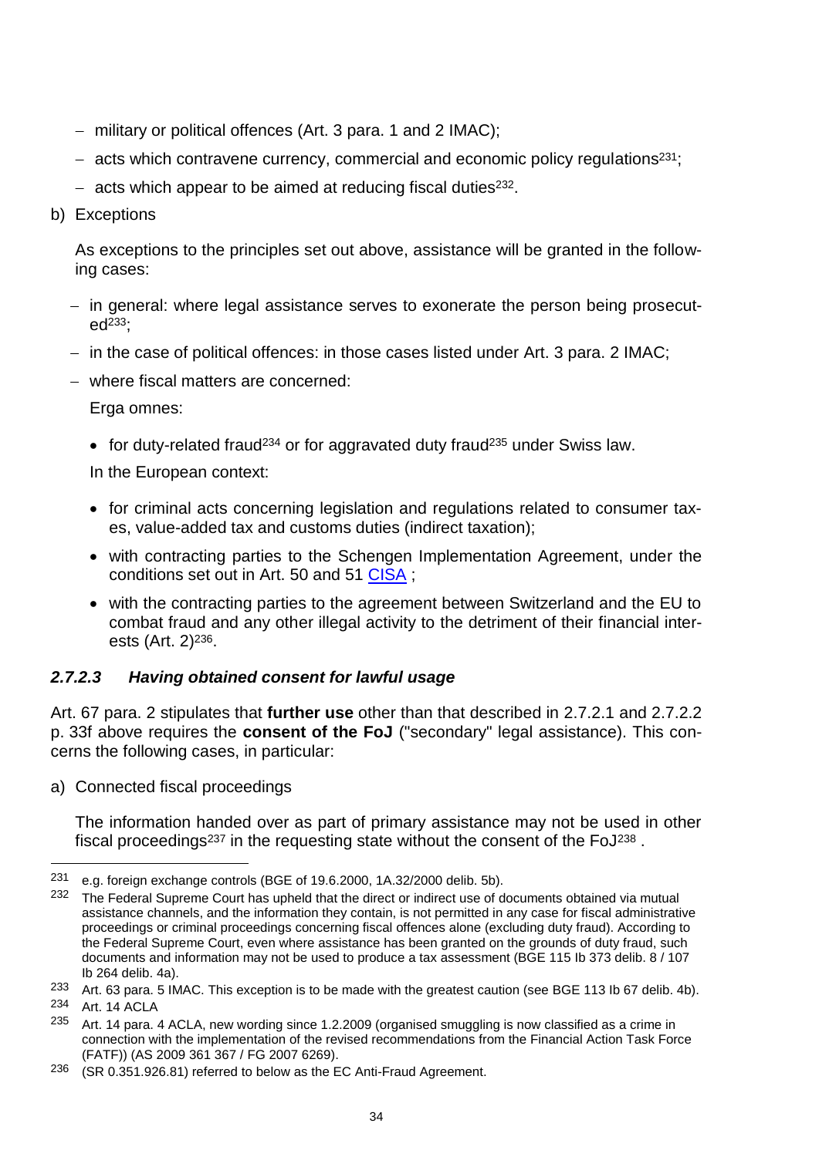- military or political offences (Art. 3 para. 1 and 2 IMAC);
- $-$  acts which contravene currency, commercial and economic policy regulations<sup>231</sup>;
- $-$  acts which appear to be aimed at reducing fiscal duties<sup>232</sup>.
- b) Exceptions

As exceptions to the principles set out above, assistance will be granted in the following cases:

- in general: where legal assistance serves to exonerate the person being prosecut $ed^{233}$ ;
- in the case of political offences: in those cases listed under Art. 3 para. 2 IMAC;
- where fiscal matters are concerned:

Erga omnes:

• for duty-related fraud<sup>234</sup> or for aggravated duty fraud<sup>235</sup> under Swiss law.

In the European context:

- for criminal acts concerning legislation and regulations related to consumer taxes, value-added tax and customs duties (indirect taxation);
- with contracting parties to the Schengen Implementation Agreement, under the conditions set out in Art. 50 and 51 [CISA](http://www.rhf.admin.ch/rhf/fr/home/strafrecht/rechtsgrundlagen/multilateral/sdue.html);
- with the contracting parties to the agreement between Switzerland and the EU to combat fraud and any other illegal activity to the detriment of their financial interests (Art. 2)<sup>236</sup>.

### *2.7.2.3 Having obtained consent for lawful usage*

Art. 67 para. 2 stipulates that **further use** other than that described in 2.7.2.1 and 2.7.2.2 p. 33f above requires the **consent of the FoJ** ("secondary" legal assistance). This concerns the following cases, in particular:

a) Connected fiscal proceedings

The information handed over as part of primary assistance may not be used in other fiscal proceedings<sup>237</sup> in the requesting state without the consent of the FoJ<sup>238</sup>.

<sup>231</sup> e.g. foreign exchange controls (BGE of 19.6.2000, 1A.32/2000 delib. 5b).

<sup>&</sup>lt;sup>232</sup> The Federal Supreme Court has upheld that the direct or indirect use of documents obtained via mutual assistance channels, and the information they contain, is not permitted in any case for fiscal administrative proceedings or criminal proceedings concerning fiscal offences alone (excluding duty fraud). According to the Federal Supreme Court, even where assistance has been granted on the grounds of duty fraud, such documents and information may not be used to produce a tax assessment (BGE 115 Ib 373 delib. 8 / 107 Ib 264 delib. 4a).

<sup>233</sup> Art. 63 para. 5 IMAC. This exception is to be made with the greatest caution (see BGE 113 lb 67 delib. 4b).

<sup>234</sup> Art. 14 ACLA

<sup>235</sup> Art. 14 para. 4 ACLA, new wording since 1.2.2009 (organised smuggling is now classified as a crime in connection with the implementation of the revised recommendations from the Financial Action Task Force (FATF)) (AS 2009 361 367 / FG 2007 6269).

<sup>236</sup> (SR 0.351.926.81) referred to below as the EC Anti-Fraud Agreement.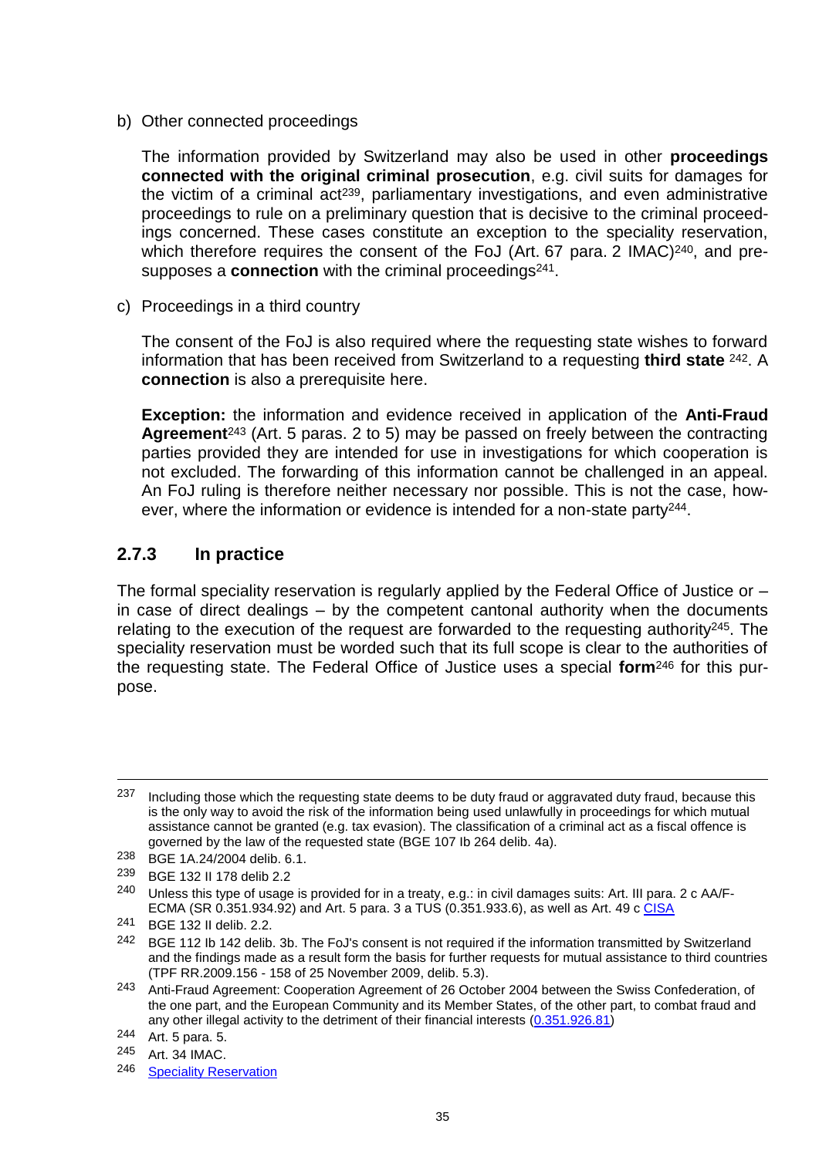b) Other connected proceedings

The information provided by Switzerland may also be used in other **proceedings connected with the original criminal prosecution**, e.g. civil suits for damages for the victim of a criminal act<sup>239</sup>, parliamentary investigations, and even administrative proceedings to rule on a preliminary question that is decisive to the criminal proceedings concerned. These cases constitute an exception to the speciality reservation, which therefore requires the consent of the FoJ (Art. 67 para. 2 IMAC)<sup>240</sup>, and presupposes a **connection** with the criminal proceedings<sup>241</sup>.

c) Proceedings in a third country

The consent of the FoJ is also required where the requesting state wishes to forward information that has been received from Switzerland to a requesting **third state** <sup>242</sup>. A **connection** is also a prerequisite here.

**Exception:** the information and evidence received in application of the **Anti-Fraud Agreement**<sup>243</sup> (Art. 5 paras. 2 to 5) may be passed on freely between the contracting parties provided they are intended for use in investigations for which cooperation is not excluded. The forwarding of this information cannot be challenged in an appeal. An FoJ ruling is therefore neither necessary nor possible. This is not the case, however, where the information or evidence is intended for a non-state party<sup>244</sup>.

### **2.7.3 In practice**

The formal speciality reservation is regularly applied by the Federal Office of Justice or – in case of direct dealings – by the competent cantonal authority when the documents relating to the execution of the request are forwarded to the requesting authority  $245$ . The speciality reservation must be worded such that its full scope is clear to the authorities of the requesting state. The Federal Office of Justice uses a special **form**<sup>246</sup> for this purpose.

<sup>237</sup> Including those which the requesting state deems to be duty fraud or aggravated duty fraud, because this is the only way to avoid the risk of the information being used unlawfully in proceedings for which mutual assistance cannot be granted (e.g. tax evasion). The classification of a criminal act as a fiscal offence is governed by the law of the requested state (BGE 107 Ib 264 delib. 4a).

<sup>238</sup> BGE 1A.24/2004 delib. 6.1.

<sup>239</sup> BGE 132 II 178 delib 2.2

<sup>&</sup>lt;sup>240</sup> Unless this type of usage is provided for in a treaty, e.g.: in civil damages suits: Art. III para. 2 c AA/F-ECMA (SR 0.351.934.92) and Art. 5 para. 3 a TUS (0.351.933.6), as well as Art. 49 c [CISA](http://www.rhf.admin.ch/rhf/fr/home/strafrecht/rechtsgrundlagen/multilateral/sdue.html)

<sup>241</sup> BGE 132 II delib. 2.2.

<sup>&</sup>lt;sup>242</sup> BGE 112 Ib 142 delib. 3b. The FoJ's consent is not required if the information transmitted by Switzerland and the findings made as a result form the basis for further requests for mutual assistance to third countries (TPF RR.2009.156 - 158 of 25 November 2009, delib. 5.3).

<sup>243</sup> Anti-Fraud Agreement: Cooperation Agreement of 26 October 2004 between the Swiss Confederation, of the one part, and the European Community and its Member States, of the other part, to combat fraud and any other illegal activity to the detriment of their financial interests [\(0.351.926.81\)](http://www.ejpd.admin.ch/rhf/fr/home/strafrecht/rechtsgrundlagen/multilateral/sr-0-351-926-81.html)

<sup>244</sup> Art. 5 para. 5.

<sup>245</sup> Art. 34 IMAC.

<sup>246</sup> [Speciality Reservation](http://www.rhf.admin.ch/rhf/fr/home/rhf/muster.html)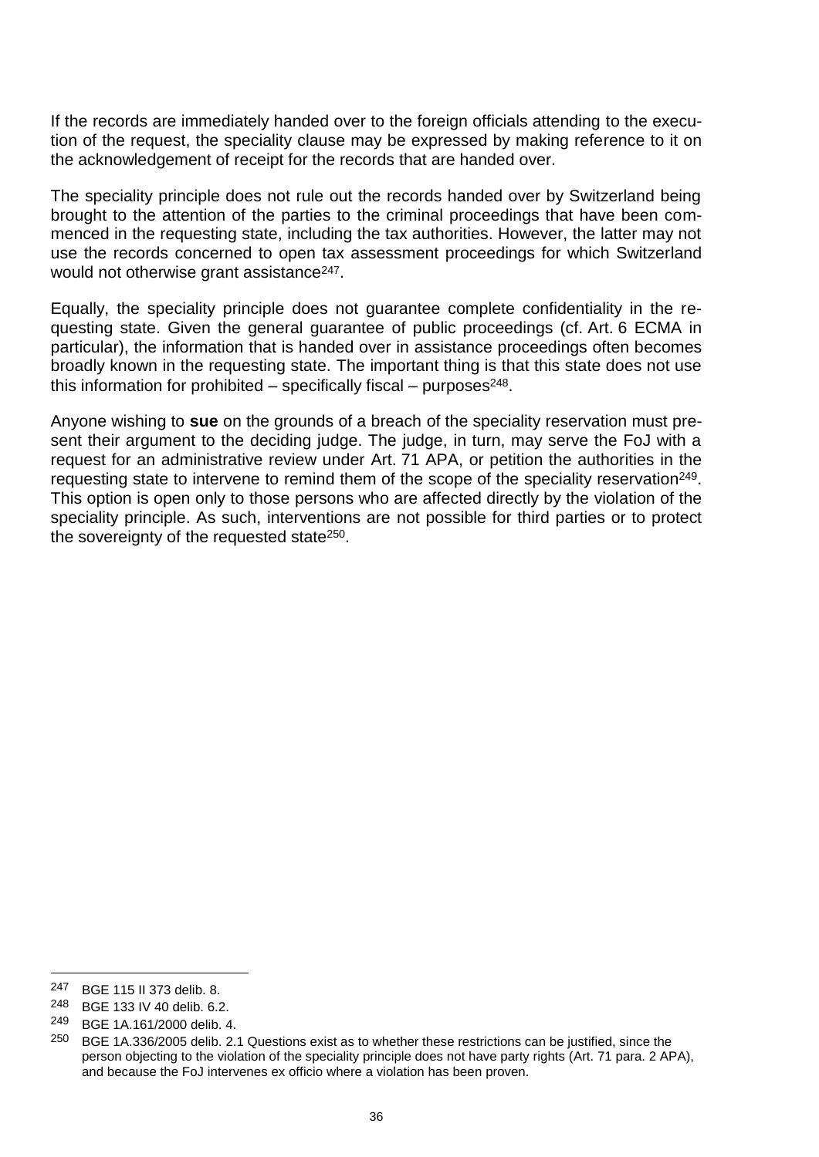If the records are immediately handed over to the foreign officials attending to the execution of the request, the speciality clause may be expressed by making reference to it on the acknowledgement of receipt for the records that are handed over.

The speciality principle does not rule out the records handed over by Switzerland being brought to the attention of the parties to the criminal proceedings that have been commenced in the requesting state, including the tax authorities. However, the latter may not use the records concerned to open tax assessment proceedings for which Switzerland would not otherwise grant assistance<sup>247</sup>.

Equally, the speciality principle does not guarantee complete confidentiality in the requesting state. Given the general guarantee of public proceedings (cf. Art. 6 ECMA in particular), the information that is handed over in assistance proceedings often becomes broadly known in the requesting state. The important thing is that this state does not use this information for prohibited  $-$  specifically fiscal  $-$  purposes<sup>248</sup>.

Anyone wishing to **sue** on the grounds of a breach of the speciality reservation must present their argument to the deciding judge. The judge, in turn, may serve the FoJ with a request for an administrative review under Art. 71 APA, or petition the authorities in the requesting state to intervene to remind them of the scope of the speciality reservation<sup>249</sup>. This option is open only to those persons who are affected directly by the violation of the speciality principle. As such, interventions are not possible for third parties or to protect the sovereignty of the requested state<sup>250</sup>.

l

<sup>247</sup> BGE 115 II 373 delib. 8.

<sup>248</sup> BGE 133 IV 40 delib. 6.2.

<sup>249</sup> BGE 1A.161/2000 delib. 4.

<sup>&</sup>lt;sup>250</sup> BGE 1A.336/2005 delib. 2.1 Questions exist as to whether these restrictions can be justified, since the person objecting to the violation of the speciality principle does not have party rights (Art. 71 para. 2 APA), and because the FoJ intervenes ex officio where a violation has been proven.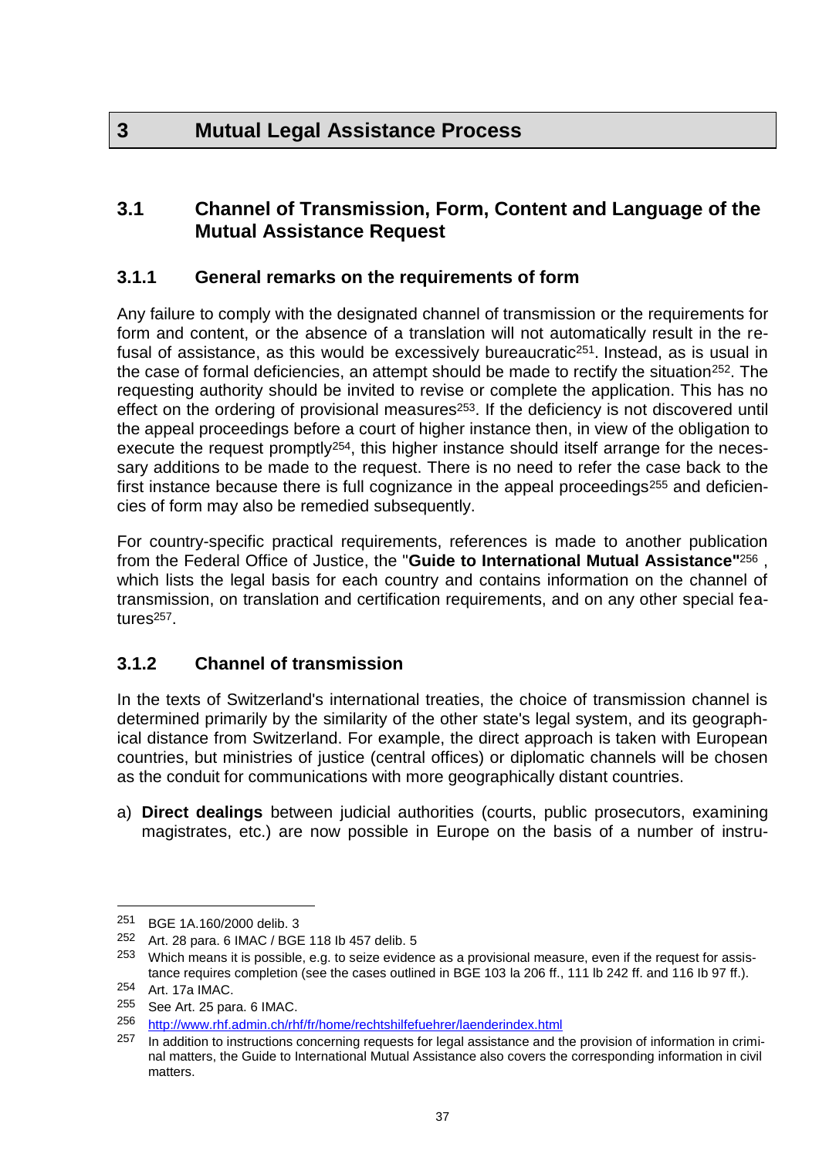# **3.1 Channel of Transmission, Form, Content and Language of the Mutual Assistance Request**

# **3.1.1 General remarks on the requirements of form**

Any failure to comply with the designated channel of transmission or the requirements for form and content, or the absence of a translation will not automatically result in the refusal of assistance, as this would be excessively bureaucratic<sup>251</sup>. Instead, as is usual in the case of formal deficiencies, an attempt should be made to rectify the situation<sup>252</sup>. The requesting authority should be invited to revise or complete the application. This has no effect on the ordering of provisional measures<sup>253</sup>. If the deficiency is not discovered until the appeal proceedings before a court of higher instance then, in view of the obligation to execute the request promptly<sup>254</sup>, this higher instance should itself arrange for the necessary additions to be made to the request. There is no need to refer the case back to the first instance because there is full cognizance in the appeal proceedings<sup>255</sup> and deficiencies of form may also be remedied subsequently.

For country-specific practical requirements, references is made to another publication from the Federal Office of Justice, the "**Guide to International Mutual Assistance"**<sup>256</sup> , which lists the legal basis for each country and contains information on the channel of transmission, on translation and certification requirements, and on any other special features<sup>257</sup>.

# **3.1.2 Channel of transmission**

In the texts of Switzerland's international treaties, the choice of transmission channel is determined primarily by the similarity of the other state's legal system, and its geographical distance from Switzerland. For example, the direct approach is taken with European countries, but ministries of justice (central offices) or diplomatic channels will be chosen as the conduit for communications with more geographically distant countries.

a) **Direct dealings** between judicial authorities (courts, public prosecutors, examining magistrates, etc.) are now possible in Europe on the basis of a number of instru-

<sup>251</sup> BGE 1A.160/2000 delib. 3

<sup>252</sup> Art. 28 para. 6 IMAC / BGE 118 lb 457 delib. 5  $^{253}$  M/hich means it is possible e.g. to seize evider

Which means it is possible, e.g. to seize evidence as a provisional measure, even if the request for assistance requires completion (see the cases outlined in BGE 103 la 206 ff., 111 lb 242 ff. and 116 lb 97 ff.).

<sup>254</sup> Art. 17a IMAC.

<sup>255</sup> See Art. 25 para. 6 IMAC.

<sup>256</sup> <http://www.rhf.admin.ch/rhf/fr/home/rechtshilfefuehrer/laenderindex.html>

<sup>&</sup>lt;sup>257</sup> In addition to instructions concerning requests for legal assistance and the provision of information in criminal matters, the Guide to International Mutual Assistance also covers the corresponding information in civil matters.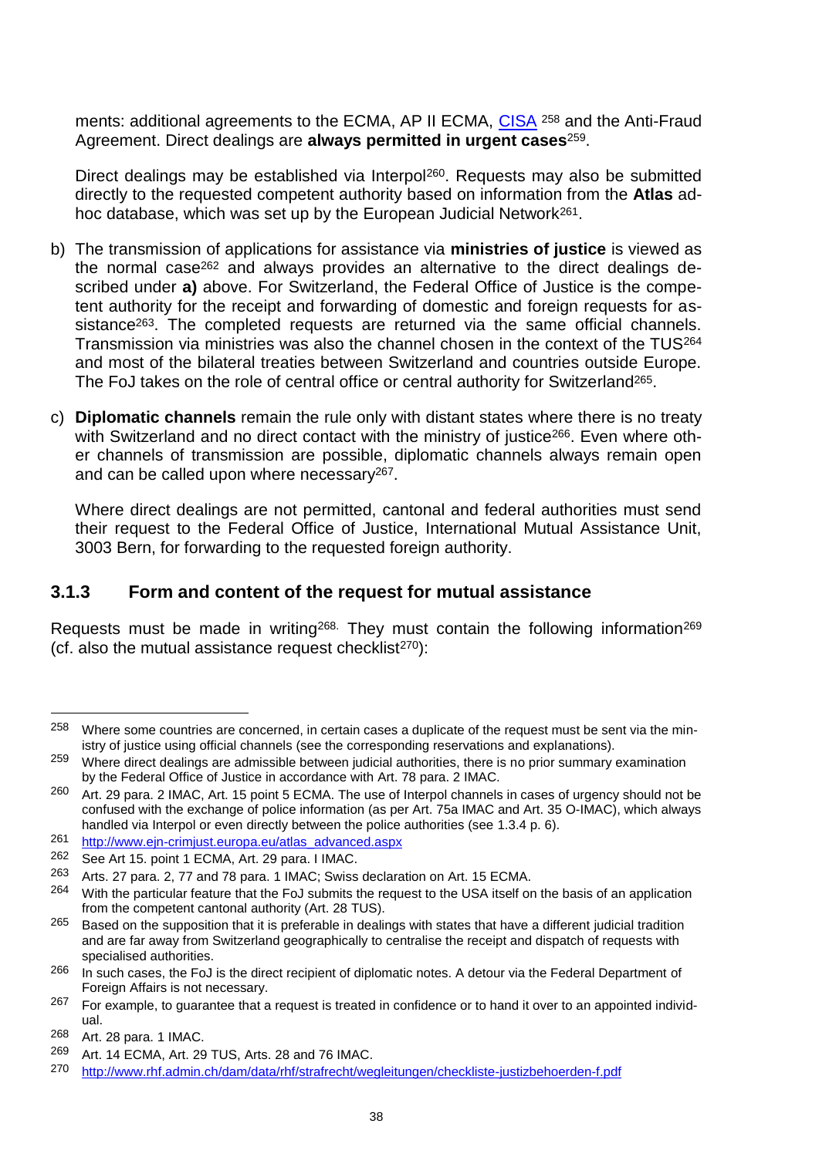ments: additional agreements to the ECMA, AP II ECMA, [CISA](http://www.rhf.admin.ch/rhf/fr/home/straf/recht/multilateral/sdue.html) <sup>258</sup> and the Anti-Fraud Agreement. Direct dealings are **always permitted in urgent cases**259.

Direct dealings may be established via Interpol<sup>260</sup>. Requests may also be submitted directly to the requested competent authority based on information from the **Atlas** adhoc database, which was set up by the European Judicial Network261.

- b) The transmission of applications for assistance via **ministries of justice** is viewed as the normal case<sup>262</sup> and always provides an alternative to the direct dealings described under **a)** above. For Switzerland, the Federal Office of Justice is the competent authority for the receipt and forwarding of domestic and foreign requests for assistance<sup>263</sup>. The completed requests are returned via the same official channels. Transmission via ministries was also the channel chosen in the context of the TUS<sup>264</sup> and most of the bilateral treaties between Switzerland and countries outside Europe. The FoJ takes on the role of central office or central authority for Switzerland<sup>265</sup>.
- c) **Diplomatic channels** remain the rule only with distant states where there is no treaty with Switzerland and no direct contact with the ministry of justice<sup>266</sup>. Even where other channels of transmission are possible, diplomatic channels always remain open and can be called upon where necessary267.

Where direct dealings are not permitted, cantonal and federal authorities must send their request to the Federal Office of Justice, International Mutual Assistance Unit, 3003 Bern, for forwarding to the requested foreign authority.

# **3.1.3 Form and content of the request for mutual assistance**

Requests must be made in writing<sup>268.</sup> They must contain the following information<sup>269</sup> (cf. also the mutual assistance request checklist<sup> $270$ </sup>):

<sup>&</sup>lt;sup>258</sup> Where some countries are concerned, in certain cases a duplicate of the request must be sent via the ministry of justice using official channels (see the corresponding reservations and explanations).

<sup>&</sup>lt;sup>259</sup> Where direct dealings are admissible between judicial authorities, there is no prior summary examination by the Federal Office of Justice in accordance with Art. 78 para. 2 IMAC.

<sup>260</sup> Art. 29 para. 2 IMAC, Art. 15 point 5 ECMA. The use of Interpol channels in cases of urgency should not be confused with the exchange of police information (as per Art. 75a IMAC and Art. 35 O-IMAC), which always handled via Interpol or even directly between the police authorities (see 1.3.4 p. 6).

<sup>261</sup> [http://www.ejn-crimjust.europa.eu/atlas\\_advanced.aspx](http://www.ejn-crimjust.europa.eu/atlas_advanced.aspx)

<sup>262</sup> See Art 15. point 1 ECMA, Art. 29 para. I IMAC.

<sup>263</sup> Arts. 27 para. 2, 77 and 78 para. 1 IMAC; Swiss declaration on Art. 15 ECMA.

<sup>&</sup>lt;sup>264</sup> With the particular feature that the FoJ submits the request to the USA itself on the basis of an application from the competent cantonal authority (Art. 28 TUS).

 $265$  Based on the supposition that it is preferable in dealings with states that have a different judicial tradition and are far away from Switzerland geographically to centralise the receipt and dispatch of requests with specialised authorities.

<sup>&</sup>lt;sup>266</sup> In such cases, the FoJ is the direct recipient of diplomatic notes. A detour via the Federal Department of Foreign Affairs is not necessary.

 $267$  For example, to quarantee that a request is treated in confidence or to hand it over to an appointed individual.

<sup>268</sup> Art. 28 para. 1 IMAC.

<sup>269</sup> Art. 14 ECMA, Art. 29 TUS, Arts. 28 and 76 IMAC.

<sup>270</sup> <http://www.rhf.admin.ch/dam/data/rhf/strafrecht/wegleitungen/checkliste-justizbehoerden-f.pdf>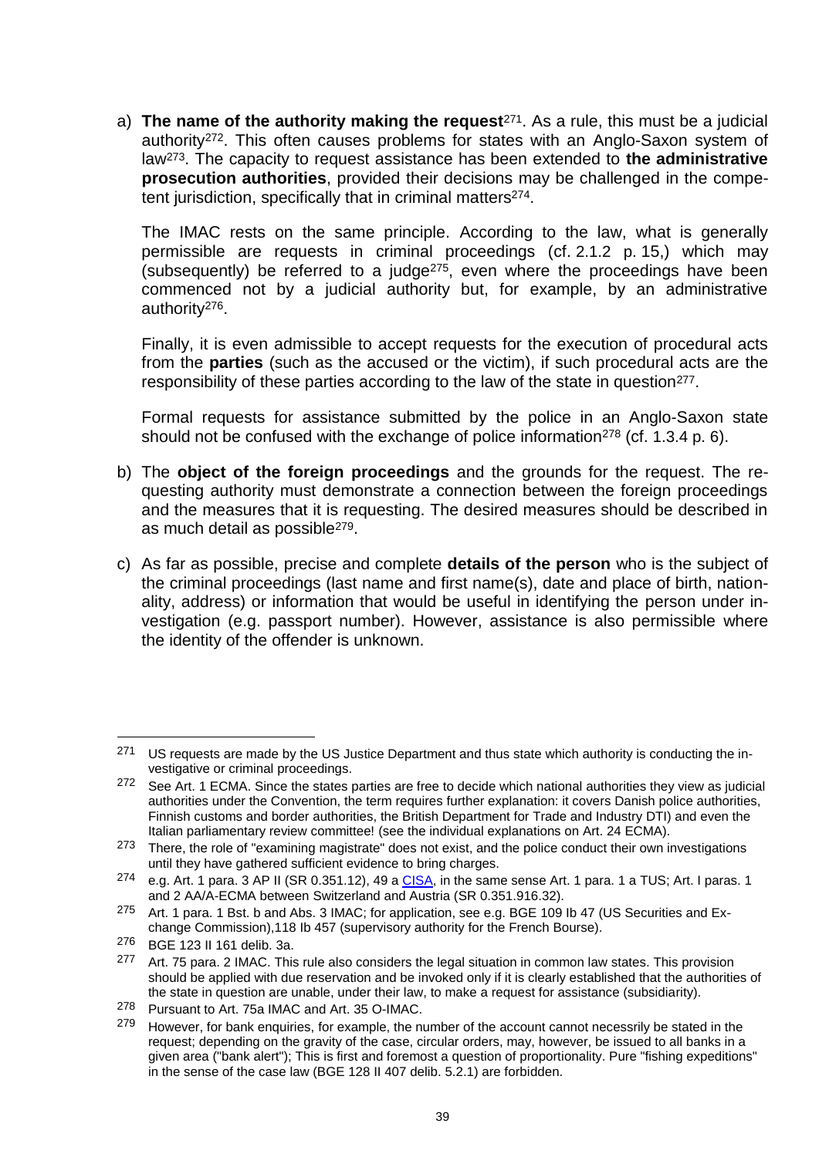a) **The name of the authority making the request**271. As a rule, this must be a judicial authority272. This often causes problems for states with an Anglo-Saxon system of law273. The capacity to request assistance has been extended to **the administrative prosecution authorities**, provided their decisions may be challenged in the competent jurisdiction, specifically that in criminal matters274.

The IMAC rests on the same principle. According to the law, what is generally permissible are requests in criminal proceedings (cf. 2.1.2 p. 15,) which may (subsequently) be referred to a judge275, even where the proceedings have been commenced not by a judicial authority but, for example, by an administrative authority276.

Finally, it is even admissible to accept requests for the execution of procedural acts from the **parties** (such as the accused or the victim), if such procedural acts are the responsibility of these parties according to the law of the state in question<sup>277</sup>.

Formal requests for assistance submitted by the police in an Anglo-Saxon state should not be confused with the exchange of police information<sup>278</sup> (cf. 1.3.4 p. 6).

- b) The **object of the foreign proceedings** and the grounds for the request. The requesting authority must demonstrate a connection between the foreign proceedings and the measures that it is requesting. The desired measures should be described in as much detail as possible279.
- c) As far as possible, precise and complete **details of the person** who is the subject of the criminal proceedings (last name and first name(s), date and place of birth, nationality, address) or information that would be useful in identifying the person under investigation (e.g. passport number). However, assistance is also permissible where the identity of the offender is unknown.

<sup>&</sup>lt;sup>271</sup> US requests are made by the US Justice Department and thus state which authority is conducting the investigative or criminal proceedings.

<sup>&</sup>lt;sup>272</sup> See Art. 1 ECMA. Since the states parties are free to decide which national authorities they view as judicial authorities under the Convention, the term requires further explanation: it covers Danish police authorities, Finnish customs and border authorities, the British Department for Trade and Industry DTI) and even the Italian parliamentary review committee! (see the individual explanations on Art. 24 ECMA).

<sup>273</sup> There, the role of "examining magistrate" does not exist, and the police conduct their own investigations until they have gathered sufficient evidence to bring charges.

<sup>274</sup> e.g. Art. 1 para. 3 AP II (SR 0.351.12), 49 a [CISA,](http://www.rhf.admin.ch/rhf/fr/home/strafrecht/rechtsgrundlagen/multilateral/sdue.html) in the same sense Art. 1 para. 1 a TUS; Art. I paras. 1 and 2 AA/A-ECMA between Switzerland and Austria (SR 0.351.916.32).

<sup>275</sup> Art. 1 para. 1 Bst. b and Abs. 3 IMAC; for application, see e.g. BGE 109 lb 47 (US Securities and Exchange Commission),118 Ib 457 (supervisory authority for the French Bourse).

<sup>276</sup> BGE 123 II 161 delib. 3a.

<sup>277</sup> Art. 75 para. 2 IMAC. This rule also considers the legal situation in common law states. This provision should be applied with due reservation and be invoked only if it is clearly established that the authorities of the state in question are unable, under their law, to make a request for assistance (subsidiarity).

<sup>278</sup> Pursuant to Art. 75a IMAC and Art. 35 O-IMAC.

<sup>&</sup>lt;sup>279</sup> However, for bank enquiries, for example, the number of the account cannot necessrily be stated in the request; depending on the gravity of the case, circular orders, may, however, be issued to all banks in a given area ("bank alert"); This is first and foremost a question of proportionality. Pure "fishing expeditions" in the sense of the case law (BGE 128 II 407 delib. 5.2.1) are forbidden.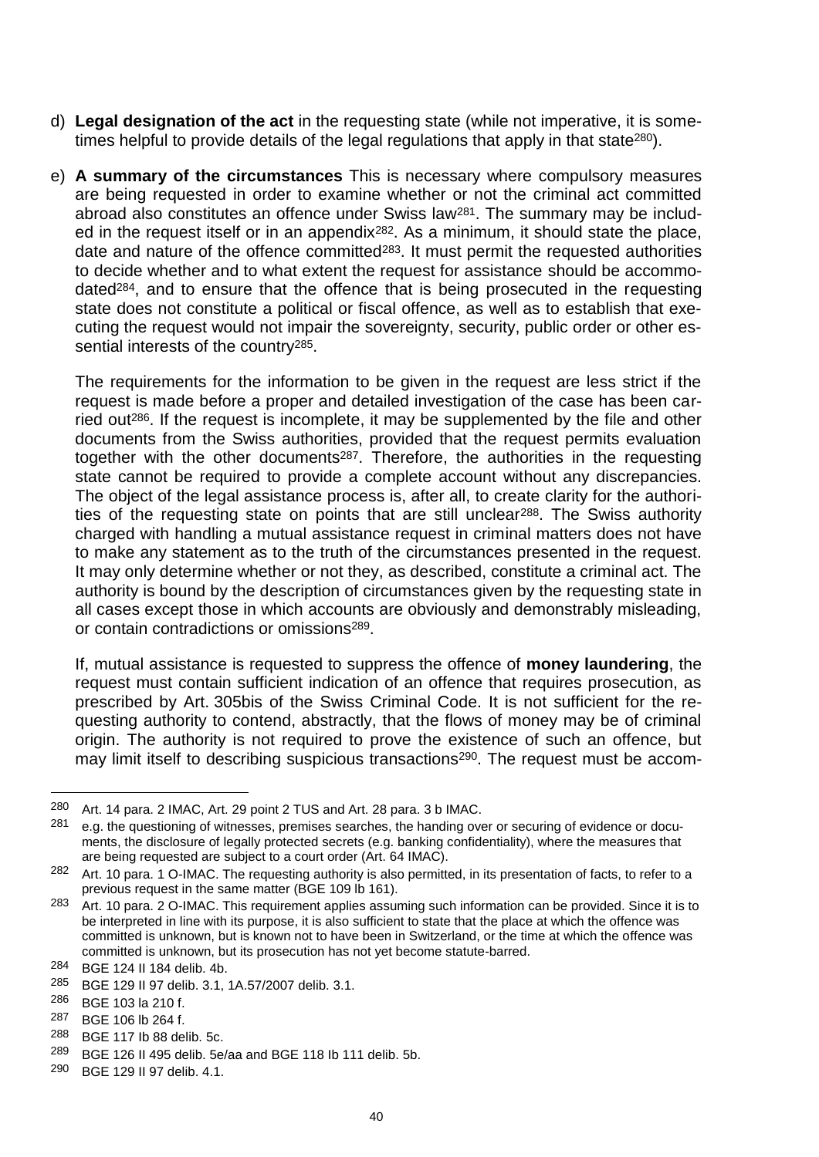- d) **Legal designation of the act** in the requesting state (while not imperative, it is sometimes helpful to provide details of the legal regulations that apply in that state<sup>280</sup>).
- e) **A summary of the circumstances** This is necessary where compulsory measures are being requested in order to examine whether or not the criminal act committed abroad also constitutes an offence under Swiss law281. The summary may be included in the request itself or in an appendix282. As a minimum, it should state the place, date and nature of the offence committed<sup>283</sup>. It must permit the requested authorities to decide whether and to what extent the request for assistance should be accommodated<sup>284</sup>, and to ensure that the offence that is being prosecuted in the requesting state does not constitute a political or fiscal offence, as well as to establish that executing the request would not impair the sovereignty, security, public order or other essential interests of the country<sup>285</sup>.

The requirements for the information to be given in the request are less strict if the request is made before a proper and detailed investigation of the case has been carried out286. If the request is incomplete, it may be supplemented by the file and other documents from the Swiss authorities, provided that the request permits evaluation together with the other documents287. Therefore, the authorities in the requesting state cannot be required to provide a complete account without any discrepancies. The object of the legal assistance process is, after all, to create clarity for the authorities of the requesting state on points that are still unclear<sup>288</sup>. The Swiss authority charged with handling a mutual assistance request in criminal matters does not have to make any statement as to the truth of the circumstances presented in the request. It may only determine whether or not they, as described, constitute a criminal act. The authority is bound by the description of circumstances given by the requesting state in all cases except those in which accounts are obviously and demonstrably misleading, or contain contradictions or omissions289.

If, mutual assistance is requested to suppress the offence of **money laundering**, the request must contain sufficient indication of an offence that requires prosecution, as prescribed by Art. 305bis of the Swiss Criminal Code. It is not sufficient for the requesting authority to contend, abstractly, that the flows of money may be of criminal origin. The authority is not required to prove the existence of such an offence, but may limit itself to describing suspicious transactions<sup>290</sup>. The request must be accom-

287 BGE 106 lb 264 f.<br>288 BGE 117 lb 88 do

<sup>280</sup> Art. 14 para. 2 IMAC, Art. 29 point 2 TUS and Art. 28 para. 3 b IMAC.

<sup>281</sup> e.g. the questioning of witnesses, premises searches, the handing over or securing of evidence or documents, the disclosure of legally protected secrets (e.g. banking confidentiality), where the measures that are being requested are subject to a court order (Art. 64 IMAC).

<sup>282</sup> Art. 10 para. 1 O-IMAC. The requesting authority is also permitted, in its presentation of facts, to refer to a previous request in the same matter (BGE 109 lb 161).

<sup>283</sup> Art. 10 para. 2 O-IMAC. This requirement applies assuming such information can be provided. Since it is to be interpreted in line with its purpose, it is also sufficient to state that the place at which the offence was committed is unknown, but is known not to have been in Switzerland, or the time at which the offence was committed is unknown, but its prosecution has not yet become statute-barred.

<sup>284</sup> BGE 124 II 184 delib. 4b.

<sup>285</sup> BGE 129 II 97 delib. 3.1, 1A.57/2007 delib. 3.1.

<sup>286</sup> BGE 103 la 210 f.

<sup>288</sup> BGE 117 Ib 88 delib. 5c.

<sup>289</sup> BGE 126 II 495 delib. 5e/aa and BGE 118 Ib 111 delib. 5b.

<sup>290</sup> BGE 129 II 97 delib. 4.1.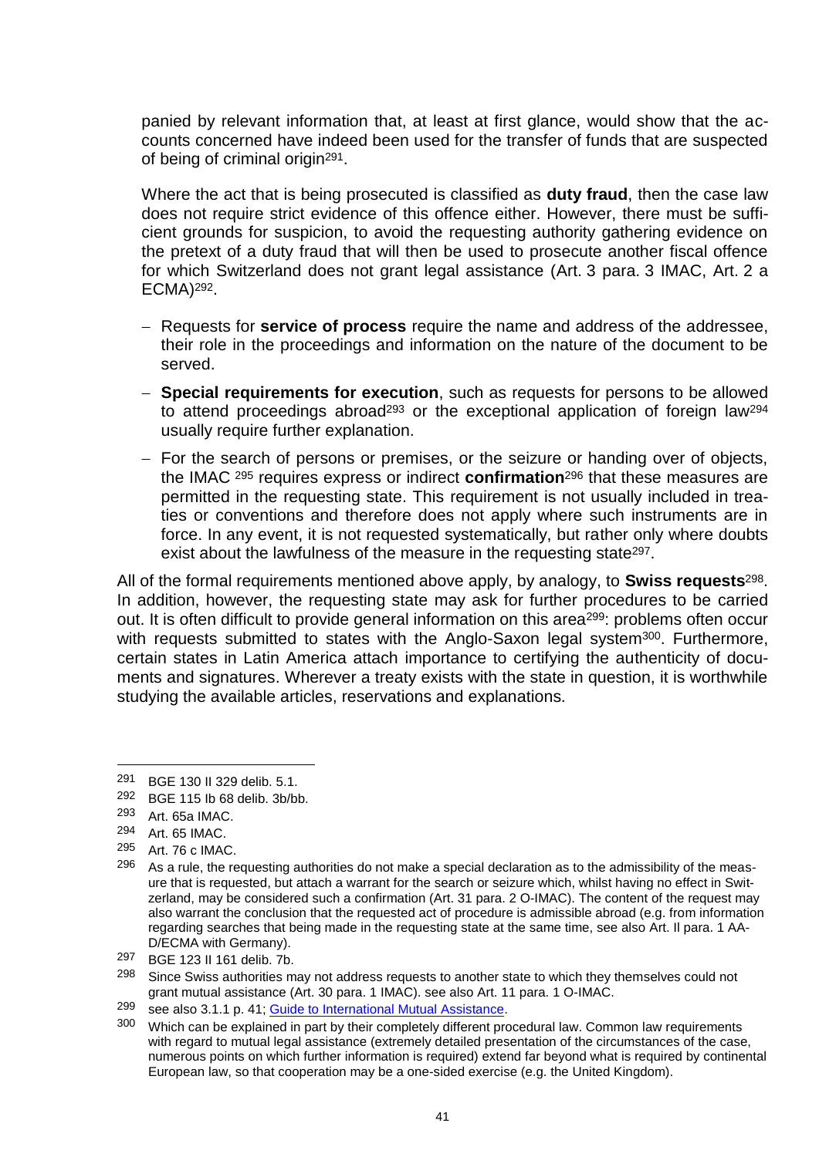panied by relevant information that, at least at first glance, would show that the accounts concerned have indeed been used for the transfer of funds that are suspected of being of criminal origin291.

Where the act that is being prosecuted is classified as **duty fraud**, then the case law does not require strict evidence of this offence either. However, there must be sufficient grounds for suspicion, to avoid the requesting authority gathering evidence on the pretext of a duty fraud that will then be used to prosecute another fiscal offence for which Switzerland does not grant legal assistance (Art. 3 para. 3 IMAC, Art. 2 a ECMA)292.

- Requests for **service of process** require the name and address of the addressee, their role in the proceedings and information on the nature of the document to be served.
- **Special requirements for execution**, such as requests for persons to be allowed to attend proceedings abroad<sup>293</sup> or the exceptional application of foreign law<sup>294</sup> usually require further explanation.
- For the search of persons or premises, or the seizure or handing over of objects, the IMAC <sup>295</sup> requires express or indirect **confirmation**<sup>296</sup> that these measures are permitted in the requesting state. This requirement is not usually included in treaties or conventions and therefore does not apply where such instruments are in force. In any event, it is not requested systematically, but rather only where doubts exist about the lawfulness of the measure in the requesting state<sup>297</sup>.

All of the formal requirements mentioned above apply, by analogy, to **Swiss requests**298. In addition, however, the requesting state may ask for further procedures to be carried out. It is often difficult to provide general information on this area<sup>299</sup>: problems often occur with requests submitted to states with the Anglo-Saxon legal system<sup>300</sup>. Furthermore, certain states in Latin America attach importance to certifying the authenticity of documents and signatures. Wherever a treaty exists with the state in question, it is worthwhile studying the available articles, reservations and explanations.

<sup>291</sup> BGE 130 II 329 delib. 5.1.<br>292 BGE 115 Ib 68 delib. 3b/b

BGE 115 lb 68 delib. 3b/bb.

<sup>293</sup> Art. 65a IMAC.

<sup>294</sup> Art. 65 IMAC.

<sup>295</sup> Art. 76 c IMAC.

<sup>&</sup>lt;sup>296</sup> As a rule, the requesting authorities do not make a special declaration as to the admissibility of the measure that is requested, but attach a warrant for the search or seizure which, whilst having no effect in Switzerland, may be considered such a confirmation (Art. 31 para. 2 O-IMAC). The content of the request may also warrant the conclusion that the requested act of procedure is admissible abroad (e.g. from information regarding searches that being made in the requesting state at the same time, see also Art. Il para. 1 AA-D/ECMA with Germany).

 $297$  BGE 123 II 161 delib. 7b.<br> $298$  Since Swiss authorities m

Since Swiss authorities may not address requests to another state to which they themselves could not grant mutual assistance (Art. 30 para. 1 IMAC). see also Art. 11 para. 1 O-IMAC.

 $299$  see also 3.1.1 p. 41; [Guide to International Mutual Assistance.](http://www.rhf.admin.ch/rhf/fr/home/rechtshilfefuehrer/laenderindex.html)

<sup>300</sup> Which can be explained in part by their completely different procedural law. Common law requirements with regard to mutual legal assistance (extremely detailed presentation of the circumstances of the case, numerous points on which further information is required) extend far beyond what is required by continental European law, so that cooperation may be a one-sided exercise (e.g. the United Kingdom).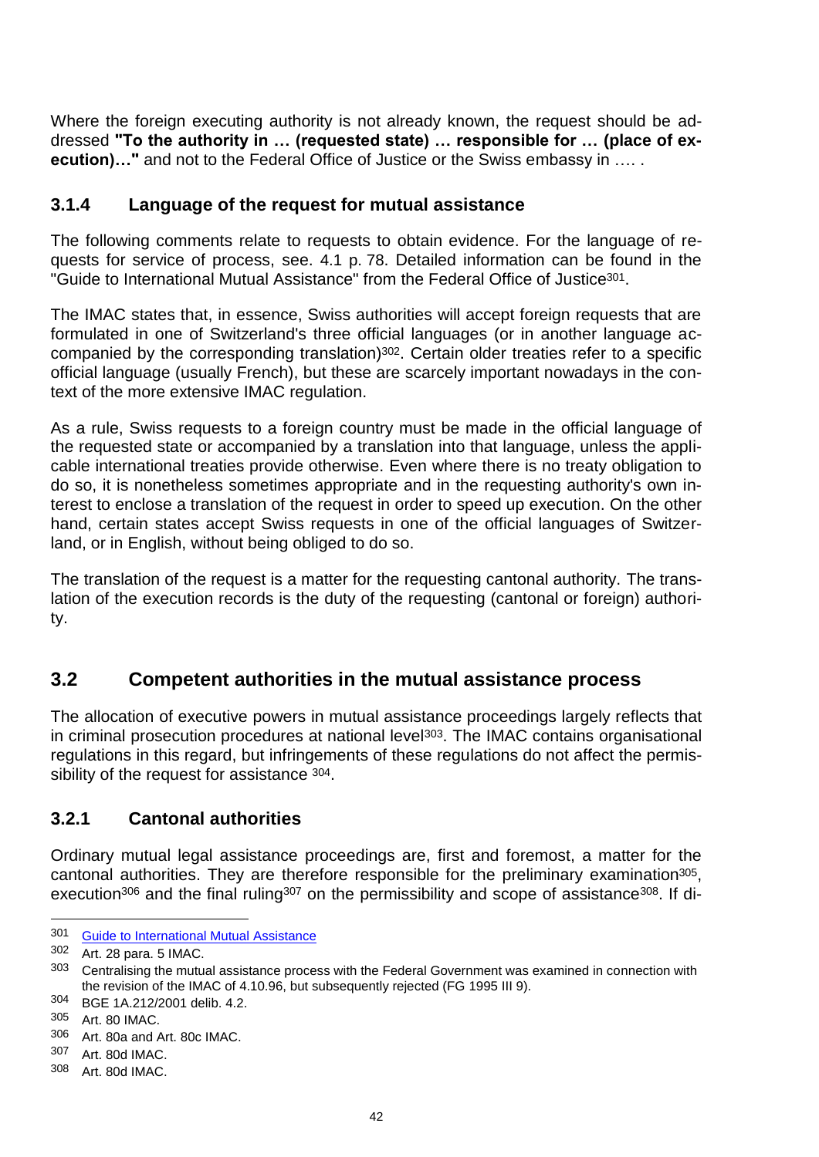Where the foreign executing authority is not already known, the request should be addressed **"To the authority in … (requested state) … responsible for … (place of execution)..."** and not to the Federal Office of Justice or the Swiss embassy in .....

## **3.1.4 Language of the request for mutual assistance**

The following comments relate to requests to obtain evidence. For the language of requests for service of process, see. 4.1 p. 78. Detailed information can be found in the "Guide to International Mutual Assistance" from the Federal Office of Justice301.

The IMAC states that, in essence, Swiss authorities will accept foreign requests that are formulated in one of Switzerland's three official languages (or in another language accompanied by the corresponding translation)<sup>302</sup>. Certain older treaties refer to a specific official language (usually French), but these are scarcely important nowadays in the context of the more extensive IMAC regulation.

As a rule, Swiss requests to a foreign country must be made in the official language of the requested state or accompanied by a translation into that language, unless the applicable international treaties provide otherwise. Even where there is no treaty obligation to do so, it is nonetheless sometimes appropriate and in the requesting authority's own interest to enclose a translation of the request in order to speed up execution. On the other hand, certain states accept Swiss requests in one of the official languages of Switzerland, or in English, without being obliged to do so.

The translation of the request is a matter for the requesting cantonal authority. The translation of the execution records is the duty of the requesting (cantonal or foreign) authority.

# **3.2 Competent authorities in the mutual assistance process**

The allocation of executive powers in mutual assistance proceedings largely reflects that in criminal prosecution procedures at national level<sup>303</sup>. The IMAC contains organisational regulations in this regard, but infringements of these regulations do not affect the permissibility of the request for assistance  $304$ .

# **3.2.1 Cantonal authorities**

Ordinary mutual legal assistance proceedings are, first and foremost, a matter for the cantonal authorities. They are therefore responsible for the preliminary examination<sup>305</sup>, execution<sup>306</sup> and the final ruling<sup>307</sup> on the permissibility and scope of assistance<sup>308</sup>. If di-

<sup>301</sup> [Guide to International Mutual Assistance](http://www.rhf.admin.ch/rhf/fr/home/rechtshilfefuehrer/laenderindex.html)

<sup>302</sup> Art. 28 para. 5 IMAC.

<sup>303</sup> Centralising the mutual assistance process with the Federal Government was examined in connection with the revision of the IMAC of 4.10.96, but subsequently rejected (FG 1995 III 9).

<sup>304</sup> BGE 1A.212/2001 delib. 4.2.

<sup>305</sup> Art. 80 IMAC.<br>306 Art. 803 and /

Art. 80a and Art. 80c IMAC.

<sup>307</sup> Art. 80d IMAC.

<sup>308</sup> Art. 80d IMAC.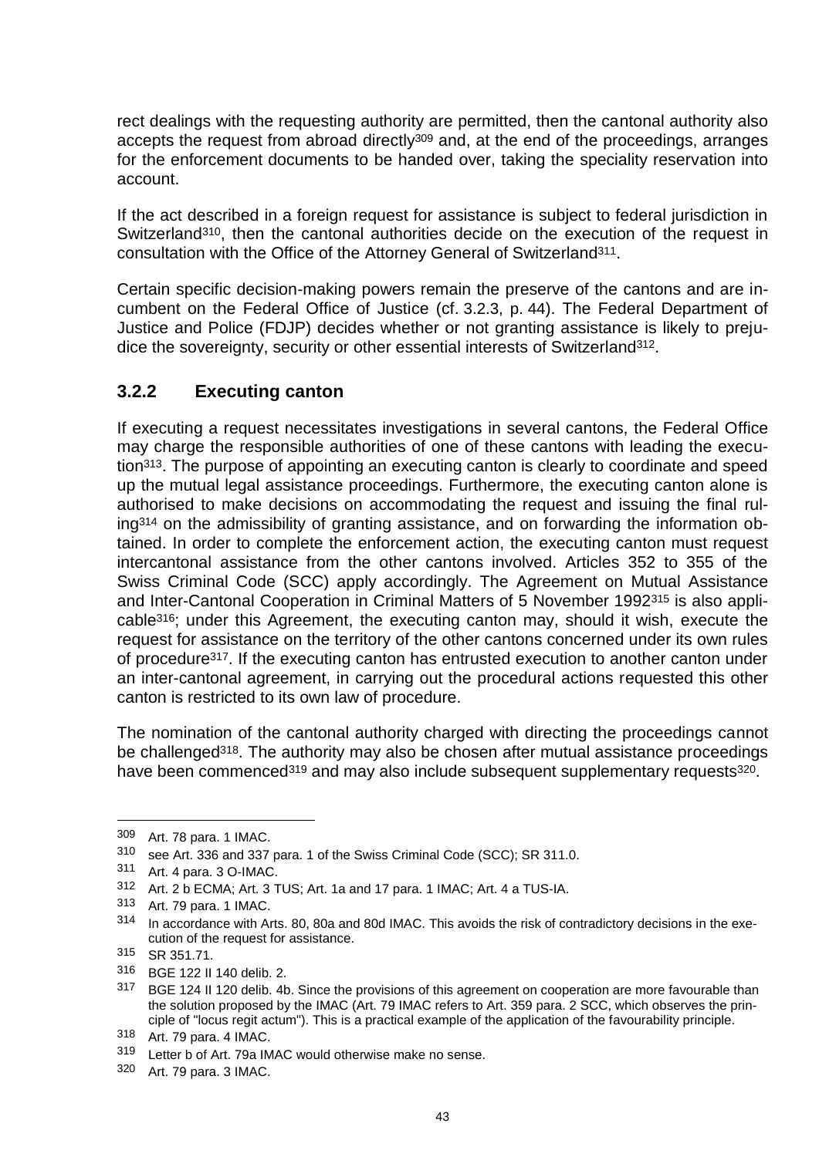rect dealings with the requesting authority are permitted, then the cantonal authority also accepts the request from abroad directly<sup>309</sup> and, at the end of the proceedings, arranges for the enforcement documents to be handed over, taking the speciality reservation into account.

If the act described in a foreign request for assistance is subject to federal jurisdiction in Switzerland<sup>310</sup>, then the cantonal authorities decide on the execution of the request in consultation with the Office of the Attorney General of Switzerland311.

Certain specific decision-making powers remain the preserve of the cantons and are incumbent on the Federal Office of Justice (cf. 3.2.3, p. 44). The Federal Department of Justice and Police (FDJP) decides whether or not granting assistance is likely to prejudice the sovereignty, security or other essential interests of Switzerland<sup>312</sup>.

## **3.2.2 Executing canton**

If executing a request necessitates investigations in several cantons, the Federal Office may charge the responsible authorities of one of these cantons with leading the execution313. The purpose of appointing an executing canton is clearly to coordinate and speed up the mutual legal assistance proceedings. Furthermore, the executing canton alone is authorised to make decisions on accommodating the request and issuing the final ruling<sup>314</sup> on the admissibility of granting assistance, and on forwarding the information obtained. In order to complete the enforcement action, the executing canton must request intercantonal assistance from the other cantons involved. Articles 352 to 355 of the Swiss Criminal Code (SCC) apply accordingly. The Agreement on Mutual Assistance and Inter-Cantonal Cooperation in Criminal Matters of 5 November 1992<sup>315</sup> is also applicable316; under this Agreement, the executing canton may, should it wish, execute the request for assistance on the territory of the other cantons concerned under its own rules of procedure317. If the executing canton has entrusted execution to another canton under an inter-cantonal agreement, in carrying out the procedural actions requested this other canton is restricted to its own law of procedure.

The nomination of the cantonal authority charged with directing the proceedings cannot be challenged<sup>318</sup>. The authority may also be chosen after mutual assistance proceedings have been commenced<sup>319</sup> and may also include subsequent supplementary requests<sup>320</sup>.

<sup>309</sup> Art. 78 para. 1 IMAC.

<sup>310</sup> see Art. 336 and 337 para. 1 of the Swiss Criminal Code (SCC); SR 311.0.

<sup>311</sup> Art. 4 para. 3 O-IMAC.

<sup>312</sup> Art. 2 b ECMA; Art. 3 TUS; Art. 1a and 17 para. 1 IMAC; Art. 4 a TUS-IA.

<sup>313</sup> Art. 79 para. 1 IMAC.

<sup>314</sup> In accordance with Arts. 80, 80a and 80d IMAC. This avoids the risk of contradictory decisions in the execution of the request for assistance.

<sup>315</sup> SR 351.71.

<sup>316</sup> BGE 122 II 140 delib. 2.<br>317 BGE 124 II 120 delib. 4b

BGE 124 II 120 delib. 4b. Since the provisions of this agreement on cooperation are more favourable than the solution proposed by the IMAC (Art. 79 IMAC refers to Art. 359 para. 2 SCC, which observes the principle of "locus regit actum"). This is a practical example of the application of the favourability principle.

<sup>318</sup> Art. 79 para. 4 IMAC.

<sup>319</sup> Letter b of Art. 79a IMAC would otherwise make no sense.

<sup>320</sup> Art. 79 para. 3 IMAC.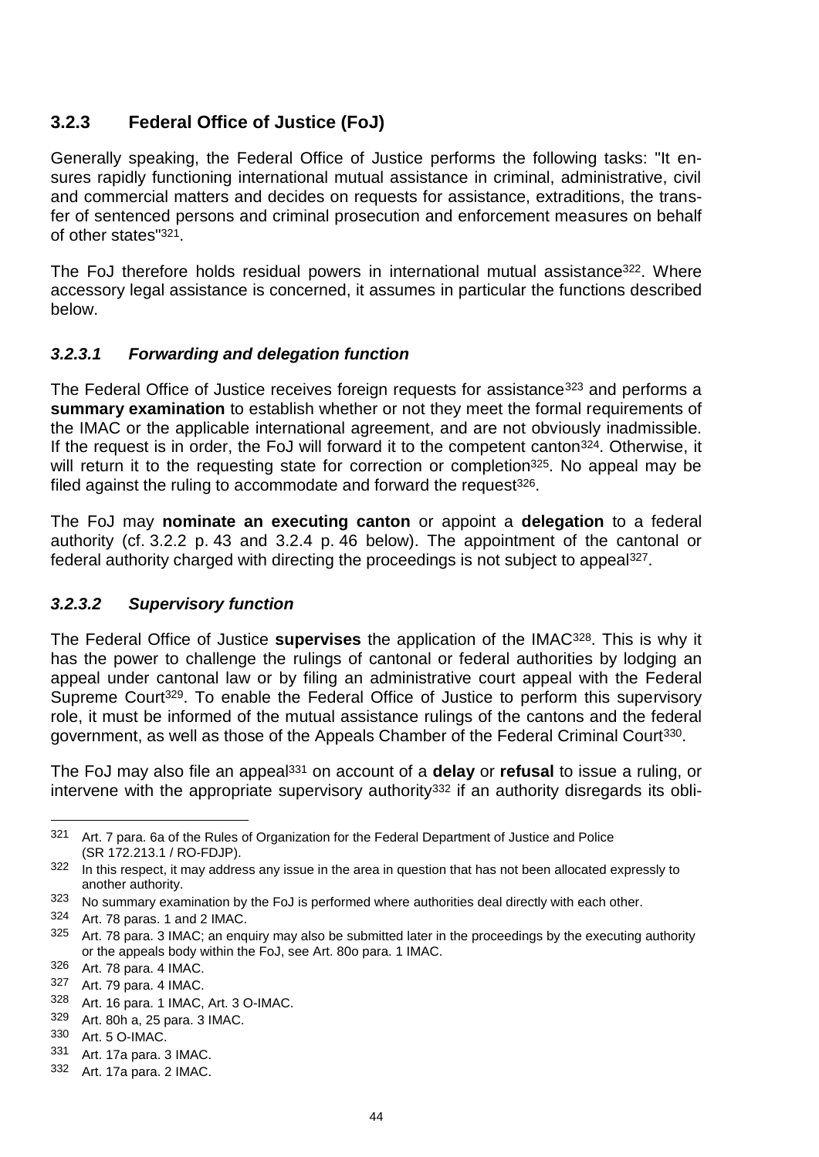# **3.2.3 Federal Office of Justice (FoJ)**

Generally speaking, the Federal Office of Justice performs the following tasks: "It ensures rapidly functioning international mutual assistance in criminal, administrative, civil and commercial matters and decides on requests for assistance, extraditions, the transfer of sentenced persons and criminal prosecution and enforcement measures on behalf of other states"321.

The FoJ therefore holds residual powers in international mutual assistance<sup>322</sup>. Where accessory legal assistance is concerned, it assumes in particular the functions described below.

### *3.2.3.1 Forwarding and delegation function*

The Federal Office of Justice receives foreign requests for assistance<sup>323</sup> and performs a **summary examination** to establish whether or not they meet the formal requirements of the IMAC or the applicable international agreement, and are not obviously inadmissible. If the request is in order, the FoJ will forward it to the competent canton<sup>324</sup>. Otherwise, it will return it to the requesting state for correction or completion<sup>325</sup>. No appeal may be filed against the ruling to accommodate and forward the request  $326$ .

The FoJ may **nominate an executing canton** or appoint a **delegation** to a federal authority (cf. 3.2.2 p. 43 and 3.2.4 p. 46 below). The appointment of the cantonal or federal authority charged with directing the proceedings is not subject to appeal327.

### *3.2.3.2 Supervisory function*

The Federal Office of Justice **supervises** the application of the IMAC328. This is why it has the power to challenge the rulings of cantonal or federal authorities by lodging an appeal under cantonal law or by filing an administrative court appeal with the Federal Supreme Court<sup>329</sup>. To enable the Federal Office of Justice to perform this supervisory role, it must be informed of the mutual assistance rulings of the cantons and the federal government, as well as those of the Appeals Chamber of the Federal Criminal Court330.

The FoJ may also file an appeal<sup>331</sup> on account of a **delay** or **refusal** to issue a ruling, or intervene with the appropriate supervisory authority<sup>332</sup> if an authority disregards its obli-

<sup>321</sup> Art. 7 para. 6a of the Rules of Organization for the Federal Department of Justice and Police (SR 172.213.1 / RO-FDJP).

<sup>322</sup> In this respect, it may address any issue in the area in question that has not been allocated expressly to another authority.

<sup>&</sup>lt;sup>323</sup> No summary examination by the FoJ is performed where authorities deal directly with each other.

<sup>324</sup> Art. 78 paras. 1 and 2 IMAC.

<sup>325</sup> Art. 78 para. 3 IMAC; an enquiry may also be submitted later in the proceedings by the executing authority or the appeals body within the FoJ, see Art. 80o para. 1 IMAC.

<sup>326</sup> Art. 78 para. 4 IMAC.

<sup>327</sup> Art. 79 para. 4 IMAC.

<sup>328</sup> Art. 16 para. 1 IMAC, Art. 3 O-IMAC.

 $329$  Art. 80h a, 25 para. 3 IMAC.<br> $330$  Art. 5 Q IMAC

Art. 5 O-IMAC.

<sup>331</sup> Art. 17a para. 3 IMAC.

<sup>332</sup> Art. 17a para. 2 IMAC.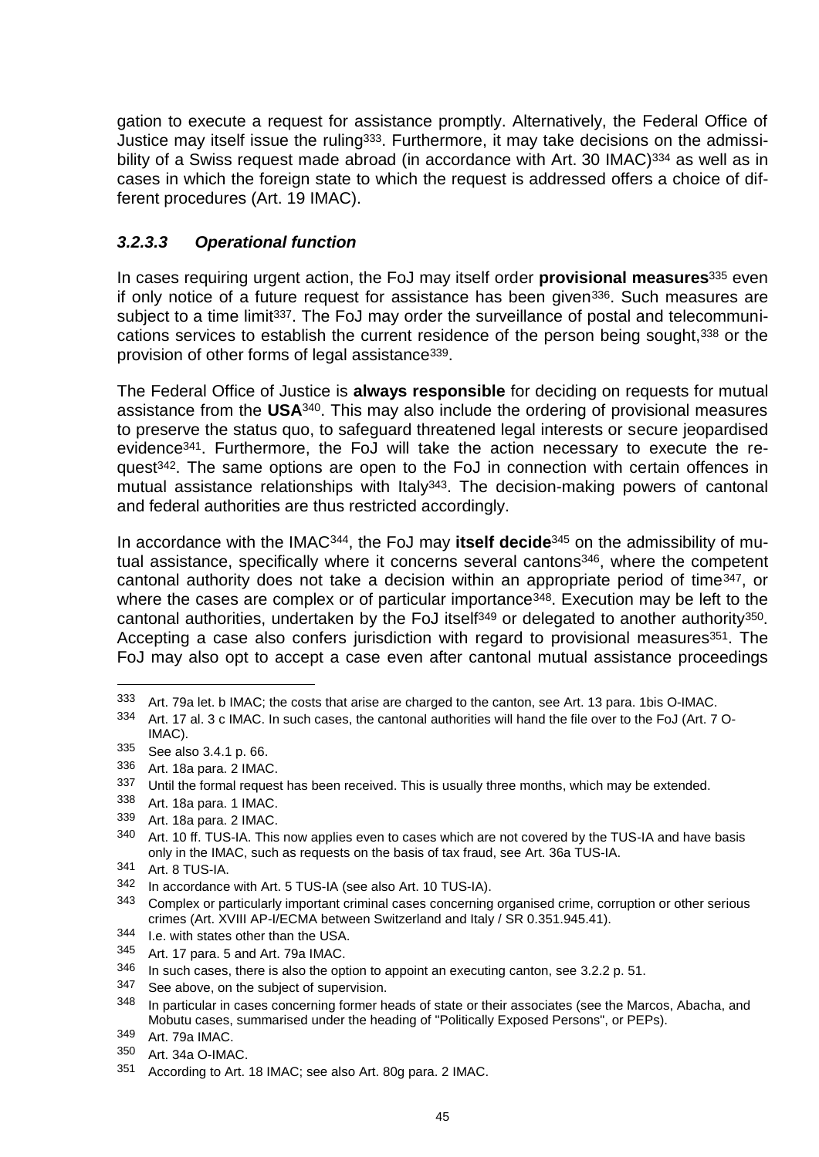gation to execute a request for assistance promptly. Alternatively, the Federal Office of Justice may itself issue the ruling<sup>333</sup>. Furthermore, it may take decisions on the admissibility of a Swiss request made abroad (in accordance with Art. 30 IMAC)<sup>334</sup> as well as in cases in which the foreign state to which the request is addressed offers a choice of different procedures (Art. 19 IMAC).

# *3.2.3.3 Operational function*

In cases requiring urgent action, the FoJ may itself order **provisional measures**<sup>335</sup> even if only notice of a future request for assistance has been given336. Such measures are subject to a time limit<sup>337</sup>. The FoJ may order the surveillance of postal and telecommunications services to establish the current residence of the person being sought,<sup>338</sup> or the provision of other forms of legal assistance339.

The Federal Office of Justice is **always responsible** for deciding on requests for mutual assistance from the **USA**340. This may also include the ordering of provisional measures to preserve the status quo, to safeguard threatened legal interests or secure jeopardised evidence341. Furthermore, the FoJ will take the action necessary to execute the request342. The same options are open to the FoJ in connection with certain offences in mutual assistance relationships with Italy<sup>343</sup>. The decision-making powers of cantonal and federal authorities are thus restricted accordingly.

In accordance with the IMAC344, the FoJ may **itself decide**<sup>345</sup> on the admissibility of mutual assistance, specifically where it concerns several cantons<sup>346</sup>, where the competent cantonal authority does not take a decision within an appropriate period of time347, or where the cases are complex or of particular importance<sup>348</sup>. Execution may be left to the cantonal authorities, undertaken by the FoJ itself<sup>349</sup> or delegated to another authority<sup>350</sup>. Accepting a case also confers jurisdiction with regard to provisional measures<sup>351</sup>. The FoJ may also opt to accept a case even after cantonal mutual assistance proceedings

<sup>333</sup> Art. 79a let. b IMAC; the costs that arise are charged to the canton, see Art. 13 para. 1bis O-IMAC.

<sup>334</sup> Art. 17 al. 3 c IMAC. In such cases, the cantonal authorities will hand the file over to the FoJ (Art. 7 O-IMAC).

<sup>335</sup> See also 3.4.1 p. 66.

<sup>336</sup> Art. 18a para. 2 IMAC.

<sup>337</sup> Until the formal request has been received. This is usually three months, which may be extended.

<sup>338</sup> Art. 18a para. 1 IMAC.

<sup>339</sup> Art. 18a para. 2 IMAC.

<sup>340</sup> Art. 10 ff. TUS-IA. This now applies even to cases which are not covered by the TUS-IA and have basis only in the IMAC, such as requests on the basis of tax fraud, see Art. 36a TUS-IA.

<sup>341</sup> Art. 8 TUS-IA.

<sup>342</sup> In accordance with Art. 5 TUS-IA (see also Art. 10 TUS-IA).

<sup>343</sup> Complex or particularly important criminal cases concerning organised crime, corruption or other serious crimes (Art. XVIII AP-I/ECMA between Switzerland and Italy / SR 0.351.945.41).

<sup>344</sup> I.e. with states other than the USA.

<sup>345</sup> Art. 17 para. 5 and Art. 79a IMAC.

<sup>346</sup> In such cases, there is also the option to appoint an executing canton, see 3.2.2 p. 51.

 $347$  See above, on the subject of supervision.<br> $348$  In particular in cases concerning former has

In particular in cases concerning former heads of state or their associates (see the Marcos, Abacha, and Mobutu cases, summarised under the heading of "Politically Exposed Persons", or PEPs).

<sup>349</sup> Art. 79a IMAC.

<sup>350</sup> Art. 34a O-IMAC.

<sup>351</sup> According to Art. 18 IMAC; see also Art. 80g para. 2 IMAC.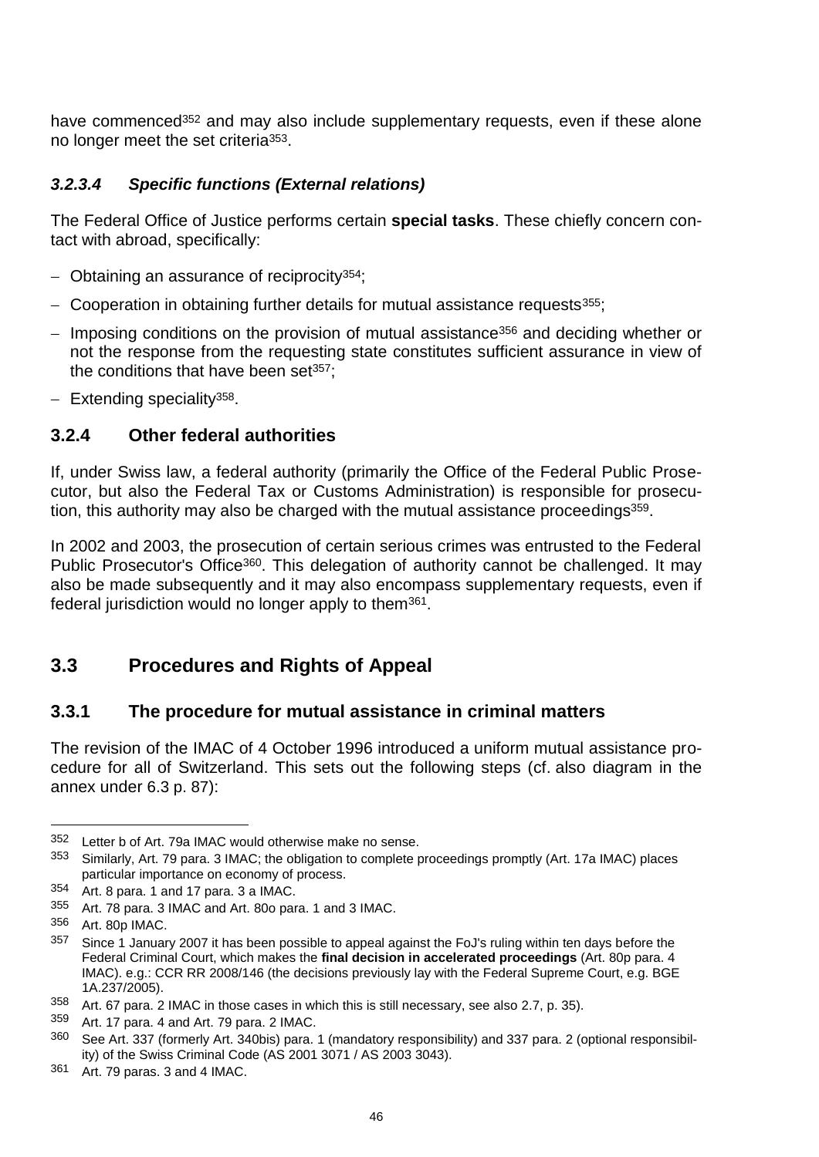have commenced<sup>352</sup> and may also include supplementary requests, even if these alone no longer meet the set criteria353.

### *3.2.3.4 Specific functions (External relations)*

The Federal Office of Justice performs certain **special tasks**. These chiefly concern contact with abroad, specifically:

- $-$  Obtaining an assurance of reciprocity<sup>354</sup>;
- $-$  Cooperation in obtaining further details for mutual assistance requests  $355$ ;
- $-$  Imposing conditions on the provision of mutual assistance<sup>356</sup> and deciding whether or not the response from the requesting state constitutes sufficient assurance in view of the conditions that have been set $357$ :
- $-$  Extending speciality<sup>358</sup>.

### **3.2.4 Other federal authorities**

If, under Swiss law, a federal authority (primarily the Office of the Federal Public Prosecutor, but also the Federal Tax or Customs Administration) is responsible for prosecution, this authority may also be charged with the mutual assistance proceedings<sup>359</sup>.

In 2002 and 2003, the prosecution of certain serious crimes was entrusted to the Federal Public Prosecutor's Office<sup>360</sup>. This delegation of authority cannot be challenged. It may also be made subsequently and it may also encompass supplementary requests, even if federal jurisdiction would no longer apply to them361.

# **3.3 Procedures and Rights of Appeal**

### **3.3.1 The procedure for mutual assistance in criminal matters**

The revision of the IMAC of 4 October 1996 introduced a uniform mutual assistance procedure for all of Switzerland. This sets out the following steps (cf. also diagram in the annex under 6.3 p. 87):

l

361 Art. 79 paras. 3 and 4 IMAC.

<sup>352</sup> Letter b of Art. 79a IMAC would otherwise make no sense.

<sup>353</sup> Similarly, Art. 79 para. 3 IMAC; the obligation to complete proceedings promptly (Art. 17a IMAC) places particular importance on economy of process.

<sup>354</sup> Art. 8 para. 1 and 17 para. 3 a IMAC.

<sup>355</sup> Art. 78 para. 3 IMAC and Art. 80o para. 1 and 3 IMAC.

<sup>356</sup> Art. 80p IMAC.

<sup>&</sup>lt;sup>357</sup> Since 1 January 2007 it has been possible to appeal against the FoJ's ruling within ten days before the Federal Criminal Court, which makes the **final decision in accelerated proceedings** (Art. 80p para. 4 IMAC). e.g.: CCR RR 2008/146 (the decisions previously lay with the Federal Supreme Court, e.g. BGE 1A.237/2005).

<sup>358</sup> Art. 67 para. 2 IMAC in those cases in which this is still necessary, see also 2.7, p. 35).

<sup>359</sup> Art. 17 para. 4 and Art. 79 para. 2 IMAC.

<sup>360</sup> See Art. 337 (formerly Art. 340bis) para. 1 (mandatory responsibility) and 337 para. 2 (optional responsibility) of the Swiss Criminal Code (AS 2001 3071 / AS 2003 3043).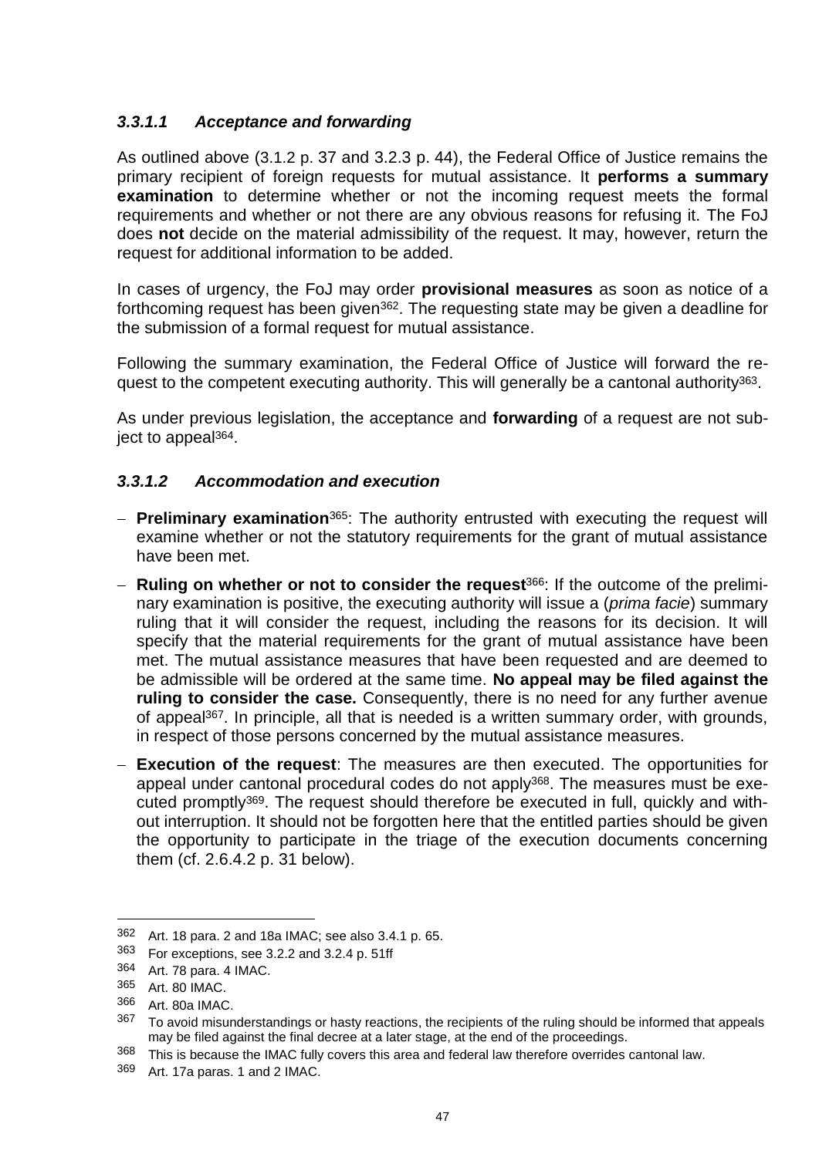## *3.3.1.1 Acceptance and forwarding*

As outlined above (3.1.2 p. 37 and 3.2.3 p. 44), the Federal Office of Justice remains the primary recipient of foreign requests for mutual assistance. It **performs a summary examination** to determine whether or not the incoming request meets the formal requirements and whether or not there are any obvious reasons for refusing it. The FoJ does **not** decide on the material admissibility of the request. It may, however, return the request for additional information to be added.

In cases of urgency, the FoJ may order **provisional measures** as soon as notice of a forthcoming request has been given<sup>362</sup>. The requesting state may be given a deadline for the submission of a formal request for mutual assistance.

Following the summary examination, the Federal Office of Justice will forward the request to the competent executing authority. This will generally be a cantonal authority<sup>363</sup>.

As under previous legislation, the acceptance and **forwarding** of a request are not subject to appeal364.

### *3.3.1.2 Accommodation and execution*

- **Preliminary examination**365: The authority entrusted with executing the request will examine whether or not the statutory requirements for the grant of mutual assistance have been met.
- **Ruling on whether or not to consider the request**366: If the outcome of the preliminary examination is positive, the executing authority will issue a (*prima facie*) summary ruling that it will consider the request, including the reasons for its decision. It will specify that the material requirements for the grant of mutual assistance have been met. The mutual assistance measures that have been requested and are deemed to be admissible will be ordered at the same time. **No appeal may be filed against the ruling to consider the case.** Consequently, there is no need for any further avenue of appeal367. In principle, all that is needed is a written summary order, with grounds, in respect of those persons concerned by the mutual assistance measures.
- **Execution of the request**: The measures are then executed. The opportunities for appeal under cantonal procedural codes do not apply<sup>368</sup>. The measures must be executed promptly369. The request should therefore be executed in full, quickly and without interruption. It should not be forgotten here that the entitled parties should be given the opportunity to participate in the triage of the execution documents concerning them (cf. 2.6.4.2 p. 31 below).

<sup>362</sup> Art. 18 para. 2 and 18a IMAC; see also 3.4.1 p. 65.<br>363 Eor exceptions see 3.2.2 and 3.2.4 p. 51ff

For exceptions, see 3.2.2 and 3.2.4 p. 51ff

<sup>364</sup> Art. 78 para. 4 IMAC.

<sup>365</sup> Art. 80 IMAC.

<sup>366</sup> Art. 80a IMAC.

<sup>367</sup> To avoid misunderstandings or hasty reactions, the recipients of the ruling should be informed that appeals may be filed against the final decree at a later stage, at the end of the proceedings.

<sup>368</sup> This is because the IMAC fully covers this area and federal law therefore overrides cantonal law.

<sup>369</sup> Art. 17a paras. 1 and 2 IMAC.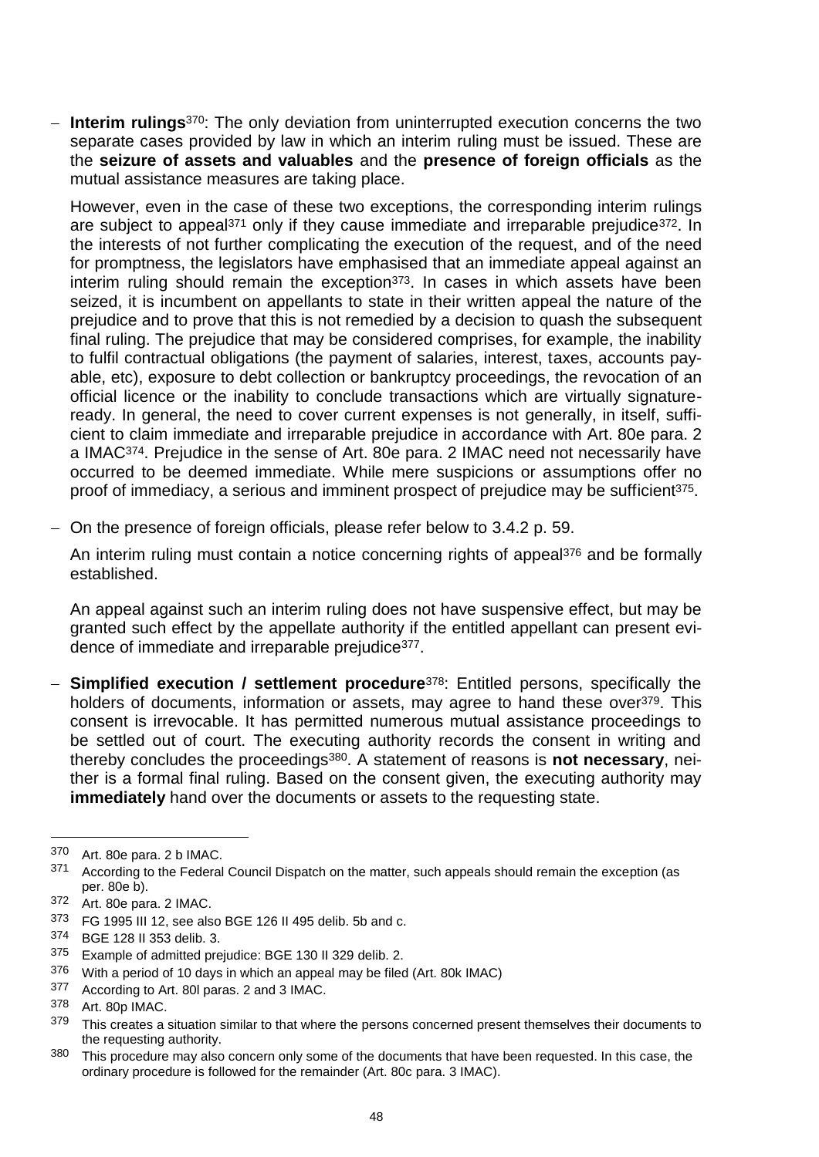**Interim rulings**370: The only deviation from uninterrupted execution concerns the two separate cases provided by law in which an interim ruling must be issued. These are the **seizure of assets and valuables** and the **presence of foreign officials** as the mutual assistance measures are taking place.

However, even in the case of these two exceptions, the corresponding interim rulings are subject to appeal<sup>371</sup> only if they cause immediate and irreparable prejudice<sup>372</sup>. In the interests of not further complicating the execution of the request, and of the need for promptness, the legislators have emphasised that an immediate appeal against an interim ruling should remain the exception<sup>373</sup>. In cases in which assets have been seized, it is incumbent on appellants to state in their written appeal the nature of the prejudice and to prove that this is not remedied by a decision to quash the subsequent final ruling. The prejudice that may be considered comprises, for example, the inability to fulfil contractual obligations (the payment of salaries, interest, taxes, accounts payable, etc), exposure to debt collection or bankruptcy proceedings, the revocation of an official licence or the inability to conclude transactions which are virtually signatureready. In general, the need to cover current expenses is not generally, in itself, sufficient to claim immediate and irreparable prejudice in accordance with Art. 80e para. 2 a IMAC374. Prejudice in the sense of Art. 80e para. 2 IMAC need not necessarily have occurred to be deemed immediate. While mere suspicions or assumptions offer no proof of immediacy, a serious and imminent prospect of prejudice may be sufficient<sup>375</sup>.

On the presence of foreign officials, please refer below to 3.4.2 p. 59.

An interim ruling must contain a notice concerning rights of appeal<sup>376</sup> and be formally established.

An appeal against such an interim ruling does not have suspensive effect, but may be granted such effect by the appellate authority if the entitled appellant can present evidence of immediate and irreparable prejudice377.

 **Simplified execution / settlement procedure**378: Entitled persons, specifically the holders of documents, information or assets, may agree to hand these over<sup>379</sup>. This consent is irrevocable. It has permitted numerous mutual assistance proceedings to be settled out of court. The executing authority records the consent in writing and thereby concludes the proceedings380. A statement of reasons is **not necessary**, neither is a formal final ruling. Based on the consent given, the executing authority may **immediately** hand over the documents or assets to the requesting state.

l

<sup>370</sup> Art. 80e para. 2 b IMAC.

<sup>371</sup> According to the Federal Council Dispatch on the matter, such appeals should remain the exception (as per. 80e b).

<sup>372</sup> Art. 80e para. 2 IMAC.

<sup>373</sup> FG 1995 III 12, see also BGE 126 II 495 delib. 5b and c.

<sup>374</sup> BGE 128 II 353 delib. 3.

<sup>375</sup> Example of admitted prejudice: BGE 130 II 329 delib. 2.

 $376$  With a period of 10 days in which an appeal may be filed (Art. 80k IMAC)<br> $377$  According to Art. 80L paras. 2 and 3 IMAC

 $377$  According to Art. 80I paras. 2 and 3 IMAC.<br> $378 - Ar + 80p$  IMAC

Art. 80p IMAC.

<sup>379</sup> This creates a situation similar to that where the persons concerned present themselves their documents to the requesting authority.

<sup>&</sup>lt;sup>380</sup> This procedure may also concern only some of the documents that have been requested. In this case, the ordinary procedure is followed for the remainder (Art. 80c para. 3 IMAC).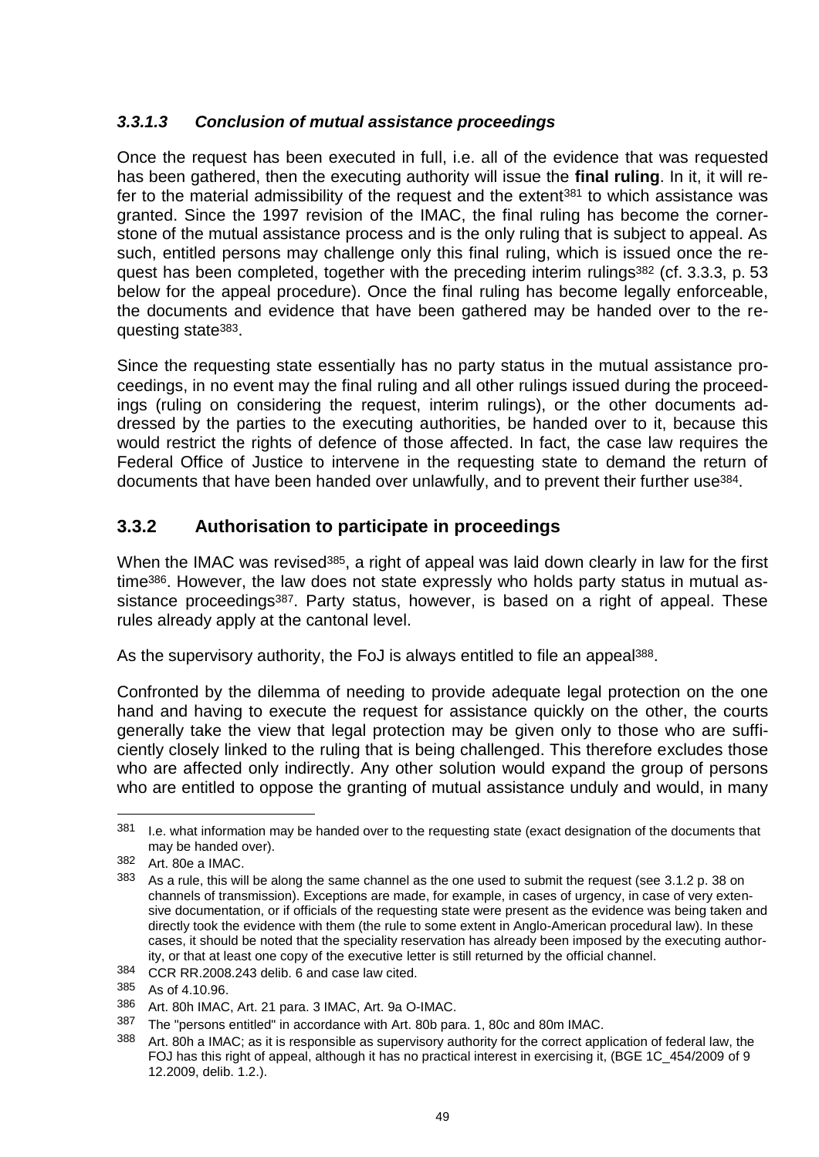## *3.3.1.3 Conclusion of mutual assistance proceedings*

Once the request has been executed in full, i.e. all of the evidence that was requested has been gathered, then the executing authority will issue the **final ruling**. In it, it will refer to the material admissibility of the request and the extent<sup>381</sup> to which assistance was granted. Since the 1997 revision of the IMAC, the final ruling has become the cornerstone of the mutual assistance process and is the only ruling that is subject to appeal. As such, entitled persons may challenge only this final ruling, which is issued once the request has been completed, together with the preceding interim rulings<sup>382</sup> (cf. 3.3.3, p. 53 below for the appeal procedure). Once the final ruling has become legally enforceable, the documents and evidence that have been gathered may be handed over to the requesting state383.

Since the requesting state essentially has no party status in the mutual assistance proceedings, in no event may the final ruling and all other rulings issued during the proceedings (ruling on considering the request, interim rulings), or the other documents addressed by the parties to the executing authorities, be handed over to it, because this would restrict the rights of defence of those affected. In fact, the case law requires the Federal Office of Justice to intervene in the requesting state to demand the return of documents that have been handed over unlawfully, and to prevent their further use<sup>384</sup>.

# **3.3.2 Authorisation to participate in proceedings**

When the IMAC was revised<sup>385</sup>, a right of appeal was laid down clearly in law for the first time386. However, the law does not state expressly who holds party status in mutual assistance proceedings<sup>387</sup>. Party status, however, is based on a right of appeal. These rules already apply at the cantonal level.

As the supervisory authority, the FoJ is always entitled to file an appeal<sup>388</sup>.

Confronted by the dilemma of needing to provide adequate legal protection on the one hand and having to execute the request for assistance quickly on the other, the courts generally take the view that legal protection may be given only to those who are sufficiently closely linked to the ruling that is being challenged. This therefore excludes those who are affected only indirectly. Any other solution would expand the group of persons who are entitled to oppose the granting of mutual assistance unduly and would, in many

<sup>381</sup> I.e. what information may be handed over to the requesting state (exact designation of the documents that may be handed over).

<sup>382</sup> Art. 80e a IMAC.

<sup>383</sup> As a rule, this will be along the same channel as the one used to submit the request (see 3.1.2 p. 38 on channels of transmission). Exceptions are made, for example, in cases of urgency, in case of very extensive documentation, or if officials of the requesting state were present as the evidence was being taken and directly took the evidence with them (the rule to some extent in Anglo-American procedural law). In these cases, it should be noted that the speciality reservation has already been imposed by the executing authority, or that at least one copy of the executive letter is still returned by the official channel.

<sup>384</sup> CCR RR.2008.243 delib. 6 and case law cited.

<sup>385</sup> As of 4.10.96.

<sup>386</sup> Art. 80h IMAC, Art. 21 para. 3 IMAC, Art. 9a O-IMAC.

<sup>387</sup> The "persons entitled" in accordance with Art. 80b para. 1, 80c and 80m IMAC.

<sup>388</sup> Art. 80h a IMAC; as it is responsible as supervisory authority for the correct application of federal law, the FOJ has this right of appeal, although it has no practical interest in exercising it, (BGE 1C\_454/2009 of 9 12.2009, delib. 1.2.).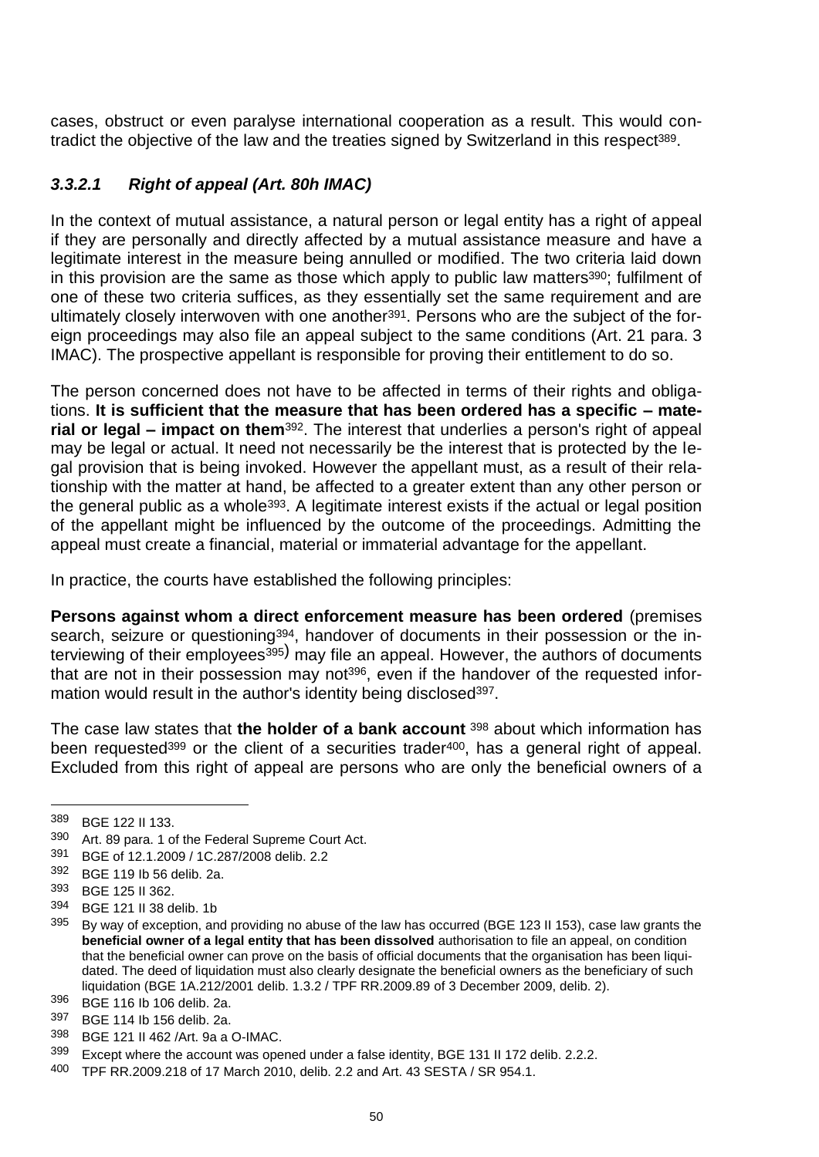cases, obstruct or even paralyse international cooperation as a result. This would contradict the objective of the law and the treaties signed by Switzerland in this respect<sup>389</sup>.

### *3.3.2.1 Right of appeal (Art. 80h IMAC)*

In the context of mutual assistance, a natural person or legal entity has a right of appeal if they are personally and directly affected by a mutual assistance measure and have a legitimate interest in the measure being annulled or modified. The two criteria laid down in this provision are the same as those which apply to public law matters<sup>390</sup>; fulfilment of one of these two criteria suffices, as they essentially set the same requirement and are ultimately closely interwoven with one another<sup>391</sup>. Persons who are the subject of the foreign proceedings may also file an appeal subject to the same conditions (Art. 21 para. 3 IMAC). The prospective appellant is responsible for proving their entitlement to do so.

The person concerned does not have to be affected in terms of their rights and obligations. **It is sufficient that the measure that has been ordered has a specific – material or legal – impact on them**<sup>392</sup>. The interest that underlies a person's right of appeal may be legal or actual. It need not necessarily be the interest that is protected by the legal provision that is being invoked. However the appellant must, as a result of their relationship with the matter at hand, be affected to a greater extent than any other person or the general public as a whole<sup>393</sup>. A legitimate interest exists if the actual or legal position of the appellant might be influenced by the outcome of the proceedings. Admitting the appeal must create a financial, material or immaterial advantage for the appellant.

In practice, the courts have established the following principles:

**Persons against whom a direct enforcement measure has been ordered** (premises search, seizure or questioning<sup>394</sup>, handover of documents in their possession or the interviewing of their employees<sup>395)</sup> may file an appeal. However, the authors of documents that are not in their possession may not<sup>396</sup>, even if the handover of the requested information would result in the author's identity being disclosed<sup>397</sup>.

The case law states that **the holder of a bank account** <sup>398</sup> about which information has been requested<sup>399</sup> or the client of a securities trader<sup>400</sup>, has a general right of appeal. Excluded from this right of appeal are persons who are only the beneficial owners of a

<sup>389</sup> BGE 122 II 133.<br>390 Art 89 para 1.0

Art. 89 para. 1 of the Federal Supreme Court Act.

<sup>391</sup> BGE of 12.1.2009 / 1C.287/2008 delib. 2.2

<sup>392</sup> BGE 119 Ib 56 delib. 2a.

<sup>393</sup> BGE 125 II 362.

<sup>394</sup> BGE 121 II 38 delib. 1b

<sup>&</sup>lt;sup>395</sup> By way of exception, and providing no abuse of the law has occurred (BGE 123 II 153), case law grants the **beneficial owner of a legal entity that has been dissolved** authorisation to file an appeal, on condition that the beneficial owner can prove on the basis of official documents that the organisation has been liquidated. The deed of liquidation must also clearly designate the beneficial owners as the beneficiary of such liquidation (BGE 1A.212/2001 delib. 1.3.2 / TPF RR.2009.89 of 3 December 2009, delib. 2).

<sup>396</sup> BGE 116 Ib 106 delib. 2a.

<sup>397</sup> BGE 114 lb 156 delib. 2a.<br>398 BGE 121 U 462 (Art. 83.3

<sup>398</sup> BGE 121 II 462 /Art. 9a a O-IMAC.

<sup>399</sup> Except where the account was opened under a false identity, BGE 131 II 172 delib. 2.2.2.

<sup>400</sup> TPF RR.2009.218 of 17 March 2010, delib. 2.2 and Art. 43 SESTA / SR 954.1.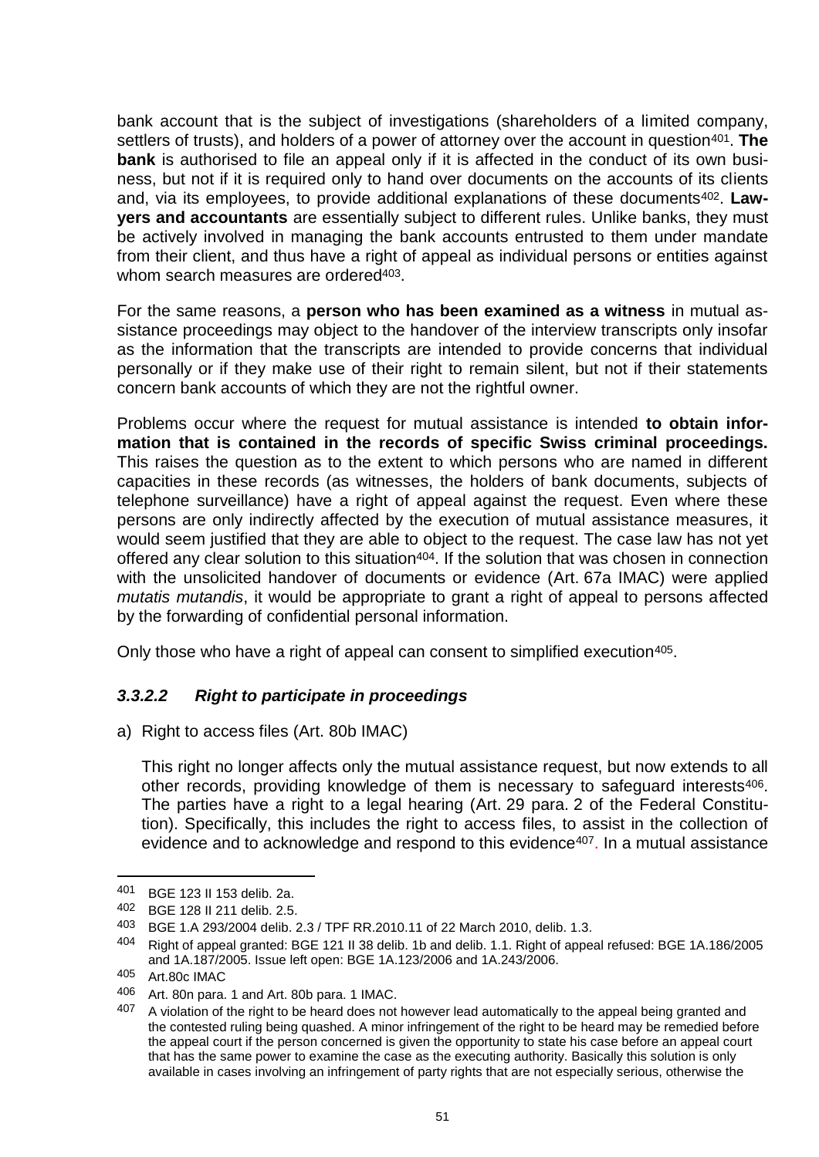bank account that is the subject of investigations (shareholders of a limited company, settlers of trusts), and holders of a power of attorney over the account in question<sup>401</sup>. The **bank** is authorised to file an appeal only if it is affected in the conduct of its own business, but not if it is required only to hand over documents on the accounts of its clients and, via its employees, to provide additional explanations of these documents<sup>402</sup>. Law**yers and accountants** are essentially subject to different rules. Unlike banks, they must be actively involved in managing the bank accounts entrusted to them under mandate from their client, and thus have a right of appeal as individual persons or entities against whom search measures are ordered<sup>403</sup>.

For the same reasons, a **person who has been examined as a witness** in mutual assistance proceedings may object to the handover of the interview transcripts only insofar as the information that the transcripts are intended to provide concerns that individual personally or if they make use of their right to remain silent, but not if their statements concern bank accounts of which they are not the rightful owner.

Problems occur where the request for mutual assistance is intended **to obtain information that is contained in the records of specific Swiss criminal proceedings.** This raises the question as to the extent to which persons who are named in different capacities in these records (as witnesses, the holders of bank documents, subjects of telephone surveillance) have a right of appeal against the request. Even where these persons are only indirectly affected by the execution of mutual assistance measures, it would seem justified that they are able to object to the request. The case law has not yet offered any clear solution to this situation<sup>404</sup>. If the solution that was chosen in connection with the unsolicited handover of documents or evidence (Art. 67a IMAC) were applied *mutatis mutandis*, it would be appropriate to grant a right of appeal to persons affected by the forwarding of confidential personal information.

Only those who have a right of appeal can consent to simplified execution<sup>405</sup>.

# *3.3.2.2 Right to participate in proceedings*

a) Right to access files (Art. 80b IMAC)

This right no longer affects only the mutual assistance request, but now extends to all other records, providing knowledge of them is necessary to safeguard interests<sup>406</sup>. The parties have a right to a legal hearing (Art. 29 para. 2 of the Federal Constitution). Specifically, this includes the right to access files, to assist in the collection of evidence and to acknowledge and respond to this evidence<sup>407</sup>. In a mutual assistance

<sup>401</sup> BGE 123 II 153 delib. 2a.

<sup>402</sup> BGE 128 II 211 delib. 2.5.

<sup>403</sup> BGE 1.A 293/2004 delib. 2.3 / TPF RR.2010.11 of 22 March 2010, delib. 1.3.

<sup>404</sup> Right of appeal granted: BGE 121 II 38 delib. 1b and delib. 1.1. Right of appeal refused: BGE 1A.186/2005 and 1A.187/2005. Issue left open: BGE 1A.123/2006 and 1A.243/2006.

<sup>405</sup> Art.80c IMAC

<sup>406</sup> Art. 80n para. 1 and Art. 80b para. 1 IMAC.<br>407 A violation of the right to be beard does not

A violation of the right to be heard does not however lead automatically to the appeal being granted and the contested ruling being quashed. A minor infringement of the right to be heard may be remedied before the appeal court if the person concerned is given the opportunity to state his case before an appeal court that has the same power to examine the case as the executing authority. Basically this solution is only available in cases involving an infringement of party rights that are not especially serious, otherwise the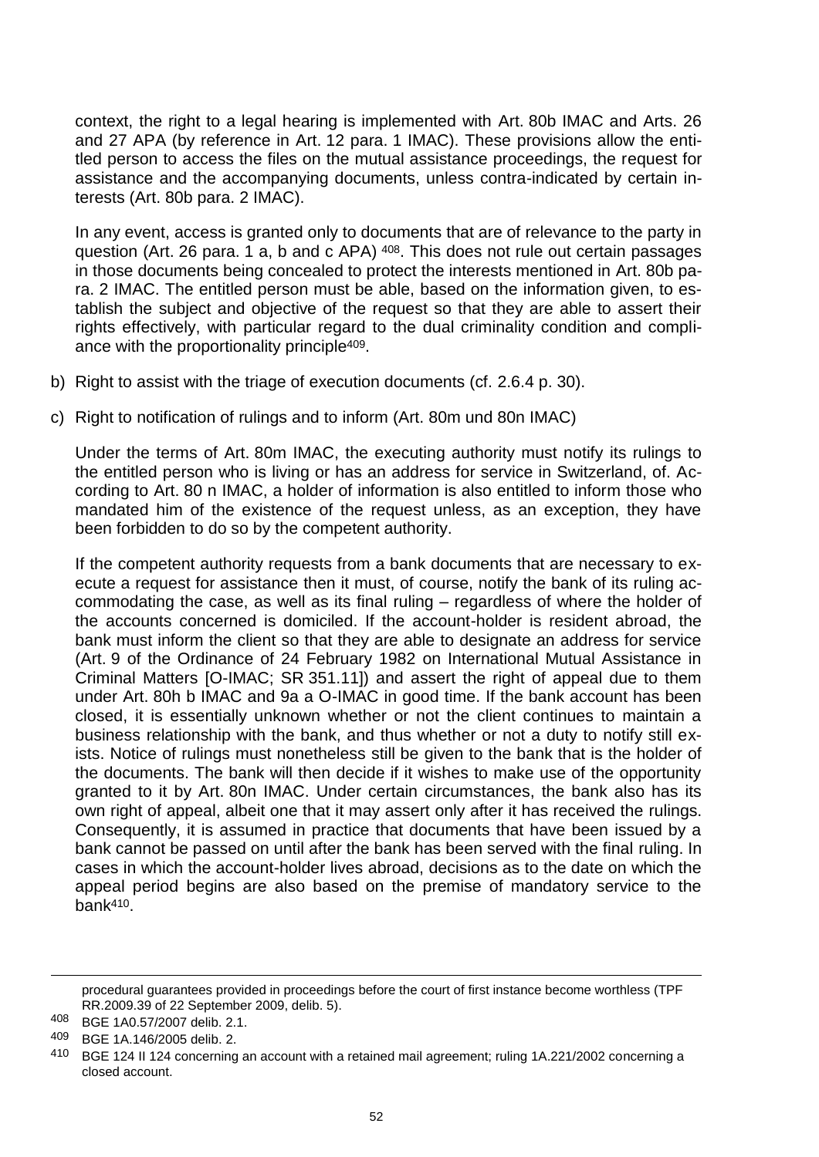context, the right to a legal hearing is implemented with Art. 80b IMAC and Arts. 26 and 27 APA (by reference in Art. 12 para. 1 IMAC). These provisions allow the entitled person to access the files on the mutual assistance proceedings, the request for assistance and the accompanying documents, unless contra-indicated by certain interests (Art. 80b para. 2 IMAC).

In any event, access is granted only to documents that are of relevance to the party in question (Art. 26 para. 1 a, b and c APA) <sup>408</sup>. This does not rule out certain passages in those documents being concealed to protect the interests mentioned in Art. 80b para. 2 IMAC. The entitled person must be able, based on the information given, to establish the subject and objective of the request so that they are able to assert their rights effectively, with particular regard to the dual criminality condition and compliance with the proportionality principle409.

- b) Right to assist with the triage of execution documents (cf. 2.6.4 p. 30).
- c) Right to notification of rulings and to inform (Art. 80m und 80n IMAC)

Under the terms of Art. 80m IMAC, the executing authority must notify its rulings to the entitled person who is living or has an address for service in Switzerland, of. According to Art. 80 n IMAC, a holder of information is also entitled to inform those who mandated him of the existence of the request unless, as an exception, they have been forbidden to do so by the competent authority.

If the competent authority requests from a bank documents that are necessary to execute a request for assistance then it must, of course, notify the bank of its ruling accommodating the case, as well as its final ruling – regardless of where the holder of the accounts concerned is domiciled. If the account-holder is resident abroad, the bank must inform the client so that they are able to designate an address for service (Art. 9 of the Ordinance of 24 February 1982 on International Mutual Assistance in Criminal Matters [O-IMAC; SR 351.11]) and assert the right of appeal due to them under Art. 80h b IMAC and 9a a O-IMAC in good time. If the bank account has been closed, it is essentially unknown whether or not the client continues to maintain a business relationship with the bank, and thus whether or not a duty to notify still exists. Notice of rulings must nonetheless still be given to the bank that is the holder of the documents. The bank will then decide if it wishes to make use of the opportunity granted to it by Art. 80n IMAC. Under certain circumstances, the bank also has its own right of appeal, albeit one that it may assert only after it has received the rulings. Consequently, it is assumed in practice that documents that have been issued by a bank cannot be passed on until after the bank has been served with the final ruling. In cases in which the account-holder lives abroad, decisions as to the date on which the appeal period begins are also based on the premise of mandatory service to the bank410.

 $\overline{a}$ 

procedural guarantees provided in proceedings before the court of first instance become worthless (TPF RR.2009.39 of 22 September 2009, delib. 5).

<sup>408</sup> BGE 1A0.57/2007 delib. 2.1.

<sup>409</sup> BGE 1A.146/2005 delib. 2.

<sup>410</sup> BGE 124 II 124 concerning an account with a retained mail agreement; ruling 1A.221/2002 concerning a closed account.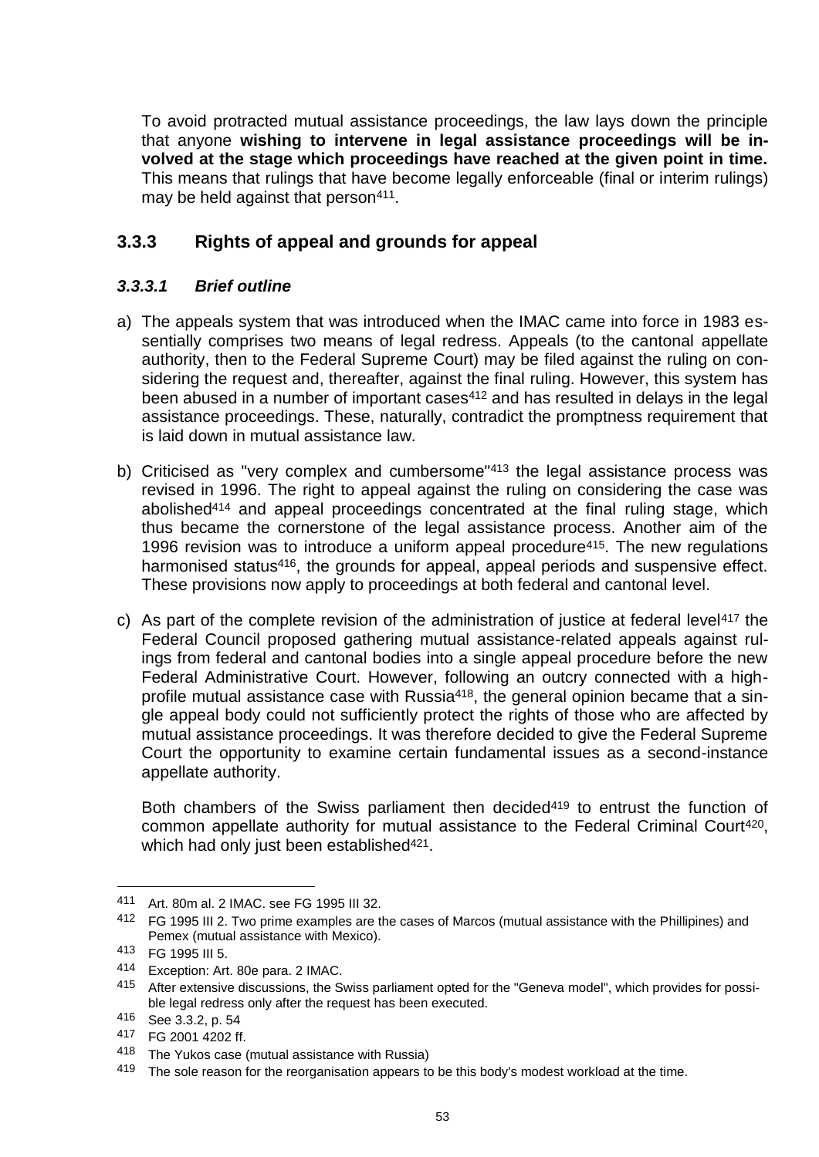To avoid protracted mutual assistance proceedings, the law lays down the principle that anyone **wishing to intervene in legal assistance proceedings will be involved at the stage which proceedings have reached at the given point in time.** This means that rulings that have become legally enforceable (final or interim rulings) may be held against that person<sup>411</sup>.

# **3.3.3 Rights of appeal and grounds for appeal**

### *3.3.3.1 Brief outline*

- a) The appeals system that was introduced when the IMAC came into force in 1983 essentially comprises two means of legal redress. Appeals (to the cantonal appellate authority, then to the Federal Supreme Court) may be filed against the ruling on considering the request and, thereafter, against the final ruling. However, this system has been abused in a number of important cases<sup>412</sup> and has resulted in delays in the legal assistance proceedings. These, naturally, contradict the promptness requirement that is laid down in mutual assistance law.
- b) Criticised as "very complex and cumbersome"<sup>413</sup> the legal assistance process was revised in 1996. The right to appeal against the ruling on considering the case was abolished<sup>414</sup> and appeal proceedings concentrated at the final ruling stage, which thus became the cornerstone of the legal assistance process. Another aim of the 1996 revision was to introduce a uniform appeal procedure<sup>415</sup>. The new regulations harmonised status<sup>416</sup>, the grounds for appeal, appeal periods and suspensive effect. These provisions now apply to proceedings at both federal and cantonal level.
- c) As part of the complete revision of the administration of justice at federal level<sup>417</sup> the Federal Council proposed gathering mutual assistance-related appeals against rulings from federal and cantonal bodies into a single appeal procedure before the new Federal Administrative Court. However, following an outcry connected with a highprofile mutual assistance case with Russia418, the general opinion became that a single appeal body could not sufficiently protect the rights of those who are affected by mutual assistance proceedings. It was therefore decided to give the Federal Supreme Court the opportunity to examine certain fundamental issues as a second-instance appellate authority.

Both chambers of the Swiss parliament then decided<sup>419</sup> to entrust the function of common appellate authority for mutual assistance to the Federal Criminal Court<sup>420</sup>, which had only just been established<sup>421</sup>.

<sup>411</sup> Art. 80m al. 2 IMAC. see FG 1995 III 32.

<sup>412</sup> FG 1995 III 2. Two prime examples are the cases of Marcos (mutual assistance with the Phillipines) and Pemex (mutual assistance with Mexico).

<sup>413</sup> FG 1995 III 5.

<sup>414</sup> Exception: Art. 80e para. 2 IMAC.

<sup>415</sup> After extensive discussions, the Swiss parliament opted for the "Geneva model", which provides for possible legal redress only after the request has been executed.

<sup>416</sup> See 3.3.2, p. 54

<sup>417</sup> FG 2001 4202 ff.

<sup>418</sup> The Yukos case (mutual assistance with Russia)

<sup>&</sup>lt;sup>419</sup> The sole reason for the reorganisation appears to be this body's modest workload at the time.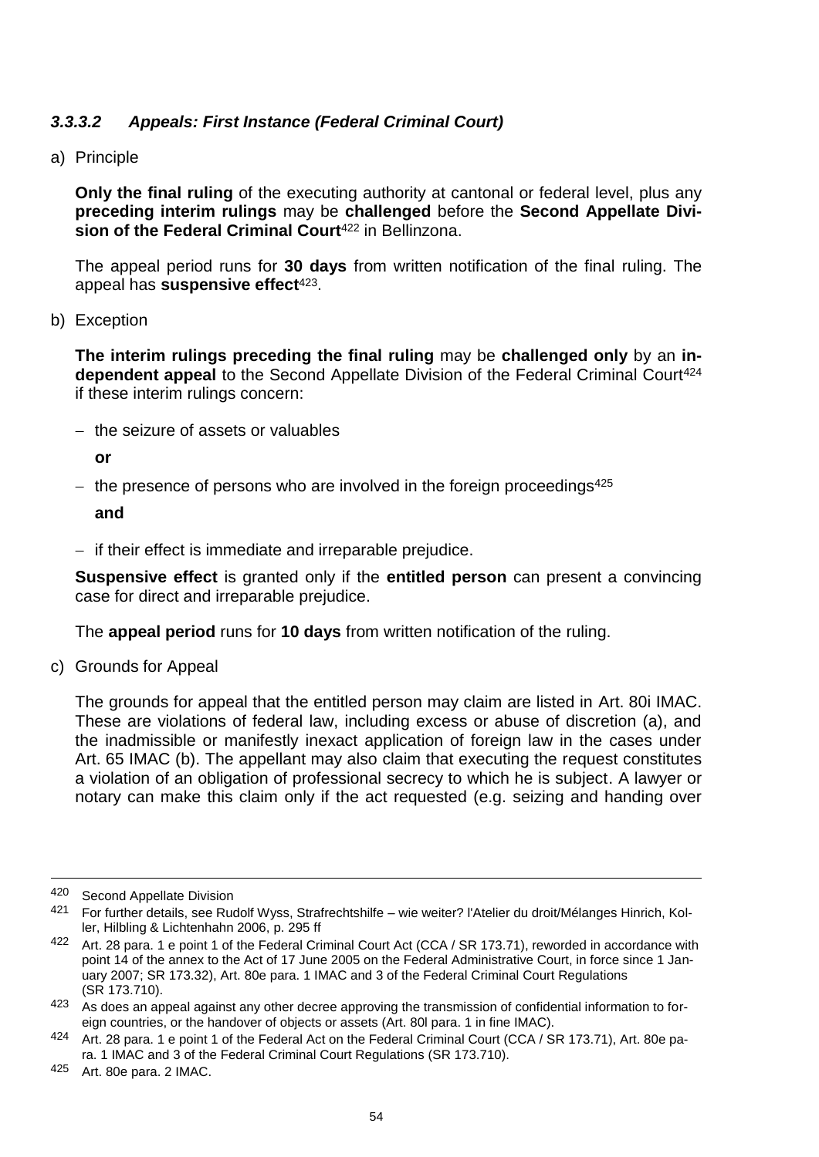## *3.3.3.2 Appeals: First Instance (Federal Criminal Court)*

a) Principle

**Only the final ruling** of the executing authority at cantonal or federal level, plus any **preceding interim rulings** may be **challenged** before the **Second Appellate Division of the Federal Criminal Court**<sup>422</sup> in Bellinzona.

The appeal period runs for **30 days** from written notification of the final ruling. The appeal has **suspensive effect**423.

b) Exception

**The interim rulings preceding the final ruling** may be **challenged only** by an **in**dependent appeal to the Second Appellate Division of the Federal Criminal Court<sup>424</sup> if these interim rulings concern:

 $-$  the seizure of assets or valuables

**or**

- the presence of persons who are involved in the foreign proceedings $425$ 

**and**

 $-$  if their effect is immediate and irreparable prejudice.

**Suspensive effect** is granted only if the **entitled person** can present a convincing case for direct and irreparable prejudice.

The **appeal period** runs for **10 days** from written notification of the ruling.

c) Grounds for Appeal

The grounds for appeal that the entitled person may claim are listed in Art. 80i IMAC. These are violations of federal law, including excess or abuse of discretion (a), and the inadmissible or manifestly inexact application of foreign law in the cases under Art. 65 IMAC (b). The appellant may also claim that executing the request constitutes a violation of an obligation of professional secrecy to which he is subject. A lawyer or notary can make this claim only if the act requested (e.g. seizing and handing over

<sup>420</sup> Second Appellate Division

<sup>421</sup> For further details, see Rudolf Wyss, Strafrechtshilfe – wie weiter? l'Atelier du droit/Mélanges Hinrich, Koller, Hilbling & Lichtenhahn 2006, p. 295 ff

<sup>422</sup> Art. 28 para. 1 e point 1 of the Federal Criminal Court Act (CCA / SR 173.71), reworded in accordance with point 14 of the annex to the Act of 17 June 2005 on the Federal Administrative Court, in force since 1 January 2007; SR 173.32), Art. 80e para. 1 IMAC and 3 of the Federal Criminal Court Regulations (SR 173.710).

 $423$  As does an appeal against any other decree approving the transmission of confidential information to foreign countries, or the handover of objects or assets (Art. 80l para. 1 in fine IMAC).

<sup>424</sup> Art. 28 para. 1 e point 1 of the Federal Act on the Federal Criminal Court (CCA / SR 173.71), Art. 80e para. 1 IMAC and 3 of the Federal Criminal Court Regulations (SR 173.710).

<sup>425</sup> Art. 80e para. 2 IMAC.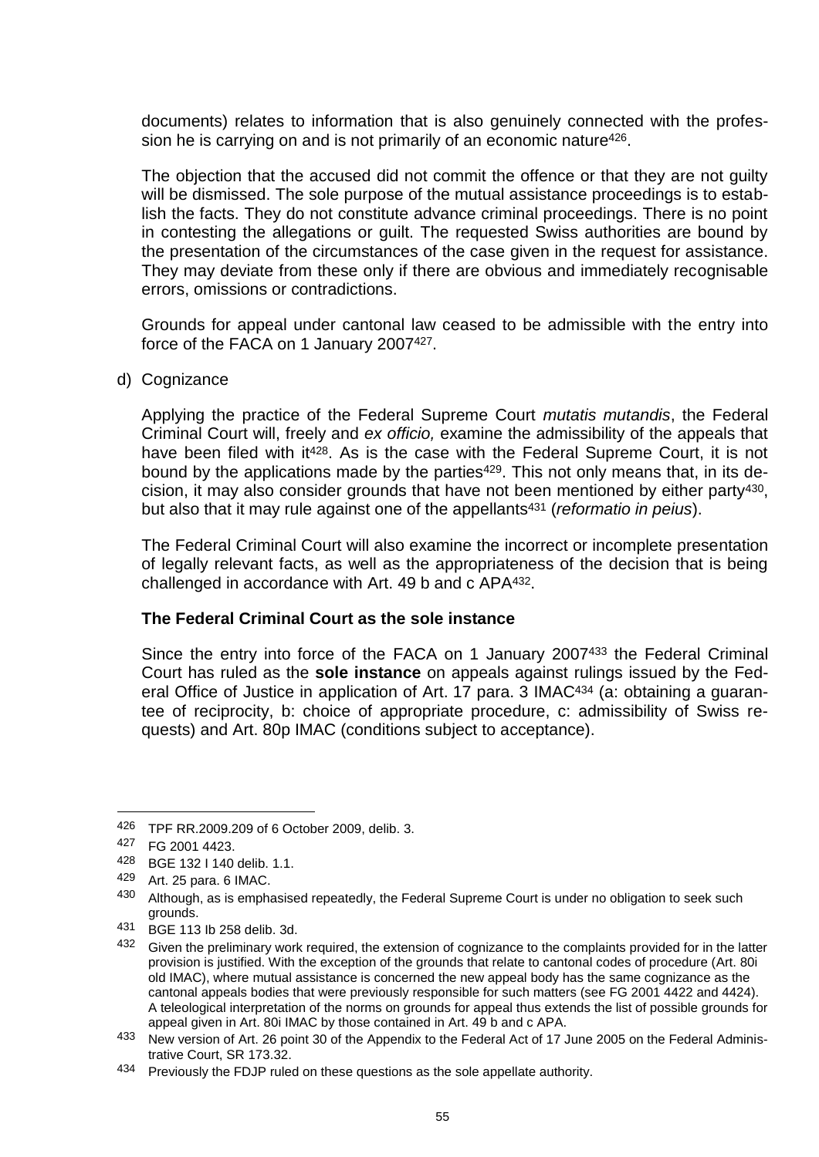documents) relates to information that is also genuinely connected with the profession he is carrying on and is not primarily of an economic nature<sup>426</sup>.

The objection that the accused did not commit the offence or that they are not guilty will be dismissed. The sole purpose of the mutual assistance proceedings is to establish the facts. They do not constitute advance criminal proceedings. There is no point in contesting the allegations or guilt. The requested Swiss authorities are bound by the presentation of the circumstances of the case given in the request for assistance. They may deviate from these only if there are obvious and immediately recognisable errors, omissions or contradictions.

Grounds for appeal under cantonal law ceased to be admissible with the entry into force of the FACA on 1 January 2007427.

d) Cognizance

Applying the practice of the Federal Supreme Court *mutatis mutandis*, the Federal Criminal Court will, freely and *ex officio,* examine the admissibility of the appeals that have been filed with it<sup>428</sup>. As is the case with the Federal Supreme Court, it is not bound by the applications made by the parties<sup>429</sup>. This not only means that, in its decision, it may also consider grounds that have not been mentioned by either party430, but also that it may rule against one of the appellants<sup>431</sup> (*reformatio in peius*).

The Federal Criminal Court will also examine the incorrect or incomplete presentation of legally relevant facts, as well as the appropriateness of the decision that is being challenged in accordance with Art. 49 b and c APA432.

#### **The Federal Criminal Court as the sole instance**

Since the entry into force of the FACA on 1 January 2007<sup>433</sup> the Federal Criminal Court has ruled as the **sole instance** on appeals against rulings issued by the Federal Office of Justice in application of Art. 17 para. 3 IMAC<sup>434</sup> (a: obtaining a guarantee of reciprocity, b: choice of appropriate procedure, c: admissibility of Swiss requests) and Art. 80p IMAC (conditions subject to acceptance).

<sup>426</sup> TPF RR.2009.209 of 6 October 2009, delib. 3.

<sup>427</sup> FG 2001 4423.

<sup>428</sup> BGE 132 I 140 delib. 1.1.

<sup>429</sup> Art. 25 para. 6 IMAC.

<sup>430</sup> Although, as is emphasised repeatedly, the Federal Supreme Court is under no obligation to seek such grounds.

<sup>431</sup> BGE 113 Ib 258 delib. 3d.

<sup>432</sup> Given the preliminary work required, the extension of cognizance to the complaints provided for in the latter provision is justified. With the exception of the grounds that relate to cantonal codes of procedure (Art. 80i old IMAC), where mutual assistance is concerned the new appeal body has the same cognizance as the cantonal appeals bodies that were previously responsible for such matters (see FG 2001 4422 and 4424). A teleological interpretation of the norms on grounds for appeal thus extends the list of possible grounds for appeal given in Art. 80i IMAC by those contained in Art. 49 b and c APA.

<sup>433</sup> New version of Art. 26 point 30 of the Appendix to the Federal Act of 17 June 2005 on the Federal Administrative Court, SR 173.32.

<sup>434</sup> Previously the FDJP ruled on these questions as the sole appellate authority.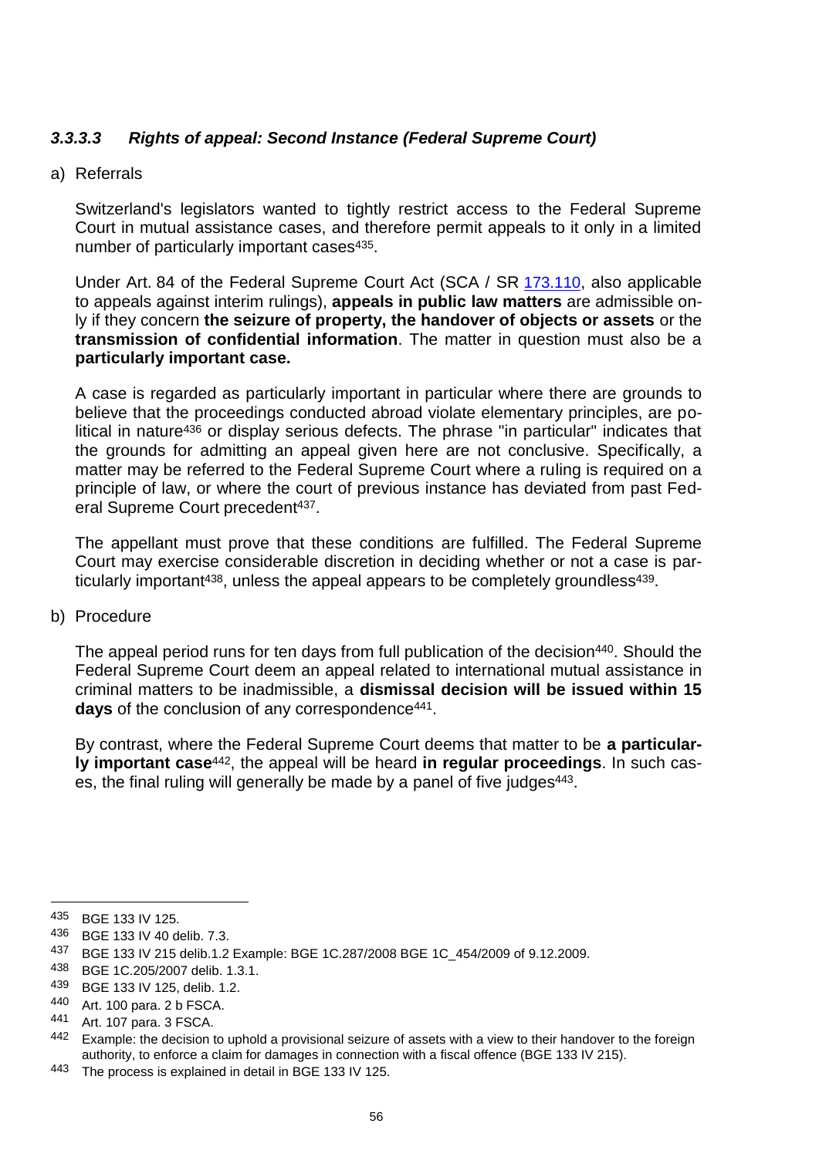# *3.3.3.3 Rights of appeal: Second Instance (Federal Supreme Court)*

#### a) Referrals

Switzerland's legislators wanted to tightly restrict access to the Federal Supreme Court in mutual assistance cases, and therefore permit appeals to it only in a limited number of particularly important cases<sup>435</sup>.

Under Art. 84 of the Federal Supreme Court Act (SCA / SR [173.110](https://www.admin.ch/opc/fr/classified-compilation/20010204/index.html), also applicable to appeals against interim rulings), **appeals in public law matters** are admissible only if they concern **the seizure of property, the handover of objects or assets** or the **transmission of confidential information**. The matter in question must also be a **particularly important case.**

A case is regarded as particularly important in particular where there are grounds to believe that the proceedings conducted abroad violate elementary principles, are political in nature<sup>436</sup> or display serious defects. The phrase "in particular" indicates that the grounds for admitting an appeal given here are not conclusive. Specifically, a matter may be referred to the Federal Supreme Court where a ruling is required on a principle of law, or where the court of previous instance has deviated from past Federal Supreme Court precedent<sup>437</sup>.

The appellant must prove that these conditions are fulfilled. The Federal Supreme Court may exercise considerable discretion in deciding whether or not a case is particularly important<sup>438</sup>, unless the appeal appears to be completely groundless<sup>439</sup>.

#### b) Procedure

The appeal period runs for ten days from full publication of the decision<sup>440</sup>. Should the Federal Supreme Court deem an appeal related to international mutual assistance in criminal matters to be inadmissible, a **dismissal decision will be issued within 15 days** of the conclusion of any correspondence<sup>441</sup>.

By contrast, where the Federal Supreme Court deems that matter to be **a particularly important case**442, the appeal will be heard **in regular proceedings**. In such cases, the final ruling will generally be made by a panel of five judges 443.

 $\overline{a}$ 

<sup>435</sup> BGE 133 IV 125.

<sup>436</sup> BGE 133 IV 40 delib. 7.3.

<sup>437</sup> BGE 133 IV 215 delib.1.2 Example: BGE 1C.287/2008 BGE 1C\_454/2009 of 9.12.2009.

<sup>438</sup> BGE 1C.205/2007 delib. 1.3.1.

<sup>439</sup> BGE 133 IV 125, delib. 1.2.

<sup>440</sup> Art. 100 para. 2 b FSCA.

<sup>441</sup> Art. 107 para. 3 FSCA.

<sup>442</sup> Example: the decision to uphold a provisional seizure of assets with a view to their handover to the foreign authority, to enforce a claim for damages in connection with a fiscal offence (BGE 133 IV 215).

<sup>443</sup> The process is explained in detail in BGE 133 IV 125.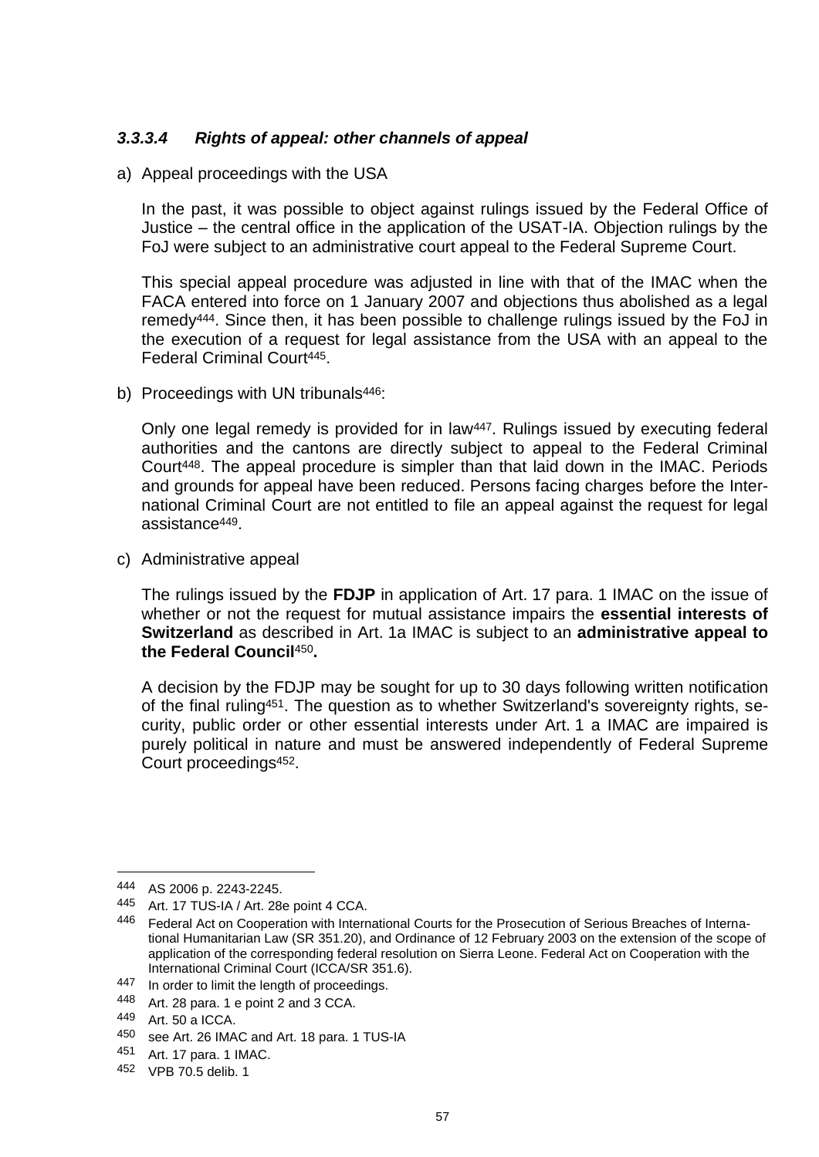## *3.3.3.4 Rights of appeal: other channels of appeal*

a) Appeal proceedings with the USA

In the past, it was possible to object against rulings issued by the Federal Office of Justice – the central office in the application of the USAT-IA. Objection rulings by the FoJ were subject to an administrative court appeal to the Federal Supreme Court.

This special appeal procedure was adjusted in line with that of the IMAC when the FACA entered into force on 1 January 2007 and objections thus abolished as a legal remedy444. Since then, it has been possible to challenge rulings issued by the FoJ in the execution of a request for legal assistance from the USA with an appeal to the Federal Criminal Court445.

b) Proceedings with UN tribunals<sup>446</sup>:

Only one legal remedy is provided for in law447. Rulings issued by executing federal authorities and the cantons are directly subject to appeal to the Federal Criminal Court448. The appeal procedure is simpler than that laid down in the IMAC. Periods and grounds for appeal have been reduced. Persons facing charges before the International Criminal Court are not entitled to file an appeal against the request for legal assistance449.

c) Administrative appeal

The rulings issued by the **FDJP** in application of Art. 17 para. 1 IMAC on the issue of whether or not the request for mutual assistance impairs the **essential interests of Switzerland** as described in Art. 1a IMAC is subject to an **administrative appeal to the Federal Council**450**.** 

A decision by the FDJP may be sought for up to 30 days following written notification of the final ruling451. The question as to whether Switzerland's sovereignty rights, security, public order or other essential interests under Art. 1 a IMAC are impaired is purely political in nature and must be answered independently of Federal Supreme Court proceedings452.

<sup>444</sup> AS 2006 p. 2243-2245.

<sup>445</sup> Art. 17 TUS-IA / Art. 28e point 4 CCA.

<sup>446</sup> Federal Act on Cooperation with International Courts for the Prosecution of Serious Breaches of International Humanitarian Law (SR 351.20), and Ordinance of 12 February 2003 on the extension of the scope of application of the corresponding federal resolution on Sierra Leone. Federal Act on Cooperation with the International Criminal Court (ICCA/SR 351.6).

<sup>447</sup> In order to limit the length of proceedings.

<sup>448</sup> Art. 28 para. 1 e point 2 and 3 CCA.

<sup>449</sup> Art. 50 a ICCA.

<sup>450</sup> see Art. 26 IMAC and Art. 18 para. 1 TUS-IA

<sup>451</sup> Art. 17 para. 1 IMAC.

<sup>452</sup> VPB 70.5 delib. 1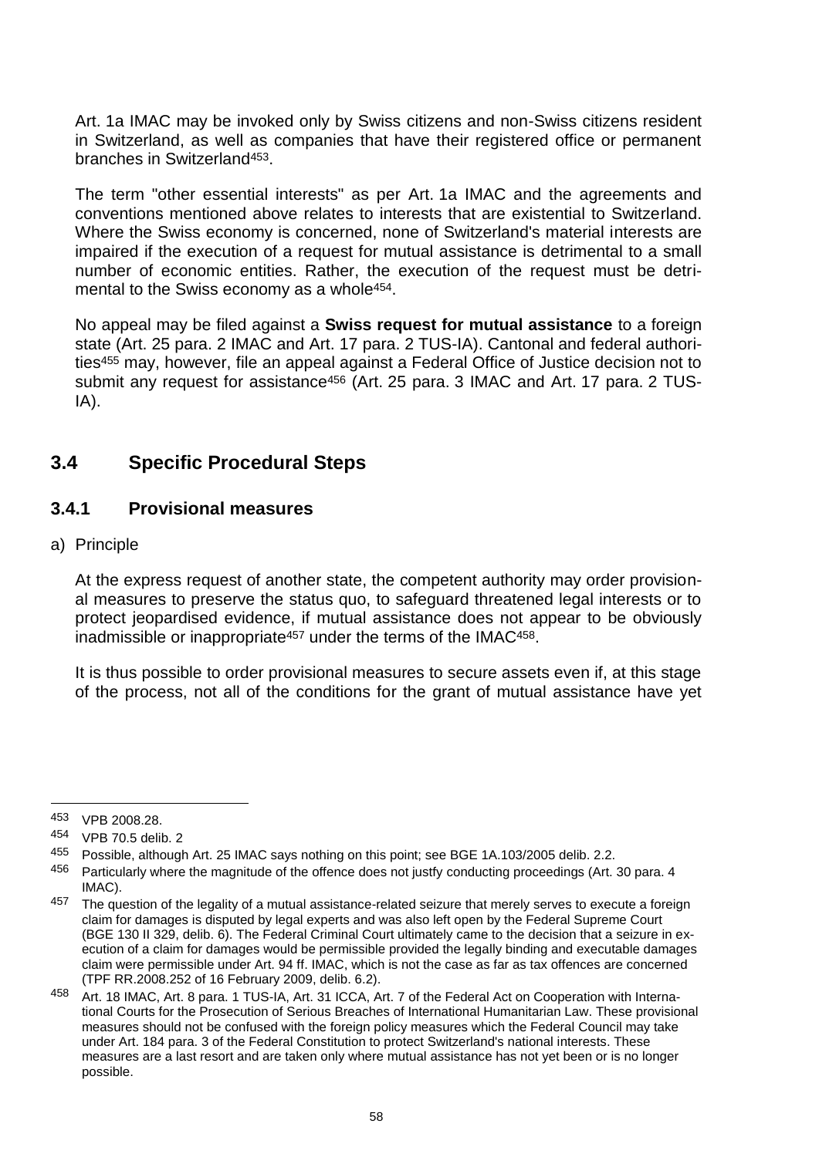Art. 1a IMAC may be invoked only by Swiss citizens and non-Swiss citizens resident in Switzerland, as well as companies that have their registered office or permanent branches in Switzerland453.

The term "other essential interests" as per Art. 1a IMAC and the agreements and conventions mentioned above relates to interests that are existential to Switzerland. Where the Swiss economy is concerned, none of Switzerland's material interests are impaired if the execution of a request for mutual assistance is detrimental to a small number of economic entities. Rather, the execution of the request must be detrimental to the Swiss economy as a whole<sup>454</sup>.

No appeal may be filed against a **Swiss request for mutual assistance** to a foreign state (Art. 25 para. 2 IMAC and Art. 17 para. 2 TUS-IA). Cantonal and federal authorities<sup>455</sup> may, however, file an appeal against a Federal Office of Justice decision not to submit any request for assistance<sup>456</sup> (Art. 25 para. 3 IMAC and Art. 17 para. 2 TUS-IA).

# **3.4 Specific Procedural Steps**

### **3.4.1 Provisional measures**

#### a) Principle

At the express request of another state, the competent authority may order provisional measures to preserve the status quo, to safeguard threatened legal interests or to protect jeopardised evidence, if mutual assistance does not appear to be obviously inadmissible or inappropriate<sup>457</sup> under the terms of the IMAC<sup>458</sup>.

It is thus possible to order provisional measures to secure assets even if, at this stage of the process, not all of the conditions for the grant of mutual assistance have yet

<sup>453</sup> VPB 2008.28.

<sup>454</sup> VPB 70.5 delib. 2

<sup>455</sup> Possible, although Art. 25 IMAC says nothing on this point; see BGE 1A.103/2005 delib. 2.2.

<sup>456</sup> Particularly where the magnitude of the offence does not justfy conducting proceedings (Art. 30 para. 4 IMAC).

<sup>457</sup> The question of the legality of a mutual assistance-related seizure that merely serves to execute a foreign claim for damages is disputed by legal experts and was also left open by the Federal Supreme Court (BGE 130 II 329, delib. 6). The Federal Criminal Court ultimately came to the decision that a seizure in execution of a claim for damages would be permissible provided the legally binding and executable damages claim were permissible under Art. 94 ff. IMAC, which is not the case as far as tax offences are concerned (TPF RR.2008.252 of 16 February 2009, delib. 6.2).

<sup>458</sup> Art. 18 IMAC, Art. 8 para. 1 TUS-IA, Art. 31 ICCA, Art. 7 of the Federal Act on Cooperation with International Courts for the Prosecution of Serious Breaches of International Humanitarian Law. These provisional measures should not be confused with the foreign policy measures which the Federal Council may take under Art. 184 para. 3 of the Federal Constitution to protect Switzerland's national interests. These measures are a last resort and are taken only where mutual assistance has not yet been or is no longer possible.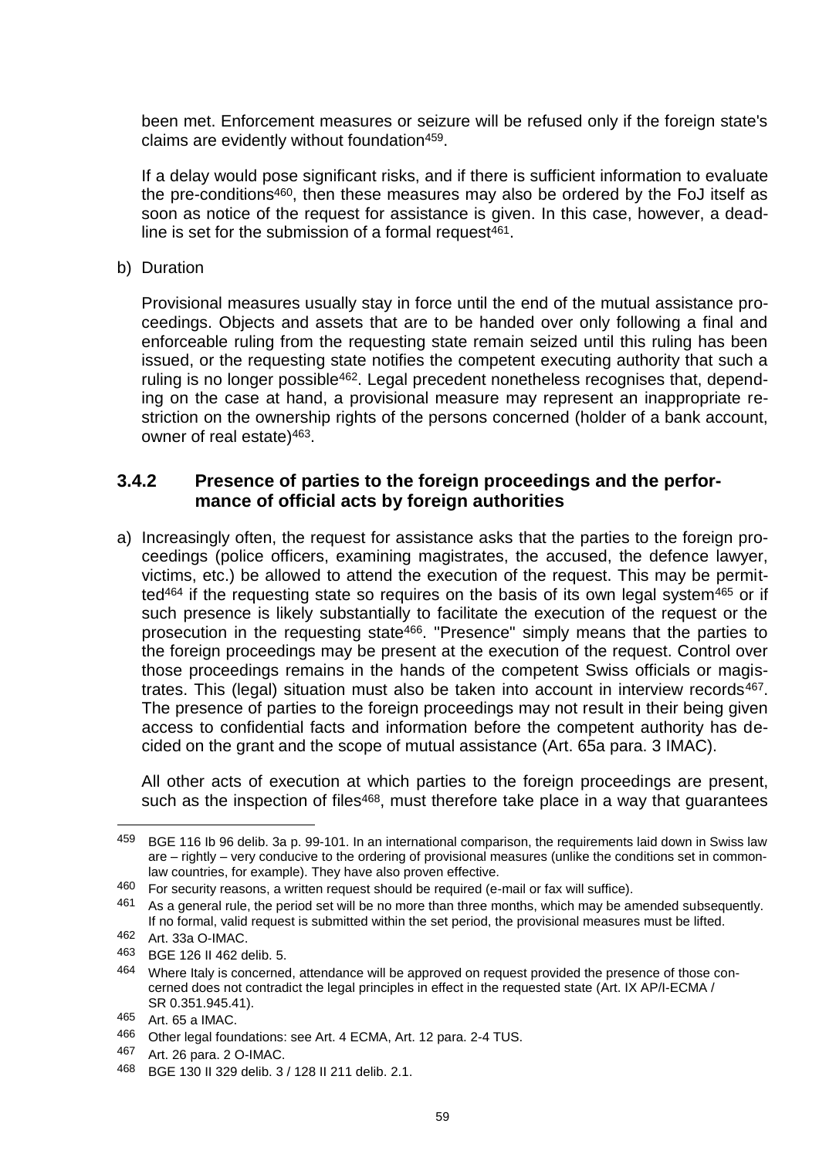been met. Enforcement measures or seizure will be refused only if the foreign state's claims are evidently without foundation<sup>459</sup>.

If a delay would pose significant risks, and if there is sufficient information to evaluate the pre-conditions460, then these measures may also be ordered by the FoJ itself as soon as notice of the request for assistance is given. In this case, however, a deadline is set for the submission of a formal request $461$ .

b) Duration

Provisional measures usually stay in force until the end of the mutual assistance proceedings. Objects and assets that are to be handed over only following a final and enforceable ruling from the requesting state remain seized until this ruling has been issued, or the requesting state notifies the competent executing authority that such a ruling is no longer possible<sup>462</sup>. Legal precedent nonetheless recognises that, depending on the case at hand, a provisional measure may represent an inappropriate restriction on the ownership rights of the persons concerned (holder of a bank account, owner of real estate)463.

### **3.4.2 Presence of parties to the foreign proceedings and the performance of official acts by foreign authorities**

a) Increasingly often, the request for assistance asks that the parties to the foreign proceedings (police officers, examining magistrates, the accused, the defence lawyer, victims, etc.) be allowed to attend the execution of the request. This may be permitted<sup>464</sup> if the requesting state so requires on the basis of its own legal system<sup>465</sup> or if such presence is likely substantially to facilitate the execution of the request or the prosecution in the requesting state466. "Presence" simply means that the parties to the foreign proceedings may be present at the execution of the request. Control over those proceedings remains in the hands of the competent Swiss officials or magistrates. This (legal) situation must also be taken into account in interview records<sup>467</sup>. The presence of parties to the foreign proceedings may not result in their being given access to confidential facts and information before the competent authority has decided on the grant and the scope of mutual assistance (Art. 65a para. 3 IMAC).

All other acts of execution at which parties to the foreign proceedings are present, such as the inspection of files<sup>468</sup>, must therefore take place in a way that guarantees

<sup>459</sup> BGE 116 Ib 96 delib. 3a p. 99-101. In an international comparison, the requirements laid down in Swiss law are – rightly – very conducive to the ordering of provisional measures (unlike the conditions set in commonlaw countries, for example). They have also proven effective.

<sup>460</sup> For security reasons, a written request should be required (e-mail or fax will suffice).

<sup>461</sup> As a general rule, the period set will be no more than three months, which may be amended subsequently. If no formal, valid request is submitted within the set period, the provisional measures must be lifted.

<sup>462</sup> Art. 33a O-IMAC.

<sup>463</sup> BGE 126 II 462 delib. 5.

<sup>464</sup> Where Italy is concerned, attendance will be approved on request provided the presence of those concerned does not contradict the legal principles in effect in the requested state (Art. IX AP/I-ECMA / SR 0.351.945.41).

<sup>465</sup> Art. 65 a IMAC.

<sup>466</sup> Other legal foundations: see Art. 4 ECMA, Art. 12 para. 2-4 TUS.

<sup>467</sup> Art. 26 para. 2 O-IMAC.

<sup>468</sup> BGE 130 II 329 delib. 3 / 128 II 211 delib. 2.1.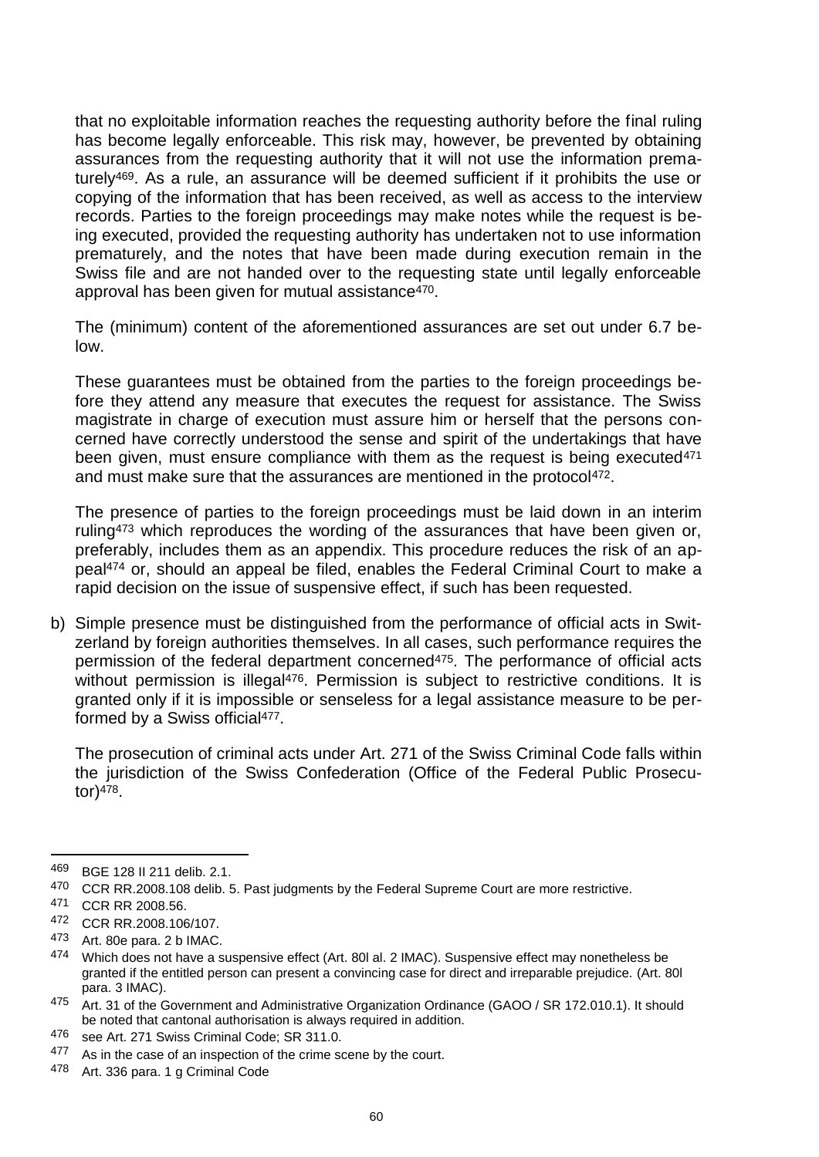that no exploitable information reaches the requesting authority before the final ruling has become legally enforceable. This risk may, however, be prevented by obtaining assurances from the requesting authority that it will not use the information prematurely469. As a rule, an assurance will be deemed sufficient if it prohibits the use or copying of the information that has been received, as well as access to the interview records. Parties to the foreign proceedings may make notes while the request is being executed, provided the requesting authority has undertaken not to use information prematurely, and the notes that have been made during execution remain in the Swiss file and are not handed over to the requesting state until legally enforceable approval has been given for mutual assistance470.

The (minimum) content of the aforementioned assurances are set out under 6.7 below.

These guarantees must be obtained from the parties to the foreign proceedings before they attend any measure that executes the request for assistance. The Swiss magistrate in charge of execution must assure him or herself that the persons concerned have correctly understood the sense and spirit of the undertakings that have been given, must ensure compliance with them as the request is being executed<sup>471</sup> and must make sure that the assurances are mentioned in the protocol<sup>472</sup>.

The presence of parties to the foreign proceedings must be laid down in an interim ruling<sup>473</sup> which reproduces the wording of the assurances that have been given or, preferably, includes them as an appendix. This procedure reduces the risk of an appeal<sup>474</sup> or, should an appeal be filed, enables the Federal Criminal Court to make a rapid decision on the issue of suspensive effect, if such has been requested.

b) Simple presence must be distinguished from the performance of official acts in Switzerland by foreign authorities themselves. In all cases, such performance requires the permission of the federal department concerned<sup>475</sup>. The performance of official acts without permission is illegal<sup>476</sup>. Permission is subject to restrictive conditions. It is granted only if it is impossible or senseless for a legal assistance measure to be performed by a Swiss official<sup>477</sup>.

The prosecution of criminal acts under Art. 271 of the Swiss Criminal Code falls within the jurisdiction of the Swiss Confederation (Office of the Federal Public Prosecutor)478.

<sup>469</sup> BGE 128 II 211 delib. 2.1.

<sup>470</sup> CCR RR.2008.108 delib. 5. Past judgments by the Federal Supreme Court are more restrictive.

<sup>471</sup> CCR RR 2008.56.

<sup>472</sup> CCR RR.2008.106/107.

 $473$  Art. 80e para. 2 b IMAC.<br> $474$  Mbich does not have a s

<sup>474</sup> Which does not have a suspensive effect (Art. 80l al. 2 IMAC). Suspensive effect may nonetheless be granted if the entitled person can present a convincing case for direct and irreparable prejudice. (Art. 80l para. 3 IMAC).

<sup>475</sup> Art. 31 of the Government and Administrative Organization Ordinance (GAOO / SR 172.010.1). It should be noted that cantonal authorisation is always required in addition.

<sup>476</sup> see Art. 271 Swiss Criminal Code; SR 311.0.

<sup>477</sup> As in the case of an inspection of the crime scene by the court.

<sup>478</sup> Art. 336 para. 1 g Criminal Code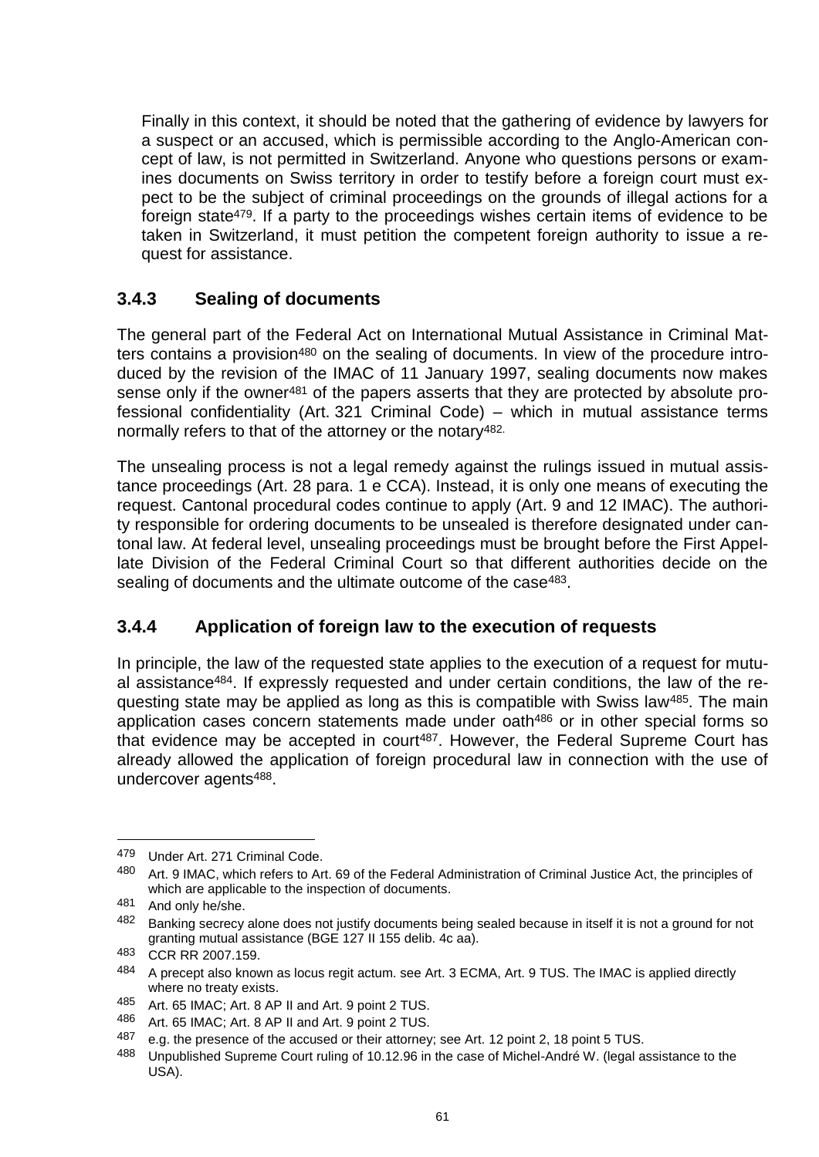Finally in this context, it should be noted that the gathering of evidence by lawyers for a suspect or an accused, which is permissible according to the Anglo-American concept of law, is not permitted in Switzerland. Anyone who questions persons or examines documents on Swiss territory in order to testify before a foreign court must expect to be the subject of criminal proceedings on the grounds of illegal actions for a foreign state479. If a party to the proceedings wishes certain items of evidence to be taken in Switzerland, it must petition the competent foreign authority to issue a request for assistance.

# **3.4.3 Sealing of documents**

The general part of the Federal Act on International Mutual Assistance in Criminal Matters contains a provision<sup>480</sup> on the sealing of documents. In view of the procedure introduced by the revision of the IMAC of 11 January 1997, sealing documents now makes sense only if the owner<sup>481</sup> of the papers asserts that they are protected by absolute professional confidentiality (Art. 321 Criminal Code) – which in mutual assistance terms normally refers to that of the attorney or the notary<sup>482.</sup>

The unsealing process is not a legal remedy against the rulings issued in mutual assistance proceedings (Art. 28 para. 1 e CCA). Instead, it is only one means of executing the request. Cantonal procedural codes continue to apply (Art. 9 and 12 IMAC). The authority responsible for ordering documents to be unsealed is therefore designated under cantonal law. At federal level, unsealing proceedings must be brought before the First Appellate Division of the Federal Criminal Court so that different authorities decide on the sealing of documents and the ultimate outcome of the case<sup>483</sup>.

# **3.4.4 Application of foreign law to the execution of requests**

In principle, the law of the requested state applies to the execution of a request for mutual assistance484. If expressly requested and under certain conditions, the law of the requesting state may be applied as long as this is compatible with Swiss law485. The main application cases concern statements made under oath<sup>486</sup> or in other special forms so that evidence may be accepted in court<sup>487</sup>. However, the Federal Supreme Court has already allowed the application of foreign procedural law in connection with the use of undercover agents488.

<sup>479</sup> Under Art. 271 Criminal Code.

<sup>480</sup> Art. 9 IMAC, which refers to Art. 69 of the Federal Administration of Criminal Justice Act, the principles of which are applicable to the inspection of documents.

<sup>481</sup> And only he/she.

<sup>482</sup> Banking secrecy alone does not justify documents being sealed because in itself it is not a ground for not granting mutual assistance (BGE 127 II 155 delib. 4c aa).

<sup>483</sup> CCR RR 2007.159.

<sup>484</sup> A precept also known as locus regit actum. see Art. 3 ECMA, Art. 9 TUS. The IMAC is applied directly where no treaty exists.

<sup>485</sup> Art. 65 IMAC; Art. 8 AP II and Art. 9 point 2 TUS.

<sup>486</sup> Art. 65 IMAC; Art. 8 AP II and Art. 9 point 2 TUS.

<sup>487</sup> e.g. the presence of the accused or their attorney; see Art. 12 point 2, 18 point 5 TUS.

<sup>488</sup> Unpublished Supreme Court ruling of 10.12.96 in the case of Michel-André W. (legal assistance to the USA).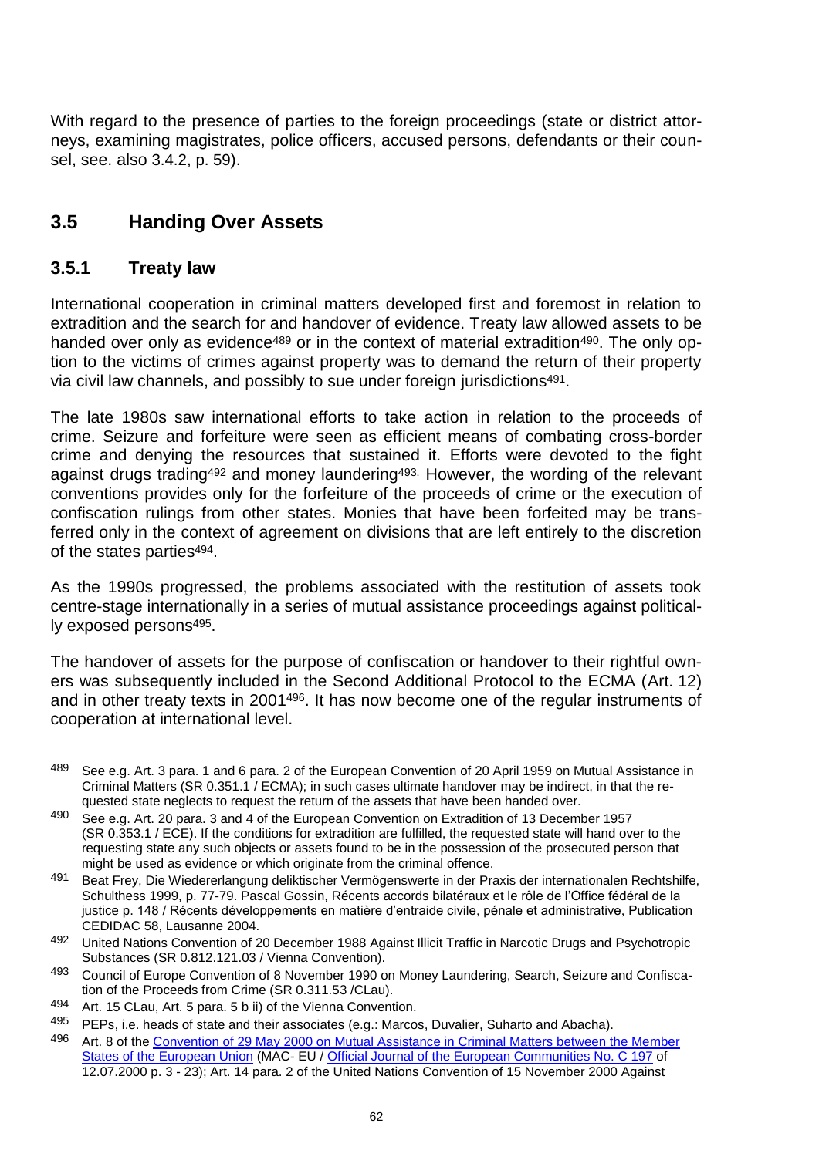With regard to the presence of parties to the foreign proceedings (state or district attorneys, examining magistrates, police officers, accused persons, defendants or their counsel, see. also 3.4.2, p. 59).

# **3.5 Handing Over Assets**

## **3.5.1 Treaty law**

International cooperation in criminal matters developed first and foremost in relation to extradition and the search for and handover of evidence. Treaty law allowed assets to be handed over only as evidence<sup>489</sup> or in the context of material extradition<sup>490</sup>. The only option to the victims of crimes against property was to demand the return of their property via civil law channels, and possibly to sue under foreign jurisdictions<sup>491</sup>.

The late 1980s saw international efforts to take action in relation to the proceeds of crime. Seizure and forfeiture were seen as efficient means of combating cross-border crime and denying the resources that sustained it. Efforts were devoted to the fight against drugs trading<sup>492</sup> and money laundering<sup>493.</sup> However, the wording of the relevant conventions provides only for the forfeiture of the proceeds of crime or the execution of confiscation rulings from other states. Monies that have been forfeited may be transferred only in the context of agreement on divisions that are left entirely to the discretion of the states parties<sup>494</sup>.

As the 1990s progressed, the problems associated with the restitution of assets took centre-stage internationally in a series of mutual assistance proceedings against politically exposed persons495.

The handover of assets for the purpose of confiscation or handover to their rightful owners was subsequently included in the Second Additional Protocol to the ECMA (Art. 12) and in other treaty texts in 2001496. It has now become one of the regular instruments of cooperation at international level.

<sup>489</sup> See e.g. Art. 3 para. 1 and 6 para. 2 of the European Convention of 20 April 1959 on Mutual Assistance in Criminal Matters (SR 0.351.1 / ECMA); in such cases ultimate handover may be indirect, in that the requested state neglects to request the return of the assets that have been handed over.

<sup>490</sup> See e.g. Art. 20 para. 3 and 4 of the European Convention on Extradition of 13 December 1957 (SR 0.353.1 / ECE). If the conditions for extradition are fulfilled, the requested state will hand over to the requesting state any such objects or assets found to be in the possession of the prosecuted person that might be used as evidence or which originate from the criminal offence.

<sup>491</sup> Beat Frey, Die Wiedererlangung deliktischer Vermögenswerte in der Praxis der internationalen Rechtshilfe, Schulthess 1999, p. 77-79. Pascal Gossin, Récents accords bilatéraux et le rôle de l'Office fédéral de la justice p. 148 / Récents développements en matière d'entraide civile, pénale et administrative, Publication CEDIDAC 58, Lausanne 2004.

<sup>492</sup> United Nations Convention of 20 December 1988 Against Illicit Traffic in Narcotic Drugs and Psychotropic Substances (SR 0.812.121.03 / Vienna Convention).

<sup>493</sup> Council of Europe Convention of 8 November 1990 on Money Laundering, Search, Seizure and Confiscation of the Proceeds from Crime (SR 0.311.53 /CLau).

<sup>494</sup> Art. 15 CLau, Art. 5 para. 5 b ii) of the Vienna Convention.

<sup>495</sup> PEPs, i.e. heads of state and their associates (e.g.: Marcos, Duvalier, Suharto and Abacha).

<sup>496</sup> Art. 8 of the [Convention of 29 May 2000 on Mutual Assistance in Criminal Matters between the Member](http://eur-lex.europa.eu/LexUriServ/LexUriServ.do?uri=CELEX:42000A0712%2801%29:En:HTML)  [States of the European Union](http://eur-lex.europa.eu/LexUriServ/LexUriServ.do?uri=CELEX:42000A0712%2801%29:En:HTML) (MAC- EU / [Official Journal of the European Communities No.](http://eur-lex.europa.eu/LexUriServ/LexUriServ.do?uri=OJ:C:2000:197:0001:0023:En:PDF) C 197 of 12.07.2000 p. 3 - 23); Art. 14 para. 2 of the United Nations Convention of 15 November 2000 Against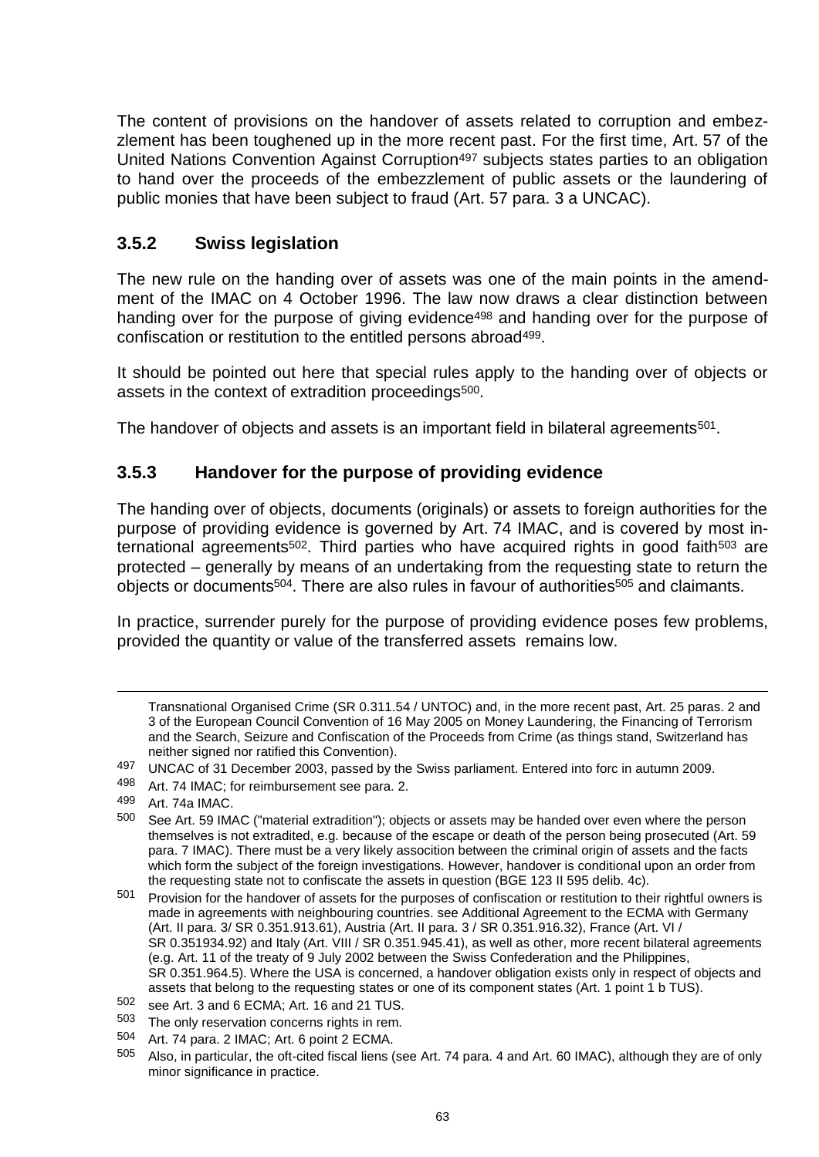The content of provisions on the handover of assets related to corruption and embezzlement has been toughened up in the more recent past. For the first time, Art. 57 of the United Nations Convention Against Corruption<sup>497</sup> subjects states parties to an obligation to hand over the proceeds of the embezzlement of public assets or the laundering of public monies that have been subject to fraud (Art. 57 para. 3 a UNCAC).

# **3.5.2 Swiss legislation**

The new rule on the handing over of assets was one of the main points in the amendment of the IMAC on 4 October 1996. The law now draws a clear distinction between handing over for the purpose of giving evidence<sup>498</sup> and handing over for the purpose of confiscation or restitution to the entitled persons abroad499.

It should be pointed out here that special rules apply to the handing over of objects or assets in the context of extradition proceedings<sup>500</sup>.

The handover of objects and assets is an important field in bilateral agreements<sup>501</sup>.

## **3.5.3 Handover for the purpose of providing evidence**

The handing over of objects, documents (originals) or assets to foreign authorities for the purpose of providing evidence is governed by Art. 74 IMAC, and is covered by most international agreements<sup>502</sup>. Third parties who have acquired rights in good faith<sup>503</sup> are protected – generally by means of an undertaking from the requesting state to return the objects or documents<sup>504</sup>. There are also rules in favour of authorities<sup>505</sup> and claimants.

In practice, surrender purely for the purpose of providing evidence poses few problems, provided the quantity or value of the transferred assets remains low.

Transnational Organised Crime (SR 0.311.54 / UNTOC) and, in the more recent past, Art. 25 paras. 2 and 3 of the European Council Convention of 16 May 2005 on Money Laundering, the Financing of Terrorism and the Search, Seizure and Confiscation of the Proceeds from Crime (as things stand, Switzerland has neither signed nor ratified this Convention).

<sup>497</sup> UNCAC of 31 December 2003, passed by the Swiss parliament. Entered into forc in autumn 2009.

<sup>498</sup> Art. 74 IMAC; for reimbursement see para. 2.

 $499$  Art. 74a IMAC.<br> $500$  See Art. 59 IM

See Art. 59 IMAC ("material extradition"); objects or assets may be handed over even where the person themselves is not extradited, e.g. because of the escape or death of the person being prosecuted (Art. 59) para. 7 IMAC). There must be a very likely assocition between the criminal origin of assets and the facts which form the subject of the foreign investigations. However, handover is conditional upon an order from the requesting state not to confiscate the assets in question (BGE 123 II 595 delib. 4c).

<sup>501</sup> Provision for the handover of assets for the purposes of confiscation or restitution to their rightful owners is made in agreements with neighbouring countries. see Additional Agreement to the ECMA with Germany (Art. II para. 3/ SR 0.351.913.61), Austria (Art. II para. 3 / SR 0.351.916.32), France (Art. VI / SR 0.351934.92) and Italy (Art. VIII / SR 0.351.945.41), as well as other, more recent bilateral agreements (e.g. Art. 11 of the treaty of 9 July 2002 between the Swiss Confederation and the Philippines, SR 0.351.964.5). Where the USA is concerned, a handover obligation exists only in respect of objects and assets that belong to the requesting states or one of its component states (Art. 1 point 1 b TUS).

<sup>502</sup> see Art. 3 and 6 ECMA; Art. 16 and 21 TUS.

<sup>503</sup> The only reservation concerns rights in rem.

<sup>504</sup> Art. 74 para. 2 IMAC; Art. 6 point 2 ECMA.

<sup>505</sup> Also, in particular, the oft-cited fiscal liens (see Art. 74 para. 4 and Art. 60 IMAC), although they are of only minor significance in practice.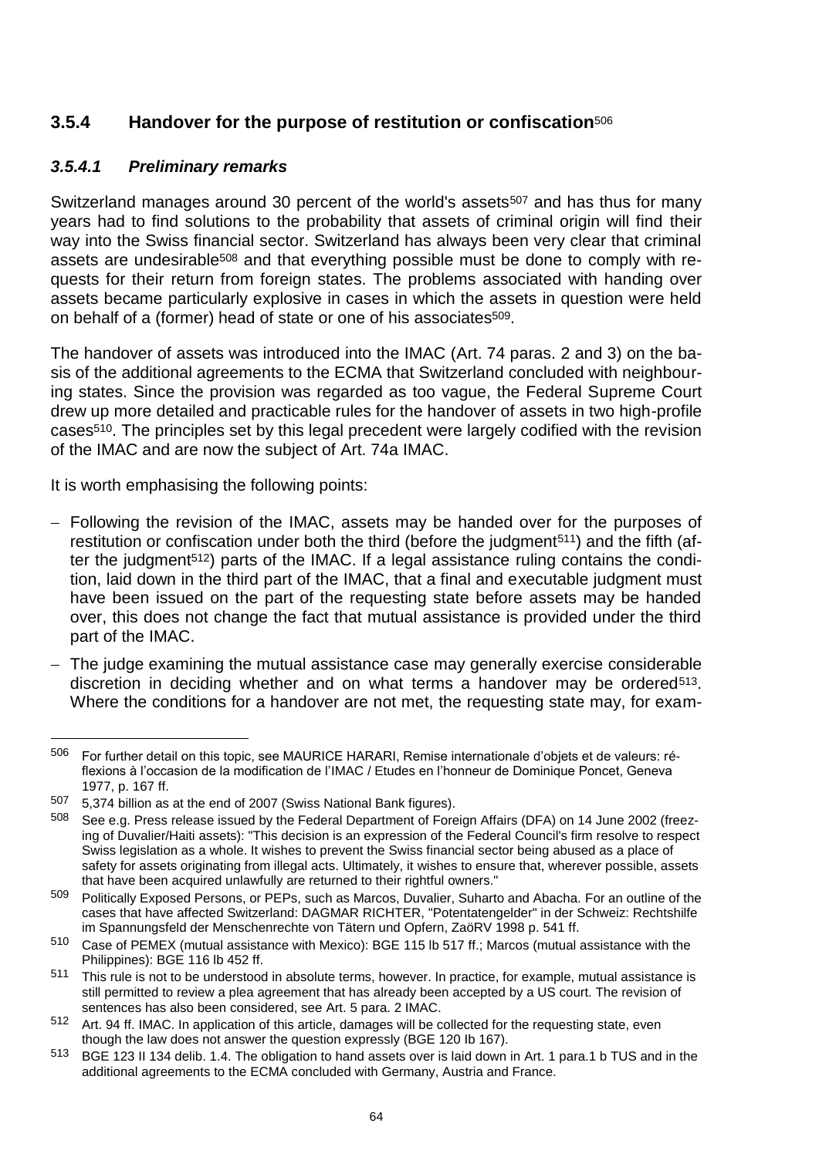# **3.5.4 Handover for the purpose of restitution or confiscation**<sup>506</sup>

### *3.5.4.1 Preliminary remarks*

Switzerland manages around 30 percent of the world's assets<sup>507</sup> and has thus for many years had to find solutions to the probability that assets of criminal origin will find their way into the Swiss financial sector. Switzerland has always been very clear that criminal assets are undesirable<sup>508</sup> and that everything possible must be done to comply with requests for their return from foreign states. The problems associated with handing over assets became particularly explosive in cases in which the assets in question were held on behalf of a (former) head of state or one of his associates<sup>509</sup>.

The handover of assets was introduced into the IMAC (Art. 74 paras. 2 and 3) on the basis of the additional agreements to the ECMA that Switzerland concluded with neighbouring states. Since the provision was regarded as too vague, the Federal Supreme Court drew up more detailed and practicable rules for the handover of assets in two high-profile cases510. The principles set by this legal precedent were largely codified with the revision of the IMAC and are now the subject of Art. 74a IMAC.

It is worth emphasising the following points:

- Following the revision of the IMAC, assets may be handed over for the purposes of restitution or confiscation under both the third (before the judgment<sup>511</sup>) and the fifth (after the judgment<sup>512</sup>) parts of the IMAC. If a legal assistance ruling contains the condition, laid down in the third part of the IMAC, that a final and executable judgment must have been issued on the part of the requesting state before assets may be handed over, this does not change the fact that mutual assistance is provided under the third part of the IMAC.
- The judge examining the mutual assistance case may generally exercise considerable discretion in deciding whether and on what terms a handover may be ordered<sup>513</sup>. Where the conditions for a handover are not met, the requesting state may, for exam-

<sup>506</sup> For further detail on this topic, see MAURICE HARARI, Remise internationale d'objets et de valeurs: réflexions à l'occasion de la modification de l'IMAC / Etudes en l'honneur de Dominique Poncet, Geneva 1977, p. 167 ff.

 $507$  5,374 billion as at the end of 2007 (Swiss National Bank figures).<br> $508$  See e.g. Press release issued by the Eederal Department of Eorg

<sup>508</sup> See e.g. Press release issued by the Federal Department of Foreign Affairs (DFA) on 14 June 2002 (freezing of Duvalier/Haiti assets): "This decision is an expression of the Federal Council's firm resolve to respect Swiss legislation as a whole. It wishes to prevent the Swiss financial sector being abused as a place of safety for assets originating from illegal acts. Ultimately, it wishes to ensure that, wherever possible, assets that have been acquired unlawfully are returned to their rightful owners."

<sup>509</sup> Politically Exposed Persons, or PEPs, such as Marcos, Duvalier, Suharto and Abacha. For an outline of the cases that have affected Switzerland: DAGMAR RICHTER, "Potentatengelder" in der Schweiz: Rechtshilfe im Spannungsfeld der Menschenrechte von Tätern und Opfern, ZaöRV 1998 p. 541 ff.

<sup>510</sup> Case of PEMEX (mutual assistance with Mexico): BGE 115 lb 517 ff.; Marcos (mutual assistance with the Philippines): BGE 116 lb 452 ff.

<sup>&</sup>lt;sup>511</sup> This rule is not to be understood in absolute terms, however. In practice, for example, mutual assistance is still permitted to review a plea agreement that has already been accepted by a US court. The revision of sentences has also been considered, see Art. 5 para. 2 IMAC.

<sup>512</sup> Art. 94 ff. IMAC. In application of this article, damages will be collected for the requesting state, even though the law does not answer the question expressly (BGE 120 Ib 167).

<sup>513</sup> BGE 123 II 134 delib. 1.4. The obligation to hand assets over is laid down in Art. 1 para.1 b TUS and in the additional agreements to the ECMA concluded with Germany, Austria and France.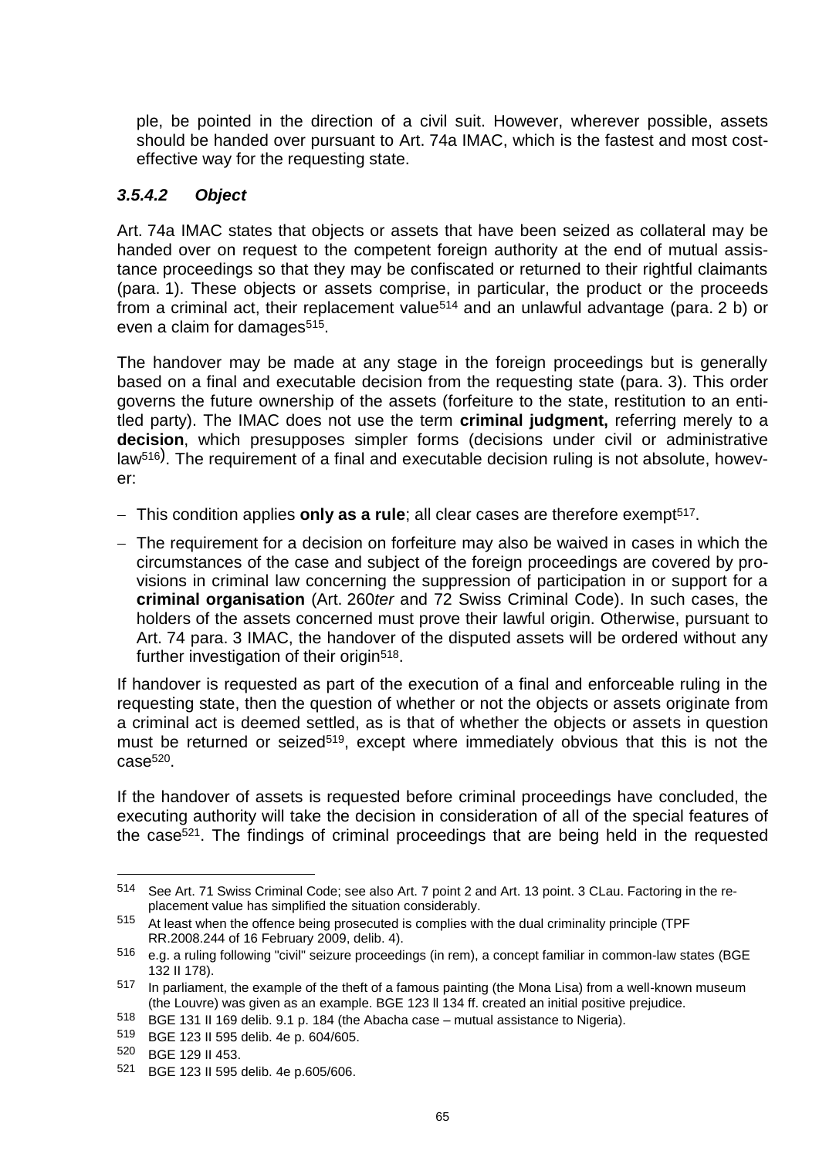ple, be pointed in the direction of a civil suit. However, wherever possible, assets should be handed over pursuant to Art. 74a IMAC, which is the fastest and most costeffective way for the requesting state.

### *3.5.4.2 Object*

Art. 74a IMAC states that objects or assets that have been seized as collateral may be handed over on request to the competent foreign authority at the end of mutual assistance proceedings so that they may be confiscated or returned to their rightful claimants (para. 1). These objects or assets comprise, in particular, the product or the proceeds from a criminal act, their replacement value<sup>514</sup> and an unlawful advantage (para. 2 b) or even a claim for damages515.

The handover may be made at any stage in the foreign proceedings but is generally based on a final and executable decision from the requesting state (para. 3). This order governs the future ownership of the assets (forfeiture to the state, restitution to an entitled party). The IMAC does not use the term **criminal judgment,** referring merely to a **decision**, which presupposes simpler forms (decisions under civil or administrative law<sup>516</sup>). The requirement of a final and executable decision ruling is not absolute, however:

- This condition applies **only as a rule**; all clear cases are therefore exempt<sup>517</sup>.
- The requirement for a decision on forfeiture may also be waived in cases in which the circumstances of the case and subject of the foreign proceedings are covered by provisions in criminal law concerning the suppression of participation in or support for a **criminal organisation** (Art. 260*ter* and 72 Swiss Criminal Code). In such cases, the holders of the assets concerned must prove their lawful origin. Otherwise, pursuant to Art. 74 para. 3 IMAC, the handover of the disputed assets will be ordered without any further investigation of their origin<sup>518</sup>.

If handover is requested as part of the execution of a final and enforceable ruling in the requesting state, then the question of whether or not the objects or assets originate from a criminal act is deemed settled, as is that of whether the objects or assets in question must be returned or seized<sup>519</sup>, except where immediately obvious that this is not the  $case<sub>520</sub>$ 

If the handover of assets is requested before criminal proceedings have concluded, the executing authority will take the decision in consideration of all of the special features of the case521. The findings of criminal proceedings that are being held in the requested

<sup>514</sup> See Art. 71 Swiss Criminal Code; see also Art. 7 point 2 and Art. 13 point. 3 CLau. Factoring in the replacement value has simplified the situation considerably.

<sup>515</sup> At least when the offence being prosecuted is complies with the dual criminality principle (TPF RR.2008.244 of 16 February 2009, delib. 4).

<sup>516</sup> e.g. a ruling following "civil" seizure proceedings (in rem), a concept familiar in common-law states (BGE 132 II 178).

<sup>517</sup> In parliament, the example of the theft of a famous painting (the Mona Lisa) from a well-known museum (the Louvre) was given as an example. BGE 123 ll 134 ff. created an initial positive prejudice.

<sup>518</sup> BGE 131 II 169 delib. 9.1 p. 184 (the Abacha case – mutual assistance to Nigeria).

<sup>519</sup> BGE 123 II 595 delib. 4e p. 604/605.

<sup>520</sup> BGE 129 II 453.

<sup>521</sup> BGE 123 II 595 delib. 4e p.605/606.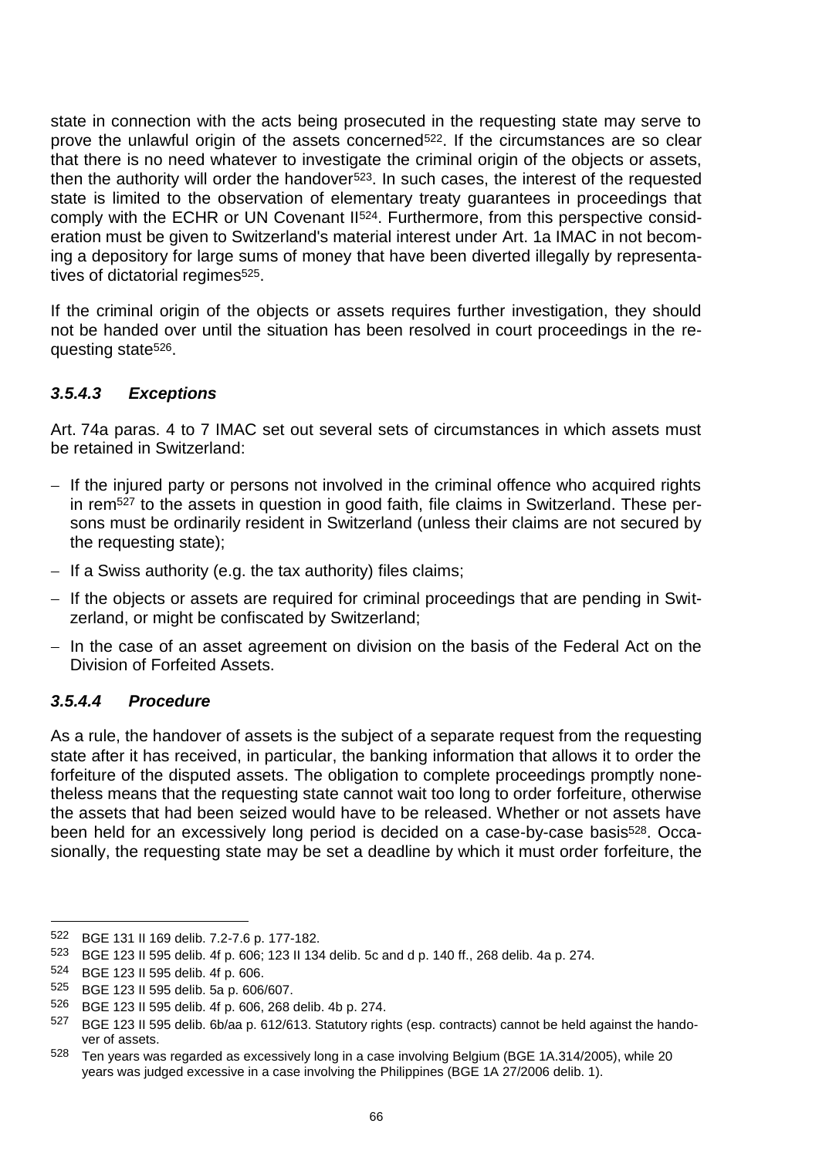state in connection with the acts being prosecuted in the requesting state may serve to prove the unlawful origin of the assets concerned<sup>522</sup>. If the circumstances are so clear that there is no need whatever to investigate the criminal origin of the objects or assets, then the authority will order the handover<sup>523</sup>. In such cases, the interest of the requested state is limited to the observation of elementary treaty guarantees in proceedings that comply with the ECHR or UN Covenant II524. Furthermore, from this perspective consideration must be given to Switzerland's material interest under Art. 1a IMAC in not becoming a depository for large sums of money that have been diverted illegally by representatives of dictatorial regimes<sup>525</sup>.

If the criminal origin of the objects or assets requires further investigation, they should not be handed over until the situation has been resolved in court proceedings in the requesting state526.

### *3.5.4.3 Exceptions*

Art. 74a paras. 4 to 7 IMAC set out several sets of circumstances in which assets must be retained in Switzerland:

- If the injured party or persons not involved in the criminal offence who acquired rights in rem<sup>527</sup> to the assets in question in good faith, file claims in Switzerland. These persons must be ordinarily resident in Switzerland (unless their claims are not secured by the requesting state);
- $-$  If a Swiss authority (e.g. the tax authority) files claims;
- If the objects or assets are required for criminal proceedings that are pending in Switzerland, or might be confiscated by Switzerland;
- $-$  In the case of an asset agreement on division on the basis of the Federal Act on the Division of Forfeited Assets.

### *3.5.4.4 Procedure*

As a rule, the handover of assets is the subject of a separate request from the requesting state after it has received, in particular, the banking information that allows it to order the forfeiture of the disputed assets. The obligation to complete proceedings promptly nonetheless means that the requesting state cannot wait too long to order forfeiture, otherwise the assets that had been seized would have to be released. Whether or not assets have been held for an excessively long period is decided on a case-by-case basis<sup>528</sup>. Occasionally, the requesting state may be set a deadline by which it must order forfeiture, the

<sup>522</sup> BGE 131 II 169 delib. 7.2-7.6 p. 177-182.

<sup>523</sup> BGE 123 II 595 delib. 4f p. 606; 123 II 134 delib. 5c and d p. 140 ff., 268 delib. 4a p. 274.

<sup>524</sup> BGE 123 II 595 delib. 4f p. 606.

<sup>525</sup> BGE 123 II 595 delib. 5a p. 606/607.<br>526 BGE 123 II 595 delib. 4f p. 606, 268 i

<sup>526</sup> BGE 123 II 595 delib. 4f p. 606, 268 delib. 4b p. 274.

<sup>527</sup> BGE 123 II 595 delib. 6b/aa p. 612/613. Statutory rights (esp. contracts) cannot be held against the handover of assets.

<sup>528</sup> Ten years was regarded as excessively long in a case involving Belgium (BGE 1A.314/2005), while 20 years was judged excessive in a case involving the Philippines (BGE 1A 27/2006 delib. 1).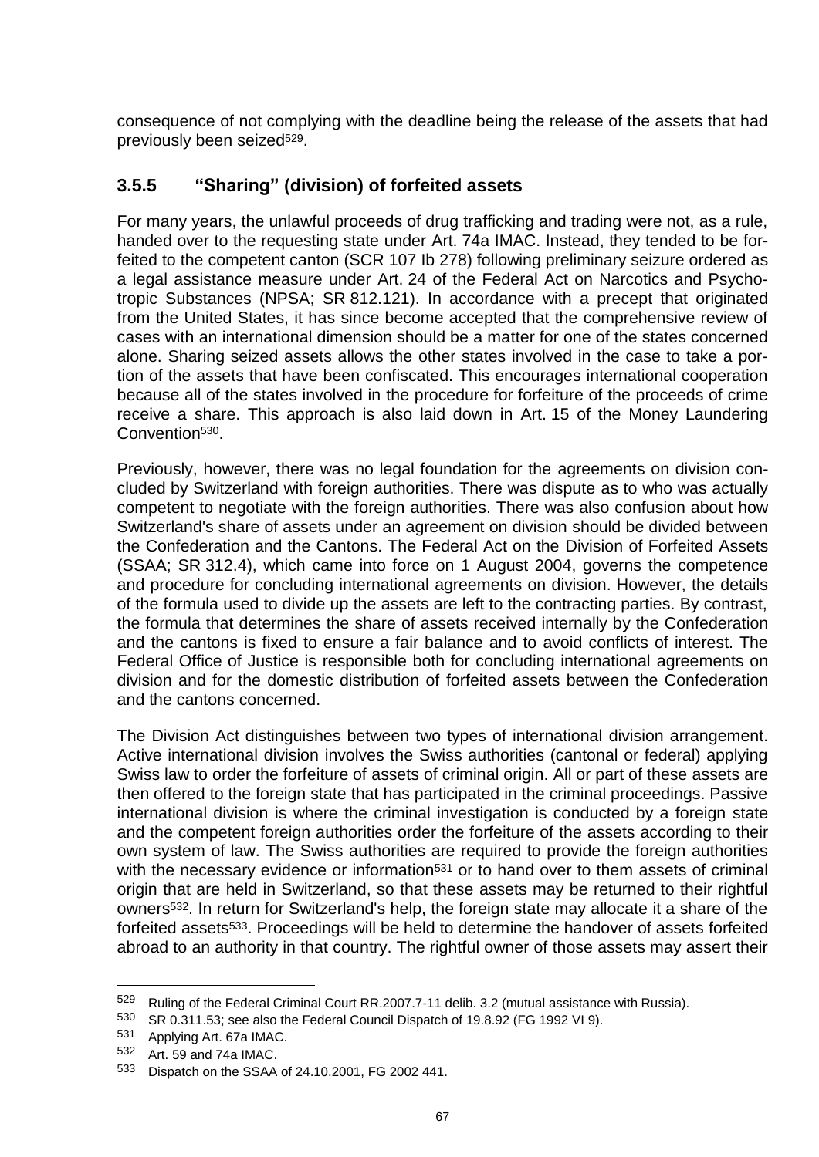consequence of not complying with the deadline being the release of the assets that had previously been seized<sup>529</sup>.

# **3.5.5 "Sharing" (division) of forfeited assets**

For many years, the unlawful proceeds of drug trafficking and trading were not, as a rule, handed over to the requesting state under Art. 74a IMAC. Instead, they tended to be forfeited to the competent canton (SCR 107 Ib 278) following preliminary seizure ordered as a legal assistance measure under Art. 24 of the Federal Act on Narcotics and Psychotropic Substances (NPSA; SR 812.121). In accordance with a precept that originated from the United States, it has since become accepted that the comprehensive review of cases with an international dimension should be a matter for one of the states concerned alone. Sharing seized assets allows the other states involved in the case to take a portion of the assets that have been confiscated. This encourages international cooperation because all of the states involved in the procedure for forfeiture of the proceeds of crime receive a share. This approach is also laid down in Art. 15 of the Money Laundering Convention530.

Previously, however, there was no legal foundation for the agreements on division concluded by Switzerland with foreign authorities. There was dispute as to who was actually competent to negotiate with the foreign authorities. There was also confusion about how Switzerland's share of assets under an agreement on division should be divided between the Confederation and the Cantons. The Federal Act on the Division of Forfeited Assets (SSAA; SR 312.4), which came into force on 1 August 2004, governs the competence and procedure for concluding international agreements on division. However, the details of the formula used to divide up the assets are left to the contracting parties. By contrast, the formula that determines the share of assets received internally by the Confederation and the cantons is fixed to ensure a fair balance and to avoid conflicts of interest. The Federal Office of Justice is responsible both for concluding international agreements on division and for the domestic distribution of forfeited assets between the Confederation and the cantons concerned.

The Division Act distinguishes between two types of international division arrangement. Active international division involves the Swiss authorities (cantonal or federal) applying Swiss law to order the forfeiture of assets of criminal origin. All or part of these assets are then offered to the foreign state that has participated in the criminal proceedings. Passive international division is where the criminal investigation is conducted by a foreign state and the competent foreign authorities order the forfeiture of the assets according to their own system of law. The Swiss authorities are required to provide the foreign authorities with the necessary evidence or information<sup>531</sup> or to hand over to them assets of criminal origin that are held in Switzerland, so that these assets may be returned to their rightful owners532. In return for Switzerland's help, the foreign state may allocate it a share of the forfeited assets<sup>533</sup>. Proceedings will be held to determine the handover of assets forfeited abroad to an authority in that country. The rightful owner of those assets may assert their

<sup>529</sup> Ruling of the Federal Criminal Court RR.2007.7-11 delib. 3.2 (mutual assistance with Russia).

<sup>530</sup> SR 0.311.53; see also the Federal Council Dispatch of 19.8.92 (FG 1992 VI 9).<br>531 Applying Art. 673 IMAC

<sup>531</sup> Applying Art. 67a IMAC.

<sup>532</sup> Art. 59 and 74a IMAC.

<sup>533</sup> Dispatch on the SSAA of 24.10.2001, FG 2002 441.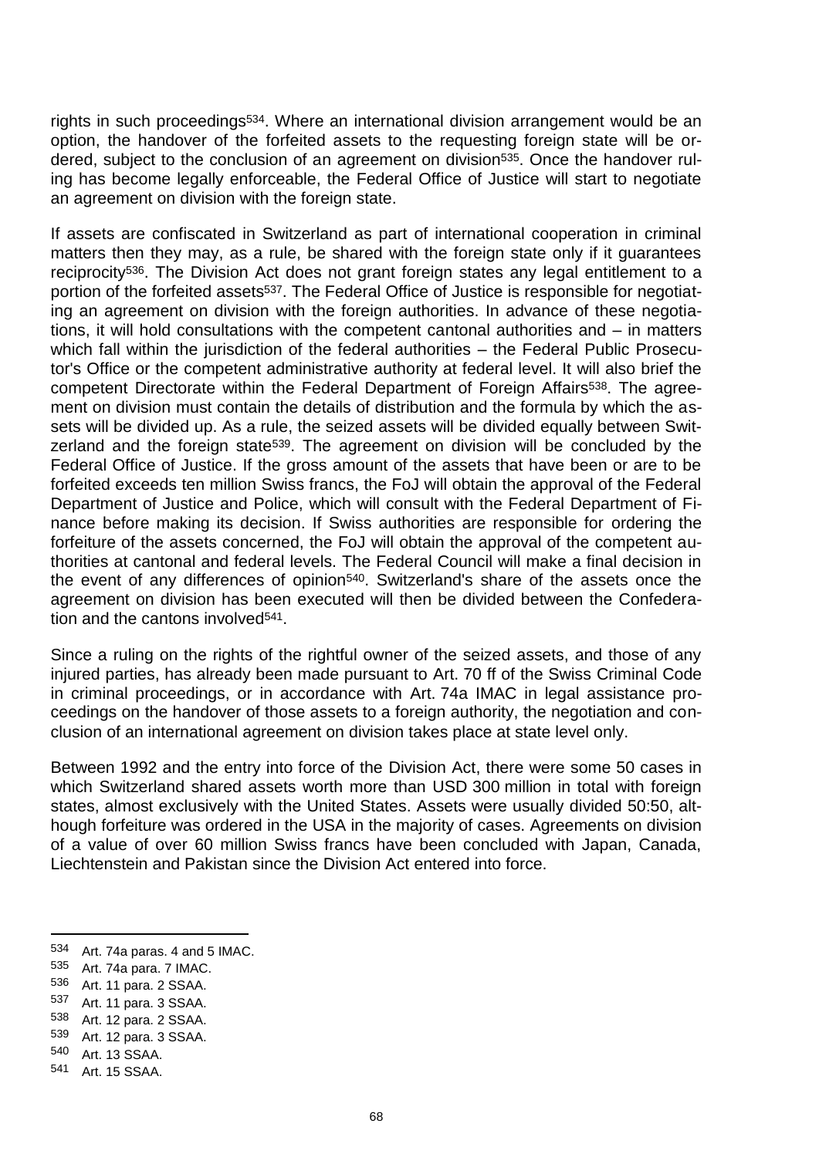rights in such proceedings534. Where an international division arrangement would be an option, the handover of the forfeited assets to the requesting foreign state will be ordered, subject to the conclusion of an agreement on division<sup>535</sup>. Once the handover ruling has become legally enforceable, the Federal Office of Justice will start to negotiate an agreement on division with the foreign state.

If assets are confiscated in Switzerland as part of international cooperation in criminal matters then they may, as a rule, be shared with the foreign state only if it guarantees reciprocity<sup>536</sup>. The Division Act does not grant foreign states any legal entitlement to a portion of the forfeited assets<sup>537</sup>. The Federal Office of Justice is responsible for negotiating an agreement on division with the foreign authorities. In advance of these negotiations, it will hold consultations with the competent cantonal authorities and – in matters which fall within the jurisdiction of the federal authorities – the Federal Public Prosecutor's Office or the competent administrative authority at federal level. It will also brief the competent Directorate within the Federal Department of Foreign Affairs<sup>538</sup>. The agreement on division must contain the details of distribution and the formula by which the assets will be divided up. As a rule, the seized assets will be divided equally between Switzerland and the foreign state<sup>539</sup>. The agreement on division will be concluded by the Federal Office of Justice. If the gross amount of the assets that have been or are to be forfeited exceeds ten million Swiss francs, the FoJ will obtain the approval of the Federal Department of Justice and Police, which will consult with the Federal Department of Finance before making its decision. If Swiss authorities are responsible for ordering the forfeiture of the assets concerned, the FoJ will obtain the approval of the competent authorities at cantonal and federal levels. The Federal Council will make a final decision in the event of any differences of opinion<sup>540</sup>. Switzerland's share of the assets once the agreement on division has been executed will then be divided between the Confederation and the cantons involved<sup>541</sup>.

Since a ruling on the rights of the rightful owner of the seized assets, and those of any injured parties, has already been made pursuant to Art. 70 ff of the Swiss Criminal Code in criminal proceedings, or in accordance with Art. 74a IMAC in legal assistance proceedings on the handover of those assets to a foreign authority, the negotiation and conclusion of an international agreement on division takes place at state level only.

Between 1992 and the entry into force of the Division Act, there were some 50 cases in which Switzerland shared assets worth more than USD 300 million in total with foreign states, almost exclusively with the United States. Assets were usually divided 50:50, although forfeiture was ordered in the USA in the majority of cases. Agreements on division of a value of over 60 million Swiss francs have been concluded with Japan, Canada, Liechtenstein and Pakistan since the Division Act entered into force.

538 Art. 12 para. 2 SSAA.<br>539 Art. 12 para. 3 SSAA

<sup>534</sup> Art. 74a paras. 4 and 5 IMAC.

<sup>535</sup> Art. 74a para. 7 IMAC.

<sup>536</sup> Art. 11 para. 2 SSAA.

<sup>537</sup> Art. 11 para. 3 SSAA.

<sup>539</sup> Art. 12 para. 3 SSAA.

<sup>540</sup> Art. 13 SSAA.

<sup>541</sup> Art. 15 SSAA.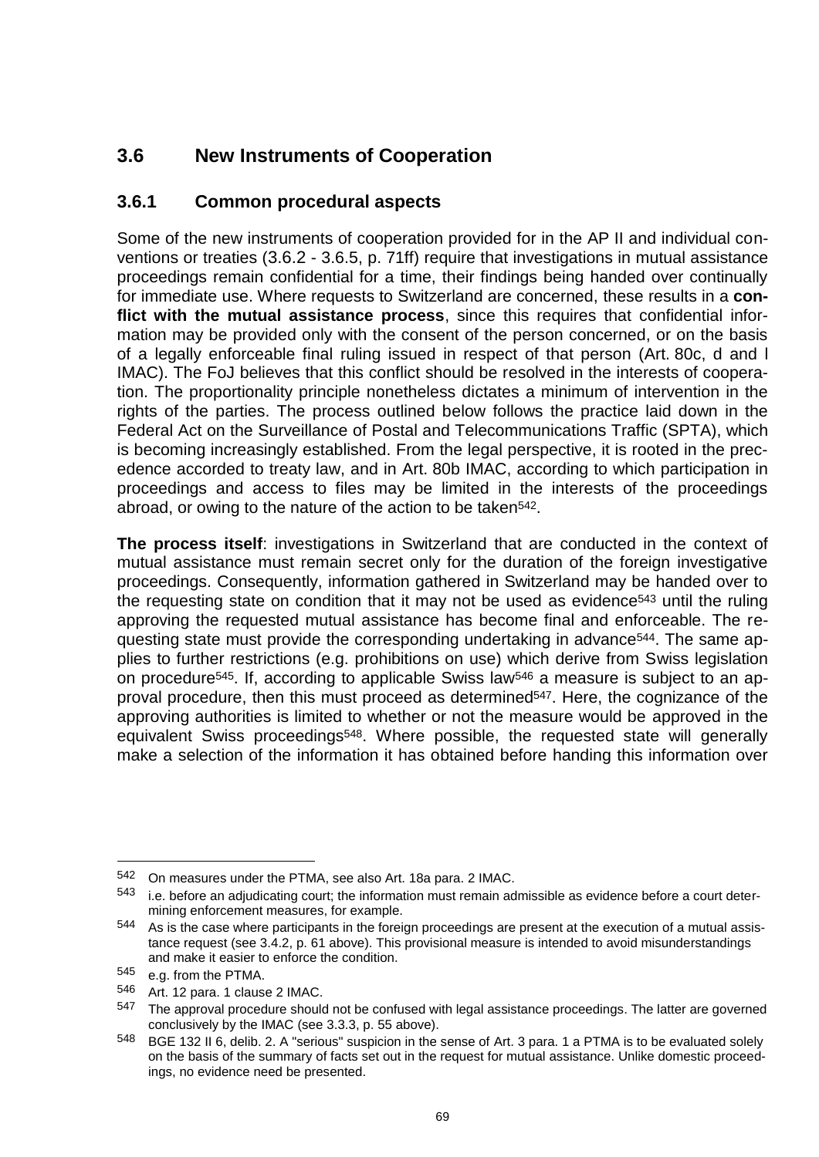# **3.6 New Instruments of Cooperation**

## **3.6.1 Common procedural aspects**

Some of the new instruments of cooperation provided for in the AP II and individual conventions or treaties (3.6.2 - 3.6.5, p. 71ff) require that investigations in mutual assistance proceedings remain confidential for a time, their findings being handed over continually for immediate use. Where requests to Switzerland are concerned, these results in a **conflict with the mutual assistance process**, since this requires that confidential information may be provided only with the consent of the person concerned, or on the basis of a legally enforceable final ruling issued in respect of that person (Art. 80c, d and l IMAC). The FoJ believes that this conflict should be resolved in the interests of cooperation. The proportionality principle nonetheless dictates a minimum of intervention in the rights of the parties. The process outlined below follows the practice laid down in the Federal Act on the Surveillance of Postal and Telecommunications Traffic (SPTA), which is becoming increasingly established. From the legal perspective, it is rooted in the precedence accorded to treaty law, and in Art. 80b IMAC, according to which participation in proceedings and access to files may be limited in the interests of the proceedings abroad, or owing to the nature of the action to be taken<sup>542</sup>.

**The process itself**: investigations in Switzerland that are conducted in the context of mutual assistance must remain secret only for the duration of the foreign investigative proceedings. Consequently, information gathered in Switzerland may be handed over to the requesting state on condition that it may not be used as evidence<sup>543</sup> until the ruling approving the requested mutual assistance has become final and enforceable. The requesting state must provide the corresponding undertaking in advance<sup>544</sup>. The same applies to further restrictions (e.g. prohibitions on use) which derive from Swiss legislation on procedure<sup>545</sup>. If, according to applicable Swiss law<sup>546</sup> a measure is subject to an approval procedure, then this must proceed as determined<sup>547</sup>. Here, the cognizance of the approving authorities is limited to whether or not the measure would be approved in the equivalent Swiss proceedings<sup>548</sup>. Where possible, the requested state will generally make a selection of the information it has obtained before handing this information over

<sup>542</sup> On measures under the PTMA, see also Art. 18a para. 2 IMAC.

<sup>543</sup> i.e. before an adiudicating court; the information must remain admissible as evidence before a court determining enforcement measures, for example.

<sup>544</sup> As is the case where participants in the foreign proceedings are present at the execution of a mutual assistance request (see 3.4.2, p. 61 above). This provisional measure is intended to avoid misunderstandings and make it easier to enforce the condition.

<sup>545</sup> e.g. from the PTMA.

<sup>546</sup> Art. 12 para. 1 clause 2 IMAC.

<sup>547</sup> The approval procedure should not be confused with legal assistance proceedings. The latter are governed conclusively by the IMAC (see 3.3.3, p. 55 above).

<sup>548</sup> BGE 132 II 6, delib. 2. A "serious" suspicion in the sense of Art. 3 para. 1 a PTMA is to be evaluated solely on the basis of the summary of facts set out in the request for mutual assistance. Unlike domestic proceedings, no evidence need be presented.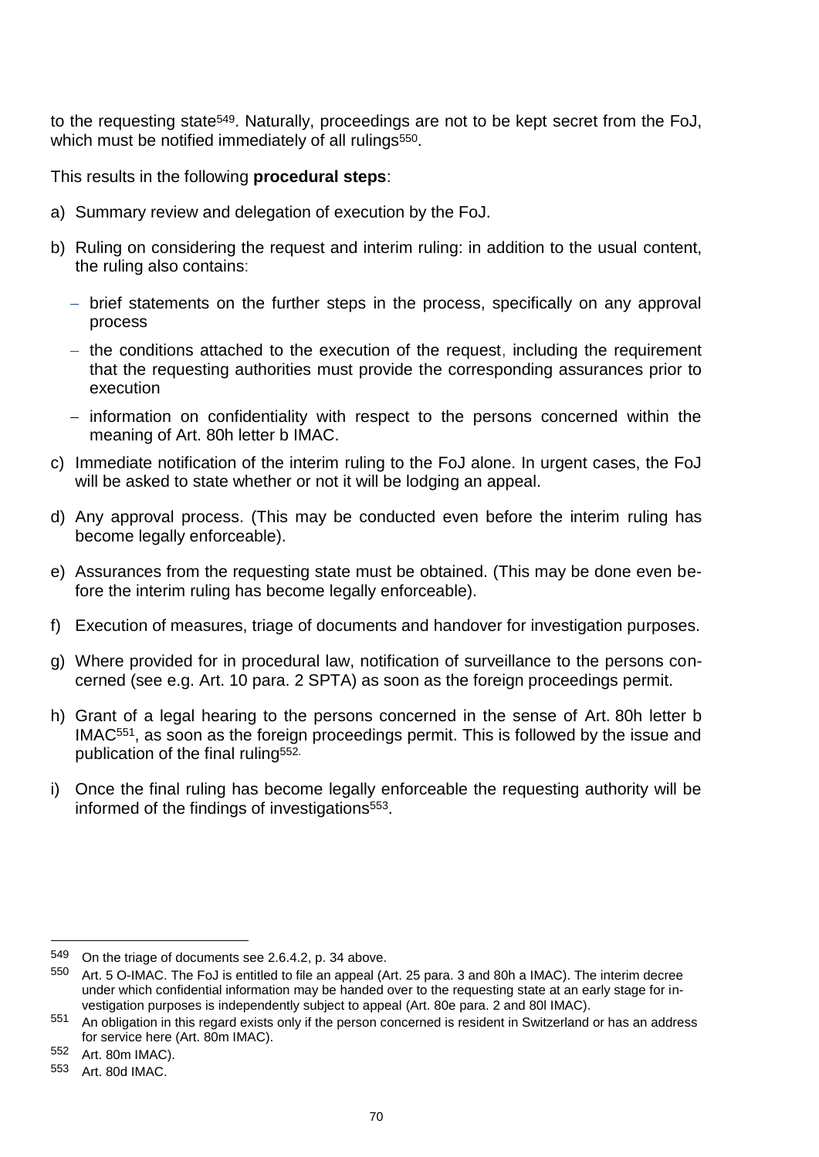to the requesting state549. Naturally, proceedings are not to be kept secret from the FoJ, which must be notified immediately of all rulings<sup>550</sup>.

This results in the following **procedural steps**:

- a) Summary review and delegation of execution by the FoJ.
- b) Ruling on considering the request and interim ruling: in addition to the usual content, the ruling also contains:
	- brief statements on the further steps in the process, specifically on any approval process
	- $-$  the conditions attached to the execution of the request, including the requirement that the requesting authorities must provide the corresponding assurances prior to execution
	- information on confidentiality with respect to the persons concerned within the meaning of Art. 80h letter b IMAC.
- c) Immediate notification of the interim ruling to the FoJ alone. In urgent cases, the FoJ will be asked to state whether or not it will be lodging an appeal.
- d) Any approval process. (This may be conducted even before the interim ruling has become legally enforceable).
- e) Assurances from the requesting state must be obtained. (This may be done even before the interim ruling has become legally enforceable).
- f) Execution of measures, triage of documents and handover for investigation purposes.
- g) Where provided for in procedural law, notification of surveillance to the persons concerned (see e.g. Art. 10 para. 2 SPTA) as soon as the foreign proceedings permit.
- h) Grant of a legal hearing to the persons concerned in the sense of Art. 80h letter b IMAC551, as soon as the foreign proceedings permit. This is followed by the issue and publication of the final ruling<sup>552.</sup>
- i) Once the final ruling has become legally enforceable the requesting authority will be informed of the findings of investigations<sup>553</sup>.

<sup>549</sup> On the triage of documents see 2.6.4.2, p. 34 above.

<sup>550</sup> Art. 5 O-IMAC. The FoJ is entitled to file an appeal (Art. 25 para. 3 and 80h a IMAC). The interim decree under which confidential information may be handed over to the requesting state at an early stage for investigation purposes is independently subject to appeal (Art. 80e para. 2 and 80l IMAC).

<sup>551</sup> An obligation in this regard exists only if the person concerned is resident in Switzerland or has an address for service here (Art. 80m IMAC).

<sup>552</sup> Art. 80m IMAC).

<sup>553</sup> Art. 80d IMAC.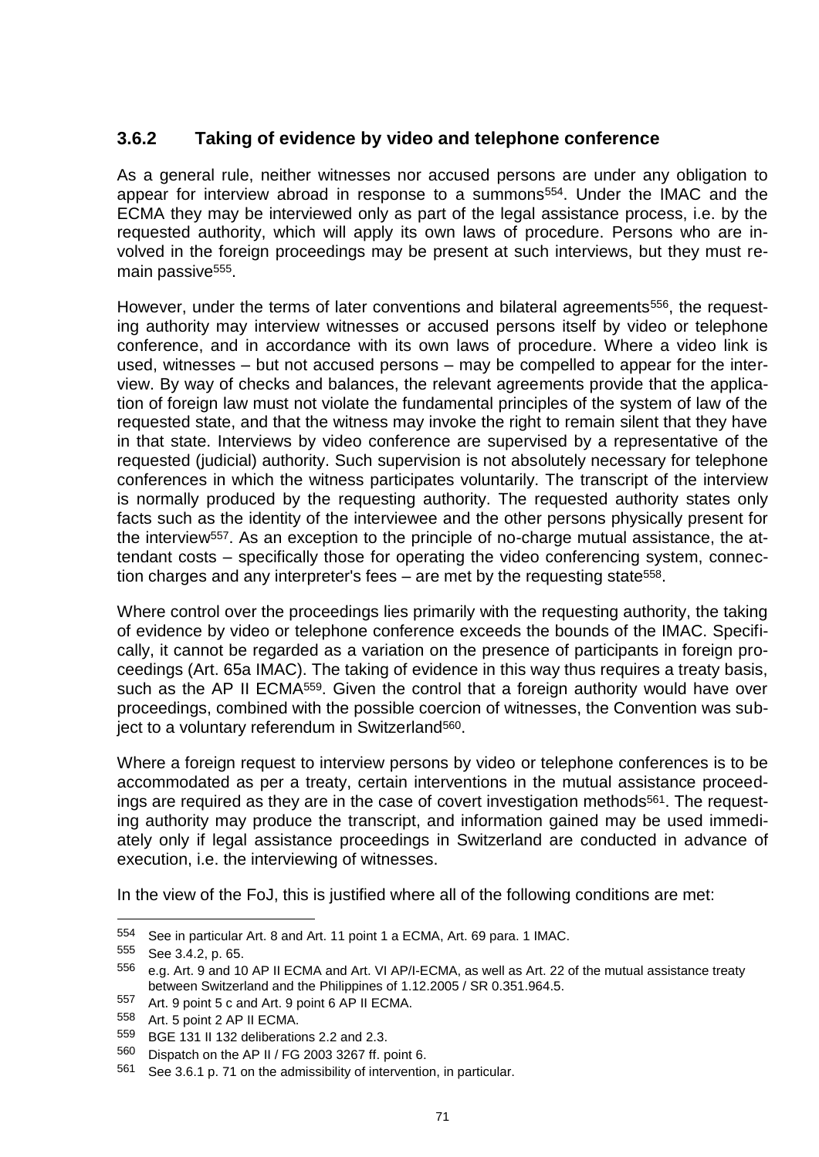#### **3.6.2 Taking of evidence by video and telephone conference**

As a general rule, neither witnesses nor accused persons are under any obligation to appear for interview abroad in response to a summons<sup>554</sup>. Under the IMAC and the ECMA they may be interviewed only as part of the legal assistance process, i.e. by the requested authority, which will apply its own laws of procedure. Persons who are involved in the foreign proceedings may be present at such interviews, but they must remain passive<sup>555</sup>.

However, under the terms of later conventions and bilateral agreements<sup>556</sup>, the requesting authority may interview witnesses or accused persons itself by video or telephone conference, and in accordance with its own laws of procedure. Where a video link is used, witnesses – but not accused persons – may be compelled to appear for the interview. By way of checks and balances, the relevant agreements provide that the application of foreign law must not violate the fundamental principles of the system of law of the requested state, and that the witness may invoke the right to remain silent that they have in that state. Interviews by video conference are supervised by a representative of the requested (judicial) authority. Such supervision is not absolutely necessary for telephone conferences in which the witness participates voluntarily. The transcript of the interview is normally produced by the requesting authority. The requested authority states only facts such as the identity of the interviewee and the other persons physically present for the interview<sup>557</sup>. As an exception to the principle of no-charge mutual assistance, the attendant costs – specifically those for operating the video conferencing system, connection charges and any interpreter's fees – are met by the requesting state558.

Where control over the proceedings lies primarily with the requesting authority, the taking of evidence by video or telephone conference exceeds the bounds of the IMAC. Specifically, it cannot be regarded as a variation on the presence of participants in foreign proceedings (Art. 65a IMAC). The taking of evidence in this way thus requires a treaty basis, such as the AP II ECMA<sup>559</sup>. Given the control that a foreign authority would have over proceedings, combined with the possible coercion of witnesses, the Convention was subject to a voluntary referendum in Switzerland560.

Where a foreign request to interview persons by video or telephone conferences is to be accommodated as per a treaty, certain interventions in the mutual assistance proceedings are required as they are in the case of covert investigation methods<sup>561</sup>. The requesting authority may produce the transcript, and information gained may be used immediately only if legal assistance proceedings in Switzerland are conducted in advance of execution, i.e. the interviewing of witnesses.

In the view of the FoJ, this is justified where all of the following conditions are met:

<sup>554</sup> See in particular Art. 8 and Art. 11 point 1 a ECMA, Art. 69 para. 1 IMAC.

<sup>555</sup> See 3.4.2, p. 65.

<sup>556</sup> e.g. Art. 9 and 10 AP II ECMA and Art. VI AP/I-ECMA, as well as Art. 22 of the mutual assistance treaty between Switzerland and the Philippines of 1.12.2005 / SR 0.351.964.5.

<sup>557</sup> Art. 9 point 5 c and Art. 9 point 6 AP II ECMA.<br>558 Art 5 point 2 AP II ECMA.

Art. 5 point 2 AP II ECMA.

<sup>559</sup> BGE 131 II 132 deliberations 2.2 and 2.3.

<sup>560</sup> Dispatch on the AP II / FG 2003 3267 ff. point 6.

<sup>561</sup> See 3.6.1 p. 71 on the admissibility of intervention, in particular.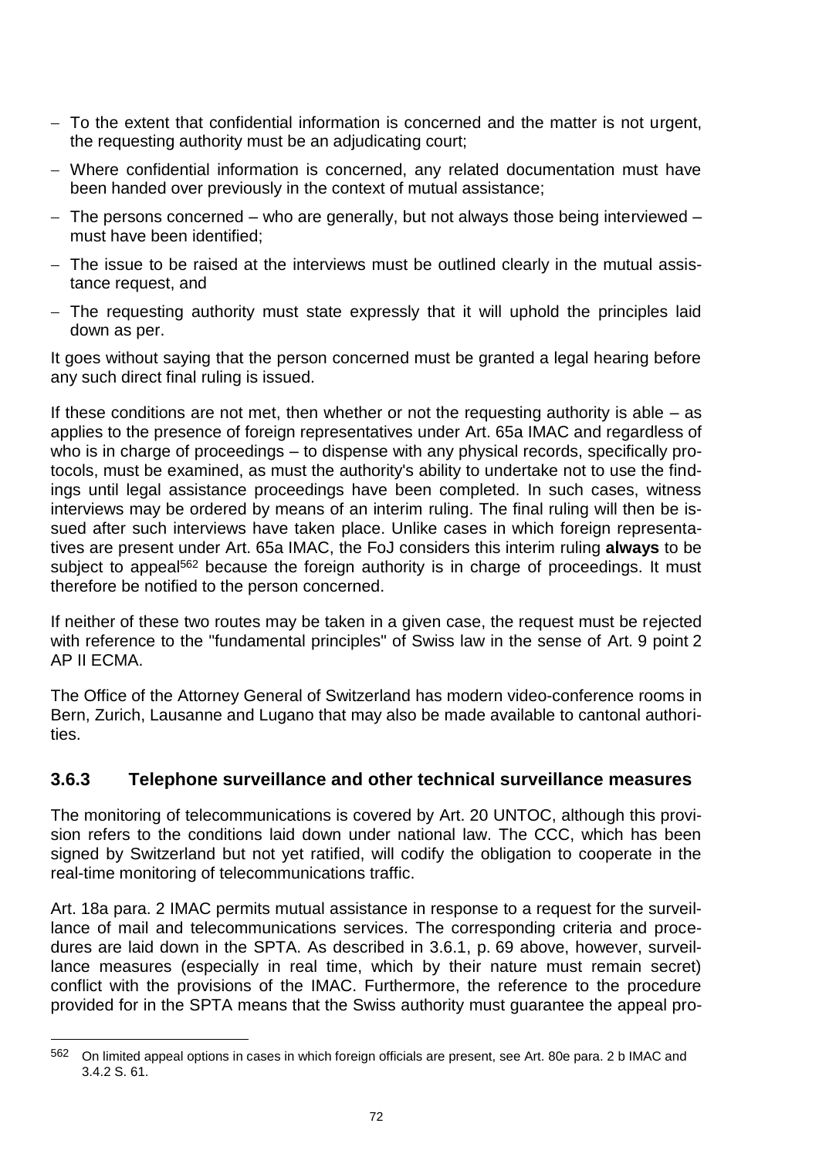- $-$  To the extent that confidential information is concerned and the matter is not urgent, the requesting authority must be an adjudicating court;
- Where confidential information is concerned, any related documentation must have been handed over previously in the context of mutual assistance;
- The persons concerned who are generally, but not always those being interviewed must have been identified;
- The issue to be raised at the interviews must be outlined clearly in the mutual assistance request, and
- The requesting authority must state expressly that it will uphold the principles laid down as per.

It goes without saying that the person concerned must be granted a legal hearing before any such direct final ruling is issued.

If these conditions are not met, then whether or not the requesting authority is able  $-$  as applies to the presence of foreign representatives under Art. 65a IMAC and regardless of who is in charge of proceedings – to dispense with any physical records, specifically protocols, must be examined, as must the authority's ability to undertake not to use the findings until legal assistance proceedings have been completed. In such cases, witness interviews may be ordered by means of an interim ruling. The final ruling will then be issued after such interviews have taken place. Unlike cases in which foreign representatives are present under Art. 65a IMAC, the FoJ considers this interim ruling **always** to be subject to appeal<sup>562</sup> because the foreign authority is in charge of proceedings. It must therefore be notified to the person concerned.

If neither of these two routes may be taken in a given case, the request must be rejected with reference to the "fundamental principles" of Swiss law in the sense of Art. 9 point 2 AP II ECMA.

The Office of the Attorney General of Switzerland has modern video-conference rooms in Bern, Zurich, Lausanne and Lugano that may also be made available to cantonal authorities.

#### **3.6.3 Telephone surveillance and other technical surveillance measures**

The monitoring of telecommunications is covered by Art. 20 UNTOC, although this provision refers to the conditions laid down under national law. The CCC, which has been signed by Switzerland but not yet ratified, will codify the obligation to cooperate in the real-time monitoring of telecommunications traffic.

Art. 18a para. 2 IMAC permits mutual assistance in response to a request for the surveillance of mail and telecommunications services. The corresponding criteria and procedures are laid down in the SPTA. As described in 3.6.1, p. 69 above, however, surveillance measures (especially in real time, which by their nature must remain secret) conflict with the provisions of the IMAC. Furthermore, the reference to the procedure provided for in the SPTA means that the Swiss authority must guarantee the appeal pro-

<sup>562</sup> On limited appeal options in cases in which foreign officials are present, see Art. 80e para. 2 b IMAC and 3.4.2 S. 61.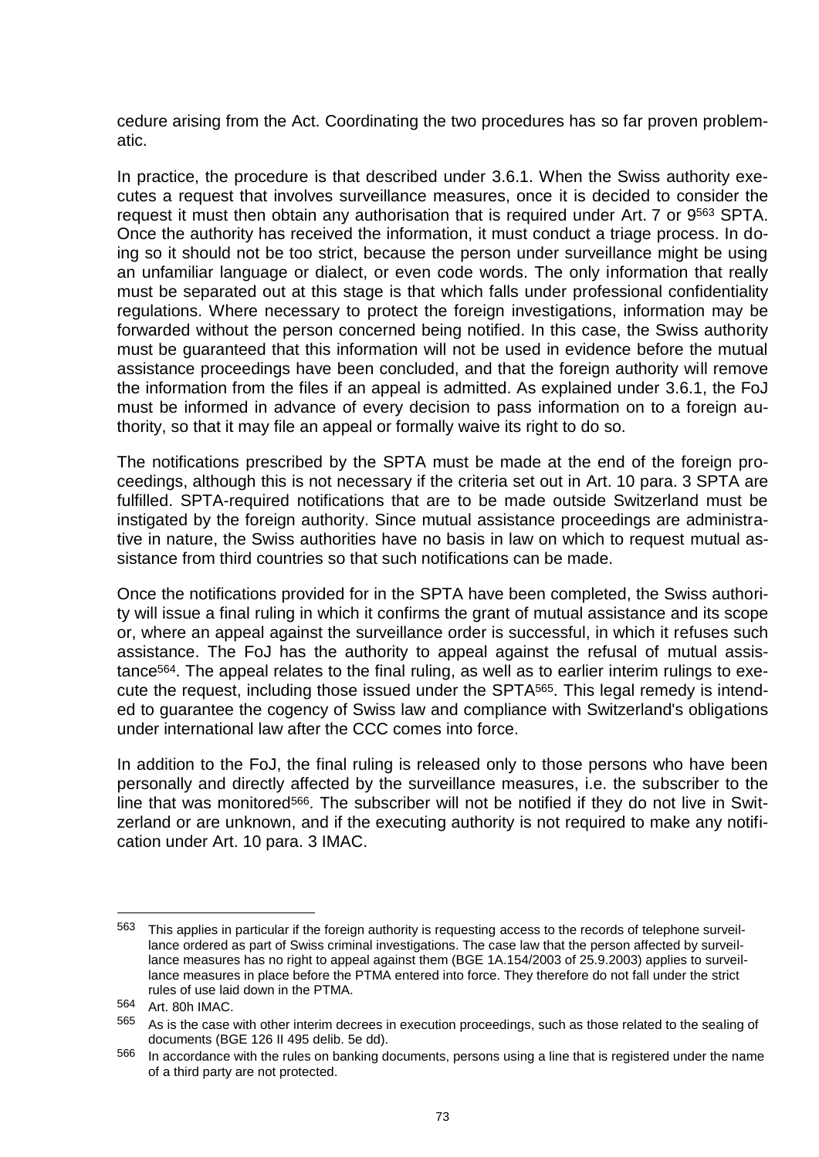cedure arising from the Act. Coordinating the two procedures has so far proven problematic.

In practice, the procedure is that described under 3.6.1. When the Swiss authority executes a request that involves surveillance measures, once it is decided to consider the request it must then obtain any authorisation that is required under Art. 7 or 9<sup>563</sup> SPTA. Once the authority has received the information, it must conduct a triage process. In doing so it should not be too strict, because the person under surveillance might be using an unfamiliar language or dialect, or even code words. The only information that really must be separated out at this stage is that which falls under professional confidentiality regulations. Where necessary to protect the foreign investigations, information may be forwarded without the person concerned being notified. In this case, the Swiss authority must be guaranteed that this information will not be used in evidence before the mutual assistance proceedings have been concluded, and that the foreign authority will remove the information from the files if an appeal is admitted. As explained under 3.6.1, the FoJ must be informed in advance of every decision to pass information on to a foreign authority, so that it may file an appeal or formally waive its right to do so.

The notifications prescribed by the SPTA must be made at the end of the foreign proceedings, although this is not necessary if the criteria set out in Art. 10 para. 3 SPTA are fulfilled. SPTA-required notifications that are to be made outside Switzerland must be instigated by the foreign authority. Since mutual assistance proceedings are administrative in nature, the Swiss authorities have no basis in law on which to request mutual assistance from third countries so that such notifications can be made.

Once the notifications provided for in the SPTA have been completed, the Swiss authority will issue a final ruling in which it confirms the grant of mutual assistance and its scope or, where an appeal against the surveillance order is successful, in which it refuses such assistance. The FoJ has the authority to appeal against the refusal of mutual assistance564. The appeal relates to the final ruling, as well as to earlier interim rulings to execute the request, including those issued under the SPTA565. This legal remedy is intended to guarantee the cogency of Swiss law and compliance with Switzerland's obligations under international law after the CCC comes into force.

In addition to the FoJ, the final ruling is released only to those persons who have been personally and directly affected by the surveillance measures, i.e. the subscriber to the line that was monitored<sup>566</sup>. The subscriber will not be notified if they do not live in Switzerland or are unknown, and if the executing authority is not required to make any notification under Art. 10 para. 3 IMAC.

<sup>563</sup> This applies in particular if the foreign authority is requesting access to the records of telephone surveillance ordered as part of Swiss criminal investigations. The case law that the person affected by surveillance measures has no right to appeal against them (BGE 1A.154/2003 of 25.9.2003) applies to surveillance measures in place before the PTMA entered into force. They therefore do not fall under the strict rules of use laid down in the PTMA.

<sup>564</sup> Art. 80h IMAC.

<sup>565</sup> As is the case with other interim decrees in execution proceedings, such as those related to the sealing of documents (BGE 126 II 495 delib. 5e dd).

<sup>566</sup> In accordance with the rules on banking documents, persons using a line that is registered under the name of a third party are not protected.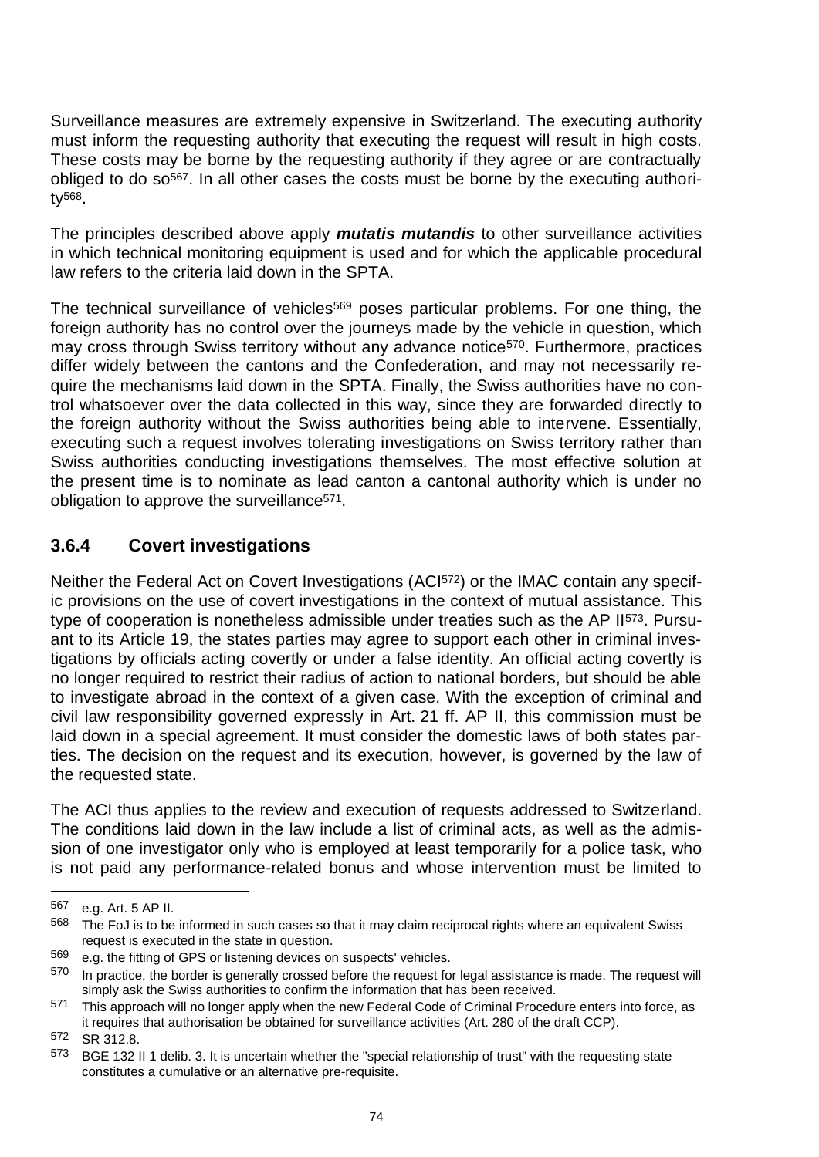Surveillance measures are extremely expensive in Switzerland. The executing authority must inform the requesting authority that executing the request will result in high costs. These costs may be borne by the requesting authority if they agree or are contractually obliged to do so<sup>567</sup>. In all other cases the costs must be borne by the executing authority568.

The principles described above apply *mutatis mutandis* to other surveillance activities in which technical monitoring equipment is used and for which the applicable procedural law refers to the criteria laid down in the SPTA.

The technical surveillance of vehicles<sup>569</sup> poses particular problems. For one thing, the foreign authority has no control over the journeys made by the vehicle in question, which may cross through Swiss territory without any advance notice<sup>570</sup>. Furthermore, practices differ widely between the cantons and the Confederation, and may not necessarily require the mechanisms laid down in the SPTA. Finally, the Swiss authorities have no control whatsoever over the data collected in this way, since they are forwarded directly to the foreign authority without the Swiss authorities being able to intervene. Essentially, executing such a request involves tolerating investigations on Swiss territory rather than Swiss authorities conducting investigations themselves. The most effective solution at the present time is to nominate as lead canton a cantonal authority which is under no obligation to approve the surveillance<sup>571</sup>.

#### **3.6.4 Covert investigations**

Neither the Federal Act on Covert Investigations (ACI572) or the IMAC contain any specific provisions on the use of covert investigations in the context of mutual assistance. This type of cooperation is nonetheless admissible under treaties such as the AP II<sup>573</sup>. Pursuant to its Article 19, the states parties may agree to support each other in criminal investigations by officials acting covertly or under a false identity. An official acting covertly is no longer required to restrict their radius of action to national borders, but should be able to investigate abroad in the context of a given case. With the exception of criminal and civil law responsibility governed expressly in Art. 21 ff. AP II, this commission must be laid down in a special agreement. It must consider the domestic laws of both states parties. The decision on the request and its execution, however, is governed by the law of the requested state.

The ACI thus applies to the review and execution of requests addressed to Switzerland. The conditions laid down in the law include a list of criminal acts, as well as the admission of one investigator only who is employed at least temporarily for a police task, who is not paid any performance-related bonus and whose intervention must be limited to

<sup>567</sup> e.g. Art. 5 AP II.

<sup>&</sup>lt;sup>568</sup> The FoJ is to be informed in such cases so that it may claim reciprocal rights where an equivalent Swiss request is executed in the state in question.

<sup>569</sup> e.g. the fitting of GPS or listening devices on suspects' vehicles.

<sup>570</sup> In practice, the border is generally crossed before the request for legal assistance is made. The request will simply ask the Swiss authorities to confirm the information that has been received.

<sup>571</sup> This approach will no longer apply when the new Federal Code of Criminal Procedure enters into force, as it requires that authorisation be obtained for surveillance activities (Art. 280 of the draft CCP).

<sup>572</sup> SR 312.8.

<sup>573</sup> BGE 132 II 1 delib. 3. It is uncertain whether the "special relationship of trust" with the requesting state constitutes a cumulative or an alternative pre-requisite.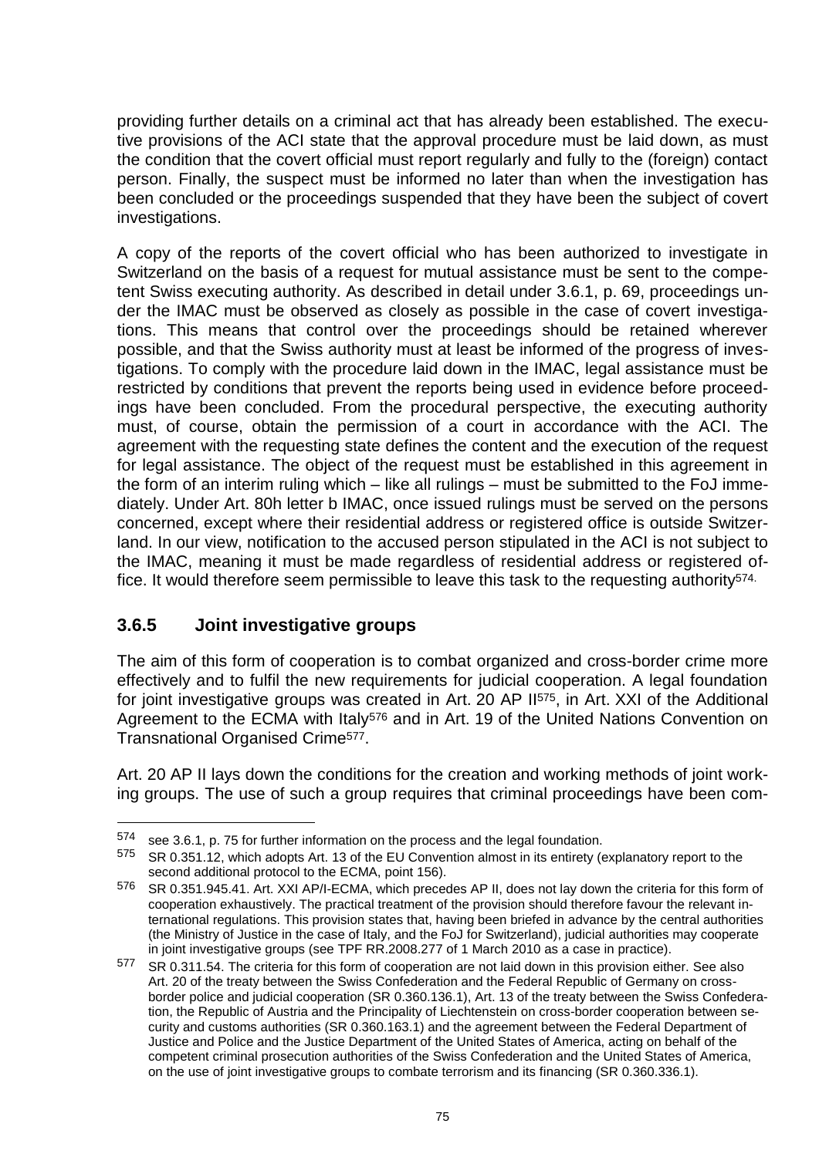providing further details on a criminal act that has already been established. The executive provisions of the ACI state that the approval procedure must be laid down, as must the condition that the covert official must report regularly and fully to the (foreign) contact person. Finally, the suspect must be informed no later than when the investigation has been concluded or the proceedings suspended that they have been the subject of covert investigations.

A copy of the reports of the covert official who has been authorized to investigate in Switzerland on the basis of a request for mutual assistance must be sent to the competent Swiss executing authority. As described in detail under 3.6.1, p. 69, proceedings under the IMAC must be observed as closely as possible in the case of covert investigations. This means that control over the proceedings should be retained wherever possible, and that the Swiss authority must at least be informed of the progress of investigations. To comply with the procedure laid down in the IMAC, legal assistance must be restricted by conditions that prevent the reports being used in evidence before proceedings have been concluded. From the procedural perspective, the executing authority must, of course, obtain the permission of a court in accordance with the ACI. The agreement with the requesting state defines the content and the execution of the request for legal assistance. The object of the request must be established in this agreement in the form of an interim ruling which – like all rulings – must be submitted to the FoJ immediately. Under Art. 80h letter b IMAC, once issued rulings must be served on the persons concerned, except where their residential address or registered office is outside Switzerland. In our view, notification to the accused person stipulated in the ACI is not subject to the IMAC, meaning it must be made regardless of residential address or registered office. It would therefore seem permissible to leave this task to the requesting authority<sup>574.</sup>

#### **3.6.5 Joint investigative groups**

-

The aim of this form of cooperation is to combat organized and cross-border crime more effectively and to fulfil the new requirements for judicial cooperation. A legal foundation for joint investigative groups was created in Art. 20 AP II575, in Art. XXI of the Additional Agreement to the ECMA with Italy<sup>576</sup> and in Art. 19 of the United Nations Convention on Transnational Organised Crime577.

Art. 20 AP II lays down the conditions for the creation and working methods of joint working groups. The use of such a group requires that criminal proceedings have been com-

<sup>574</sup> see 3.6.1, p. 75 for further information on the process and the legal foundation.

<sup>575</sup> SR 0.351.12, which adopts Art. 13 of the EU Convention almost in its entirety (explanatory report to the second additional protocol to the ECMA, point 156).

<sup>576</sup> SR 0.351.945.41. Art. XXI AP/I-ECMA, which precedes AP II, does not lay down the criteria for this form of cooperation exhaustively. The practical treatment of the provision should therefore favour the relevant international regulations. This provision states that, having been briefed in advance by the central authorities (the Ministry of Justice in the case of Italy, and the FoJ for Switzerland), judicial authorities may cooperate in joint investigative groups (see TPF RR.2008.277 of 1 March 2010 as a case in practice).

<sup>577</sup> SR 0.311.54. The criteria for this form of cooperation are not laid down in this provision either. See also Art. 20 of the treaty between the Swiss Confederation and the Federal Republic of Germany on crossborder police and judicial cooperation (SR 0.360.136.1), Art. 13 of the treaty between the Swiss Confederation, the Republic of Austria and the Principality of Liechtenstein on cross-border cooperation between security and customs authorities (SR 0.360.163.1) and the agreement between the Federal Department of Justice and Police and the Justice Department of the United States of America, acting on behalf of the competent criminal prosecution authorities of the Swiss Confederation and the United States of America, on the use of joint investigative groups to combate terrorism and its financing (SR 0.360.336.1).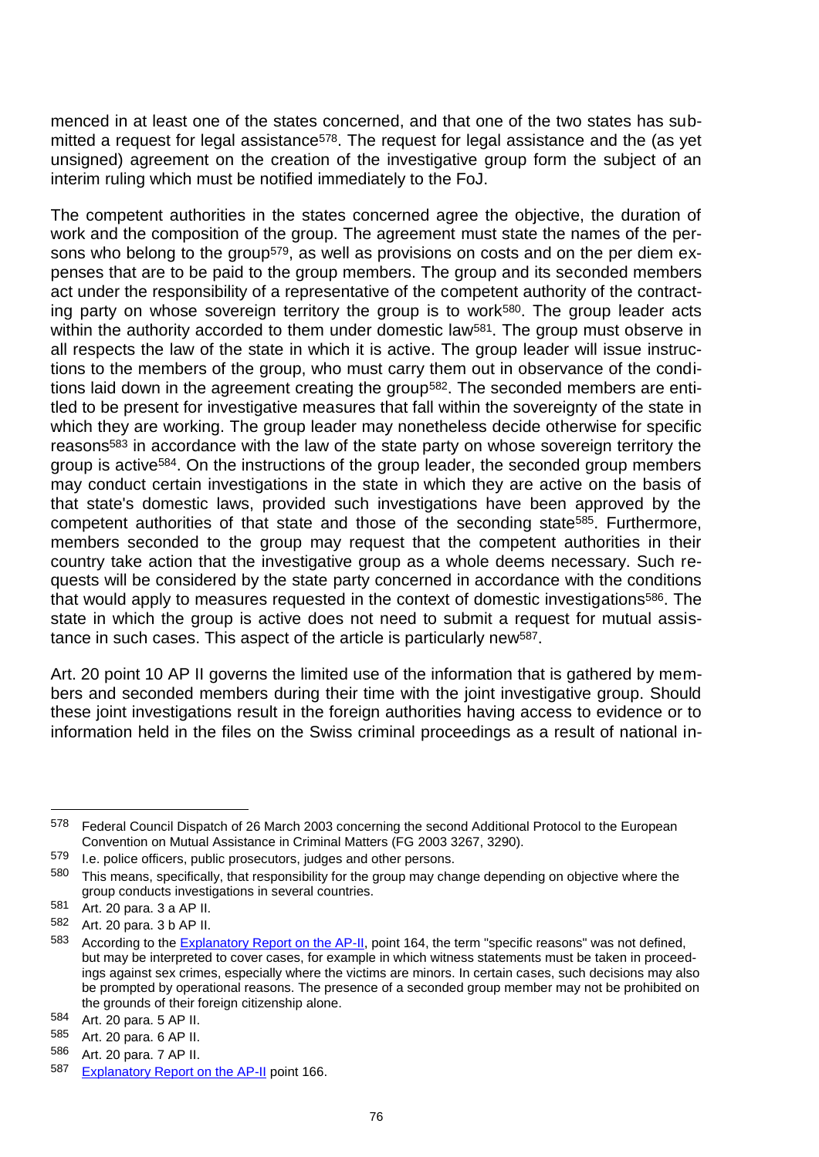menced in at least one of the states concerned, and that one of the two states has submitted a request for legal assistance<sup>578</sup>. The request for legal assistance and the (as yet unsigned) agreement on the creation of the investigative group form the subject of an interim ruling which must be notified immediately to the FoJ.

The competent authorities in the states concerned agree the objective, the duration of work and the composition of the group. The agreement must state the names of the persons who belong to the group<sup>579</sup>, as well as provisions on costs and on the per diem expenses that are to be paid to the group members. The group and its seconded members act under the responsibility of a representative of the competent authority of the contracting party on whose sovereign territory the group is to work<sup>580</sup>. The group leader acts within the authority accorded to them under domestic law<sup>581</sup>. The group must observe in all respects the law of the state in which it is active. The group leader will issue instructions to the members of the group, who must carry them out in observance of the conditions laid down in the agreement creating the group582. The seconded members are entitled to be present for investigative measures that fall within the sovereignty of the state in which they are working. The group leader may nonetheless decide otherwise for specific reasons<sup>583</sup> in accordance with the law of the state party on whose sovereign territory the group is active584. On the instructions of the group leader, the seconded group members may conduct certain investigations in the state in which they are active on the basis of that state's domestic laws, provided such investigations have been approved by the competent authorities of that state and those of the seconding state585. Furthermore, members seconded to the group may request that the competent authorities in their country take action that the investigative group as a whole deems necessary. Such requests will be considered by the state party concerned in accordance with the conditions that would apply to measures requested in the context of domestic investigations586. The state in which the group is active does not need to submit a request for mutual assistance in such cases. This aspect of the article is particularly new587.

Art. 20 point 10 AP II governs the limited use of the information that is gathered by members and seconded members during their time with the joint investigative group. Should these joint investigations result in the foreign authorities having access to evidence or to information held in the files on the Swiss criminal proceedings as a result of national in-

l

<sup>578</sup> Federal Council Dispatch of 26 March 2003 concerning the second Additional Protocol to the European Convention on Mutual Assistance in Criminal Matters (FG 2003 3267, 3290).

<sup>579</sup> I.e. police officers, public prosecutors, judges and other persons.

<sup>580</sup> This means, specifically, that responsibility for the group may change depending on objective where the group conducts investigations in several countries.

 $^{581}$  Art. 20 para. 3 a AP II.<br> $^{582}$  Art. 20 para. 3 b AP II.

Art. 20 para. 3 b AP II.

<sup>583</sup> According to the **Explanatory Report on the AP-II**, point 164, the term "specific reasons" was not defined, but may be interpreted to cover cases, for example in which witness statements must be taken in proceedings against sex crimes, especially where the victims are minors. In certain cases, such decisions may also be prompted by operational reasons. The presence of a seconded group member may not be prohibited on the grounds of their foreign citizenship alone.

<sup>584</sup> Art. 20 para. 5 AP II.

<sup>585</sup> Art. 20 para. 6 AP II.

<sup>586</sup> Art. 20 para. 7 AP II.

<sup>587</sup> [Explanatory Report on the AP-II](http://conventions.coe.int/Treaty/en/Reports/Html/182.htm) point 166.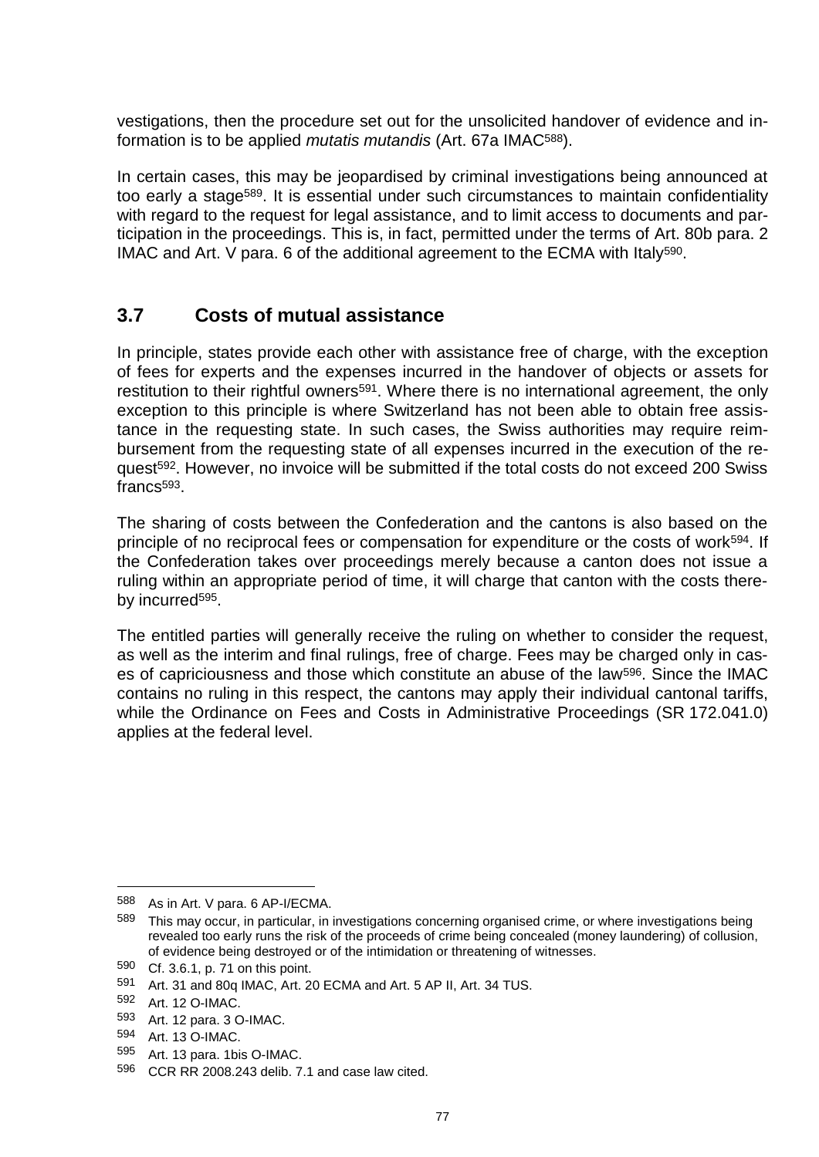vestigations, then the procedure set out for the unsolicited handover of evidence and information is to be applied *mutatis mutandis* (Art. 67a IMAC588).

In certain cases, this may be jeopardised by criminal investigations being announced at too early a stage<sup>589</sup>. It is essential under such circumstances to maintain confidentiality with regard to the request for legal assistance, and to limit access to documents and participation in the proceedings. This is, in fact, permitted under the terms of Art. 80b para. 2 IMAC and Art. V para. 6 of the additional agreement to the ECMA with Italy590.

#### **3.7 Costs of mutual assistance**

In principle, states provide each other with assistance free of charge, with the exception of fees for experts and the expenses incurred in the handover of objects or assets for restitution to their rightful owners<sup>591</sup>. Where there is no international agreement, the only exception to this principle is where Switzerland has not been able to obtain free assistance in the requesting state. In such cases, the Swiss authorities may require reimbursement from the requesting state of all expenses incurred in the execution of the request592. However, no invoice will be submitted if the total costs do not exceed 200 Swiss francs<sup>593</sup>.

The sharing of costs between the Confederation and the cantons is also based on the principle of no reciprocal fees or compensation for expenditure or the costs of work<sup>594</sup>. If the Confederation takes over proceedings merely because a canton does not issue a ruling within an appropriate period of time, it will charge that canton with the costs thereby incurred<sup>595</sup>.

The entitled parties will generally receive the ruling on whether to consider the request, as well as the interim and final rulings, free of charge. Fees may be charged only in cases of capriciousness and those which constitute an abuse of the law<sup>596</sup>. Since the IMAC contains no ruling in this respect, the cantons may apply their individual cantonal tariffs, while the Ordinance on Fees and Costs in Administrative Proceedings (SR 172.041.0) applies at the federal level.

<sup>588</sup> As in Art. V para. 6 AP-I/ECMA.

<sup>589</sup> This may occur, in particular, in investigations concerning organised crime, or where investigations being revealed too early runs the risk of the proceeds of crime being concealed (money laundering) of collusion, of evidence being destroyed or of the intimidation or threatening of witnesses.

<sup>590</sup> Cf. 3.6.1, p. 71 on this point.

<sup>591</sup> Art. 31 and 80q IMAC, Art. 20 ECMA and Art. 5 AP II, Art. 34 TUS.<br>592 Art. 12 O-IMAC

Art. 12 O-IMAC.

<sup>593</sup> Art. 12 para. 3 O-IMAC.<br>594 Art. 13 O-IMAC

Art. 13 O-IMAC.

<sup>595</sup> Art. 13 para. 1bis O-IMAC.

<sup>596</sup> CCR RR 2008.243 delib. 7.1 and case law cited.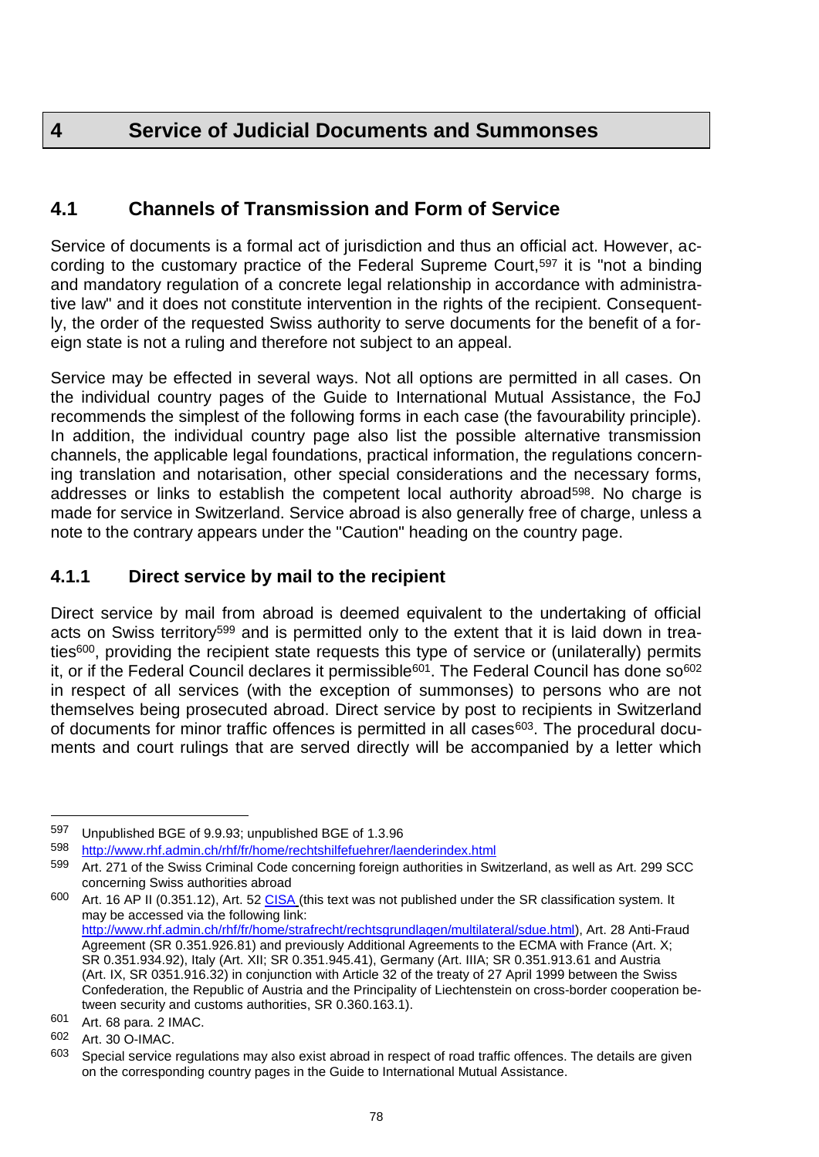## **4 Service of Judicial Documents and Summonses**

### **4.1 Channels of Transmission and Form of Service**

Service of documents is a formal act of jurisdiction and thus an official act. However, according to the customary practice of the Federal Supreme Court,<sup>597</sup> it is "not a binding and mandatory regulation of a concrete legal relationship in accordance with administrative law" and it does not constitute intervention in the rights of the recipient. Consequently, the order of the requested Swiss authority to serve documents for the benefit of a foreign state is not a ruling and therefore not subject to an appeal.

Service may be effected in several ways. Not all options are permitted in all cases. On the individual country pages of the Guide to International Mutual Assistance, the FoJ recommends the simplest of the following forms in each case (the favourability principle). In addition, the individual country page also list the possible alternative transmission channels, the applicable legal foundations, practical information, the regulations concerning translation and notarisation, other special considerations and the necessary forms, addresses or links to establish the competent local authority abroad598. No charge is made for service in Switzerland. Service abroad is also generally free of charge, unless a note to the contrary appears under the "Caution" heading on the country page.

#### **4.1.1 Direct service by mail to the recipient**

Direct service by mail from abroad is deemed equivalent to the undertaking of official acts on Swiss territory<sup>599</sup> and is permitted only to the extent that it is laid down in treaties600, providing the recipient state requests this type of service or (unilaterally) permits it, or if the Federal Council declares it permissible<sup>601</sup>. The Federal Council has done so<sup>602</sup> in respect of all services (with the exception of summonses) to persons who are not themselves being prosecuted abroad. Direct service by post to recipients in Switzerland of documents for minor traffic offences is permitted in all cases<sup>603</sup>. The procedural documents and court rulings that are served directly will be accompanied by a letter which

600 Art. 16 AP II (0.351.12), Art. 52 [CISA](http://www.rhf.admin.ch/rhf/fr/home/straf/recht/multilateral/sdue.html) (this text was not published under the SR classification system. It may be accessed via the following link: [http://www.rhf.admin.ch/rhf/fr/home/strafrecht/rechtsgrundlagen/multilateral/sdue.html\)](http://www.rhf.admin.ch/rhf/fr/home/strafrecht/rechtsgrundlagen/multilateral/sdue.html), Art. 28 Anti-Fraud Agreement (SR 0.351.926.81) and previously Additional Agreements to the ECMA with France (Art. X; SR 0.351.934.92), Italy (Art. XII; SR 0.351.945.41), Germany (Art. IIIA; SR 0.351.913.61 and Austria (Art. IX, SR 0351.916.32) in conjunction with Article 32 of the treaty of 27 April 1999 between the Swiss Confederation, the Republic of Austria and the Principality of Liechtenstein on cross-border cooperation between security and customs authorities, SR 0.360.163.1).

<sup>597</sup> Unpublished BGE of 9.9.93; unpublished BGE of 1.3.96

<sup>598</sup> <http://www.rhf.admin.ch/rhf/fr/home/rechtshilfefuehrer/laenderindex.html>

<sup>599</sup> Art. 271 of the Swiss Criminal Code concerning foreign authorities in Switzerland, as well as Art. 299 SCC concerning Swiss authorities abroad

<sup>601</sup> Art. 68 para. 2 IMAC.

<sup>602</sup> Art. 30 O-IMAC.

 $603$  Special service regulations may also exist abroad in respect of road traffic offences. The details are given on the corresponding country pages in the Guide to International Mutual Assistance.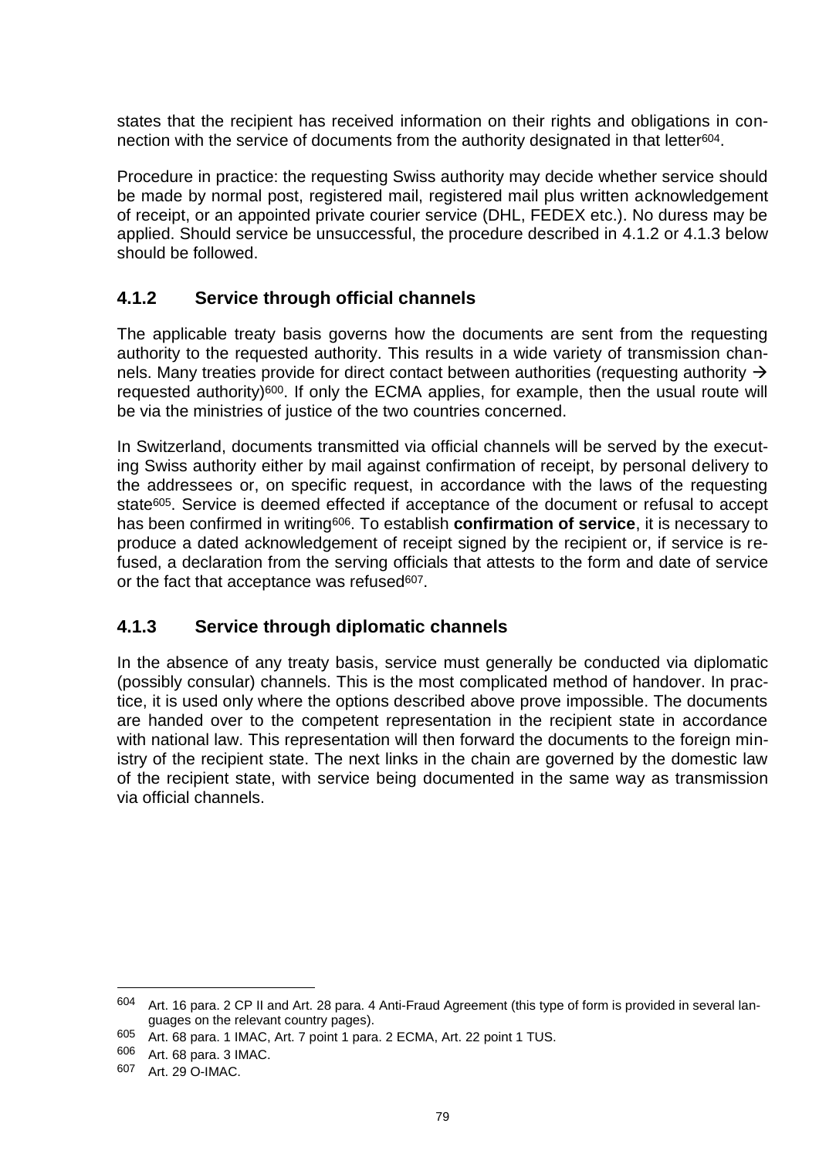states that the recipient has received information on their rights and obligations in connection with the service of documents from the authority designated in that letter<sup>604</sup>.

Procedure in practice: the requesting Swiss authority may decide whether service should be made by normal post, registered mail, registered mail plus written acknowledgement of receipt, or an appointed private courier service (DHL, FEDEX etc.). No duress may be applied. Should service be unsuccessful, the procedure described in 4.1.2 or 4.1.3 below should be followed.

#### **4.1.2 Service through official channels**

The applicable treaty basis governs how the documents are sent from the requesting authority to the requested authority. This results in a wide variety of transmission channels. Many treaties provide for direct contact between authorities (requesting authority  $\rightarrow$ requested authority)600. If only the ECMA applies, for example, then the usual route will be via the ministries of justice of the two countries concerned.

In Switzerland, documents transmitted via official channels will be served by the executing Swiss authority either by mail against confirmation of receipt, by personal delivery to the addressees or, on specific request, in accordance with the laws of the requesting state<sup>605</sup>. Service is deemed effected if acceptance of the document or refusal to accept has been confirmed in writing606. To establish **confirmation of service**, it is necessary to produce a dated acknowledgement of receipt signed by the recipient or, if service is refused, a declaration from the serving officials that attests to the form and date of service or the fact that acceptance was refused<sup>607</sup>.

#### **4.1.3 Service through diplomatic channels**

In the absence of any treaty basis, service must generally be conducted via diplomatic (possibly consular) channels. This is the most complicated method of handover. In practice, it is used only where the options described above prove impossible. The documents are handed over to the competent representation in the recipient state in accordance with national law. This representation will then forward the documents to the foreign ministry of the recipient state. The next links in the chain are governed by the domestic law of the recipient state, with service being documented in the same way as transmission via official channels.

<sup>604</sup> Art. 16 para. 2 CP II and Art. 28 para. 4 Anti-Fraud Agreement (this type of form is provided in several languages on the relevant country pages).

<sup>605</sup> Art. 68 para. 1 IMAC, Art. 7 point 1 para. 2 ECMA, Art. 22 point 1 TUS.

<sup>606</sup> Art. 68 para. 3 IMAC.

<sup>607</sup> Art. 29 O-IMAC.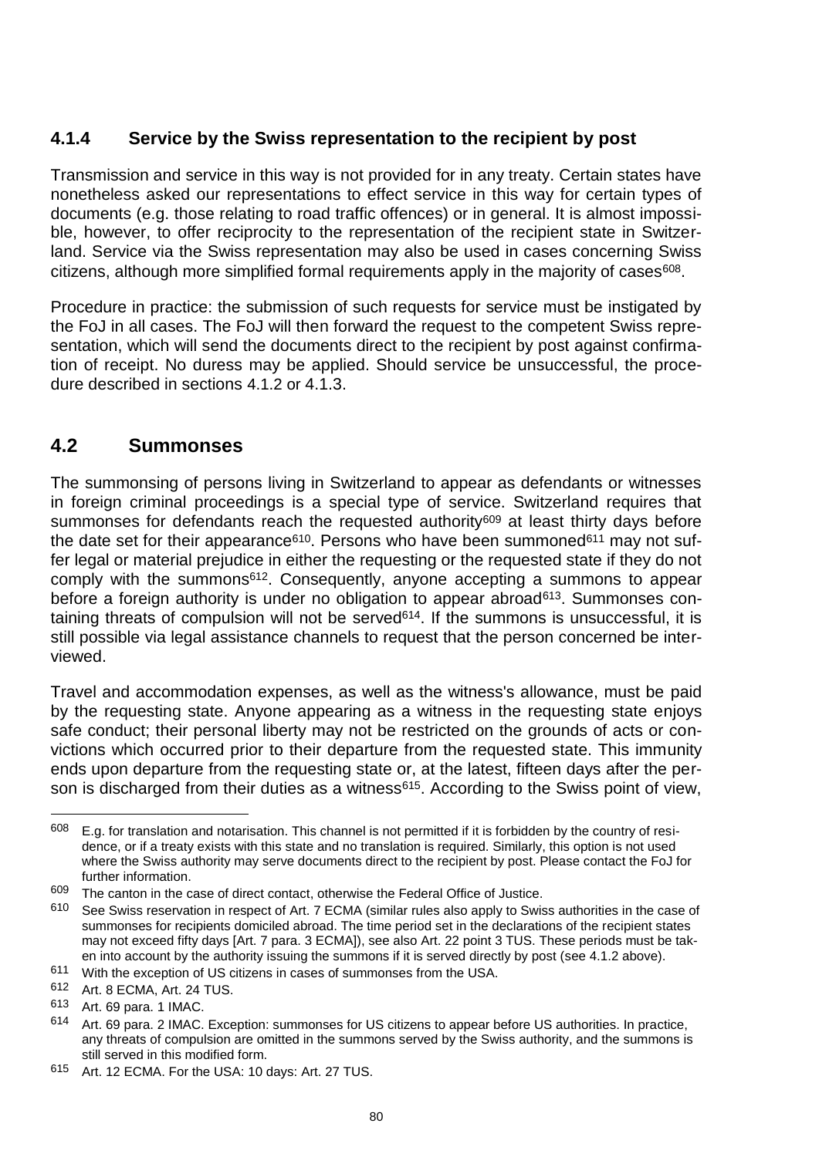#### **4.1.4 Service by the Swiss representation to the recipient by post**

Transmission and service in this way is not provided for in any treaty. Certain states have nonetheless asked our representations to effect service in this way for certain types of documents (e.g. those relating to road traffic offences) or in general. It is almost impossible, however, to offer reciprocity to the representation of the recipient state in Switzerland. Service via the Swiss representation may also be used in cases concerning Swiss citizens, although more simplified formal requirements apply in the majority of cases<sup>608</sup>.

Procedure in practice: the submission of such requests for service must be instigated by the FoJ in all cases. The FoJ will then forward the request to the competent Swiss representation, which will send the documents direct to the recipient by post against confirmation of receipt. No duress may be applied. Should service be unsuccessful, the procedure described in sections 4.1.2 or 4.1.3.

### **4.2 Summonses**

The summonsing of persons living in Switzerland to appear as defendants or witnesses in foreign criminal proceedings is a special type of service. Switzerland requires that summonses for defendants reach the requested authority<sup>609</sup> at least thirty days before the date set for their appearance<sup>610</sup>. Persons who have been summoned<sup>611</sup> may not suffer legal or material prejudice in either the requesting or the requested state if they do not comply with the summons612. Consequently, anyone accepting a summons to appear before a foreign authority is under no obligation to appear abroad<sup>613</sup>. Summonses containing threats of compulsion will not be served<sup>614</sup>. If the summons is unsuccessful, it is still possible via legal assistance channels to request that the person concerned be interviewed.

Travel and accommodation expenses, as well as the witness's allowance, must be paid by the requesting state. Anyone appearing as a witness in the requesting state enjoys safe conduct; their personal liberty may not be restricted on the grounds of acts or convictions which occurred prior to their departure from the requested state. This immunity ends upon departure from the requesting state or, at the latest, fifteen days after the person is discharged from their duties as a witness<sup>615</sup>. According to the Swiss point of view,

 $608$  E.g. for translation and notarisation. This channel is not permitted if it is forbidden by the country of residence, or if a treaty exists with this state and no translation is required. Similarly, this option is not used where the Swiss authority may serve documents direct to the recipient by post. Please contact the FoJ for further information.

 $609$  The canton in the case of direct contact, otherwise the Federal Office of Justice.<br> $610$  See Swiss reconction in recoed of Art 7 ECMA (cimilar rules also apply to Swiss

See Swiss reservation in respect of Art. 7 ECMA (similar rules also apply to Swiss authorities in the case of summonses for recipients domiciled abroad. The time period set in the declarations of the recipient states may not exceed fifty days [Art. 7 para. 3 ECMA]), see also Art. 22 point 3 TUS. These periods must be taken into account by the authority issuing the summons if it is served directly by post (see 4.1.2 above).

<sup>611</sup> With the exception of US citizens in cases of summonses from the USA.

<sup>612</sup> Art. 8 ECMA, Art. 24 TUS.

<sup>613</sup> Art. 69 para. 1 IMAC.

<sup>614</sup> Art. 69 para. 2 IMAC. Exception: summonses for US citizens to appear before US authorities. In practice, any threats of compulsion are omitted in the summons served by the Swiss authority, and the summons is still served in this modified form.

<sup>615</sup> Art. 12 ECMA. For the USA: 10 days: Art. 27 TUS.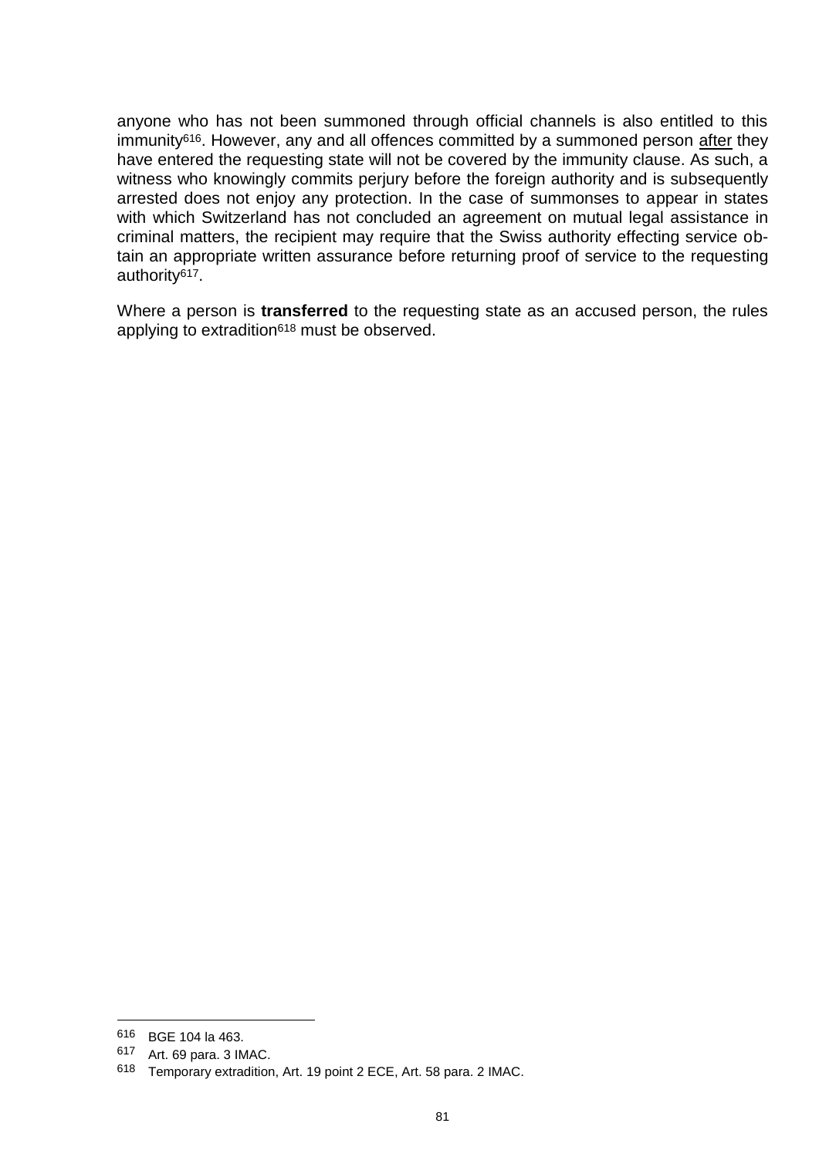anyone who has not been summoned through official channels is also entitled to this immunity<sup>616</sup>. However, any and all offences committed by a summoned person after they have entered the requesting state will not be covered by the immunity clause. As such, a witness who knowingly commits perjury before the foreign authority and is subsequently arrested does not enjoy any protection. In the case of summonses to appear in states with which Switzerland has not concluded an agreement on mutual legal assistance in criminal matters, the recipient may require that the Swiss authority effecting service obtain an appropriate written assurance before returning proof of service to the requesting authority617.

Where a person is **transferred** to the requesting state as an accused person, the rules applying to extradition<sup>618</sup> must be observed.

<sup>616</sup> BGE 104 la 463.

<sup>617</sup> Art. 69 para. 3 IMAC.

<sup>618</sup> Temporary extradition, Art. 19 point 2 ECE, Art. 58 para. 2 IMAC.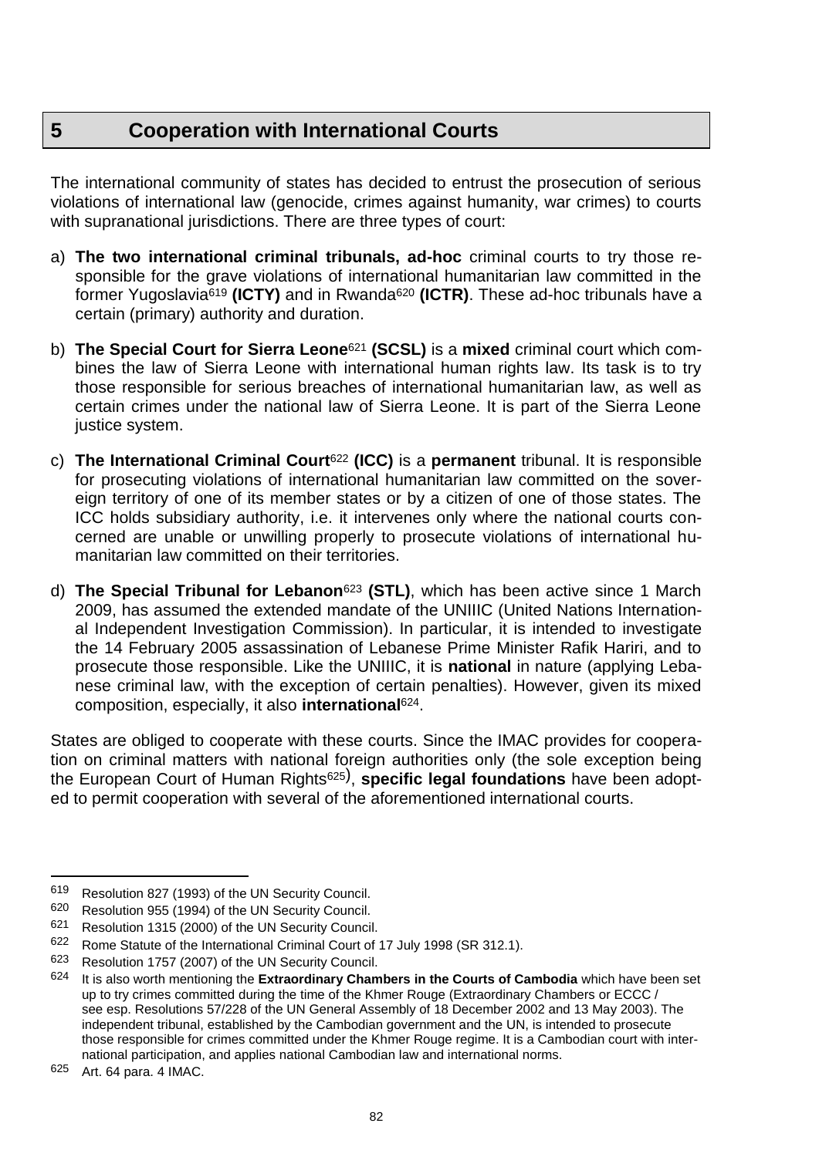## **5 Cooperation with International Courts**

The international community of states has decided to entrust the prosecution of serious violations of international law (genocide, crimes against humanity, war crimes) to courts with supranational jurisdictions. There are three types of court:

- a) **The two international criminal tribunals, ad-hoc** criminal courts to try those responsible for the grave violations of international humanitarian law committed in the former Yugoslavia<sup>619</sup> **(ICTY)** and in Rwanda<sup>620</sup> **(ICTR)**. These ad-hoc tribunals have a certain (primary) authority and duration.
- b) **The Special Court for Sierra Leone**<sup>621</sup> **(SCSL)** is a **mixed** criminal court which combines the law of Sierra Leone with international human rights law. Its task is to try those responsible for serious breaches of international humanitarian law, as well as certain crimes under the national law of Sierra Leone. It is part of the Sierra Leone justice system.
- c) **The International Criminal Court**<sup>622</sup> **(ICC)** is a **permanent** tribunal. It is responsible for prosecuting violations of international humanitarian law committed on the sovereign territory of one of its member states or by a citizen of one of those states. The ICC holds subsidiary authority, i.e. it intervenes only where the national courts concerned are unable or unwilling properly to prosecute violations of international humanitarian law committed on their territories.
- d) **The Special Tribunal for Lebanon**<sup>623</sup> **(STL)**, which has been active since 1 March 2009, has assumed the extended mandate of the UNIIIC (United Nations International Independent Investigation Commission). In particular, it is intended to investigate the 14 February 2005 assassination of Lebanese Prime Minister Rafik Hariri, and to prosecute those responsible. Like the UNIIIC, it is **national** in nature (applying Lebanese criminal law, with the exception of certain penalties). However, given its mixed composition, especially, it also **international**624.

States are obliged to cooperate with these courts. Since the IMAC provides for cooperation on criminal matters with national foreign authorities only (the sole exception being the European Court of Human Rights625) , **specific legal foundations** have been adopted to permit cooperation with several of the aforementioned international courts.

<sup>619</sup> Resolution 827 (1993) of the UN Security Council.<br>620 Bosolution 055 (1994) of the UN Security Council

Resolution 955 (1994) of the UN Security Council.

<sup>621</sup> Resolution 1315 (2000) of the UN Security Council.

<sup>622</sup> Rome Statute of the International Criminal Court of 17 July 1998 (SR 312.1).

Resolution 1757 (2007) of the UN Security Council.

<sup>624</sup> It is also worth mentioning the **Extraordinary Chambers in the Courts of Cambodia** which have been set up to try crimes committed during the time of the Khmer Rouge (Extraordinary Chambers or ECCC / see esp. Resolutions 57/228 of the UN General Assembly of 18 December 2002 and 13 May 2003). The independent tribunal, established by the Cambodian government and the UN, is intended to prosecute those responsible for crimes committed under the Khmer Rouge regime. It is a Cambodian court with international participation, and applies national Cambodian law and international norms.

<sup>625</sup> Art. 64 para. 4 IMAC.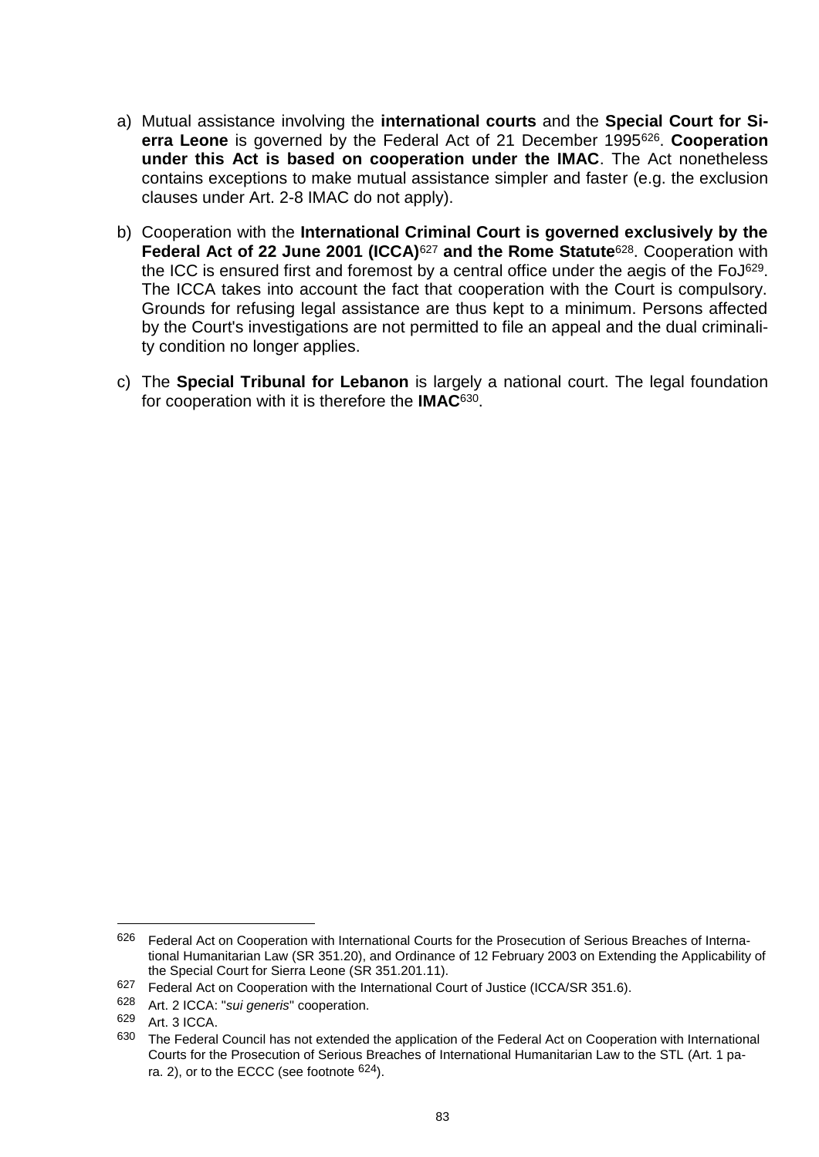- a) Mutual assistance involving the **international courts** and the **Special Court for Sierra Leone** is governed by the Federal Act of 21 December 1995626. **Cooperation under this Act is based on cooperation under the IMAC**. The Act nonetheless contains exceptions to make mutual assistance simpler and faster (e.g. the exclusion clauses under Art. 2-8 IMAC do not apply).
- b) Cooperation with the **International Criminal Court is governed exclusively by the Federal Act of 22 June 2001 (ICCA)**<sup>627</sup> **and the Rome Statute**628. Cooperation with the ICC is ensured first and foremost by a central office under the aegis of the FoJ<sup>629</sup>. The ICCA takes into account the fact that cooperation with the Court is compulsory. Grounds for refusing legal assistance are thus kept to a minimum. Persons affected by the Court's investigations are not permitted to file an appeal and the dual criminality condition no longer applies.
- c) The **Special Tribunal for Lebanon** is largely a national court. The legal foundation for cooperation with it is therefore the **IMAC**630.

<sup>626</sup> Federal Act on Cooperation with International Courts for the Prosecution of Serious Breaches of International Humanitarian Law (SR 351.20), and Ordinance of 12 February 2003 on Extending the Applicability of the Special Court for Sierra Leone (SR 351.201.11).

<sup>&</sup>lt;sup>627</sup> Federal Act on Cooperation with the International Court of Justice (ICCA/SR 351.6).

<sup>628</sup> Art. 2 ICCA: "*sui generis*" cooperation.

<sup>629</sup> Art. 3 ICCA.

<sup>630</sup> The Federal Council has not extended the application of the Federal Act on Cooperation with International Courts for the Prosecution of Serious Breaches of International Humanitarian Law to the STL (Art. 1 para. 2), or to the ECCC (see footnote <sup>624</sup>).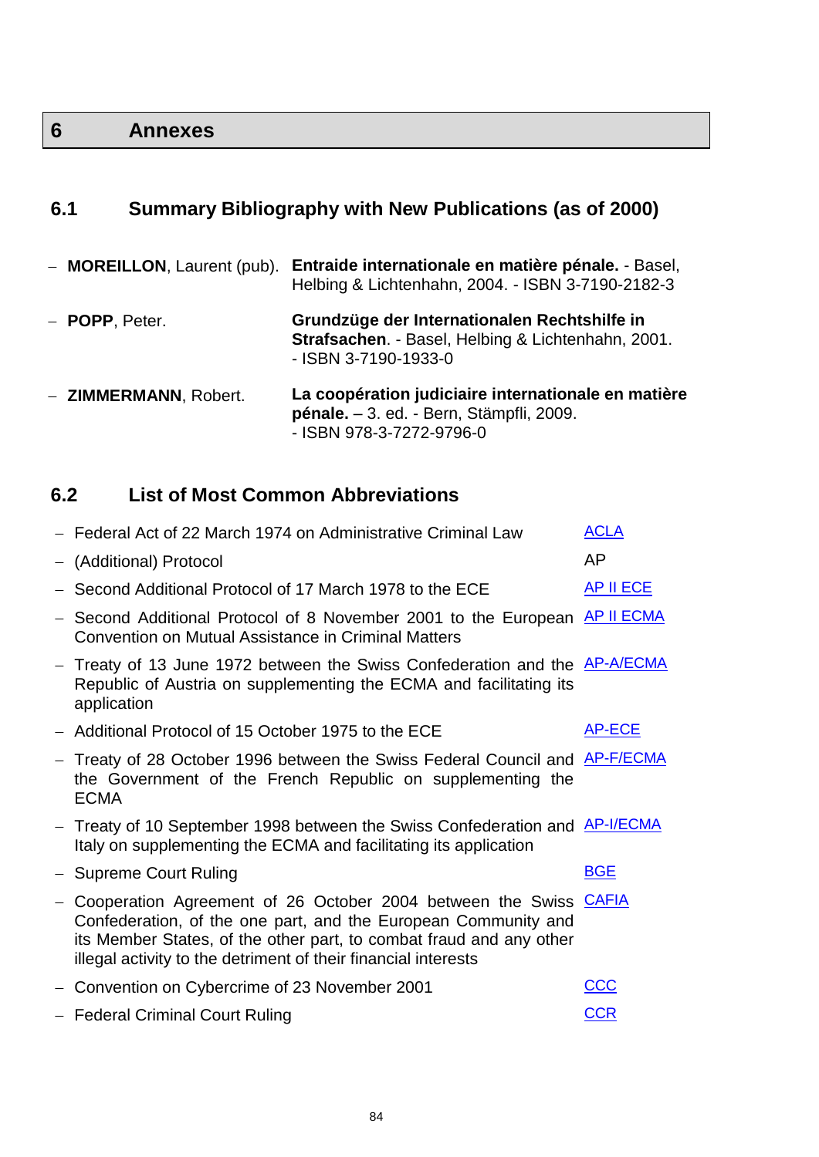# **6 Annexes**

# **6.1 Summary Bibliography with New Publications (as of 2000)**

| - <b>MOREILLON</b> , Laurent (pub). | Entraide internationale en matière pénale. - Basel,<br>Helbing & Lichtenhahn, 2004. - ISBN 3-7190-2182-3                    |
|-------------------------------------|-----------------------------------------------------------------------------------------------------------------------------|
| - <b>POPP</b> , Peter.              | Grundzüge der Internationalen Rechtshilfe in<br>Strafsachen. - Basel, Helbing & Lichtenhahn, 2001.<br>- ISBN 3-7190-1933-0  |
| - ZIMMERMANN, Robert.               | La coopération judiciaire internationale en matière<br>pénale. - 3. ed. - Bern, Stämpfli, 2009.<br>- ISBN 978-3-7272-9796-0 |

## **6.2 List of Most Common Abbreviations**

|                   | - Federal Act of 22 March 1974 on Administrative Criminal Law                                                                                                                                                                                                                 | <b>ACLA</b>      |
|-------------------|-------------------------------------------------------------------------------------------------------------------------------------------------------------------------------------------------------------------------------------------------------------------------------|------------------|
|                   | - (Additional) Protocol                                                                                                                                                                                                                                                       | AP               |
|                   | Second Additional Protocol of 17 March 1978 to the ECE                                                                                                                                                                                                                        | <b>AP II ECE</b> |
| $\qquad \qquad -$ | Second Additional Protocol of 8 November 2001 to the European AP II ECMA<br><b>Convention on Mutual Assistance in Criminal Matters</b>                                                                                                                                        |                  |
|                   | - Treaty of 13 June 1972 between the Swiss Confederation and the <b>AP-A/ECMA</b><br>Republic of Austria on supplementing the ECMA and facilitating its<br>application                                                                                                        |                  |
|                   | - Additional Protocol of 15 October 1975 to the ECE                                                                                                                                                                                                                           | <b>AP-ECE</b>    |
|                   | - Treaty of 28 October 1996 between the Swiss Federal Council and <b>AP-F/ECMA</b><br>the Government of the French Republic on supplementing the<br><b>ECMA</b>                                                                                                               |                  |
|                   | - Treaty of 10 September 1998 between the Swiss Confederation and <b>AP-I/ECMA</b><br>Italy on supplementing the ECMA and facilitating its application                                                                                                                        |                  |
|                   | - Supreme Court Ruling                                                                                                                                                                                                                                                        | <b>BGE</b>       |
|                   | - Cooperation Agreement of 26 October 2004 between the Swiss CAFIA<br>Confederation, of the one part, and the European Community and<br>its Member States, of the other part, to combat fraud and any other<br>illegal activity to the detriment of their financial interests |                  |
|                   | Convention on Cybercrime of 23 November 2001                                                                                                                                                                                                                                  | <u>CCC</u>       |
|                   | - Federal Criminal Court Ruling                                                                                                                                                                                                                                               | <b>CCR</b>       |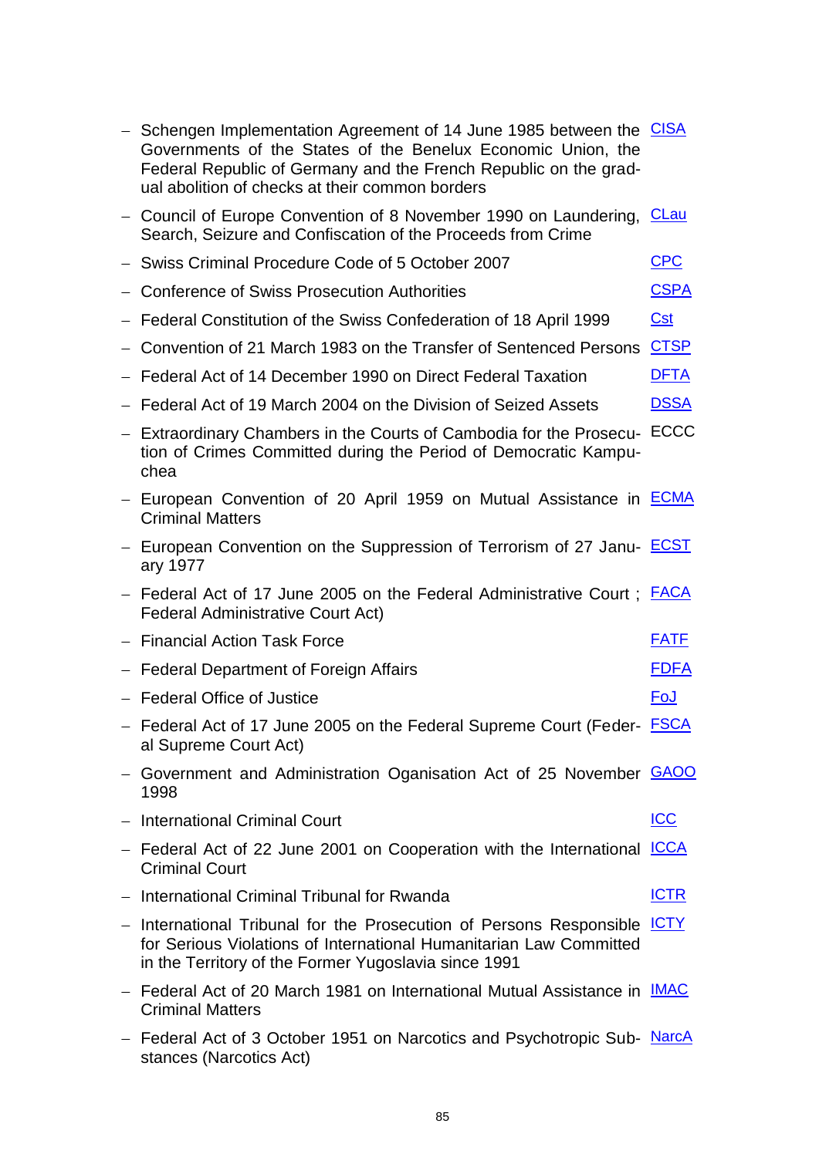| - Schengen Implementation Agreement of 14 June 1985 between the CISA<br>Governments of the States of the Benelux Economic Union, the<br>Federal Republic of Germany and the French Republic on the grad-<br>ual abolition of checks at their common borders |             |
|-------------------------------------------------------------------------------------------------------------------------------------------------------------------------------------------------------------------------------------------------------------|-------------|
| - Council of Europe Convention of 8 November 1990 on Laundering, CLau<br>Search, Seizure and Confiscation of the Proceeds from Crime                                                                                                                        |             |
| Swiss Criminal Procedure Code of 5 October 2007                                                                                                                                                                                                             | <b>CPC</b>  |
| Conference of Swiss Prosecution Authorities                                                                                                                                                                                                                 | <b>CSPA</b> |
| - Federal Constitution of the Swiss Confederation of 18 April 1999                                                                                                                                                                                          | <u>Cst</u>  |
| Convention of 21 March 1983 on the Transfer of Sentenced Persons CTSP                                                                                                                                                                                       |             |
| Federal Act of 14 December 1990 on Direct Federal Taxation                                                                                                                                                                                                  | <b>DFTA</b> |
| - Federal Act of 19 March 2004 on the Division of Seized Assets                                                                                                                                                                                             | <b>DSSA</b> |
| - Extraordinary Chambers in the Courts of Cambodia for the Prosecu- ECCC<br>tion of Crimes Committed during the Period of Democratic Kampu-<br>chea                                                                                                         |             |
| - European Convention of 20 April 1959 on Mutual Assistance in <b>ECMA</b><br><b>Criminal Matters</b>                                                                                                                                                       |             |
| - European Convention on the Suppression of Terrorism of 27 Janu- <b>ECST</b><br>ary 1977                                                                                                                                                                   |             |
| - Federal Act of 17 June 2005 on the Federal Administrative Court; <b>FACA</b><br><b>Federal Administrative Court Act)</b>                                                                                                                                  |             |
| - Financial Action Task Force                                                                                                                                                                                                                               | <b>FATF</b> |
| - Federal Department of Foreign Affairs                                                                                                                                                                                                                     | <u>FDFA</u> |
| - Federal Office of Justice                                                                                                                                                                                                                                 | <u>FoJ</u>  |
| - Federal Act of 17 June 2005 on the Federal Supreme Court (Feder- <b>FSCA</b><br>al Supreme Court Act)                                                                                                                                                     |             |
| Government and Administration Oganisation Act of 25 November GAOO<br>1998                                                                                                                                                                                   |             |
| - International Criminal Court                                                                                                                                                                                                                              | <b>ICC</b>  |
| - Federal Act of 22 June 2001 on Cooperation with the International ICCA<br><b>Criminal Court</b>                                                                                                                                                           |             |
| - International Criminal Tribunal for Rwanda                                                                                                                                                                                                                | <b>ICTR</b> |
| - International Tribunal for the Prosecution of Persons Responsible <b>ICTY</b><br>for Serious Violations of International Humanitarian Law Committed<br>in the Territory of the Former Yugoslavia since 1991                                               |             |
| - Federal Act of 20 March 1981 on International Mutual Assistance in IMAC<br><b>Criminal Matters</b>                                                                                                                                                        |             |
| - Federal Act of 3 October 1951 on Narcotics and Psychotropic Sub- NarcA<br>stances (Narcotics Act)                                                                                                                                                         |             |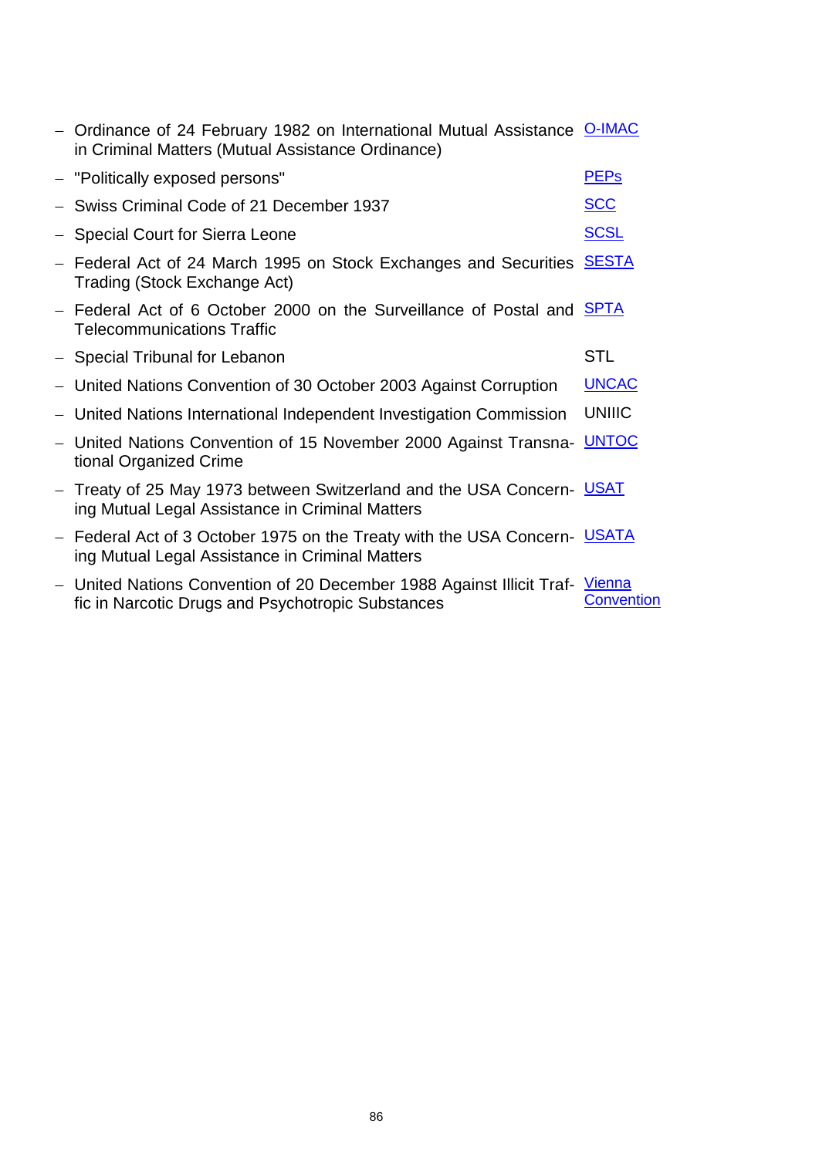|                          | - Ordinance of 24 February 1982 on International Mutual Assistance O-IMAC<br>in Criminal Matters (Mutual Assistance Ordinance)  |                   |
|--------------------------|---------------------------------------------------------------------------------------------------------------------------------|-------------------|
|                          | - "Politically exposed persons"                                                                                                 | <b>PEPs</b>       |
|                          | - Swiss Criminal Code of 21 December 1937                                                                                       | <b>SCC</b>        |
|                          | - Special Court for Sierra Leone                                                                                                | <b>SCSL</b>       |
|                          | - Federal Act of 24 March 1995 on Stock Exchanges and Securities<br>Trading (Stock Exchange Act)                                | <b>SESTA</b>      |
|                          | - Federal Act of 6 October 2000 on the Surveillance of Postal and <b>SPTA</b><br><b>Telecommunications Traffic</b>              |                   |
|                          | - Special Tribunal for Lebanon                                                                                                  | <b>STL</b>        |
|                          | - United Nations Convention of 30 October 2003 Against Corruption                                                               | <b>UNCAC</b>      |
|                          | United Nations International Independent Investigation Commission                                                               | <b>UNIIIC</b>     |
| $\overline{\phantom{m}}$ | United Nations Convention of 15 November 2000 Against Transna- UNTOC<br>tional Organized Crime                                  |                   |
|                          | - Treaty of 25 May 1973 between Switzerland and the USA Concern- USAT<br>ing Mutual Legal Assistance in Criminal Matters        |                   |
|                          | - Federal Act of 3 October 1975 on the Treaty with the USA Concern- USATA<br>ing Mutual Legal Assistance in Criminal Matters    |                   |
| $\overline{\phantom{m}}$ | United Nations Convention of 20 December 1988 Against Illicit Traf- Vienna<br>fic in Narcotic Drugs and Psychotropic Substances | <b>Convention</b> |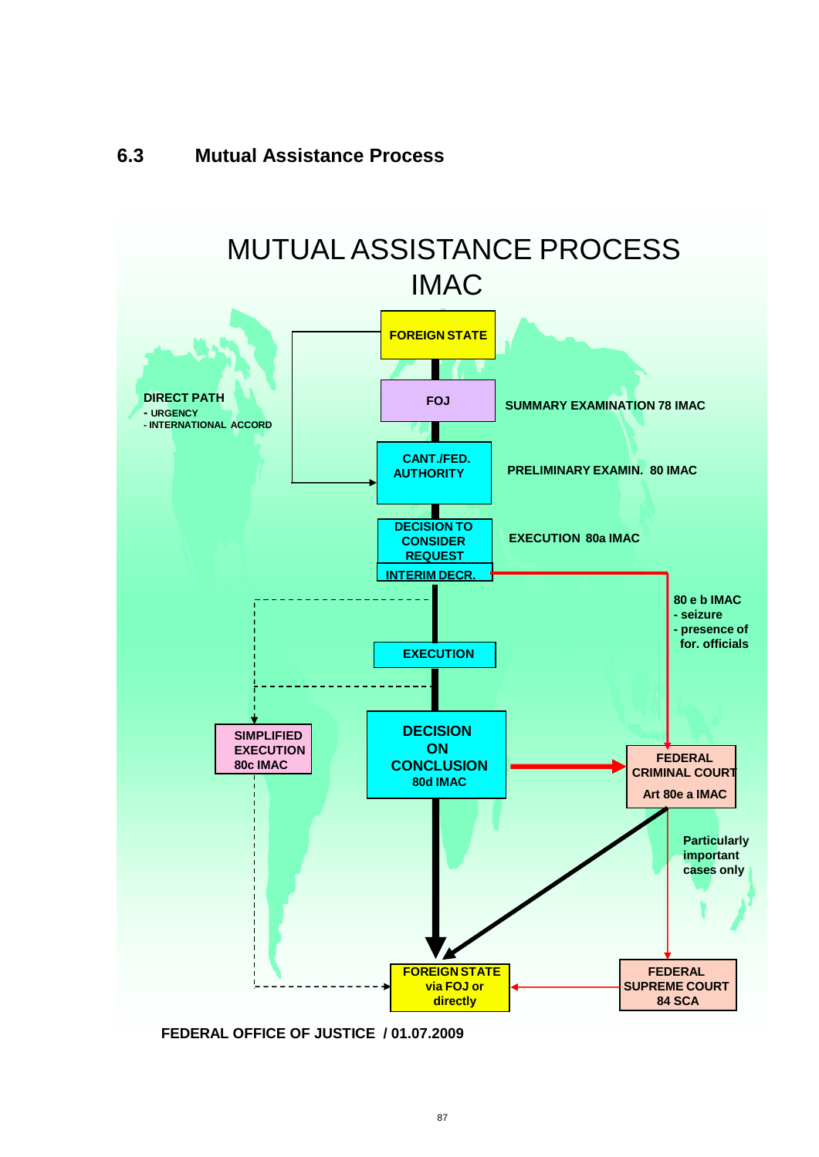

**FEDERAL OFFICE OF JUSTICE / 01.07.2009**